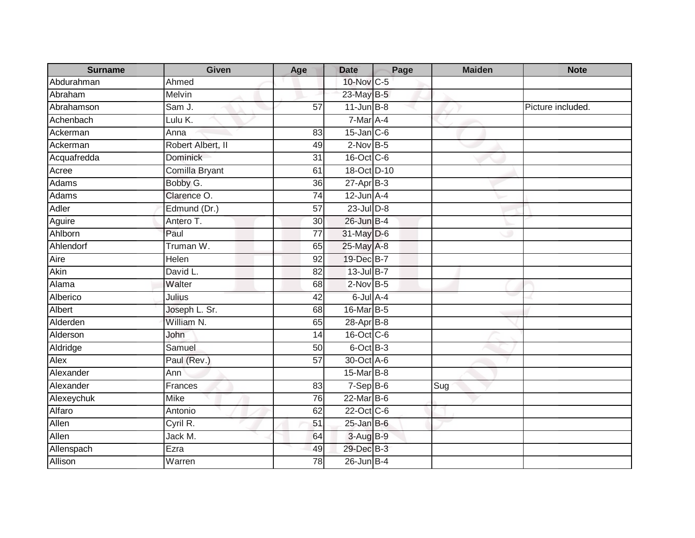| <b>Surname</b> | <b>Given</b>      | Age             | <b>Date</b>      | Page | <b>Maiden</b> | <b>Note</b>       |
|----------------|-------------------|-----------------|------------------|------|---------------|-------------------|
| Abdurahman     | Ahmed             |                 | 10-Nov C-5       |      |               |                   |
| Abraham        | Melvin            |                 | 23-May B-5       |      |               |                   |
| Abrahamson     | Sam J.            | 57              | $11$ -Jun $B-8$  |      |               | Picture included. |
| Achenbach      | Lulu K.           |                 | 7-Mar A-4        |      |               |                   |
| Ackerman       | Anna              | 83              | $15$ -Jan $C$ -6 |      |               |                   |
| Ackerman       | Robert Albert, II | 49              | $2-Nov$ B-5      |      |               |                   |
| Acquafredda    | <b>Dominick</b>   | 31              | 16-Oct C-6       |      |               |                   |
| Acree          | Comilla Bryant    | 61              | 18-Oct D-10      |      |               |                   |
| <b>Adams</b>   | Bobby G.          | $\overline{36}$ | $27 - Apr$ B-3   |      |               |                   |
| Adams          | Clarence O.       | $\overline{74}$ | 12-Jun A-4       |      |               |                   |
| Adler          | Edmund (Dr.)      | 57              | $23$ -Jul $D-8$  |      |               |                   |
| Aguire         | Antero T.         | 30              | $26$ -Jun $B-4$  |      |               |                   |
| Ahlborn        | Paul              | 77              | 31-May D-6       |      |               |                   |
| Ahlendorf      | Truman W.         | 65              | 25-May A-8       |      |               |                   |
| Aire           | Helen             | 92              | 19-Dec B-7       |      |               |                   |
| Akin           | David L.          | $\overline{82}$ | 13-Jul B-7       |      |               |                   |
| Alama          | Walter            | 68              | $2$ -Nov $B-5$   |      |               |                   |
| Alberico       | Julius            | 42              | 6-Jul A-4        |      |               |                   |
| Albert         | Joseph L. Sr.     | 68              | 16-Mar B-5       |      |               |                   |
| Alderden       | William N.        | 65              | 28-Apr B-8       |      |               |                   |
| Alderson       | John              | 14              | $16$ -Oct $C$ -6 |      |               |                   |
| Aldridge       | Samuel            | 50              | 6-Oct B-3        |      |               |                   |
| Alex           | Paul (Rev.)       | 57              | 30-Oct A-6       |      |               |                   |
| Alexander      | Ann               |                 | 15-Mar B-8       |      |               |                   |
| Alexander      | Frances           | 83              | $7-SepB-6$       |      | Sug           |                   |
| Alexeychuk     | <b>Mike</b>       | 76              | $22$ -Mar $B-6$  |      |               |                   |
| Alfaro         | Antonio           | 62              | 22-Oct C-6       |      |               |                   |
| Allen          | Cyril R.          | 51              | $25$ -Jan B-6    |      |               |                   |
| Allen          | Jack M.           | 64              | 3-Aug B-9        |      |               |                   |
| Allenspach     | Ezra              | 49              | 29-Dec B-3       |      |               |                   |
| Allison        | Warren            | 78              | $26$ -Jun $B-4$  |      |               |                   |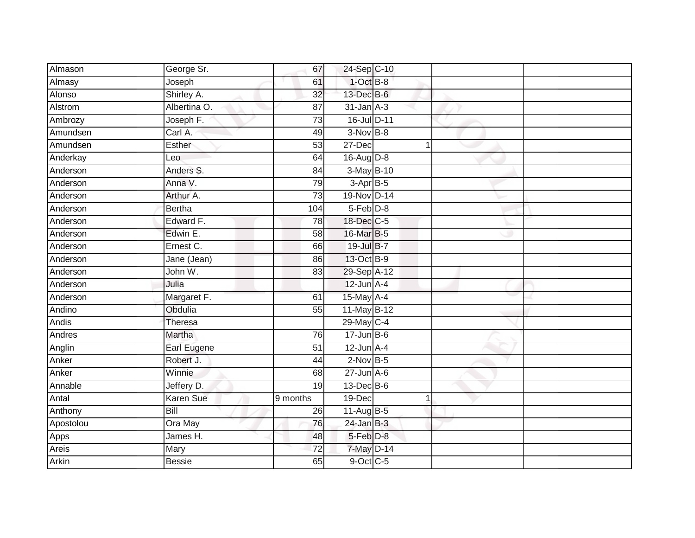| Almason       | George Sr.       | 67              | 24-Sep C-10      |   |  |
|---------------|------------------|-----------------|------------------|---|--|
| Almasy        | Joseph           | 61              | $1-OctB-8$       |   |  |
| <b>Alonso</b> | Shirley A.       | $\overline{32}$ | 13-Dec B-6       |   |  |
| Alstrom       | Albertina O.     | 87              | $31$ -Jan $A-3$  |   |  |
| Ambrozy       | Joseph F.        | $\overline{73}$ | 16-Jul D-11      |   |  |
| Amundsen      | Carl A.          | 49              | $3-Nov$ B-8      |   |  |
| Amundsen      | Esther           | $\overline{53}$ | 27-Dec           |   |  |
| Anderkay      | Leo              | 64              | 16-Aug D-8       |   |  |
| Anderson      | Anders S.        | 84              | 3-May B-10       |   |  |
| Anderson      | Anna V.          | 79              | 3-Apr B-5        |   |  |
| Anderson      | Arthur A.        | 73              | 19-Nov D-14      |   |  |
| Anderson      | <b>Bertha</b>    | 104             | $5-Feb$ $D-8$    |   |  |
| Anderson      | Edward F.        | 78              | 18-Dec C-5       |   |  |
| Anderson      | Edwin E.         | 58              | 16-Mar B-5       |   |  |
| Anderson      | Ernest C.        | 66              | 19-Jul B-7       |   |  |
| Anderson      | Jane (Jean)      | 86              | 13-Oct B-9       |   |  |
| Anderson      | John W.          | 83              | 29-Sep A-12      |   |  |
| Anderson      | Julia            |                 | $12$ -Jun $A-4$  |   |  |
| Anderson      | Margaret F.      | 61              | 15-May A-4       |   |  |
| Andino        | Obdulia          | $\overline{55}$ | 11-May B-12      |   |  |
| Andis         | Theresa          |                 | 29-May C-4       |   |  |
| Andres        | Martha           | 76              | $17 - Jun$ B-6   |   |  |
| Anglin        | Earl Eugene      | 51              | $12$ -Jun $A-4$  |   |  |
| Anker         | Robert J.        | 44              | $2$ -Nov $B-5$   |   |  |
| Anker         | Winnie           | 68              | $27$ -Jun $A$ -6 |   |  |
| Annable       | Jeffery D.       | 19              | $13$ -Dec $B$ -6 |   |  |
| Antal         | <b>Karen Sue</b> | 9 months        | 19-Dec           | 1 |  |
| Anthony       | Bill             | 26              | $11-Aug$ B-5     |   |  |
| Apostolou     | Ora May          | 76              | $24$ -Jan B-3    |   |  |
| Apps          | James H.         | 48              | 5-Feb D-8        |   |  |
| Areis         | Mary             | 72              | 7-May D-14       |   |  |
| Arkin         | <b>Bessie</b>    | 65              | 9-Oct C-5        |   |  |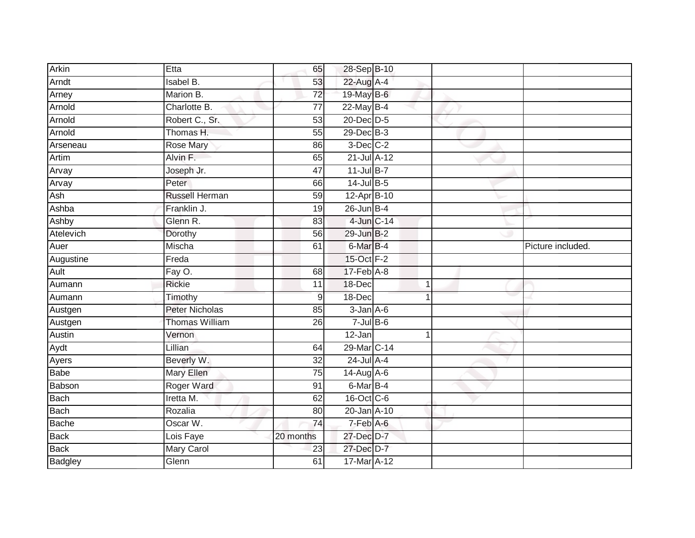| Arkin          | Etta                  | 65              | 28-Sep B-10     |   |                   |
|----------------|-----------------------|-----------------|-----------------|---|-------------------|
| Arndt          | Isabel B.             | 53              | 22-Aug A-4      |   |                   |
| Arney          | Marion B.             | $\overline{72}$ | 19-May B-6      |   |                   |
| Arnold         | Charlotte B.          | $\overline{77}$ | 22-May B-4      |   |                   |
| Arnold         | Robert C., Sr.        | 53              | 20-Dec D-5      |   |                   |
| Arnold         | Thomas H.             | 55              | 29-Dec B-3      |   |                   |
| Arseneau       | <b>Rose Mary</b>      | 86              | $3$ -Dec $C-2$  |   |                   |
| Artim          | Alvin F.              | 65              | 21-Jul A-12     |   |                   |
| Arvay          | Joseph Jr.            | $\overline{47}$ | $11$ -Jul B-7   |   |                   |
| Arvay          | Peter                 | 66              | $14$ -Jul B-5   |   |                   |
| Ash            | <b>Russell Herman</b> | 59              | 12-Apr B-10     |   |                   |
| Ashba          | Franklin J.           | 19              | $26$ -Jun B-4   |   |                   |
| Ashby          | Glenn R.              | 83              | 4-Jun C-14      |   |                   |
| Atelevich      | Dorothy               | 56              | 29-Jun B-2      |   |                   |
| Auer           | Mischa                | 61              | 6-Mar B-4       |   | Picture included. |
| Augustine      | Freda                 |                 | 15-Oct F-2      |   |                   |
| Ault           | Fay O.                | 68              | $17$ -Feb $A-8$ |   |                   |
| Aumann         | <b>Rickie</b>         | 11              | 18-Dec          | 1 |                   |
| Aumann         | Timothy               | 9               | 18-Dec          |   |                   |
| Austgen        | <b>Peter Nicholas</b> | 85              | $3$ -Jan $A$ -6 |   |                   |
| Austgen        | <b>Thomas William</b> | 26              | $7$ -Jul B-6    |   |                   |
| Austin         | Vernon                |                 | $12$ -Jan       | 1 |                   |
| Aydt           | Lillian               | 64              | 29-Mar C-14     |   |                   |
| Ayers          | Beverly W.            | 32              | 24-Jul A-4      |   |                   |
| Babe           | <b>Mary Ellen</b>     | 75              | 14-Aug A-6      |   |                   |
| Babson         | Roger Ward            | 91              | 6-Mar B-4       |   |                   |
| Bach           | Iretta M.             | 62              | 16-Oct C-6      |   |                   |
| Bach           | Rozalia               | 80              | 20-Jan A-10     |   |                   |
| <b>Bache</b>   | Oscar W.              | $\overline{74}$ | 7-Feb A-6       |   |                   |
| Back           | Lois Faye             | 20 months       | 27-Dec D-7      |   |                   |
| <b>Back</b>    | Mary Carol            | 23              | 27-Dec D-7      |   |                   |
| <b>Badgley</b> | Glenn                 | 61              | 17-Mar A-12     |   |                   |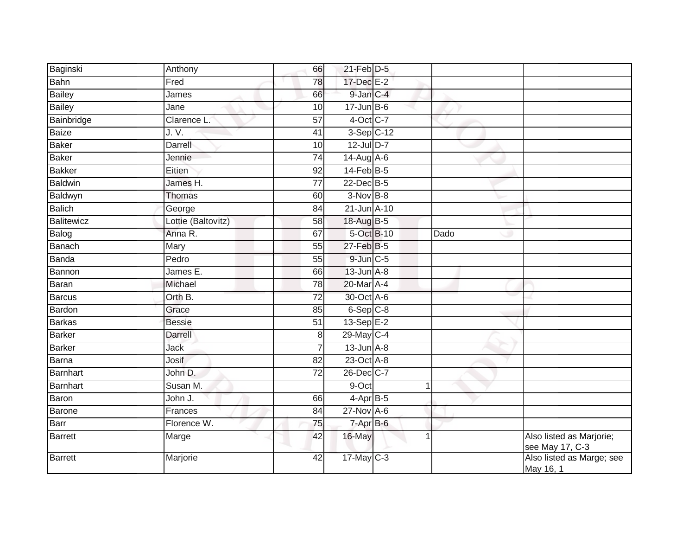| Baginski        | Anthony            | 66              | $21$ -Feb $D-5$  |                |                                             |
|-----------------|--------------------|-----------------|------------------|----------------|---------------------------------------------|
|                 | Fred               |                 | 17-Dec E-2       |                |                                             |
| <b>Bahn</b>     |                    | $\overline{78}$ |                  |                |                                             |
| <b>Bailey</b>   | James              | 66              | 9-Jan C-4        |                |                                             |
| <b>Bailey</b>   | Jane               | 10              | $17$ -Jun $B$ -6 |                |                                             |
| Bainbridge      | Clarence L:        | $\overline{57}$ | 4-Oct C-7        |                |                                             |
| <b>Baize</b>    | J. V.              | 41              | $3-Sep$ C-12     |                |                                             |
| <b>Baker</b>    | Darrell            | 10              | 12-Jul D-7       |                |                                             |
| <b>Baker</b>    | Jennie             | 74              | 14-Aug A-6       |                |                                             |
| <b>Bakker</b>   | Eitien             | 92              | $14$ -Feb $B$ -5 |                |                                             |
| <b>Baldwin</b>  | James H.           | $\overline{77}$ | 22-Dec B-5       |                |                                             |
| Baldwyn         | <b>Thomas</b>      | 60              | $3-Nov$ B-8      |                |                                             |
| <b>Balich</b>   | George             | 84              | 21-Jun A-10      |                |                                             |
| Balitewicz      | Lottie (Baltovitz) | 58              | 18-Aug B-5       |                |                                             |
| Balog           | Anna R.            | 67              | 5-Oct B-10       | Dado           |                                             |
| <b>Banach</b>   | Mary               | 55              | $27$ -Feb $B$ -5 |                |                                             |
| Banda           | Pedro              | 55              | $9$ -Jun $C$ -5  |                |                                             |
| Bannon          | James E.           | 66              | $13$ -Jun $A-8$  |                |                                             |
| Baran           | Michael            | 78              | 20-Mar A-4       |                |                                             |
| <b>Barcus</b>   | Orth B.            | $\overline{72}$ | 30-Oct A-6       |                |                                             |
| <b>Bardon</b>   | Grace              | 85              | $6-$ Sep $C-8$   |                |                                             |
| <b>Barkas</b>   | <b>Bessie</b>      | $\overline{51}$ | $13-Sep$ $E-2$   |                |                                             |
| <b>Barker</b>   | <b>Darrell</b>     | 8               | 29-May C-4       |                |                                             |
| <b>Barker</b>   | Jack               | 7               | $13$ -Jun $A-8$  |                |                                             |
| Barna           | Josif              | 82              | 23-Oct A-8       |                |                                             |
| <b>Barnhart</b> | John D.            | $\overline{72}$ | 26-Dec C-7       |                |                                             |
| Barnhart        | Susan M.           |                 | 9-Oct            | $\overline{1}$ |                                             |
| Baron           | John J.            | 66              | $4$ -Apr $B$ -5  |                |                                             |
| Barone          | Frances            | 84              | $27$ -Nov $A-6$  |                |                                             |
| Barr            | Florence W.        | 75              | 7-Apr B-6        |                |                                             |
| Barrett         | Marge              | 42              | 16-May           | 1              | Also listed as Marjorie;<br>see May 17, C-3 |
| Barrett         | Marjorie           | 42              | 17-May C-3       |                | Also listed as Marge; see<br>May 16, 1      |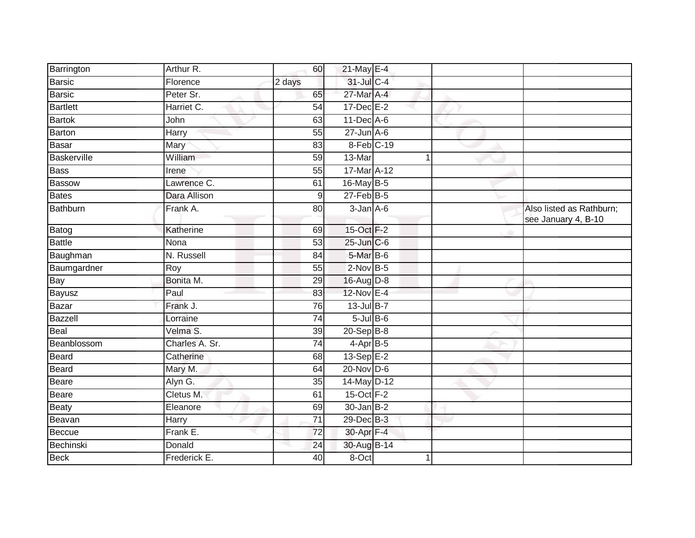| Barrington      | Arthur R.      | 60              | 21-May E-4       |   |                                                 |
|-----------------|----------------|-----------------|------------------|---|-------------------------------------------------|
| Barsic          | Florence       | 2 days          | 31-Jul C-4       |   |                                                 |
| Barsic          | Peter Sr.      | 65              | 27-Mar A-4       |   |                                                 |
| <b>Bartlett</b> | Harriet C.     | 54              | 17-Dec E-2       |   |                                                 |
| <b>Bartok</b>   | John           | 63              | 11-Dec A-6       |   |                                                 |
| Barton          | <b>Harry</b>   | 55              | $27$ -Jun $A$ -6 |   |                                                 |
| Basar           | Mary           | 83              | 8-Feb C-19       |   |                                                 |
| Baskerville     | William        | 59              | 13-Mar           | 1 |                                                 |
| Bass            | Irene          | 55              | 17-Mar A-12      |   |                                                 |
| <b>Bassow</b>   | Lawrence C.    | 61              | 16-May B-5       |   |                                                 |
| <b>Bates</b>    | Dara Allison   | 9               | $27 - Feb$ B-5   |   |                                                 |
| Bathburn        | Frank A.       | 80              | $3$ -Jan $A$ -6  |   | Also listed as Rathburn;<br>see January 4, B-10 |
| Batog           | Katherine      | 69              | 15-Oct F-2       |   |                                                 |
| <b>Battle</b>   | Nona           | 53              | 25-Jun C-6       |   |                                                 |
| Baughman        | N. Russell     | 84              | 5-Mar B-6        |   |                                                 |
| Baumgardner     | Roy            | 55              | $2$ -Nov $B-5$   |   |                                                 |
| Bay             | Bonita M.      | 29              | 16-Aug D-8       |   |                                                 |
| Bayusz          | Paul           | 83              | 12-Nov E-4       |   |                                                 |
| Bazar           | Frank J.       | 76              | $13$ -Jul B-7    |   |                                                 |
| Bazzell         | Lorraine       | 74              | $5$ -Jul $B$ -6  |   |                                                 |
| Beal            | Velma S.       | 39              | 20-Sep B-8       |   |                                                 |
| Beanblossom     | Charles A. Sr. | 74              | $4$ -Apr $B$ -5  |   |                                                 |
| Beard           | Catherine      | 68              | 13-Sep E-2       |   |                                                 |
| Beard           | Mary M.        | 64              | $20$ -Nov $D-6$  |   |                                                 |
| Beare           | Alyn G.        | $\overline{35}$ | 14-May D-12      |   |                                                 |
| Beare           | Cletus M.      | 61              | 15-Oct F-2       |   |                                                 |
| Beaty           | Eleanore       | 69              | $30 - Jan$ $B-2$ |   |                                                 |
| Beavan          | Harry          | $\overline{71}$ | 29-Dec B-3       |   |                                                 |
| Beccue          | Frank E.       | $\overline{72}$ | 30-Apr F-4       |   |                                                 |
| Bechinski       | Donald         | 24              | 30-Aug B-14      |   |                                                 |
| <b>Beck</b>     | Frederick E.   | 40              | 8-Oct            | 1 |                                                 |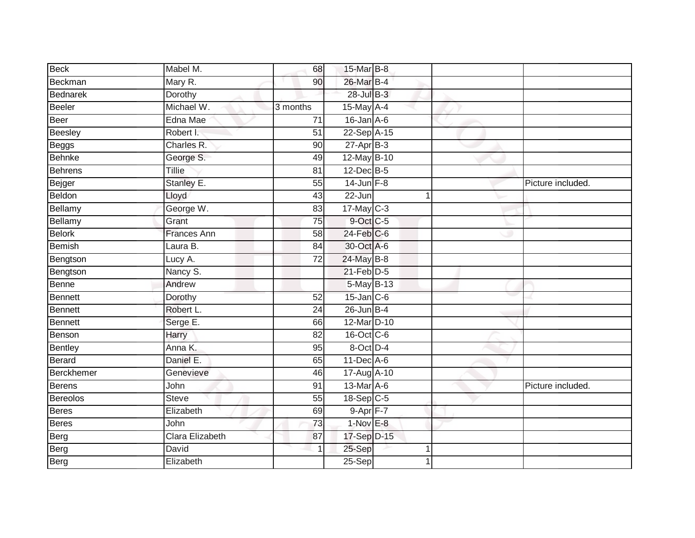| Beck            | Mabel M.        | 68              | 15-Mar B-8        |   |                   |
|-----------------|-----------------|-----------------|-------------------|---|-------------------|
| Beckman         | Mary R.         | 90              | 26-Mar B-4        |   |                   |
| <b>Bednarek</b> | Dorothy         |                 | 28-Jul B-3        |   |                   |
| Beeler          | Michael W.      | 3 months        | 15-May A-4        |   |                   |
| Beer            | Edna Mae        | $\overline{71}$ | $16$ -Jan $A-6$   |   |                   |
| Beesley         | Robert I.       | 51              | 22-Sep A-15       |   |                   |
| Beggs           | Charles R.      | 90              | $27$ -Apr $B-3$   |   |                   |
| Behnke          | George S.       | 49              | 12-May B-10       |   |                   |
| Behrens         | Tillie          | 81              | $12$ -Dec $B-5$   |   |                   |
| Bejger          | Stanley E.      | 55              | $14$ -Jun $F-8$   |   | Picture included. |
| Beldon          | Lloyd           | 43              | 22-Jun            |   |                   |
| Bellamy         | George W.       | 83              | 17-May C-3        |   |                   |
| Bellamy         | Grant           | 75              | 9-Oct C-5         |   |                   |
| <b>Belork</b>   | Frances Ann     | 58              | $24$ -Feb $C$ -6  |   |                   |
| <b>Bemish</b>   | Laura B.        | $\overline{84}$ | 30-Oct A-6        |   |                   |
| Bengtson        | Lucy A.         | $\overline{72}$ | 24-May B-8        |   |                   |
| Bengtson        | Nancy S.        |                 | $21$ -Feb $D-5$   |   |                   |
| Benne           | Andrew          |                 | 5-May B-13        |   |                   |
| Bennett         | Dorothy         | 52              | 15-Jan C-6        |   |                   |
| Bennett         | Robert L.       | $\overline{24}$ | $26$ -Jun $B-4$   |   |                   |
| Bennett         | Serge E.        | 66              | 12-Mar D-10       |   |                   |
| Benson          | Harry           | $\overline{82}$ | 16-Oct C-6        |   |                   |
| Bentley         | Anna K.         | 95              | 8-Oct D-4         |   |                   |
| Berard          | Daniel E.       | 65              | $11$ -Dec $A$ -6  |   |                   |
| Berckhemer      | Genevieve       | 46              | 17-Aug A-10       |   |                   |
| Berens          | John            | 91              | 13-Mar A-6        |   | Picture included. |
| <b>Bereolos</b> | <b>Steve</b>    | 55              | $18-Sep$ C-5      |   |                   |
| <b>Beres</b>    | Elizabeth       | 69              | $9 - Apr$ $F - 7$ |   |                   |
| <b>Beres</b>    | John            | 73              | $1-NovE-8$        |   |                   |
| Berg            | Clara Elizabeth | 87              | 17-Sep D-15       |   |                   |
| Berg            | David           | $\mathbf{1}$    | 25-Sep            | 1 |                   |
| Berg            | Elizabeth       |                 | $25-Sep$          | 1 |                   |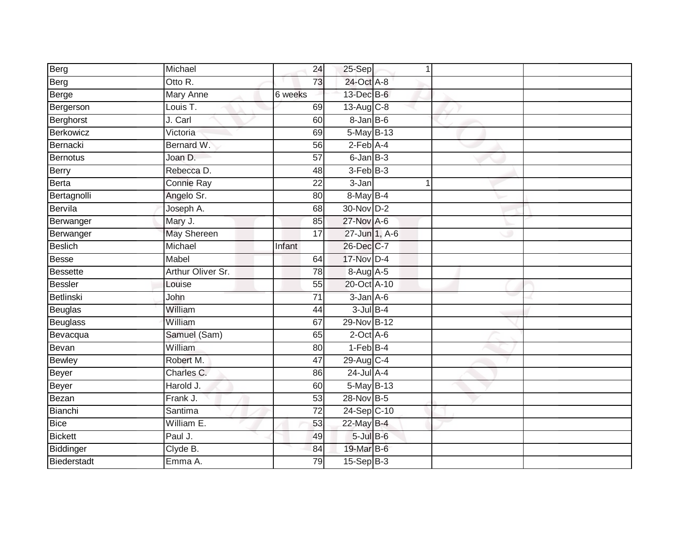| Berg            | Michael            | 24              | $25-Sep$          | 1 |  |
|-----------------|--------------------|-----------------|-------------------|---|--|
| Berg            | Otto R.            | 73              | 24-Oct A-8        |   |  |
| Berge           | <b>Mary Anne</b>   | 6 weeks         | 13-Dec B-6        |   |  |
| Bergerson       | Louis T.           | 69              | 13-Aug $C-8$      |   |  |
| Berghorst       | J. Carl            | 60              | $8 - Jan$ $B - 6$ |   |  |
| Berkowicz       | Victoria           | 69              | 5-May B-13        |   |  |
| Bernacki        | Bernard W.         | 56              | $2-Feb$ A-4       |   |  |
| Bernotus        | Joan D.            | 57              | $6$ -Jan $B$ -3   |   |  |
| <b>Berry</b>    | Rebecca D.         | 48              | $3-FebB-3$        |   |  |
| Berta           | Connie Ray         | 22              | 3-Jan             | 1 |  |
| Bertagnolli     | Angelo Sr.         | 80              | 8-May B-4         |   |  |
| Bervila         | Joseph A.          | 68              | 30-Nov D-2        |   |  |
| Berwanger       | Mary J.            | 85              | 27-Nov A-6        |   |  |
| Berwanger       | <b>May Shereen</b> | 17              | 27-Jun 1, A-6     |   |  |
| <b>Beslich</b>  | Michael            | Infant          | 26-Dec C-7        |   |  |
| <b>Besse</b>    | Mabel              | 64              | 17-Nov D-4        |   |  |
| <b>Bessette</b> | Arthur Oliver Sr.  | 78              | 8-Aug A-5         |   |  |
| Bessler         | Louise             | 55              | 20-Oct A-10       |   |  |
| Betlinski       | John               | $\overline{71}$ | $3$ -Jan $A$ -6   |   |  |
| Beuglas         | William            | 44              | $3$ -Jul $B-4$    |   |  |
| Beuglass        | William            | 67              | 29-Nov B-12       |   |  |
| Bevacqua        | Samuel (Sam)       | 65              | $2$ -Oct $A$ -6   |   |  |
| Bevan           | William            | 80              | $1-FebB-4$        |   |  |
| Bewley          | Robert M.          | 47              | 29-Aug C-4        |   |  |
| Beyer           | Charles C.         | 86              | $24$ -Jul A-4     |   |  |
| Beyer           | Harold J.          | 60              | 5-May B-13        |   |  |
| Bezan           | Frank J.           | $\overline{53}$ | 28-Nov B-5        |   |  |
| Bianchi         | Santima            | 72              | 24-Sep C-10       |   |  |
| <b>Bice</b>     | William E.         | 53              | 22-May B-4        |   |  |
| <b>Bickett</b>  | Paul J.            | 49              | $5$ -Jul $B$ -6   |   |  |
| Biddinger       | Clyde B.           | 84              | 19-Mar B-6        |   |  |
| Biederstadt     | Emma A.            | 79              | $15-Sep$ B-3      |   |  |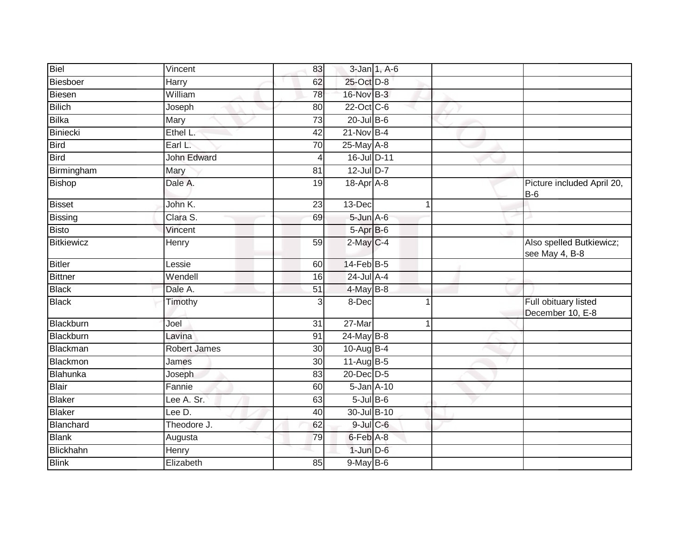| Biel           | Vincent             | 83              |                   | 3-Jan 1, A-6 |   |                                            |
|----------------|---------------------|-----------------|-------------------|--------------|---|--------------------------------------------|
| Biesboer       | <b>Harry</b>        | 62              | 25-Oct D-8        |              |   |                                            |
| Biesen         | William             | $\overline{78}$ | 16-Nov B-3        |              |   |                                            |
| <b>Bilich</b>  | Joseph              | 80              | $22$ -Oct $C$ -6  |              |   |                                            |
| <b>Bilka</b>   | Mary                | $\overline{73}$ | $20$ -Jul B-6     |              |   |                                            |
| Biniecki       | Ethel L.            | 42              | $21-Nov$ B-4      |              |   |                                            |
| Bird           | Earl L.             | 70              | 25-May A-8        |              |   |                                            |
| <b>Bird</b>    | <b>John Edward</b>  | 4               | 16-Jul D-11       |              |   |                                            |
| Birmingham     | Mary                | 81              | 12-Jul D-7        |              |   |                                            |
| <b>Bishop</b>  | Dale A.             | $\overline{19}$ | 18-Apr A-8        |              |   | Picture included April 20,<br>$B-6$        |
| <b>Bisset</b>  | John K.             | 23              | 13-Dec            |              |   |                                            |
| Bissing        | Clara S.            | 69              | $5 - Jun$ $A - 6$ |              |   |                                            |
| <b>Bisto</b>   | Vincent             |                 | 5-Apr B-6         |              |   |                                            |
| Bitkiewicz     | Henry               | 59              | $2$ -May $C-4$    |              |   | Also spelled Butkiewicz;<br>see May 4, B-8 |
| <b>Bitler</b>  | Lessie              | 60              | $14$ -Feb $B$ -5  |              |   |                                            |
| <b>Bittner</b> | Wendell             | 16              | 24-Jul A-4        |              |   |                                            |
| <b>Black</b>   | Dale A.             | $\overline{51}$ | $4$ -May $B-8$    |              |   |                                            |
| <b>Black</b>   | Timothy             | 3               | 8-Dec             |              | 1 | Full obituary listed<br>December 10, E-8   |
| Blackburn      | Joel                | 31              | 27-Mar            |              | 1 |                                            |
| Blackburn      | Lavina              | 91              | $24$ -May B-8     |              |   |                                            |
| Blackman       | <b>Robert James</b> | 30              | $10-Aug$ B-4      |              |   |                                            |
| Blackmon       | James               | 30              | $11-Aug$ B-5      |              |   |                                            |
| Blahunka       | Joseph              | 83              | 20-Dec D-5        |              |   |                                            |
| Blair          | Fannie              | 60              | 5-Jan A-10        |              |   |                                            |
| <b>Blaker</b>  | Lee A. Sr.          | 63              | $5$ -Jul $B$ -6   |              |   |                                            |
| Blaker         | Lee D.              | 40              | 30-Jul B-10       |              |   |                                            |
| Blanchard      | Theodore J.         | 62              | $9$ -Jul $C$ -6   |              |   |                                            |
| <b>Blank</b>   | Augusta             | 79              | 6-Feb A-8         |              |   |                                            |
| Blickhahn      | Henry               |                 | $1$ -Jun $D-6$    |              |   |                                            |
| <b>Blink</b>   | Elizabeth           | 85              | $9$ -May $B$ -6   |              |   |                                            |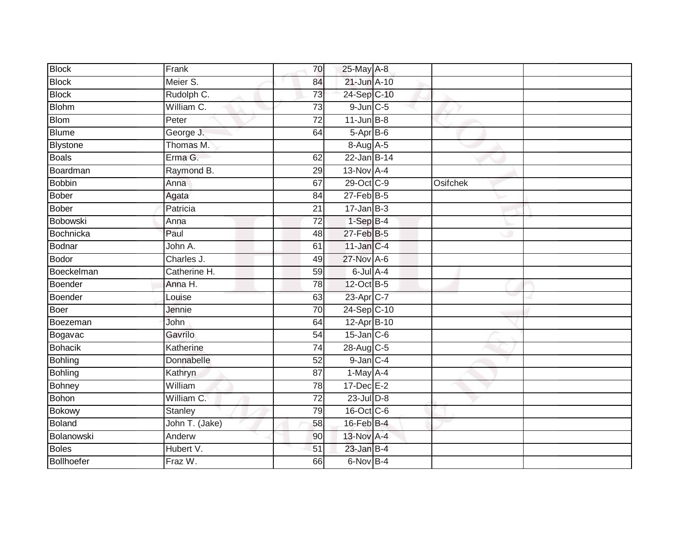| <b>Block</b>    | Frank          | 70              | 25-May A-8       |          |  |
|-----------------|----------------|-----------------|------------------|----------|--|
| <b>Block</b>    | Meier S.       | 84              | $21$ -Jun $A-10$ |          |  |
| <b>Block</b>    | Rudolph C.     | 73              | 24-Sep C-10      |          |  |
| <b>Blohm</b>    | William C.     | 73              | $9$ -Jun $C$ -5  |          |  |
| <b>Blom</b>     | Peter          | $\overline{72}$ | $11$ -Jun B-8    |          |  |
| <b>Blume</b>    | George J.      | 64              | $5-AprB-6$       |          |  |
| <b>Blystone</b> | Thomas M.      |                 | 8-Aug A-5        |          |  |
| <b>Boals</b>    | Erma G.        | 62              | 22-Jan B-14      |          |  |
| Boardman        | Raymond B.     | 29              | $13-NovA-4$      |          |  |
| Bobbin          | Anna           | 67              | 29-Oct C-9       | Osifchek |  |
| <b>Bober</b>    | Agata          | 84              | $27$ -Feb $B$ -5 |          |  |
| <b>Bober</b>    | Patricia       | $\overline{21}$ | $17 - Jan$ $B-3$ |          |  |
| Bobowski        | Anna           | 72              | $1-SepB-4$       |          |  |
| Bochnicka       | Paul           | 48              | 27-Feb B-5       |          |  |
| Bodnar          | John A.        | 61              | $11$ -Jan C-4    |          |  |
| Bodor           | Charles J.     | 49              | $27$ -Nov $A-6$  |          |  |
| Boeckelman      | Catherine H.   | 59              | $6$ -Jul $A-4$   |          |  |
| Boender         | Anna H.        | 78              | 12-Oct B-5       |          |  |
| Boender         | Louise         | 63              | 23-Apr C-7       |          |  |
| Boer            | Jennie         | 70              | 24-Sep C-10      |          |  |
| Boezeman        | <b>John</b>    | 64              | 12-Apr B-10      |          |  |
| Bogavac         | Gavrilo        | 54              | $15$ -Jan $C$ -6 |          |  |
| <b>Bohacik</b>  | Katherine      | 74              | 28-Aug C-5       |          |  |
| Bohling         | Donnabelle     | 52              | $9 - Jan C - 4$  |          |  |
| Bohling         | Kathryn        | 87              | $1-May$ A-4      |          |  |
| Bohney          | William        | $\overline{78}$ | $17 - Dec$ E-2   |          |  |
| Bohon           | William C.     | $\overline{72}$ | $23$ -Jul $D-8$  |          |  |
| Bokowy          | Stanley        | 79              | 16-Oct C-6       |          |  |
| Boland          | John T. (Jake) | 58              | $16$ -Feb $B$ -4 |          |  |
| Bolanowski      | Anderw         | 90              | 13-Nov A-4       |          |  |
| <b>Boles</b>    | Hubert V.      | 51              | $23$ -Jan B-4    |          |  |
| Bollhoefer      | Fraz W.        | 66              | 6-Nov B-4        |          |  |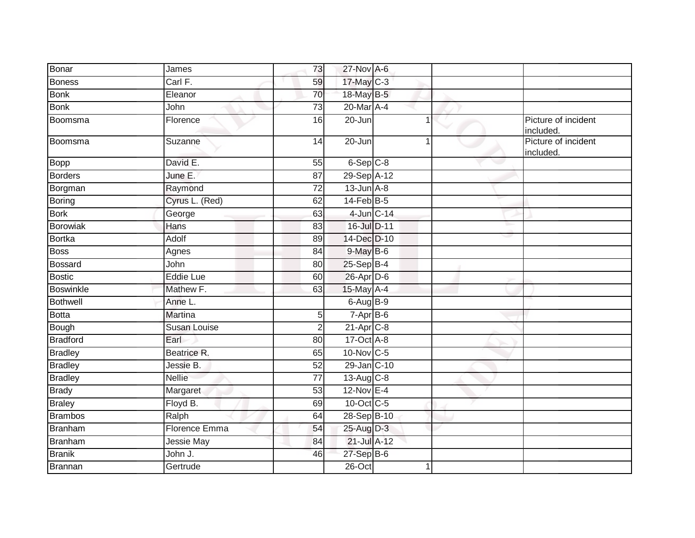| Bonar            | James                | 73              | 27-Nov A-6              |   |                                  |
|------------------|----------------------|-----------------|-------------------------|---|----------------------------------|
| <b>Boness</b>    | Carl F.              | 59              | 17-May C-3              |   |                                  |
| <b>Bonk</b>      | Eleanor              | 70              | 18-May B-5              |   |                                  |
| <b>Bonk</b>      | John                 | 73              | 20-Mar A-4              |   |                                  |
| Boomsma          | Florence             | 16              | $20 - Jun$              | 1 | Picture of incident<br>included. |
| Boomsma          | Suzanne              | 14              | 20-Jun                  |   | Picture of incident<br>included. |
| <b>Bopp</b>      | David E.             | 55              | $6-Sep$ $C-8$           |   |                                  |
| <b>Borders</b>   | June E.              | $\overline{87}$ | 29-Sep A-12             |   |                                  |
| Borgman          | Raymond              | $\overline{72}$ | $13$ -Jun $A-8$         |   |                                  |
| Boring           | Cyrus L. (Red)       | 62              | $14-FebB-5$             |   |                                  |
| <b>Bork</b>      | George               | 63              | 4-Jun C-14              |   |                                  |
| <b>Borowiak</b>  | Hans                 | 83              | 16-Jul D-11             |   |                                  |
| <b>Bortka</b>    | Adolf                | 89              | 14-Dec D-10             |   |                                  |
| <b>Boss</b>      | Agnes                | 84              | $9-MayB-6$              |   |                                  |
| <b>Bossard</b>   | John                 | 80              | 25-Sep B-4              |   |                                  |
| <b>Bostic</b>    | Eddie Lue            | 60              | 26-Apr D-6              |   |                                  |
| <b>Boswinkle</b> | Mathew F.            | 63              | 15-May A-4              |   |                                  |
| <b>Bothwell</b>  | Anne L.              |                 | $6$ -Aug $B-9$          |   |                                  |
| <b>Botta</b>     | <b>Martina</b>       | 5               | $7 - Apr$ B-6           |   |                                  |
| Bough            | <b>Susan Louise</b>  | $\overline{2}$  | $21-Apr$ <sub>C-8</sub> |   |                                  |
| <b>Bradford</b>  | Earl                 | 80              | $17-Oct$ A-8            |   |                                  |
| <b>Bradley</b>   | Beatrice R.          | 65              | 10-Nov C-5              |   |                                  |
| <b>Bradley</b>   | Jessie B.            | 52              | 29-Jan C-10             |   |                                  |
| <b>Bradley</b>   | <b>Nellie</b>        | 77              | 13-Aug $C-8$            |   |                                  |
| <b>Brady</b>     | Margaret             | $\overline{53}$ | $12$ -Nov $E-4$         |   |                                  |
| <b>Braley</b>    | Floyd B.             | 69              | 10-Oct C-5              |   |                                  |
| <b>Brambos</b>   | Ralph                | 64              | 28-Sep B-10             |   |                                  |
| Branham          | <b>Florence Emma</b> | 54              | 25-Aug D-3              |   |                                  |
| <b>Branham</b>   | Jessie May           | 84              | 21-Jul A-12             |   |                                  |
| <b>Branik</b>    | John J.              | 46              | 27-Sep B-6              |   |                                  |
| Brannan          | Gertrude             |                 | 26-Oct                  | 1 |                                  |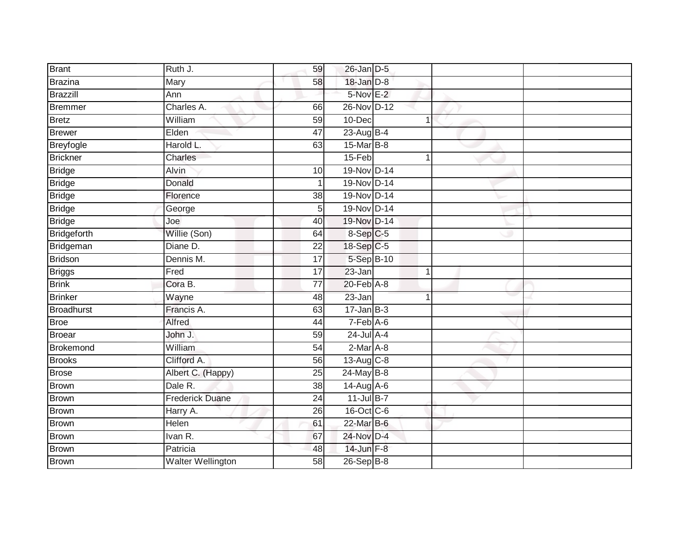| <b>Brant</b>      | Ruth J.                  | 59              | $26$ -Jan $D-5$  |  |  |
|-------------------|--------------------------|-----------------|------------------|--|--|
| Brazina           | Mary                     | 58              | 18-Jan D-8       |  |  |
| <b>Brazzill</b>   | Ann                      |                 | 5-Nov E-2        |  |  |
| Bremmer           | Charles A.               | 66              | 26-Nov D-12      |  |  |
| <b>Bretz</b>      | William                  | 59              | $10 - Dec$       |  |  |
| Brewer            | Elden                    | 47              | 23-Aug B-4       |  |  |
| Breyfogle         | Harold L.                | 63              | 15-Mar B-8       |  |  |
| Brickner          | Charles                  |                 | 15-Feb           |  |  |
| <b>Bridge</b>     | Alvin                    | 10              | 19-Nov D-14      |  |  |
| <b>Bridge</b>     | Donald                   | 1               | 19-Nov D-14      |  |  |
| <b>Bridge</b>     | Florence                 | 38              | 19-Nov D-14      |  |  |
| <b>Bridge</b>     | George                   | 5               | 19-Nov D-14      |  |  |
| <b>Bridge</b>     | Joe                      | 40              | 19-Nov D-14      |  |  |
| Bridgeforth       | Willie (Son)             | 64              | 8-Sep C-5        |  |  |
| Bridgeman         | Diane D.                 | 22              | 18-Sep C-5       |  |  |
| Bridson           | Dennis M.                | $\overline{17}$ | 5-Sep B-10       |  |  |
| <b>Briggs</b>     | Fred                     | 17              | 23-Jan           |  |  |
| <b>Brink</b>      | Cora B.                  | 77              | 20-Feb A-8       |  |  |
| <b>Brinker</b>    | Wayne                    | 48              | $23 - Jan$       |  |  |
| <b>Broadhurst</b> | Francis A.               | 63              | $17 - Jan$ $B-3$ |  |  |
| Broe              | Alfred                   | 44              | $7-Feb$ A-6      |  |  |
| <b>Broear</b>     | John J.                  | 59              | 24-Jul A-4       |  |  |
| <b>Brokemond</b>  | William                  | 54              | $2-Mar$ A-8      |  |  |
| <b>Brooks</b>     | Clifford A.              | 56              | 13-Aug C-8       |  |  |
| <b>Brose</b>      | Albert C. (Happy)        | 25              | 24-May B-8       |  |  |
| <b>Brown</b>      | Dale R.                  | 38              | 14-Aug A-6       |  |  |
| <b>Brown</b>      | <b>Frederick Duane</b>   | $\overline{24}$ | $11$ -Jul B-7    |  |  |
| <b>Brown</b>      | Harry A.                 | 26              | 16-Oct C-6       |  |  |
| <b>Brown</b>      | Helen                    | 61              | 22-Mar B-6       |  |  |
| <b>Brown</b>      | Ivan R.                  | 67              | 24-Nov D-4       |  |  |
| Brown             | Patricia                 | 48              | 14-Jun F-8       |  |  |
| <b>Brown</b>      | <b>Walter Wellington</b> | 58              | $26-Sep$ B-8     |  |  |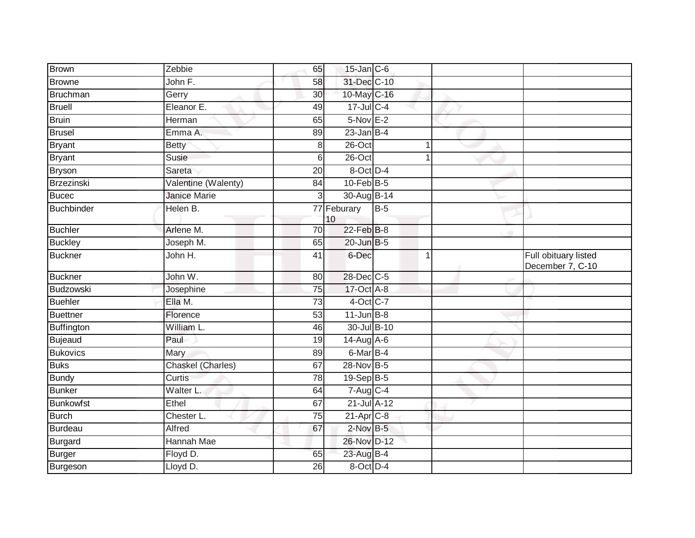| <b>Brown</b>      | Zebbie                   | 65              | $15$ -Jan C-6           |       |             |                                          |
|-------------------|--------------------------|-----------------|-------------------------|-------|-------------|------------------------------------------|
| <b>Browne</b>     | John F.                  | 58              | 31-Dec C-10             |       |             |                                          |
| <b>Bruchman</b>   | Gerry                    | $\overline{30}$ | 10-May C-16             |       |             |                                          |
| <b>Bruell</b>     | Eleanor E.               | 49              | 17-Jul C-4              |       |             |                                          |
| <b>Bruin</b>      | Herman                   | 65              | $5-NovE-2$              |       |             |                                          |
| <b>Brusel</b>     | Emma A.                  | 89              | $23$ -Jan B-4           |       |             |                                          |
| <b>Bryant</b>     | <b>Betty</b>             | 8               | 26-Oct                  |       | 1           |                                          |
| <b>Bryant</b>     | Susie                    | 6               | 26-Oct                  |       |             |                                          |
| <b>Bryson</b>     | Sareta                   | 20              | 8-Oct D-4               |       |             |                                          |
| <b>Brzezinski</b> | Valentine (Walenty)      | 84              | $10$ -Feb $B-5$         |       |             |                                          |
| <b>Bucec</b>      | <b>Janice Marie</b>      | 3               | 30-Aug B-14             |       |             |                                          |
| <b>Buchbinder</b> | Helen B.                 |                 | 77 Feburary<br>10       | $B-5$ |             |                                          |
| <b>Buchler</b>    | Arlene M.                | $\overline{70}$ | $22$ -Feb $B-8$         |       |             |                                          |
| <b>Buckley</b>    | Joseph M.                | 65              | $20$ -Jun $B-5$         |       |             |                                          |
| <b>Buckner</b>    | John H.                  | 41              | 6-Dec                   |       | $\mathbf 1$ | Full obituary listed<br>December 7, C-10 |
| <b>Buckner</b>    | John W.                  | 80              | 28-Dec C-5              |       |             |                                          |
| Budzowski         | Josephine                | 75              | 17-Oct A-8              |       |             |                                          |
| <b>Buehler</b>    | Ella M.                  | 73              | 4-Oct C-7               |       |             |                                          |
| <b>Buettner</b>   | Florence                 | 53              | $11$ -Jun $B - 8$       |       |             |                                          |
| <b>Buffington</b> | William L.               | 46              | 30-Jul B-10             |       |             |                                          |
| <b>Bujeaud</b>    | Paul                     | 19              | $14$ -Aug $A$ -6        |       |             |                                          |
| <b>Bukovics</b>   | Mary                     | 89              | $6$ -Mar $B$ -4         |       |             |                                          |
| <b>Buks</b>       | <b>Chaskel (Charles)</b> | 67              | 28-Nov B-5              |       |             |                                          |
| <b>Bundy</b>      | Curtis                   | 78              | 19-Sep B-5              |       |             |                                          |
| <b>Bunker</b>     | Walter L.                | 64              | $7-Aug$ <sub>C-4</sub>  |       |             |                                          |
| <b>Bunkowfst</b>  | Ethel                    | 67              | 21-Jul A-12             |       |             |                                          |
| <b>Burch</b>      | Chester L.               | $\overline{75}$ | $21-Apr$ <sub>C-8</sub> |       |             |                                          |
| <b>Burdeau</b>    | Alfred                   | 67              | $2$ -Nov $B-5$          |       |             |                                          |
| <b>Burgard</b>    | Hannah Mae               |                 | 26-Nov D-12             |       |             |                                          |
| <b>Burger</b>     | Floyd D.                 | 65              | 23-Aug B-4              |       |             |                                          |
| Burgeson          | Lloyd D.                 | 26              | 8-Oct D-4               |       |             |                                          |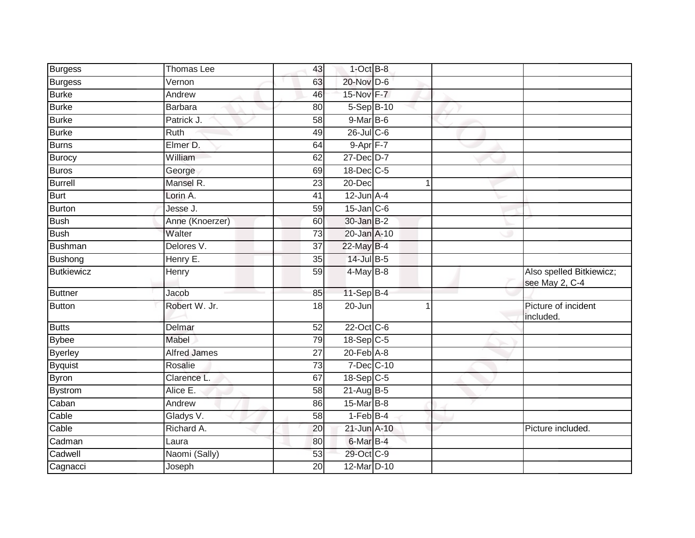| Burgess        | <b>Thomas Lee</b>   | 43              | $1$ -Oct $B-8$       |   |                                            |
|----------------|---------------------|-----------------|----------------------|---|--------------------------------------------|
| <b>Burgess</b> | Vernon              | 63              | 20-Nov D-6           |   |                                            |
| <b>Burke</b>   | Andrew              | 46              | 15-Nov F-7           |   |                                            |
| Burke          | Barbara             | 80              | 5-Sep B-10           |   |                                            |
| <b>Burke</b>   | Patrick J.          | $\overline{58}$ | $9-MarB-6$           |   |                                            |
| <b>Burke</b>   | $\overline{R}$ uth  | 49              | $26$ -Jul C-6        |   |                                            |
| <b>Burns</b>   | Elmer D.            | 64              | 9-Apr F-7            |   |                                            |
| Burocy         | William             | 62              | 27-Dec D-7           |   |                                            |
| Buros          | George              | 69              | 18-Dec C-5           |   |                                            |
| <b>Burrell</b> | Mansel R.           | $\overline{23}$ | 20-Dec               | 1 |                                            |
| Burt           | Lorin A.            | 41              | $12$ -Jun $A-4$      |   |                                            |
| Burton         | Jesse J.            | 59              | $15$ -Jan $C$ -6     |   |                                            |
| <b>Bush</b>    | Anne (Knoerzer)     | 60              | 30-Jan B-2           |   |                                            |
| <b>Bush</b>    | Walter              | 73              | 20-Jan A-10          |   |                                            |
| <b>Bushman</b> | Delores V.          | $\overline{37}$ | 22-May B-4           |   |                                            |
| Bushong        | Henry E.            | 35              | 14-Jul B-5           |   |                                            |
| Butkiewicz     | Henry               | 59              | $4$ -May $B-8$       |   | Also spelled Bitkiewicz;<br>see May 2, C-4 |
| Buttner        | Jacob               | 85              | 11-Sep B-4           |   |                                            |
| <b>Button</b>  | Robert W. Jr.       | 18              | $\overline{20}$ -Jun |   | Picture of incident<br>included.           |
| <b>Butts</b>   | Delmar              | 52              | 22-Oct C-6           |   |                                            |
| <b>Bybee</b>   | Mabel               | 79              | $18-Sep C-5$         |   |                                            |
| <b>Byerley</b> | <b>Alfred James</b> | $\overline{27}$ | $20$ -Feb $A-8$      |   |                                            |
| <b>Byquist</b> | Rosalie             | 73              | 7-Dec C-10           |   |                                            |
| <b>Byron</b>   | Clarence L.         | 67              | $18-Sep$ C-5         |   |                                            |
| <b>Bystrom</b> | Alice E.            | $\overline{58}$ | $21-Aug$ B-5         |   |                                            |
| Caban          | Andrew              | 86              | 15-Mar B-8           |   |                                            |
| Cable          | Gladys V.           | $\overline{58}$ | $1-FebB-4$           |   |                                            |
| Cable          | Richard A.          | 20              | 21-Jun A-10          |   | Picture included.                          |
| Cadman         | Laura               | 80              | $6$ -Mar $B-4$       |   |                                            |
| Cadwell        | Naomi (Sally)       | 53              | 29-Oct C-9           |   |                                            |
| Cagnacci       | Joseph              | 20              | 12-Mar D-10          |   |                                            |
|                |                     |                 |                      |   |                                            |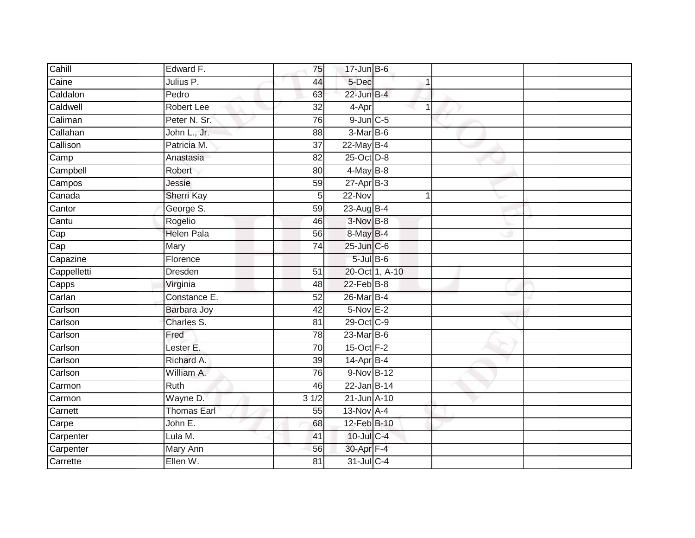| Cahill      | Edward F.          | 75              | $17 - Jun$ B-6   |                |  |
|-------------|--------------------|-----------------|------------------|----------------|--|
| Caine       | Julius P.          | 44              | 5-Dec            |                |  |
| Caldalon    | Pedro              | 63              | $22$ -Jun $B-4$  |                |  |
| Caldwell    | Robert Lee         | 32              | 4-Apr            | 1              |  |
| Caliman     | Peter N. Sr.       | $\overline{76}$ | $9$ -Jun $C$ -5  |                |  |
| Callahan    | John L., Jr.       | 88              | 3-Mar B-6        |                |  |
| Callison    | Patricia M.        | 37              | $22$ -May B-4    |                |  |
| Camp        | Anastasia          | 82              | 25-Oct D-8       |                |  |
| Campbell    | Robert             | 80              | $4$ -May B-8     |                |  |
| Campos      | Jessie             | 59              | $27$ -Apr $B-3$  |                |  |
| Canada      | Sherri Kay         | 5               | 22-Nov           | 1              |  |
| Cantor      | George S.          | 59              | 23-Aug B-4       |                |  |
| Cantu       | Rogelio            | 46              | $3-Nov$ B-8      |                |  |
| Cap         | <b>Helen Pala</b>  | 56              | 8-May B-4        |                |  |
| Cap         | Mary               | $\overline{74}$ | 25-Jun C-6       |                |  |
| Capazine    | Florence           |                 | $5$ -Jul $B$ -6  |                |  |
| Cappelletti | Dresden            | $\overline{51}$ |                  | 20-Oct 1, A-10 |  |
| Capps       | Virginia           | 48              | $22$ -Feb $B-8$  |                |  |
| Carlan      | Constance E.       | 52              | 26-Mar B-4       |                |  |
| Carlson     | Barbara Joy        | 42              | $5-Nov$ E-2      |                |  |
| Carlson     | Charles S.         | 81              | 29-Oct C-9       |                |  |
| Carlson     | Fred               | 78              | 23-Mar B-6       |                |  |
| Carlson     | Lester E.          | 70              | $15$ -Oct $F-2$  |                |  |
| Carlson     | Richard A.         | 39              | $14$ -Apr $B$ -4 |                |  |
| Carlson     | William A.         | 76              | 9-Nov B-12       |                |  |
| Carmon      | Ruth               | 46              | 22-Jan B-14      |                |  |
| Carmon      | Wayne D.           | 31/2            | 21-Jun A-10      |                |  |
| Carnett     | <b>Thomas Earl</b> | 55              | $13-Nov$ A-4     |                |  |
| Carpe       | John E.            | 68              | 12-Feb B-10      |                |  |
| Carpenter   | Lula M.            | 41              | 10-Jul C-4       |                |  |
| Carpenter   | Mary Ann           | 56              | 30-Apr F-4       |                |  |
| Carrette    | Ellen W.           | $\overline{81}$ | 31-Jul C-4       |                |  |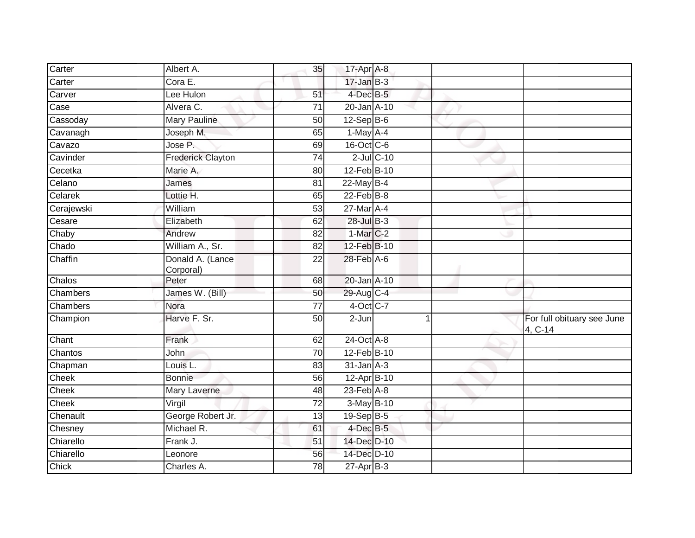| Carter     | Albert A.                     | 35              | 17-Apr A-8                 |   |                                       |
|------------|-------------------------------|-----------------|----------------------------|---|---------------------------------------|
| Carter     | Cora E.                       |                 | $17 - Jan$ $B-3$           |   |                                       |
| Carver     | Lee Hulon                     | 51              | $4$ -Dec B-5               |   |                                       |
| Case       | Alvera C.                     | 71              | 20-Jan A-10                |   |                                       |
| Cassoday   | <b>Mary Pauline</b>           | 50              | $12-Sep$ B-6               |   |                                       |
| Cavanagh   | Joseph M.                     | 65              | $1-May$ A-4                |   |                                       |
| Cavazo     | Jose P.                       | 69              | 16-Oct C-6                 |   |                                       |
| Cavinder   | <b>Frederick Clayton</b>      | $\overline{74}$ | $2$ -Jul $C$ -10           |   |                                       |
| Cecetka    | Marie A.                      | 80              | 12-Feb B-10                |   |                                       |
| Celano     | James                         | 81              | $22$ -May B-4              |   |                                       |
| Celarek    | Lottie H.                     | 65              | $22$ -Feb $B-8$            |   |                                       |
| Cerajewski | William                       | 53              | 27-Mar A-4                 |   |                                       |
| Cesare     | Elizabeth                     | 62              | $28$ -Jul $B-3$            |   |                                       |
| Chaby      | Andrew                        | 82              | $1-MarC-2$                 |   |                                       |
| Chado      | William A., Sr.               | 82              | 12-Feb B-10                |   |                                       |
| Chaffin    | Donald A. (Lance<br>Corporal) | 22              | 28-Feb A-6                 |   |                                       |
| Chalos     | Peter                         | 68              | 20-Jan A-10                |   |                                       |
| Chambers   | James W. (Bill)               | 50              | 29-Aug C-4                 |   |                                       |
| Chambers   | Nora                          | 77              | 4-Oct C-7                  |   |                                       |
| Champion   | Harve F. Sr.                  | 50              | $\overline{2}$ -Jun        | 1 | For full obituary see June<br>4, C-14 |
| Chant      | Frank                         | 62              | 24-Oct A-8                 |   |                                       |
| Chantos    | John                          | $\overline{70}$ | 12-Feb B-10                |   |                                       |
| Chapman    | Louis L.                      | 83              | $31$ -Jan $A-3$            |   |                                       |
| Cheek      | <b>Bonnie</b>                 | 56              | 12-Apr B-10                |   |                                       |
| Cheek      | Mary Laverne                  | 48              | $23$ -Feb $\overline{A-8}$ |   |                                       |
| Cheek      | Virgil                        | 72              | 3-May B-10                 |   |                                       |
| Chenault   | George Robert Jr.             | 13              | $19-Sep$ B-5               |   |                                       |
| Chesney    | Michael R.                    | 61              | 4-Dec B-5                  |   |                                       |
| Chiarello  | Frank J.                      | 51              | 14-Dec D-10                |   |                                       |
| Chiarello  | Leonore                       | 56              | 14-Dec D-10                |   |                                       |
| Chick      | Charles A.                    | 78              | $27$ -Apr $B-3$            |   |                                       |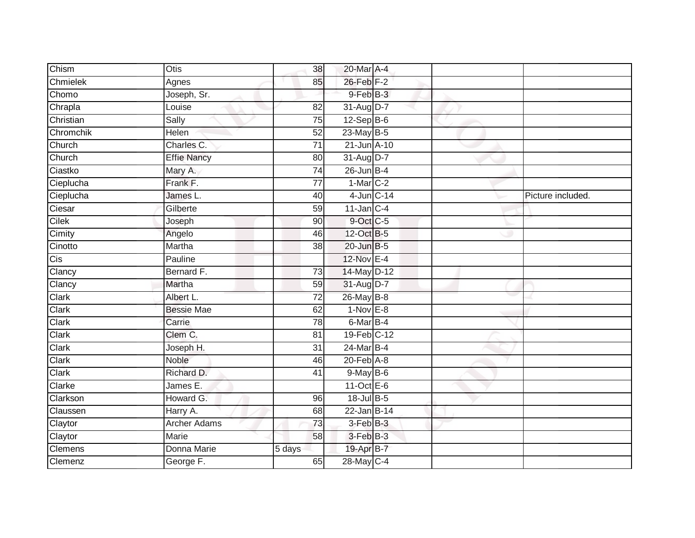| Chism     | Otis                | 38              | 20-Mar A-4      |  |                   |
|-----------|---------------------|-----------------|-----------------|--|-------------------|
| Chmielek  | Agnes               | 85              | 26-Feb F-2      |  |                   |
| Chomo     | Joseph, Sr.         |                 | 9-Feb B-3       |  |                   |
| Chrapla   | Louise              | 82              | 31-Aug D-7      |  |                   |
| Christian | Sally               | $\overline{75}$ | $12-SepB-6$     |  |                   |
| Chromchik | <b>Helen</b>        | 52              | $23$ -May B-5   |  |                   |
| Church    | Charles C.          | $\overline{71}$ | 21-Jun A-10     |  |                   |
| Church    | <b>Effie Nancy</b>  | 80              | 31-Aug D-7      |  |                   |
| Ciastko   | Mary A.             | 74              | $26$ -Jun $B-4$ |  |                   |
| Cieplucha | Frank F.            | $\overline{77}$ | $1-Mar$ C-2     |  |                   |
| Cieplucha | James L.            | 40              | $4$ -Jun $C-14$ |  | Picture included. |
| Ciesar    | Gilberte            | 59              | $11$ -Jan $C-4$ |  |                   |
| Cilek     | Joseph              | 90              | 9-Oct C-5       |  |                   |
| Cimity    | Angelo              | 46              | 12-Oct B-5      |  |                   |
| Cinotto   | Martha              | $\overline{38}$ | 20-Jun B-5      |  |                   |
| Cis       | Pauline             |                 | 12-Nov E-4      |  |                   |
| Clancy    | Bernard F.          | $\overline{73}$ | 14-May D-12     |  |                   |
| Clancy    | Martha              | 59              | 31-Aug D-7      |  |                   |
| Clark     | Albert L.           | 72              | 26-May B-8      |  |                   |
| Clark     | <b>Bessie Mae</b>   | 62              | $1-Nov$ E-8     |  |                   |
| Clark     | Carrie              | 78              | 6-Mar B-4       |  |                   |
| Clark     | Clem C.             | 81              | 19-Feb C-12     |  |                   |
| Clark     | Joseph H.           | $\overline{31}$ | 24-Mar B-4      |  |                   |
| Clark     | Noble               | 46              | $20$ -Feb $A-8$ |  |                   |
| Clark     | Richard D.          | 41              | $9$ -May B-6    |  |                   |
| Clarke    | James E.            |                 | 11-Oct $E-6$    |  |                   |
| Clarkson  | Howard G.           | 96              | 18-Jul B-5      |  |                   |
| Claussen  | Harry A.            | 68              | 22-Jan B-14     |  |                   |
| Claytor   | <b>Archer Adams</b> | 73              | 3-Feb B-3       |  |                   |
| Claytor   | <b>Marie</b>        | 58              | 3-Feb B-3       |  |                   |
| Clemens   | Donna Marie         | 5 days          | 19-Apr B-7      |  |                   |
| Clemenz   | George F.           | 65              | 28-May C-4      |  |                   |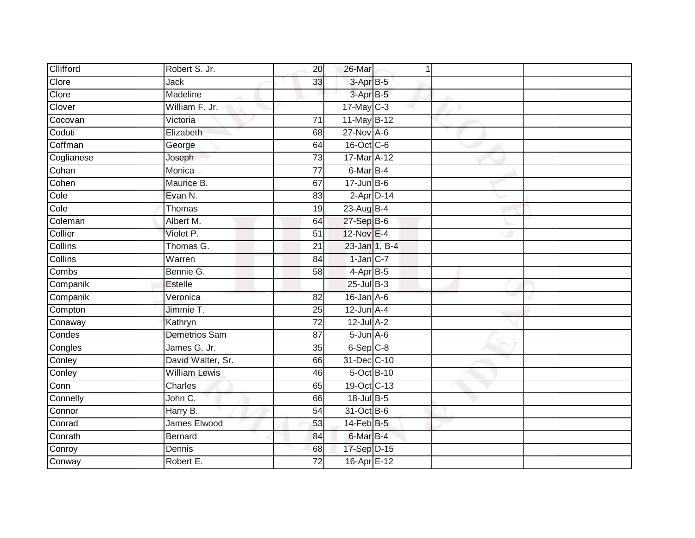| Cllifford  | Robert S. Jr.        | 20              | 26-Mar            | 1 |  |
|------------|----------------------|-----------------|-------------------|---|--|
| Clore      | <b>Jack</b>          | 33              | 3-Apr B-5         |   |  |
| Clore      | Madeline             |                 | 3-Apr B-5         |   |  |
| Clover     | William F. Jr.       |                 | $17$ -May C-3     |   |  |
| Cocovan    | Victoria             | $\overline{71}$ | 11-May B-12       |   |  |
| Coduti     | Elizabeth            | 68              | 27-Nov A-6        |   |  |
| Coffman    | George               | 64              | 16-Oct C-6        |   |  |
| Coglianese | Joseph               | 73              | 17-Mar A-12       |   |  |
| Cohan      | Monica               | $\overline{77}$ | 6-Mar B-4         |   |  |
| Cohen      | Maurice B.           | 67              | $17 - Jun$ B-6    |   |  |
| Cole       | Evan N.              | 83              | $2$ -Apr $D-14$   |   |  |
| Cole       | Thomas               | 19              | 23-Aug B-4        |   |  |
| Coleman    | Albert M.            | 64              | 27-Sep B-6        |   |  |
| Collier    | Violet P.            | 51              | 12-Nov E-4        |   |  |
| Collins    | Thomas G.            | $\overline{21}$ | 23-Jan 1, B-4     |   |  |
| Collins    | Warren               | 84              | 1-Jan C-7         |   |  |
| Combs      | Bennie G.            | $\overline{58}$ | $4-AprB-5$        |   |  |
| Companik   | Estelle              |                 | 25-Jul B-3        |   |  |
| Companik   | Veronica             | 82              | $16$ -Jan $A$ -6  |   |  |
| Compton    | Jimmie T.            | $\overline{25}$ | $12$ -Jun $A-4$   |   |  |
| Conaway    | Kathryn              | $\overline{72}$ | $12$ -Jul $A-2$   |   |  |
| Condes     | <b>Demetrios Sam</b> | 87              | $5 - Jun$ $A - 6$ |   |  |
| Congles    | James G. Jr.         | 35              | $6-Sep$ $C-8$     |   |  |
| Conley     | David Walter, Sr.    | 66              | 31-Dec C-10       |   |  |
| Conley     | <b>William Lewis</b> | 46              | 5-Oct B-10        |   |  |
| Conn       | Charles              | 65              | 19-Oct C-13       |   |  |
| Connelly   | John C.              | 66              | 18-Jul B-5        |   |  |
| Connor     | Harry B.             | 54              | 31-Oct B-6        |   |  |
| Conrad     | <b>James Elwood</b>  | 53              | $14$ -Feb $B$ -5  |   |  |
| Conrath    | <b>Bernard</b>       | 84              | 6-Mar B-4         |   |  |
| Conroy     | Dennis               | 68              | 17-Sep D-15       |   |  |
| Conway     | Robert E.            | $\overline{72}$ | 16-Apr E-12       |   |  |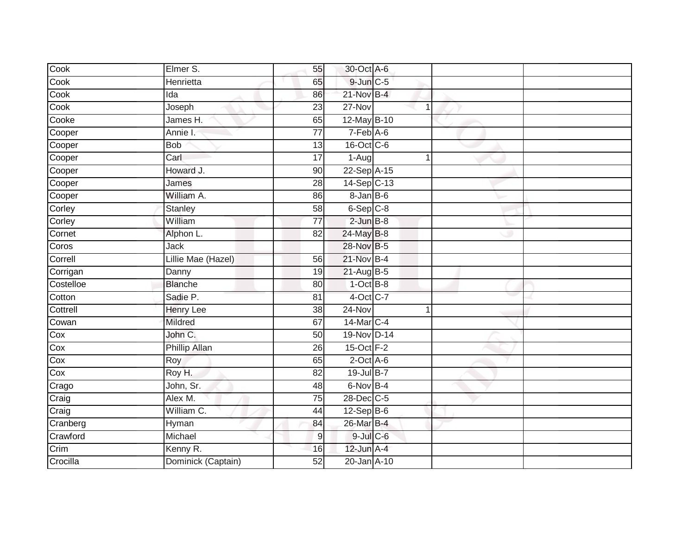| Cook                    | Elmer S.           | 55              | 30-Oct A-6        |             |  |
|-------------------------|--------------------|-----------------|-------------------|-------------|--|
| Cook                    | Henrietta          | 65              | $9$ -Jun $C$ -5   |             |  |
| Cook                    | Ida                | 86              | $21-Nov$ B-4      |             |  |
| Cook                    | Joseph             | 23              | 27-Nov            | $\mathbf 1$ |  |
| Cooke                   | James H.           | 65              | 12-May B-10       |             |  |
| Cooper                  | Annie I.           | 77              | $7-Feb$ A-6       |             |  |
| Cooper                  | <b>Bob</b>         | 13              | 16-Oct C-6        |             |  |
| Cooper                  | Carl               | 17              | 1-Aug             | $\mathbf 1$ |  |
| Cooper                  | Howard J.          | 90              | 22-Sep A-15       |             |  |
| Cooper                  | James              | $\overline{28}$ | 14-Sep C-13       |             |  |
| Cooper                  | William A.         | 86              | $8 - Jan$ $B - 6$ |             |  |
| Corley                  | Stanley            | 58              | $6-SepC-8$        |             |  |
| Corley                  | William            | 77              | $2$ -Jun $B-8$    |             |  |
| Cornet                  | Alphon L.          | 82              | 24-May B-8        |             |  |
| Coros                   | Jack               |                 | 28-Nov B-5        |             |  |
| Correll                 | Lillie Mae (Hazel) | 56              | 21-Nov B-4        |             |  |
| Corrigan                | Danny              | 19              | 21-Aug B-5        |             |  |
| Costelloe               | <b>Blanche</b>     | 80              | $1-OctB-8$        |             |  |
| Cotton                  | Sadie P.           | 81              | 4-Oct C-7         |             |  |
| Cottrell                | <b>Henry Lee</b>   | 38              | $24 - Nov$        |             |  |
| Cowan                   | Mildred            | 67              | 14-Mar C-4        |             |  |
| $\overline{\text{Cox}}$ | John C.            | 50              | 19-Nov D-14       |             |  |
| Cox                     | Phillip Allan      | 26              | $15$ -Oct $F-2$   |             |  |
| $\overline{\text{Cox}}$ | Roy                | 65              | $2$ -Oct $A$ -6   |             |  |
| Cox                     | Roy H.             | 82              | 19-Jul B-7        |             |  |
| Crago                   | John, Sr.          | 48              | 6-Nov B-4         |             |  |
| Craig                   | Alex M.            | 75              | 28-Dec C-5        |             |  |
| Craig                   | William C.         | 44              | $12-Sep$ B-6      |             |  |
| Cranberg                | Hyman              | 84              | 26-Mar B-4        |             |  |
| Crawford                | Michael            | $\overline{9}$  | 9-Jul C-6         |             |  |
| Crim                    | Kenny R.           | 16              | 12-Jun A-4        |             |  |
| Crocilla                | Dominick (Captain) | $\overline{52}$ | 20-Jan A-10       |             |  |
|                         |                    |                 |                   |             |  |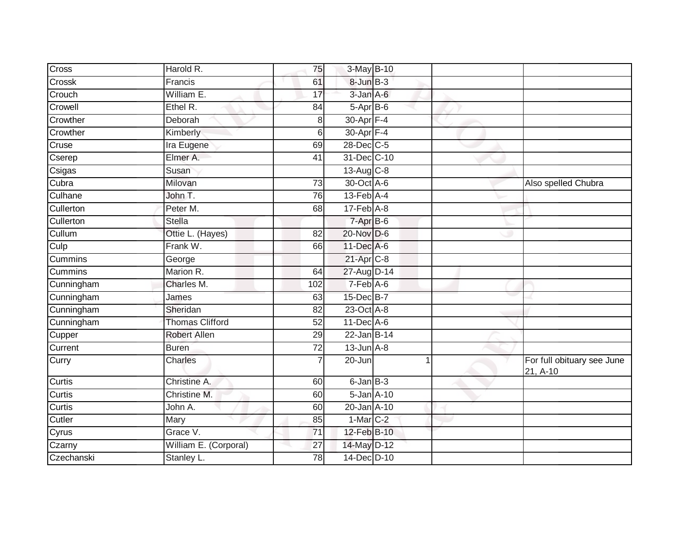| Cross      | Harold R.              | 75              | 3-May B-10              |  |                                        |
|------------|------------------------|-----------------|-------------------------|--|----------------------------------------|
| Crossk     | Francis                | 61              | $8$ -Jun $B$ -3         |  |                                        |
| Crouch     | William E.             | 17              | 3-Jan A-6               |  |                                        |
| Crowell    | Ethel R.               | 84              | 5-Apr B-6               |  |                                        |
| Crowther   | Deborah                | 8               | $30$ -Apr $F-4$         |  |                                        |
| Crowther   | Kimberly               | 6               | 30-Apr F-4              |  |                                        |
| Cruse      | Ira Eugene             | 69              | 28-Dec C-5              |  |                                        |
| Cserep     | Elmer A.               | 41              | 31-Dec C-10             |  |                                        |
| Csigas     | Susan                  |                 | 13-Aug $C-8$            |  |                                        |
| Cubra      | Milovan                | $\overline{73}$ | 30-Oct A-6              |  | Also spelled Chubra                    |
| Culhane    | John T.                | 76              | $13$ -Feb $A$ -4        |  |                                        |
| Cullerton  | Peter M.               | 68              | $17 - \text{Feb}$ A-8   |  |                                        |
| Cullerton  | <b>Stella</b>          |                 | 7-Apr B-6               |  |                                        |
| Cullum     | Ottie L. (Hayes)       | 82              | 20-Nov D-6              |  |                                        |
| Culp       | Frank W.               | 66              | $11$ -Dec $A$ -6        |  |                                        |
| Cummins    | George                 |                 | $21-Apr$ <sub>C-8</sub> |  |                                        |
| Cummins    | Marion R.              | 64              | 27-Aug D-14             |  |                                        |
| Cunningham | Charles M.             | 102             | $7-Feb$ A-6             |  |                                        |
| Cunningham | James                  | 63              | 15-Dec B-7              |  |                                        |
| Cunningham | Sheridan               | 82              | 23-Oct A-8              |  |                                        |
| Cunningham | <b>Thomas Clifford</b> | 52              | $11$ -Dec $A$ -6        |  |                                        |
| Cupper     | <b>Robert Allen</b>    | 29              | 22-Jan B-14             |  |                                        |
| Current    | <b>Buren</b>           | 72              | $13$ -Jun $A-8$         |  |                                        |
| Curry      | Charles                |                 | 20-Jun                  |  | For full obituary see June<br>21, A-10 |
| Curtis     | Christine A.           | 60              | $6$ -Jan $B$ -3         |  |                                        |
| Curtis     | Christine M.           | 60              | 5-Jan A-10              |  |                                        |
| Curtis     | John A.                | 60              | 20-Jan A-10             |  |                                        |
| Cutler     | Mary                   | 85              | $1-Mar$ $C-2$           |  |                                        |
| Cyrus      | Grace V.               | 71              | 12-Feb B-10             |  |                                        |
| Czarny     | William E. (Corporal)  | 27              | 14-May D-12             |  |                                        |
| Czechanski | Stanley L.             | 78              | 14-Dec D-10             |  |                                        |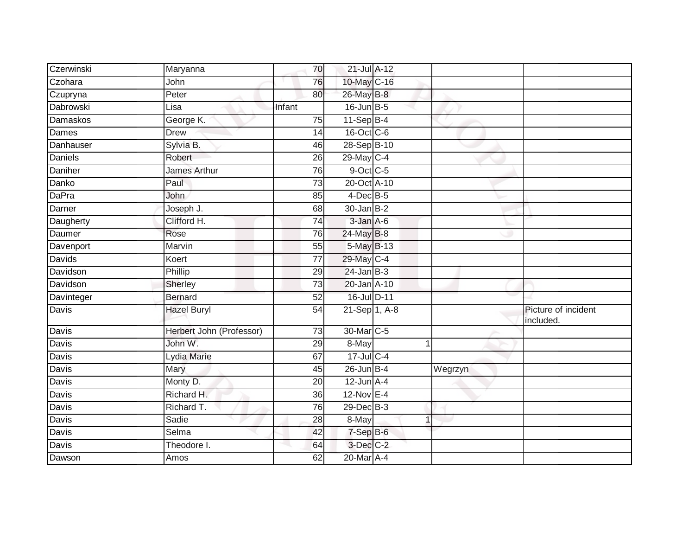| Czerwinski    | Maryanna                 | 70              | 21-Jul A-12       |                      |                                 |
|---------------|--------------------------|-----------------|-------------------|----------------------|---------------------------------|
| Czohara       | John                     | 76              | 10-May C-16       |                      |                                 |
| Czupryna      | Peter                    | 80              | 26-May B-8        |                      |                                 |
| Dabrowski     | Lisa                     | Infant          | $16$ -Jun $B - 5$ |                      |                                 |
| Damaskos      | George K.                | 75              | $11-Sep$ B-4      |                      |                                 |
| Dames         | Drew                     | $\overline{14}$ | 16-Oct C-6        |                      |                                 |
| Danhauser     | Sylvia B.                | 46              | 28-Sep B-10       |                      |                                 |
| Daniels       | Robert                   | 26              | 29-May C-4        |                      |                                 |
| Daniher       | <b>James Arthur</b>      | 76              | 9-Oct C-5         |                      |                                 |
| Danko         | Paul                     | $\overline{73}$ | 20-Oct A-10       |                      |                                 |
| DaPra         | John                     | 85              | $4$ -Dec B-5      |                      |                                 |
| Darner        | Joseph J.                | 68              | $30$ -Jan $B-2$   |                      |                                 |
| Daugherty     | Clifford H.              | 74              | 3-Jan A-6         |                      |                                 |
| Daumer        | Rose                     | 76              | 24-May B-8        |                      |                                 |
| Davenport     | Marvin                   | 55              | 5-May B-13        |                      |                                 |
| <b>Davids</b> | Koert                    | 77              | 29-May C-4        |                      |                                 |
| Davidson      | Phillip                  | 29              | $24$ -Jan B-3     |                      |                                 |
| Davidson      | Sherley                  | $\overline{73}$ | 20-Jan A-10       |                      |                                 |
| Davinteger    | <b>Bernard</b>           | 52              | 16-Jul D-11       |                      |                                 |
| Davis         | <b>Hazel Buryl</b>       | 54              | 21-Sep 1, A-8     |                      | Picture of incident<br>included |
| Davis         | Herbert John (Professor) | 73              | 30-Mar C-5        |                      |                                 |
| Davis         | John W.                  | 29              | 8-May             | 1                    |                                 |
| Davis         | Lydia Marie              | 67              | $17 -$ Jul C-4    |                      |                                 |
| Davis         | Mary                     | 45              | $26$ -Jun $B-4$   | Wegrzyn              |                                 |
| Davis         | Monty D.                 | 20              | $12$ -Jun $A-4$   |                      |                                 |
| Davis         | Richard H.               | 36              | $12$ -Nov $E-4$   |                      |                                 |
| Davis         | Richard T.               | 76              | 29-Dec B-3        |                      |                                 |
| Davis         | Sadie                    | 28              | 8-May             | $\blacktriangleleft$ |                                 |
| Davis         | Selma                    | 42              | $7-SepB-6$        |                      |                                 |
| Davis         | Theodore I.              | 64              | $3$ -Dec $C-2$    |                      |                                 |
| Dawson        | Amos                     | 62              | 20-Mar A-4        |                      |                                 |
|               |                          |                 |                   |                      |                                 |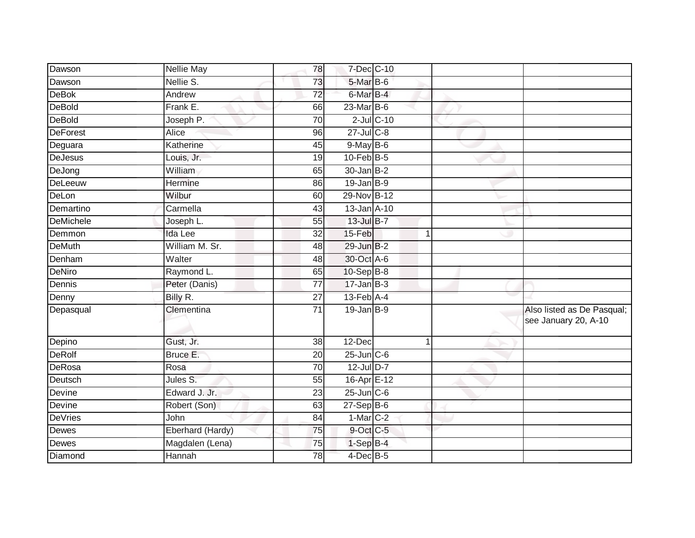| Dawson           | Nellie May       | 78              | 7-Dec C-10        |              |                                                    |
|------------------|------------------|-----------------|-------------------|--------------|----------------------------------------------------|
| Dawson           | Nellie S.        | 73              | 5-Mar B-6         |              |                                                    |
| <b>DeBok</b>     | Andrew           | $\overline{72}$ | $6$ -Mar $B-4$    |              |                                                    |
| <b>DeBold</b>    | Frank E.         | 66              | $23$ -Mar $B$ -6  |              |                                                    |
| DeBold           | Joseph P.        | $\overline{70}$ | $2$ -Jul $C$ -10  |              |                                                    |
| DeForest         | Alice            | 96              | $27 -$ Jul C-8    |              |                                                    |
| Deguara          | Katherine        | 45              | $9$ -May B-6      |              |                                                    |
| DeJesus          | Louis, Jr.       | 19              | $10$ -Feb $B-5$   |              |                                                    |
| DeJong           | William          | 65              | $30 - Jan$ $B-2$  |              |                                                    |
| <b>DeLeeuw</b>   | Hermine          | 86              | $19$ -Jan B-9     |              |                                                    |
| DeLon            | Wilbur           | 60              | 29-Nov B-12       |              |                                                    |
| Demartino        | Carmella         | 43              | $13$ -Jan $A$ -10 |              |                                                    |
| <b>DeMichele</b> | Joseph L.        | 55              | 13-Jul B-7        |              |                                                    |
| Demmon           | Ida Lee          | 32              | 15-Feb            | $\mathbf 1$  |                                                    |
| <b>DeMuth</b>    | William M. Sr.   | 48              | 29-Jun B-2        |              |                                                    |
| Denham           | Walter           | 48              | 30-Oct A-6        |              |                                                    |
| <b>DeNiro</b>    | Raymond L.       | 65              | 10-Sep B-8        |              |                                                    |
| Dennis           | Peter (Danis)    | 77              | $17$ -Jan $B-3$   |              |                                                    |
| Denny            | Billy R.         | 27              | $13$ -Feb $A$ -4  |              |                                                    |
| Depasqual        | Clementina       | $\overline{71}$ | $19$ -Jan B-9     |              | Also listed as De Pasqual;<br>see January 20, A-10 |
| Depino           | Gust, Jr.        | 38              | 12-Dec            | $\mathbf{1}$ |                                                    |
| <b>DeRolf</b>    | Bruce E.         | 20              | $25$ -Jun $C$ -6  |              |                                                    |
| DeRosa           | Rosa             | 70              | 12-Jul D-7        |              |                                                    |
| Deutsch          | Jules S.         | 55              | 16-Apr E-12       |              |                                                    |
| Devine           | Edward J. Jr.    | 23              | $25$ -Jun $C$ -6  |              |                                                    |
| Devine           | Robert (Son)     | 63              | $27-Sep$ B-6      |              |                                                    |
| DeVries          | John             | 84              | $1-Mar$ $C-2$     |              |                                                    |
| Dewes            | Eberhard (Hardy) | 75              | 9-Oct C-5         |              |                                                    |
| Dewes            | Magdalen (Lena)  | 75              | $1-SepB-4$        |              |                                                    |
| Diamond          | Hannah           | 78              | $4$ -Dec $B - 5$  |              |                                                    |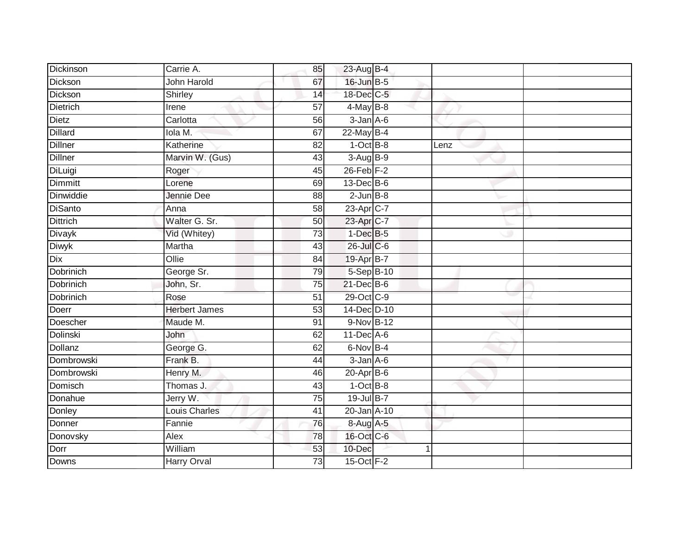| Dickinson        | Carrie A.            | 85              | 23-Aug B-4       |   |      |  |
|------------------|----------------------|-----------------|------------------|---|------|--|
| Dickson          | <b>John Harold</b>   | 67              | 16-Jun B-5       |   |      |  |
| Dickson          | Shirley              | 14              | 18-Dec C-5       |   |      |  |
| Dietrich         | Irene                | 57              | $4$ -May B-8     |   |      |  |
| Dietz            | Carlotta             | 56              | $3 - Jan A - 6$  |   |      |  |
| <b>Dillard</b>   | lola M.              | 67              | 22-May B-4       |   |      |  |
| Dillner          | Katherine            | 82              | $1-Oct$ B-8      |   | Lenz |  |
| <b>Dillner</b>   | Marvin W. (Gus)      | 43              | $3-AugB-9$       |   |      |  |
| DiLuigi          | Roger                | 45              | $26$ -Feb $F-2$  |   |      |  |
| <b>Dimmitt</b>   | Lorene               | 69              | 13-Dec B-6       |   |      |  |
| Dinwiddie        | Jennie Dee           | 88              | $2$ -Jun $B - 8$ |   |      |  |
| <b>DiSanto</b>   | Anna                 | 58              | 23-Apr C-7       |   |      |  |
| <b>Dittrich</b>  | Walter G. Sr.        | 50              | 23-Apr C-7       |   |      |  |
| <b>Divayk</b>    | Vid (Whitey)         | 73              | $1-Dec$ B-5      |   |      |  |
| Diwyk            | Martha               | 43              | 26-Jul C-6       |   |      |  |
| Dix              | Ollie                | 84              | 19-Apr B-7       |   |      |  |
| <b>Dobrinich</b> | George Sr.           | 79              | 5-Sep B-10       |   |      |  |
| Dobrinich        | John, Sr.            | 75              | $21$ -Dec $B-6$  |   |      |  |
| Dobrinich        | Rose                 | 51              | 29-Oct C-9       |   |      |  |
| Doerr            | <b>Herbert James</b> | $\overline{53}$ | 14-Dec D-10      |   |      |  |
| Doescher         | Maude M.             | 91              | 9-Nov B-12       |   |      |  |
| <b>Dolinski</b>  | John                 | 62              | 11-Dec A-6       |   |      |  |
| <b>Dollanz</b>   | George G.            | 62              | 6-Nov B-4        |   |      |  |
| Dombrowski       | Frank B.             | 44              | $3 - Jan A - 6$  |   |      |  |
| Dombrowski       | Henry M.             | 46              | $20$ -Apr $B$ -6 |   |      |  |
| Domisch          | Thomas J.            | 43              | $1-OctB-8$       |   |      |  |
| Donahue          | Jerry W.             | 75              | 19-Jul B-7       |   |      |  |
| Donley           | Louis Charles        | 41              | 20-Jan A-10      |   |      |  |
| Donner           | Fannie               | 76              | 8-Aug A-5        |   |      |  |
| Donovsky         | Alex                 | 78              | 16-Oct C-6       |   |      |  |
| Dorr             | William              | 53              | 10-Dec           | 1 |      |  |
| Downs            | <b>Harry Orval</b>   | $\overline{73}$ | 15-Oct F-2       |   |      |  |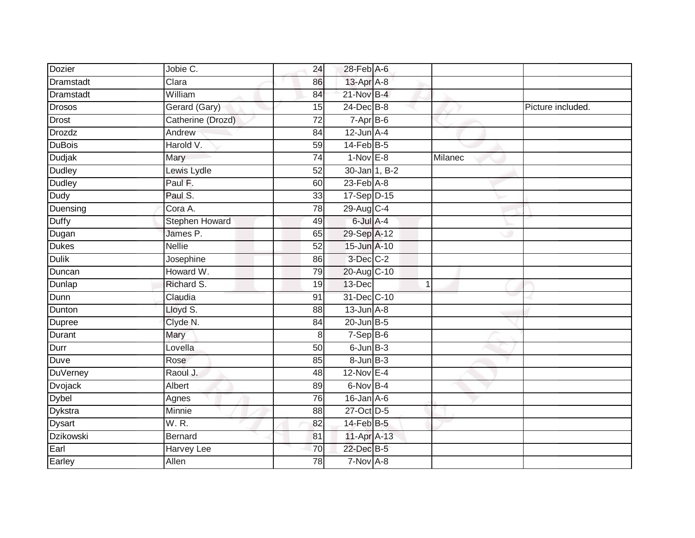| Dozier           | Jobie C.          | 24              | 28-Feb A-6                  |              |         |                   |
|------------------|-------------------|-----------------|-----------------------------|--------------|---------|-------------------|
| <b>Dramstadt</b> | Clara             | 86              | 13-Apr A-8                  |              |         |                   |
| <b>Dramstadt</b> | William           | 84              | $21$ -Nov B-4               |              |         |                   |
| <b>Drosos</b>    | Gerard (Gary)     | 15              | 24-Dec B-8                  |              |         | Picture included. |
| Drost            | Catherine (Drozd) | $\overline{72}$ | $7-AprB-6$                  |              |         |                   |
| Drozdz           | Andrew            | 84              | $12$ -Jun $A-4$             |              |         |                   |
| <b>DuBois</b>    | Harold V.         | 59              | $14$ -Feb $B$ -5            |              |         |                   |
| <b>Dudjak</b>    | Mary              | 74              | $1-Nov$ E-8                 |              | Milanec |                   |
| Dudley           | Lewis Lydle       | 52              | 30-Jan 1, B-2               |              |         |                   |
| <b>Dudley</b>    | Paul F.           | 60              | $23$ -Feb $\overline{A}$ -8 |              |         |                   |
| Dudy             | Paul S.           | 33              | 17-Sep D-15                 |              |         |                   |
| Duensing         | Cora A.           | 78              | 29-Aug C-4                  |              |         |                   |
| <b>Duffy</b>     | Stephen Howard    | 49              | $6$ -Jul $A$ -4             |              |         |                   |
| Dugan            | James P.          | 65              | 29-Sep A-12                 |              |         |                   |
| Dukes            | <b>Nellie</b>     | 52              | 15-Jun A-10                 |              |         |                   |
| <b>Dulik</b>     | Josephine         | 86              | 3-Dec C-2                   |              |         |                   |
| Duncan           | Howard W.         | 79              | 20-Aug C-10                 |              |         |                   |
| Dunlap           | Richard S.        | 19              | 13-Dec                      | $\mathbf{1}$ |         |                   |
| Dunn             | Claudia           | 91              | 31-Dec C-10                 |              |         |                   |
| Dunton           | Lloyd S.          | 88              | $13$ -Jun $A-8$             |              |         |                   |
| Dupree           | Clyde N.          | 84              | $20$ -Jun $B-5$             |              |         |                   |
| Durant           | Mary              | 8               | $7-Sep$ B-6                 |              |         |                   |
| Durr             | Lovella           | 50              | $6$ -Jun $B-3$              |              |         |                   |
| Duve             | Rose              | 85              | $8 - Jun$ $B - 3$           |              |         |                   |
| DuVerney         | Raoul J.          | 48              | $12$ -Nov $E-4$             |              |         |                   |
| <b>Dvojack</b>   | Albert            | 89              | 6-Nov B-4                   |              |         |                   |
| <b>Dybel</b>     | Agnes             | 76              | $16$ -Jan $A-6$             |              |         |                   |
| Dykstra          | Minnie            | 88              | 27-Oct D-5                  |              |         |                   |
| <b>Dysart</b>    | W. R.             | 82              | $14$ -Feb $B$ -5            |              |         |                   |
| Dzikowski        | <b>Bernard</b>    | 81              | 11-Apr A-13                 |              |         |                   |
| Earl             | Harvey Lee        | 70              | 22-Dec B-5                  |              |         |                   |
| Earley           | Allen             | $\overline{78}$ | $7-Nov$ A-8                 |              |         |                   |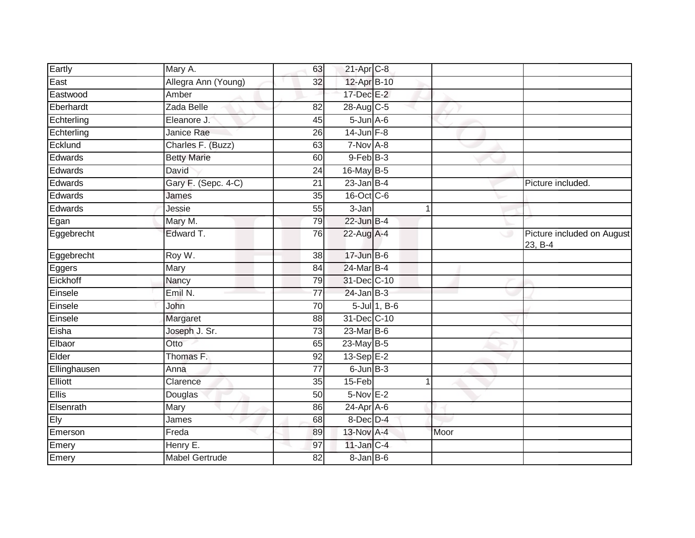| Eartly       | Mary A.               | 63              | $21-Apr$ <sub>C-8</sub> |      |                                       |
|--------------|-----------------------|-----------------|-------------------------|------|---------------------------------------|
| East         | Allegra Ann (Young)   | 32              | 12-Apr B-10             |      |                                       |
| Eastwood     | Amber                 |                 | 17-Dec E-2              |      |                                       |
| Eberhardt    | Zada Belle            | 82              | 28-Aug C-5              |      |                                       |
| Echterling   | Eleanore J.           | 45              | $5 - Jun$ A-6           |      |                                       |
| Echterling   | Janice Rae            | 26              | $14$ -Jun F-8           |      |                                       |
| Ecklund      | Charles F. (Buzz)     | 63              | $7-Nov$ A-8             |      |                                       |
| Edwards      | <b>Betty Marie</b>    | 60              | $9$ -Feb $B$ -3         |      |                                       |
| Edwards      | David                 | 24              | 16-May B-5              |      |                                       |
| Edwards      | Gary F. (Sepc. 4-C)   | $\overline{21}$ | $23$ -Jan B-4           |      | Picture included.                     |
| Edwards      | James                 | 35              | 16-Oct C-6              |      |                                       |
| Edwards      | Jessie                | 55              | 3-Jan                   | 1    |                                       |
| Egan         | Mary M.               | 79              | $22$ -Jun B-4           |      |                                       |
| Eggebrecht   | Edward T.             | 76              | 22-Aug A-4              | ی    | Picture included on August<br>23, B-4 |
| Eggebrecht   | Roy W.                | $\overline{38}$ | 17-Jun B-6              |      |                                       |
| Eggers       | Mary                  | 84              | 24-Mar B-4              |      |                                       |
| Eickhoff     | Nancy                 | 79              | 31-Dec C-10             |      |                                       |
| Einsele      | Emil N.               | 77              | $24$ -Jan $B-3$         |      |                                       |
| Einsele      | John                  | 70              | 5-Jul 1, B-6            |      |                                       |
| Einsele      | Margaret              | 88              | 31-Dec C-10             |      |                                       |
| Eisha        | Joseph J. Sr.         | 73              | 23-Mar B-6              |      |                                       |
| Elbaor       | Otto                  | 65              | 23-May B-5              |      |                                       |
| Elder        | Thomas F.             | 92              | $13-SepE-2$             |      |                                       |
| Ellinghausen | Anna                  | 77              | $6$ -Jun $B-3$          |      |                                       |
| Elliott      | Clarence              | $\overline{35}$ | 15-Feb                  | 1    |                                       |
| <b>Ellis</b> | Douglas               | 50              | $5-Nov$ E-2             |      |                                       |
| Elsenrath    | Mary                  | 86              | $24$ -Apr $A$ -6        |      |                                       |
| Ely          | James                 | 68              | 8-Dec D-4               |      |                                       |
| Emerson      | Freda                 | 89              | 13-Nov A-4              | Moor |                                       |
| Emery        | Henry E.              | 97              | $11$ -Jan $C-4$         |      |                                       |
| Emery        | <b>Mabel Gertrude</b> | 82              | 8-Jan B-6               |      |                                       |
|              |                       |                 |                         |      |                                       |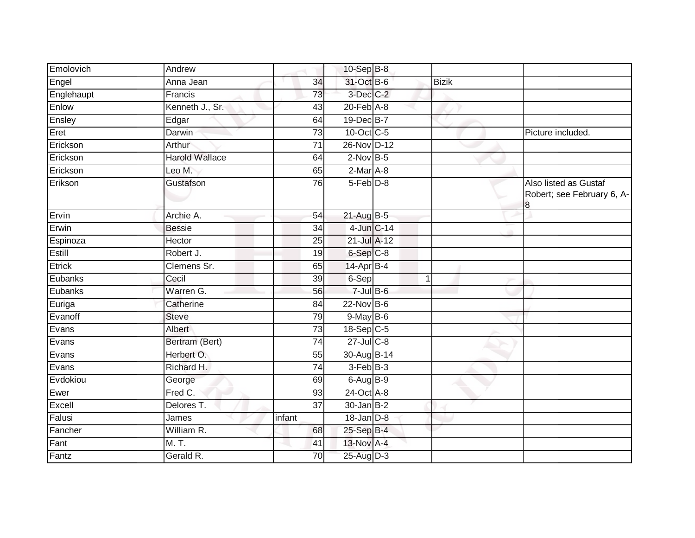| Emolovich     | Andrew                |                 | 10-Sep B-8       |   |              |                                                           |
|---------------|-----------------------|-----------------|------------------|---|--------------|-----------------------------------------------------------|
| Engel         | Anna Jean             | 34              | 31-Oct B-6       |   | <b>Bizik</b> |                                                           |
| Englehaupt    | Francis               | 73              | 3-Dec C-2        |   |              |                                                           |
| Enlow         | Kenneth J., Sr.       | 43              | $20$ -Feb $A-8$  |   |              |                                                           |
| Ensley        | Edgar                 | 64              | 19-Dec B-7       |   |              |                                                           |
| Eret          | Darwin                | 73              | 10-Oct C-5       |   |              | Picture included.                                         |
| Erickson      | Arthur                | $\overline{71}$ | 26-Nov D-12      |   |              |                                                           |
| Erickson      | <b>Harold Wallace</b> | 64              | $2$ -Nov $B-5$   |   |              |                                                           |
| Erickson      | Leo M.                | 65              | $2$ -Mar $A$ -8  |   |              |                                                           |
| Erikson       | Gustafson             | 76              | $5-Feb$ $D-8$    |   |              | Also listed as Gustaf<br>Robert; see February 6, A-<br>18 |
| Ervin         | Archie A.             | 54              | $21$ -Aug B-5    |   |              |                                                           |
| Erwin         | <b>Bessie</b>         | 34              | 4-Jun C-14       |   |              |                                                           |
| Espinoza      | Hector                | 25              | 21-Jul A-12      |   |              |                                                           |
| Estill        | Robert J.             | 19              | 6-Sep C-8        |   |              |                                                           |
| <b>Etrick</b> | Clemens Sr.           | 65              | 14-Apr B-4       |   |              |                                                           |
| Eubanks       | Cecil                 | 39              | 6-Sep            | 1 |              |                                                           |
| Eubanks       | Warren G.             | 56              | $7$ -Jul $B$ -6  |   |              |                                                           |
| Euriga        | Catherine             | 84              | $22$ -Nov $B-6$  |   |              |                                                           |
| Evanoff       | <b>Steve</b>          | 79              | $9$ -May $B$ -6  |   |              |                                                           |
| Evans         | Albert                | 73              | 18-Sep C-5       |   |              |                                                           |
| Evans         | Bertram (Bert)        | $\overline{74}$ | 27-Jul C-8       |   |              |                                                           |
| Evans         | Herbert O.            | 55              | 30-Aug B-14      |   |              |                                                           |
| Evans         | Richard H.            | $\overline{74}$ | 3-Feb B-3        |   |              |                                                           |
| Evdokiou      | George                | 69              | $6$ -Aug $B$ -9  |   |              |                                                           |
| Ewer          | Fred C.               | 93              | 24-Oct A-8       |   |              |                                                           |
| Excell        | Delores T.            | 37              | $30 - Jan$ $B-2$ |   |              |                                                           |
| Falusi        | James                 | infant          | $18$ -Jan $D-8$  |   |              |                                                           |
| Fancher       | William R.            | 68              | 25-Sep B-4       |   |              |                                                           |
| Fant          | M. T.                 | 41              | 13-Nov A-4       |   |              |                                                           |
| Fantz         | Gerald R.             | 70              | 25-Aug D-3       |   |              |                                                           |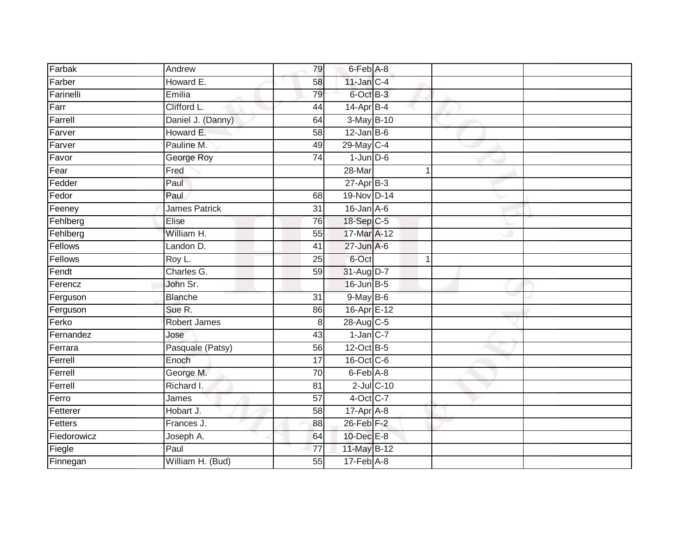| Farbak      | Andrew               | 79              | 6-Feb A-8                  |                  |   |  |
|-------------|----------------------|-----------------|----------------------------|------------------|---|--|
| Farber      | Howard E.            | 58              | $11$ -Jan C-4              |                  |   |  |
| Farinelli   | Emilia               | 79              | 6-Oct B-3                  |                  |   |  |
| Farr        | Clifford L.          | 44              | $14$ -Apr $B$ -4           |                  |   |  |
| Farrell     | Daniel J. (Danny)    | 64              | 3-May B-10                 |                  |   |  |
| Farver      | Howard E.            | 58              | $12$ -Jan B-6              |                  |   |  |
| Farver      | Pauline M.           | 49              | 29-May C-4                 |                  |   |  |
| Favor       | George Roy           | 74              | $1$ -Jun $D-6$             |                  |   |  |
| Fear        | Fred                 |                 | 28-Mar                     |                  | 1 |  |
| Fedder      | Paul                 |                 | $27$ -Apr $B-3$            |                  |   |  |
| Fedor       | Paul                 | 68              | 19-Nov D-14                |                  |   |  |
| Feeney      | <b>James Patrick</b> | $\overline{31}$ | $16$ -Jan $A-6$            |                  |   |  |
| Fehlberg    | Elise                | 76              | 18-Sep C-5                 |                  |   |  |
| Fehlberg    | William H.           | 55              | 17-Mar A-12                |                  |   |  |
| Fellows     | Landon D.            | 41              | $27 - Jun$ A-6             |                  |   |  |
| Fellows     | Roy L.               | 25              | 6-Oct                      |                  | 1 |  |
| Fendt       | Charles G.           | $\overline{59}$ | 31-Aug D-7                 |                  |   |  |
| Ferencz     | John Sr.             |                 | $16$ -Jun $B - 5$          |                  |   |  |
| Ferguson    | <b>Blanche</b>       | 31              | 9-May B-6                  |                  |   |  |
| Ferguson    | Sue R.               | 86              | 16-Apr E-12                |                  |   |  |
| Ferko       | Robert James         | 8               | 28-Aug C-5                 |                  |   |  |
| Fernandez   | Jose                 | 43              | $1$ -Jan $C-7$             |                  |   |  |
| Ferrara     | Pasquale (Patsy)     | 56              | 12-Oct B-5                 |                  |   |  |
| Ferrell     | Enoch                | 17              | 16-Oct C-6                 |                  |   |  |
| Ferrell     | George M.            | $\overline{70}$ | $6$ -Feb $\overline{A}$ -8 |                  |   |  |
| Ferrell     | Richard I.           | 81              |                            | $2$ -Jul $C$ -10 |   |  |
| Ferro       | James                | 57              | 4-Oct C-7                  |                  |   |  |
| Fetterer    | Hobart J.            | 58              | 17-Apr A-8                 |                  |   |  |
| Fetters     | Frances J.           | 88              | $26$ -Feb $F-2$            |                  |   |  |
| Fiedorowicz | Joseph A.            | 64              | 10-Dec E-8                 |                  |   |  |
| Fiegle      | Paul                 | 77              | 11-May B-12                |                  |   |  |
| Finnegan    | William H. (Bud)     | $\overline{55}$ | $17$ -Feb $A$ -8           |                  |   |  |
|             |                      |                 |                            |                  |   |  |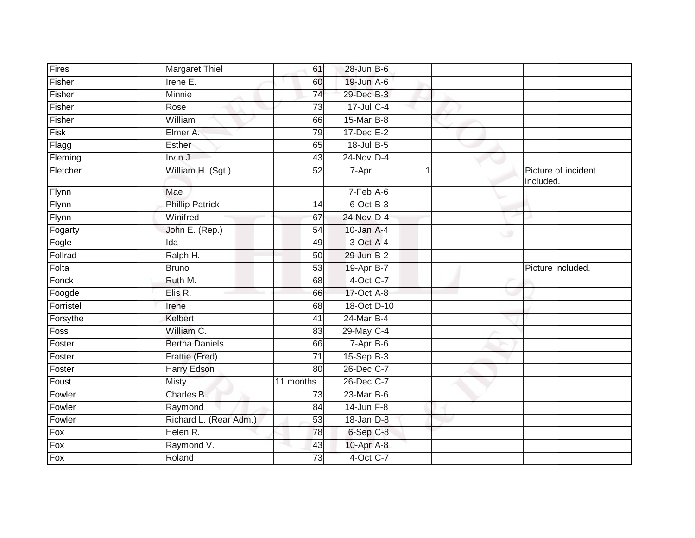| Fires     | <b>Margaret Thiel</b>  | 61              | $28$ -Jun B-6      |  |                                  |
|-----------|------------------------|-----------------|--------------------|--|----------------------------------|
| Fisher    | Irene E.               | 60              | 19-Jun A-6         |  |                                  |
| Fisher    | <b>Minnie</b>          | 74              | 29-Dec B-3         |  |                                  |
| Fisher    | Rose                   | 73              | $17 -$ Jul C-4     |  |                                  |
| Fisher    | William                | 66              | 15-Mar B-8         |  |                                  |
| Fisk      | Elmer A.               | 79              | $17 - Dec$ $E - 2$ |  |                                  |
| Flagg     | Esther                 | 65              | 18-Jul B-5         |  |                                  |
| Fleming   | Irvin J.               | 43              | $24$ -Nov D-4      |  |                                  |
| Fletcher  | William H. (Sgt.)      | 52              | 7-Apr              |  | Picture of incident<br>included. |
| Flynn     | Mae                    |                 | $7-Feb$ A-6        |  |                                  |
| Flynn     | <b>Phillip Patrick</b> | 14              | 6-Oct B-3          |  |                                  |
| Flynn     | Winifred               | 67              | 24-Nov D-4         |  |                                  |
| Fogarty   | John E. (Rep.)         | 54              | $10$ -Jan $A-4$    |  |                                  |
| Fogle     | Ida                    | 49              | 3-Oct A-4          |  |                                  |
| Follrad   | Ralph H.               | 50              | 29-Jun B-2         |  |                                  |
| Folta     | <b>Bruno</b>           | 53              | 19-Apr B-7         |  | Picture included.                |
| Fonck     | Ruth M.                | 68              | 4-Oct C-7          |  |                                  |
| Foogde    | Elis R.                | 66              | 17-Oct A-8         |  |                                  |
| Forristel | Irene                  | 68              | 18-Oct D-10        |  |                                  |
| Forsythe  | Kelbert                | 41              | 24-Mar B-4         |  |                                  |
| Foss      | William C.             | 83              | 29-May C-4         |  |                                  |
| Foster    | <b>Bertha Daniels</b>  | 66              | 7-Apr B-6          |  |                                  |
| Foster    | Frattie (Fred)         | $\overline{71}$ | $15-Sep$ B-3       |  |                                  |
| Foster    | <b>Harry Edson</b>     | 80              | 26-Dec C-7         |  |                                  |
| Foust     | <b>Misty</b>           | 11 months       | 26-Dec C-7         |  |                                  |
| Fowler    | Charles B.             | 73              | 23-Mar B-6         |  |                                  |
| Fowler    | Raymond                | 84              | $14$ -Jun $F-8$    |  |                                  |
| Fowler    | Richard L. (Rear Adm.) | 53              | $18 - Jan$ $D-8$   |  |                                  |
| Fox       | Helen R.               | 78              | 6-Sep C-8          |  |                                  |
| Fox       | Raymond V.             | 43              | 10-Apr A-8         |  |                                  |
| Fox       | Roland                 | 73              | 4-Oct C-7          |  |                                  |
|           |                        |                 |                    |  |                                  |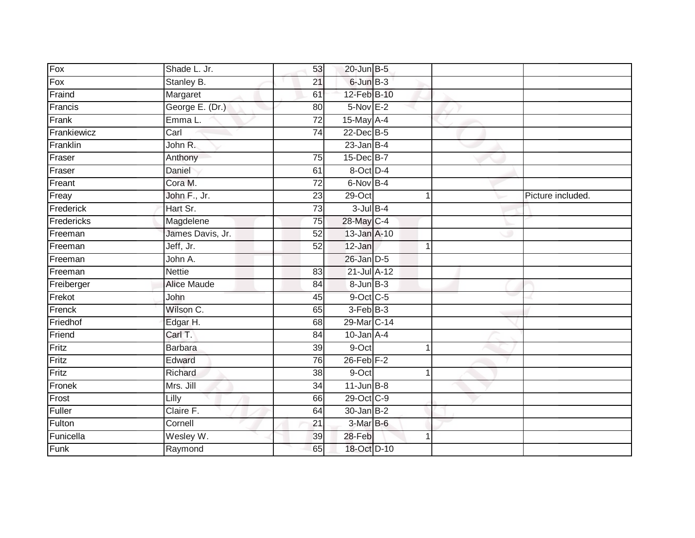| Fox         | Shade L. Jr.       | 53              | $20$ -Jun $B-5$   |              |                   |
|-------------|--------------------|-----------------|-------------------|--------------|-------------------|
| Fox         | Stanley B.         | 21              | $6$ -Jun $B-3$    |              |                   |
| Fraind      | Margaret           | 61              | 12-Feb B-10       |              |                   |
| Francis     | George E. (Dr.)    | 80              | $5-Nov$ E-2       |              |                   |
| Frank       | Emma L.            | $\overline{72}$ | 15-May A-4        |              |                   |
| Frankiewicz | Carl               | 74              | 22-Dec B-5        |              |                   |
| Franklin    | John R.            |                 | $23$ -Jan B-4     |              |                   |
| Fraser      | Anthony            | $\overline{75}$ | 15-Dec B-7        |              |                   |
| Fraser      | Daniel             | 61              | 8-Oct D-4         |              |                   |
| Freant      | Cora M.            | $\overline{72}$ | 6-Nov B-4         |              |                   |
| Freay       | John F., Jr.       | 23              | 29-Oct            |              | Picture included. |
| Frederick   | Hart Sr.           | $\overline{73}$ | $3$ -Jul $B-4$    |              |                   |
| Fredericks  | Magdelene          | 75              | 28-May C-4        |              |                   |
| Freeman     | James Davis, Jr.   | 52              | 13-Jan A-10       |              |                   |
| Freeman     | Jeff, Jr.          | $\overline{52}$ | 12-Jan            | $\mathbf 1$  |                   |
| Freeman     | John A.            |                 | $26$ -Jan $D-5$   |              |                   |
| Freeman     | <b>Nettie</b>      | 83              | 21-Jul A-12       |              |                   |
| Freiberger  | <b>Alice Maude</b> | 84              | 8-Jun B-3         |              |                   |
| Frekot      | John               | 45              | 9-Oct C-5         |              |                   |
| Frenck      | Wilson C.          | 65              | $3-FebB-3$        |              |                   |
| Friedhof    | Edgar H.           | 68              | 29-Mar C-14       |              |                   |
| Friend      | Carl T.            | 84              | $10$ -Jan $A-4$   |              |                   |
| Fritz       | <b>Barbara</b>     | 39              | 9-Oct             | $\mathbf{1}$ |                   |
| Fritz       | Edward             | 76              | $26$ -Feb $F-2$   |              |                   |
| Fritz       | Richard            | 38              | 9-Oct             |              |                   |
| Fronek      | Mrs. Jill          | 34              | $11$ -Jun $B - 8$ |              |                   |
| Frost       | Lilly              | 66              | 29-Oct C-9        |              |                   |
| Fuller      | Claire F.          | 64              | $30 - Jan$ $B-2$  |              |                   |
| Fulton      | Cornell            | $\overline{21}$ | 3-Mar B-6         |              |                   |
| Funicella   | Wesley W.          | 39              | 28-Feb            | 1            |                   |
| Funk        | Raymond            | 65              | 18-Oct D-10       |              |                   |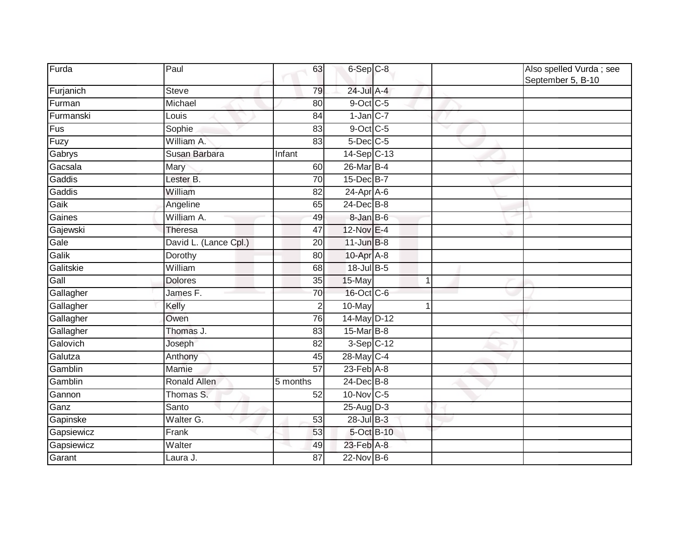| Furda      | Paul                  | 63       | 6-Sep C-8       |                | Also spelled Vurda; see<br>September 5, B-10 |
|------------|-----------------------|----------|-----------------|----------------|----------------------------------------------|
| Furjanich  | <b>Steve</b>          | 79       | $24$ -Jul $A-4$ |                |                                              |
| Furman     | Michael               | 80       | 9-Oct C-5       |                |                                              |
| Furmanski  | Louis                 | 84       | $1$ -Jan $C-7$  |                |                                              |
| Fus        | Sophie                | 83       | 9-Oct C-5       |                |                                              |
| Fuzy       | William A.            | 83       | $5$ -Dec $C$ -5 |                |                                              |
| Gabrys     | Susan Barbara         | Infant   | 14-Sep C-13     |                |                                              |
| Gacsala    | Mary                  | 60       | 26-Mar B-4      |                |                                              |
| Gaddis     | Lester B.             | 70       | 15-Dec B-7      |                |                                              |
| Gaddis     | William               | 82       | 24-Apr A-6      |                |                                              |
| Gaik       | Angeline              | 65       | 24-Dec B-8      |                |                                              |
| Gaines     | William A.            | 49       | 8-Jan B-6       |                |                                              |
| Gajewski   | Theresa               | 47       | 12-Nov E-4      |                |                                              |
| Gale       | David L. (Lance Cpl.) | 20       | $11$ -Jun $B-8$ |                |                                              |
| Galik      | Dorothy               | 80       | 10-Apr A-8      |                |                                              |
| Galitskie  | William               | 68       | 18-Jul B-5      |                |                                              |
| Gall       | <b>Dolores</b>        | 35       | 15-May          | $\overline{1}$ |                                              |
| Gallagher  | James F.              | 70       | 16-Oct C-6      |                |                                              |
| Gallagher  | Kelly                 | 2        | 10-May          |                |                                              |
| Gallagher  | Owen                  | 76       | 14-May D-12     |                |                                              |
| Gallagher  | Thomas J.             | 83       | 15-Mar B-8      |                |                                              |
| Galovich   | Joseph                | 82       | 3-Sep C-12      |                |                                              |
| Galutza    | Anthony               | 45       | 28-May C-4      |                |                                              |
| Gamblin    | Mamie                 | 57       | $23$ -Feb $A-8$ |                |                                              |
| Gamblin    | <b>Ronald Allen</b>   | 5 months | $24$ -Dec $B-8$ |                |                                              |
| Gannon     | Thomas S.             | 52       | 10-Nov C-5      |                |                                              |
| Ganz       | Santo                 |          | 25-Aug D-3      |                |                                              |
| Gapinske   | Walter G.             | 53       | $28$ -Jul B-3   |                |                                              |
| Gapsiewicz | Frank                 | 53       | 5-Oct B-10      |                |                                              |
| Gapsiewicz | Walter                | 49       | 23-Feb A-8      |                |                                              |
| Garant     | Laura J.              | 87       | 22-Nov B-6      |                |                                              |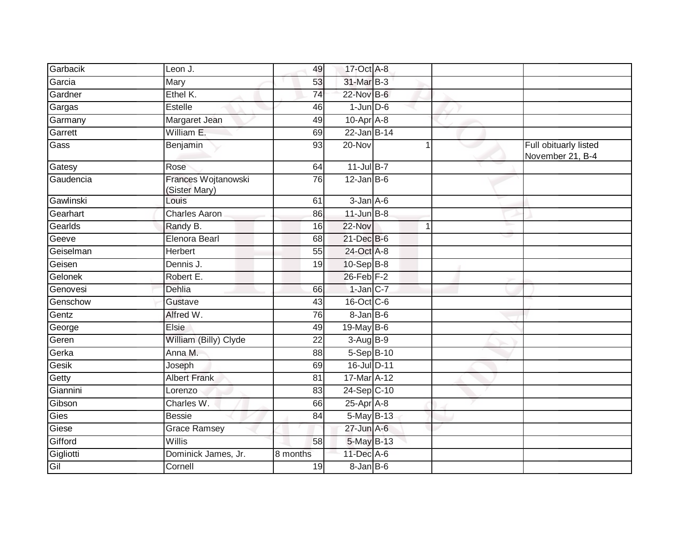| Garbacik  | Leon J.                              | 49              | 17-Oct A-8              |   |                                           |
|-----------|--------------------------------------|-----------------|-------------------------|---|-------------------------------------------|
| Garcia    | Mary                                 | 53              | 31-Mar B-3              |   |                                           |
| Gardner   | Ethel K.                             | $\overline{74}$ | 22-Nov B-6              |   |                                           |
| Gargas    | Estelle                              | 46              | $1$ -Jun $D-6$          |   |                                           |
| Garmany   | Margaret Jean                        | 49              | 10-Apr A-8              |   |                                           |
| Garrett   | William E.                           | 69              | $22$ -Jan B-14          |   |                                           |
| Gass      | Benjamin                             | 93              | 20-Nov                  |   | Full obituarly listed<br>November 21, B-4 |
| Gatesy    | Rose                                 | 64              | $11$ -Jul B-7           |   |                                           |
| Gaudencia | Frances Wojtanowski<br>(Sister Mary) | 76              | $12$ -Jan B-6           |   |                                           |
| Gawlinski | Louis                                | 61              | $3 - Jan A - 6$         |   |                                           |
| Gearhart  | <b>Charles Aaron</b>                 | 86              | $11$ -Jun $B-8$         |   |                                           |
| Gearlds   | Randy B.                             | 16              | $22-Nov$                | 1 |                                           |
| Geeve     | Elenora Bearl                        | 68              | 21-Dec B-6              |   |                                           |
| Geiselman | Herbert                              | 55              | 24-Oct A-8              |   |                                           |
| Geisen    | Dennis J.                            | 19              | $10-Sep$ B-8            |   |                                           |
| Gelonek   | Robert E.                            |                 | $26$ -Feb $F-2$         |   |                                           |
| Genovesi  | Dehlia                               | 66              | $1$ -Jan $C$ -7         |   |                                           |
| Genschow  | Gustave                              | $\overline{43}$ | 16-Oct C-6              |   |                                           |
| Gentz     | Alfred W.                            | 76              | $8 - Jan$ $B - 6$       |   |                                           |
| George    | Elsie                                | 49              | 19-May B-6              |   |                                           |
| Geren     | William (Billy) Clyde                | 22              | $\overline{3}$ -Aug B-9 |   |                                           |
| Gerka     | Anna M.                              | 88              | 5-Sep B-10              |   |                                           |
| Gesik     | Joseph                               | 69              | 16-Jul D-11             |   |                                           |
| Getty     | <b>Albert Frank</b>                  | 81              | 17-Mar A-12             |   |                                           |
| Giannini  | Lorenzo                              | 83              | 24-Sep C-10             |   |                                           |
| Gibson    | Charles W.                           | 66              | 25-Apr A-8              |   |                                           |
| Gies      | <b>Bessie</b>                        | 84              | $5$ -May $B-13$         |   |                                           |
| Giese     | <b>Grace Ramsey</b>                  |                 | $27$ -Jun $A-6$         |   |                                           |
| Gifford   | Willis                               | 58              | 5-May B-13              |   |                                           |
| Gigliotti | Dominick James, Jr.                  | 8 months        | 11-Dec A-6              |   |                                           |
| Gil       | Cornell                              | 19              | $8 - JanB - 6$          |   |                                           |
|           |                                      |                 |                         |   |                                           |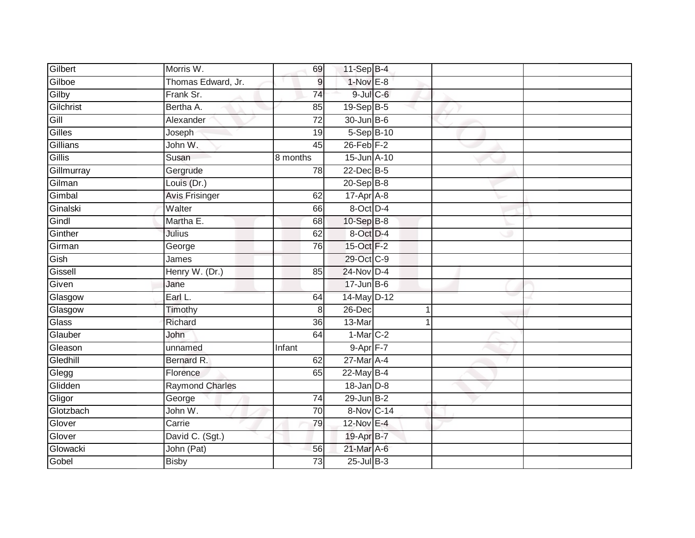| Gilbert    | Morris W.              | 69              | $11-SepB-4$     |   |  |
|------------|------------------------|-----------------|-----------------|---|--|
| Gilboe     | Thomas Edward, Jr.     | 9               | $1-NovE-8$      |   |  |
| Gilby      | Frank Sr.              | $\overline{74}$ | 9-Jul C-6       |   |  |
| Gilchrist  | Bertha A.              | 85              | 19-Sep B-5      |   |  |
| Gill       | Alexander              | $\overline{72}$ | 30-Jun B-6      |   |  |
| Gilles     | Joseph                 | 19              | $5-Sep$ B-10    |   |  |
| Gillians   | John W.                | 45              | $26$ -Feb $F-2$ |   |  |
| Gillis     | Susan                  | 8 months        | 15-Jun A-10     |   |  |
| Gillmurray | Gergrude               | 78              | 22-Dec B-5      |   |  |
| Gilman     | Louis (Dr.)            |                 | 20-Sep B-8      |   |  |
| Gimbal     | <b>Avis Frisinger</b>  | 62              | $17-Apr$ A-8    |   |  |
| Ginalski   | Walter                 | 66              | 8-Oct D-4       |   |  |
| Gindl      | Martha E.              | 68              | 10-Sep B-8      |   |  |
| Ginther    | Julius                 | 62              | 8-Oct D-4       |   |  |
| Girman     | George                 | 76              | 15-Oct F-2      |   |  |
| Gish       | James                  |                 | 29-Oct C-9      |   |  |
| Gissell    | Henry W. (Dr.)         | 85              | 24-Nov D-4      |   |  |
| Given      | Jane                   |                 | $17 - Jun$ B-6  |   |  |
| Glasgow    | Earl L.                | 64              | 14-May D-12     |   |  |
| Glasgow    | Timothy                | 8               | $26$ -Dec       |   |  |
| Glass      | Richard                | 36              | 13-Mar          | 1 |  |
| Glauber    | John                   | 64              | $1-Mar$ C-2     |   |  |
| Gleason    | unnamed                | Infant          | 9-Apr F-7       |   |  |
| Gledhill   | Bernard R.             | 62              | 27-Mar A-4      |   |  |
| Glegg      | Florence               | 65              | 22-May B-4      |   |  |
| Glidden    | <b>Raymond Charles</b> |                 | $18$ -Jan $D-8$ |   |  |
| Gligor     | George                 | $\overline{74}$ | 29-Jun B-2      |   |  |
| Glotzbach  | John W.                | 70              | 8-Nov C-14      |   |  |
| Glover     | Carrie                 | 79              | 12-Nov E-4      |   |  |
| Glover     | David C. (Sgt.)        |                 | 19-Apr B-7      |   |  |
| Glowacki   | John (Pat)             | 56              | 21-Mar A-6      |   |  |
| Gobel      | <b>Bisby</b>           | $\overline{73}$ | $25$ -Jul $B-3$ |   |  |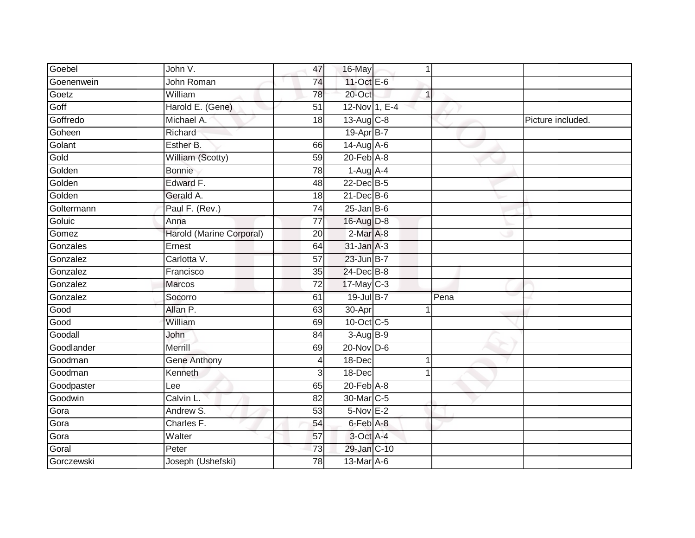| Goebel     | John V.                  | 47              | 16-May           | 1 |      |                   |
|------------|--------------------------|-----------------|------------------|---|------|-------------------|
| Goenenwein | John Roman               | 74              | 11-Oct E-6       |   |      |                   |
| Goetz      | William                  | $\overline{78}$ | 20-Oct           |   |      |                   |
| Goff       | Harold E. (Gene)         | 51              | 12-Nov 1, E-4    |   |      |                   |
| Goffredo   | Michael A.               | 18              | 13-Aug C-8       |   |      | Picture included. |
| Goheen     | Richard                  |                 | 19-Apr B-7       |   |      |                   |
| Golant     | Esther B.                | 66              | 14-Aug A-6       |   |      |                   |
| Gold       | William (Scotty)         | 59              | $20$ -Feb $A-8$  |   |      |                   |
| Golden     | <b>Bonnie</b>            | $\overline{78}$ | $1-Aug$ A-4      |   |      |                   |
| Golden     | Edward F.                | 48              | 22-Dec B-5       |   |      |                   |
| Golden     | Gerald A.                | 18              | $21$ -Dec $B$ -6 |   |      |                   |
| Goltermann | Paul F. (Rev.)           | 74              | $25$ -Jan B-6    |   |      |                   |
| Goluic     | Anna                     | 77              | 16-Aug D-8       |   |      |                   |
| Gomez      | Harold (Marine Corporal) | 20              | $2$ -Mar $A$ -8  |   |      |                   |
| Gonzales   | Ernest                   | 64              | $31$ -Jan $A-3$  |   |      |                   |
| Gonzalez   | Carlotta V.              | 57              | 23-Jun B-7       |   |      |                   |
| Gonzalez   | Francisco                | 35              | 24-Dec B-8       |   |      |                   |
| Gonzalez   | <b>Marcos</b>            | 72              | 17-May C-3       |   |      |                   |
| Gonzalez   | Socorro                  | 61              | 19-Jul B-7       |   | Pena |                   |
| Good       | Allan P.                 | 63              | 30-Apr           |   |      |                   |
| Good       | William                  | 69              | 10-Oct C-5       |   |      |                   |
| Goodall    | John                     | $\overline{84}$ | 3-Aug B-9        |   |      |                   |
| Goodlander | Merrill                  | 69              | $20$ -Nov $D-6$  |   |      |                   |
| Goodman    | <b>Gene Anthony</b>      | $\overline{4}$  | 18-Dec           |   |      |                   |
| Goodman    | Kenneth                  | 3               | 18-Dec           |   |      |                   |
| Goodpaster | Lee                      | 65              | $20$ -Feb $A-8$  |   |      |                   |
| Goodwin    | Calvin L.                | 82              | 30-Mar C-5       |   |      |                   |
| Gora       | Andrew S.                | 53              | $5-Nov$ E-2      |   |      |                   |
| Gora       | Charles F.               | 54              | 6-Feb A-8        |   |      |                   |
| Gora       | Walter                   | 57              | 3-Oct A-4        |   |      |                   |
| Goral      | Peter                    | 73              | 29-Jan C-10      |   |      |                   |
| Gorczewski | Joseph (Ushefski)        | 78              | $13-Mar$ A-6     |   |      |                   |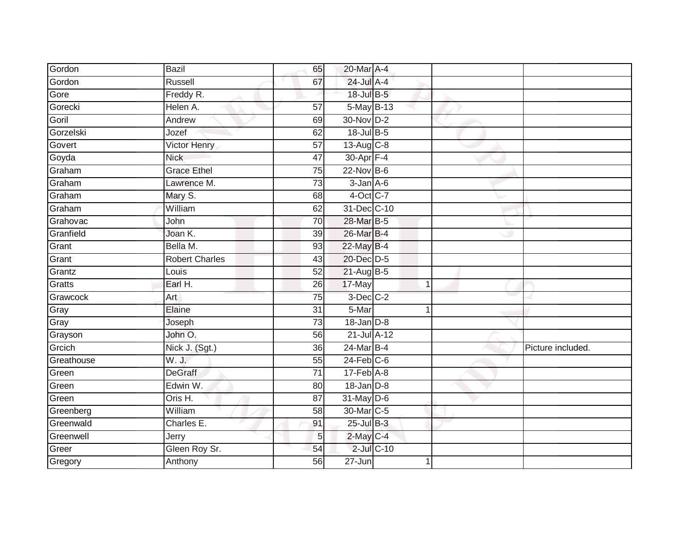| Gordon     | <b>Bazil</b>          | 65              | 20-Mar A-4      |              |                   |
|------------|-----------------------|-----------------|-----------------|--------------|-------------------|
| Gordon     | Russell               | 67              | $24$ -Jul $A-4$ |              |                   |
| Gore       | Freddy R.             |                 | 18-Jul B-5      |              |                   |
| Gorecki    | Helen A.              | 57              | 5-May B-13      |              |                   |
| Goril      | Andrew                | 69              | 30-Nov D-2      |              |                   |
| Gorzelski  | Jozef                 | 62              | $18$ -Jul B-5   |              |                   |
| Govert     | <b>Victor Henry</b>   | 57              | 13-Aug C-8      |              |                   |
| Goyda      | <b>Nick</b>           | 47              | 30-Apr F-4      |              |                   |
| Graham     | <b>Grace Ethel</b>    | 75              | $22$ -Nov $B-6$ |              |                   |
| Graham     | Lawrence M.           | $\overline{73}$ | $3$ -Jan $A$ -6 |              |                   |
| Graham     | Mary S.               | 68              | 4-Oct C-7       |              |                   |
| Graham     | William               | 62              | 31-Dec C-10     |              |                   |
| Grahovac   | John                  | 70              | 28-Mar B-5      |              |                   |
| Granfield  | Joan K.               | 39              | 26-Mar B-4      |              |                   |
| Grant      | Bella M.              | 93              | 22-May B-4      |              |                   |
| Grant      | <b>Robert Charles</b> | 43              | 20-Dec D-5      |              |                   |
| Grantz     | Louis                 | 52              | $21$ -Aug $B-5$ |              |                   |
| Gratts     | Earl H.               | 26              | 17-May          | $\mathbf{1}$ |                   |
| Grawcock   | Art                   | 75              | $3$ -Dec $C-2$  |              |                   |
| Gray       | Elaine                | 31              | 5-Mar           |              |                   |
| Gray       | Joseph                | 73              | $18$ -Jan $D-8$ |              |                   |
| Grayson    | John O.               | 56              | 21-Jul A-12     |              |                   |
| Grcich     | Nick J. (Sgt.)        | 36              | 24-Mar B-4      |              | Picture included. |
| Greathouse | W. J.                 | 55              | $24$ -Feb $C-6$ |              |                   |
| Green      | <b>DeGraff</b>        | $\overline{71}$ | $17$ -Feb $A-8$ |              |                   |
| Green      | Edwin W.              | 80              | $18$ -Jan $D-8$ |              |                   |
| Green      | Oris H.               | 87              | $31$ -May $D-6$ |              |                   |
| Greenberg  | William               | 58              | 30-Mar C-5      |              |                   |
| Greenwald  | Charles E.            | 91              | 25-Jul B-3      |              |                   |
| Greenwell  | Jerry                 | 5               | 2-May C-4       |              |                   |
| Greer      | Gleen Roy Sr.         | 54              | 2-Jul C-10      |              |                   |
| Gregory    | Anthony               | 56              | $27 - Jun$      | 1            |                   |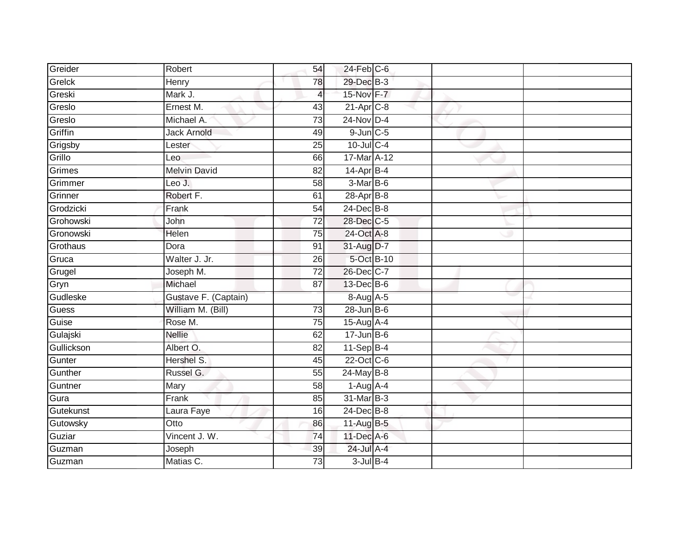| Greider      | Robert               | 54              | $24$ -Feb $C$ -6        |  |
|--------------|----------------------|-----------------|-------------------------|--|
| Grelck       | Henry                | 78              | 29-Dec B-3              |  |
| Greski       | Mark J.              | 4               | 15-Nov F-7              |  |
| Greslo       | Ernest M.            | 43              | $21-Apr$ <sub>C-8</sub> |  |
| Greslo       | Michael A.           | $\overline{73}$ | $24$ -Nov D-4           |  |
| Griffin      | <b>Jack Arnold</b>   | 49              | $9$ -Jun $C$ -5         |  |
| Grigsby      | Lester               | 25              | $10$ -Jul C-4           |  |
| Grillo       | Leo                  | 66              | 17-Mar A-12             |  |
| Grimes       | <b>Melvin David</b>  | 82              | 14-Apr B-4              |  |
| Grimmer      | Leo J.               | $\overline{58}$ | $3-MarB-6$              |  |
| Grinner      | Robert F.            | 61              | $28$ -Apr $B$ -8        |  |
| Grodzicki    | Frank                | $\overline{54}$ | $24$ -Dec $B-8$         |  |
| Grohowski    | John                 | 72              | 28-Dec C-5              |  |
| Gronowski    | Helen                | 75              | 24-Oct A-8              |  |
| Grothaus     | Dora                 | 91              | 31-Aug D-7              |  |
| Gruca        | Walter J. Jr.        | 26              | 5-Oct B-10              |  |
| Grugel       | Joseph M.            | $\overline{72}$ | 26-Dec C-7              |  |
| Gryn         | Michael              | 87              | 13-Dec B-6              |  |
| Gudleske     | Gustave F. (Captain) |                 | 8-Aug A-5               |  |
| <b>Guess</b> | William M. (Bill)    | $\overline{73}$ | $28$ -Jun $B$ -6        |  |
| Guise        | Rose M.              | 75              | 15-Aug A-4              |  |
| Gulajski     | <b>Nellie</b>        | 62              | $17 - Jun$ B-6          |  |
| Gullickson   | Albert O.            | 82              | $11-SepB-4$             |  |
| Gunter       | Hershel S.           | 45              | 22-Oct C-6              |  |
| Gunther      | Russel G.            | $\overline{55}$ | $24$ -May B-8           |  |
| Guntner      | Mary                 | 58              | $1-Aug$ A-4             |  |
| Gura         | Frank                | 85              | 31-Mar B-3              |  |
| Gutekunst    | Laura Faye           | 16              | 24-Dec B-8              |  |
| Gutowsky     | Otto                 | 86              | 11-Aug B-5              |  |
| Guziar       | Vincent J. W.        | 74              | 11-Dec A-6              |  |
| Guzman       | Joseph               | 39              | 24-Jul A-4              |  |
| Guzman       | Matias C.            | $\overline{73}$ | $3$ -Jul $B-4$          |  |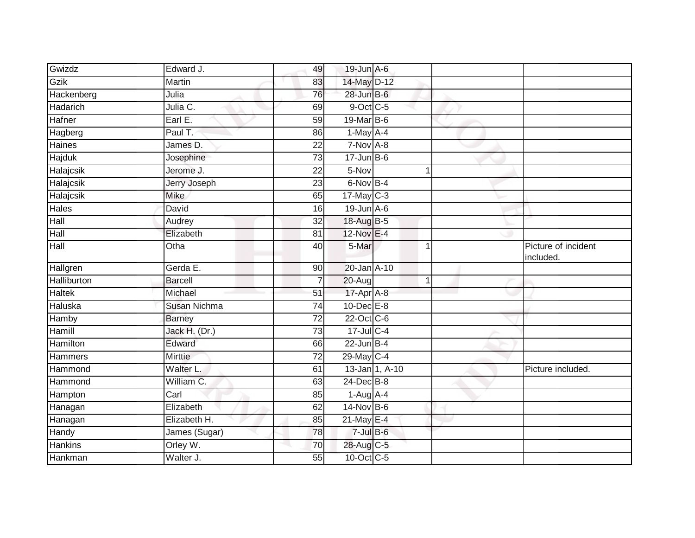| Gwizdz          | Edward J.           | 49              | 19-Jun A-6        |              |                                  |
|-----------------|---------------------|-----------------|-------------------|--------------|----------------------------------|
| Gzik            | Martin              | 83              | 14-May D-12       |              |                                  |
| Hackenberg      | Julia               | 76              | 28-Jun B-6        |              |                                  |
| Hadarich        | Julia C.            | 69              | 9-Oct C-5         |              |                                  |
| Hafner          | Earl E.             | 59              | 19-Mar B-6        |              |                                  |
| Hagberg         | Paul T.             | 86              | $1-May$ A-4       |              |                                  |
| Haines          | James D.            | 22              | 7-Nov A-8         |              |                                  |
| Hajduk          | Josephine           | 73              | $17 - Jun$ B-6    |              |                                  |
| Halajcsik       | Jerome J.           | 22              | 5-Nov             |              |                                  |
| Halajcsik       | <b>Jerry Joseph</b> | $\overline{23}$ | 6-Nov B-4         |              |                                  |
| Halajcsik       | <b>Mike</b>         | 65              | $17$ -May C-3     |              |                                  |
| Hales           | David               | 16              | $19$ -Jun $A$ -6  |              |                                  |
| Hall            | Audrey              | 32              | 18-Aug B-5        |              |                                  |
| Hall            | Elizabeth           | 81              | 12-Nov E-4        |              |                                  |
| Hall            | Otha                | 40              | 5-Mar             | 1            | Picture of incident<br>included. |
| Hallgren        | Gerda E.            | 90              | 20-Jan A-10       |              |                                  |
| Halliburton     | <b>Barcell</b>      | $\overline{7}$  | 20-Aug            | $\mathbf{1}$ |                                  |
| <b>Haltek</b>   | Michael             | 51              | 17-Apr A-8        |              |                                  |
| Haluska         | Susan Nichma        | 74              | $10$ -Dec $E - 8$ |              |                                  |
| Hamby           | <b>Barney</b>       | $\overline{72}$ | 22-Oct C-6        |              |                                  |
| Hamill          | Jack H. (Dr.)       | 73              | $17 -$ Jul C-4    |              |                                  |
| <b>Hamilton</b> | Edward              | 66              | $22$ -Jun B-4     |              |                                  |
| <b>Hammers</b>  | <b>Mirttie</b>      | 72              | 29-May C-4        |              |                                  |
| Hammond         | Walter L.           | 61              | 13-Jan 1, A-10    |              | Picture included.                |
| Hammond         | William C.          | 63              | 24-Dec B-8        |              |                                  |
| Hampton         | Carl                | 85              | $1-Aug$ A-4       |              |                                  |
| Hanagan         | Elizabeth           | 62              | 14-Nov B-6        |              |                                  |
| Hanagan         | Elizabeth H.        | 85              | 21-May E-4        |              |                                  |
| Handy           | James (Sugar)       | 78              | $7$ -Jul $B$ -6   |              |                                  |
| <b>Hankins</b>  | Orley W.            | 70              | 28-Aug C-5        |              |                                  |
| Hankman         | Walter J.           | 55              | 10-Oct C-5        |              |                                  |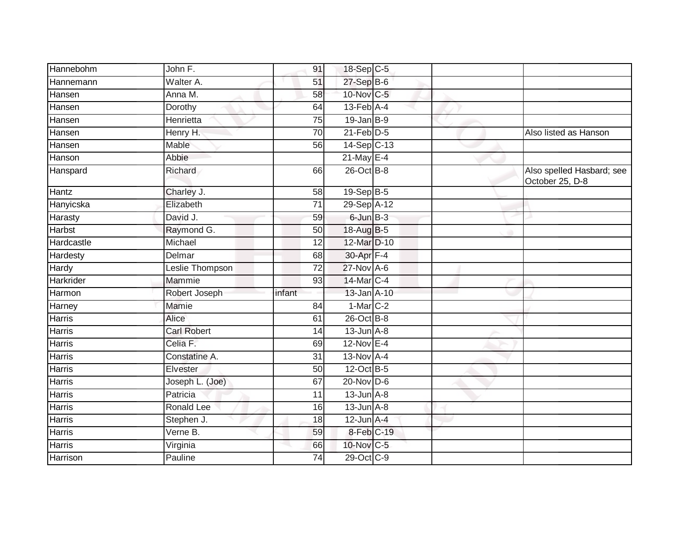| Hannebohm     | John F.            | 91              | 18-Sep C-5                  |  |                                              |
|---------------|--------------------|-----------------|-----------------------------|--|----------------------------------------------|
| Hannemann     | Walter A.          | 51              | $27-$ Sep $B-6$             |  |                                              |
| Hansen        | Anna M.            | 58              | 10-Nov C-5                  |  |                                              |
| Hansen        | Dorothy            | 64              | $13$ -Feb $\overline{A}$ -4 |  |                                              |
| Hansen        | Henrietta          | $\overline{75}$ | $19$ -Jan B-9               |  |                                              |
| Hansen        | Henry H.           | $\overline{70}$ | $21$ -Feb $D-5$             |  | Also listed as Hanson                        |
| Hansen        | Mable              | 56              | $14-Sep$ C-13               |  |                                              |
| Hanson        | Abbie              |                 | $21$ -May E-4               |  |                                              |
| Hanspard      | Richard            | 66              | 26-Oct B-8                  |  | Also spelled Hasbard; see<br>October 25, D-8 |
| Hantz         | Charley J.         | 58              | 19-Sep B-5                  |  |                                              |
| Hanyicska     | Elizabeth          | 71              | 29-Sep A-12                 |  |                                              |
| Harasty       | David J.           | 59              | $6$ -Jun $B-3$              |  |                                              |
| <b>Harbst</b> | Raymond G.         | 50              | 18-Aug B-5                  |  |                                              |
| Hardcastle    | Michael            | 12              | 12-Mar D-10                 |  |                                              |
| Hardesty      | Delmar             | 68              | 30-Apr F-4                  |  |                                              |
| Hardy         | Leslie Thompson    | 72              | 27-Nov A-6                  |  |                                              |
| Harkrider     | Mammie             | 93              | 14-Mar C-4                  |  |                                              |
| Harmon        | Robert Joseph      | infant          | 13-Jan A-10                 |  |                                              |
| Harney        | Mamie              | 84              | $1-Mar$ C-2                 |  |                                              |
| Harris        | Alice              | 61              | $26$ -Oct B-8               |  |                                              |
| Harris        | <b>Carl Robert</b> | 14              | $13$ -Jun $A - 8$           |  |                                              |
| Harris        | Celia F.           | 69              | 12-Nov E-4                  |  |                                              |
| Harris        | Constatine A.      | 31              | 13-Nov A-4                  |  |                                              |
| Harris        | Elvester           | 50              | 12-Oct B-5                  |  |                                              |
| Harris        | Joseph L. (Joe)    | 67              | $20$ -Nov $D-6$             |  |                                              |
| Harris        | Patricia           | 11              | $13$ -Jun $A - 8$           |  |                                              |
| Harris        | <b>Ronald Lee</b>  | 16              | $13$ -Jun $A-8$             |  |                                              |
| Harris        | Stephen J.         | 18              | $12$ -Jun $A-4$             |  |                                              |
| Harris        | Verne B.           | 59              | 8-Feb C-19                  |  |                                              |
| Harris        | Virginia           | 66              | 10-Nov C-5                  |  |                                              |
| Harrison      | Pauline            | 74              | 29-Oct C-9                  |  |                                              |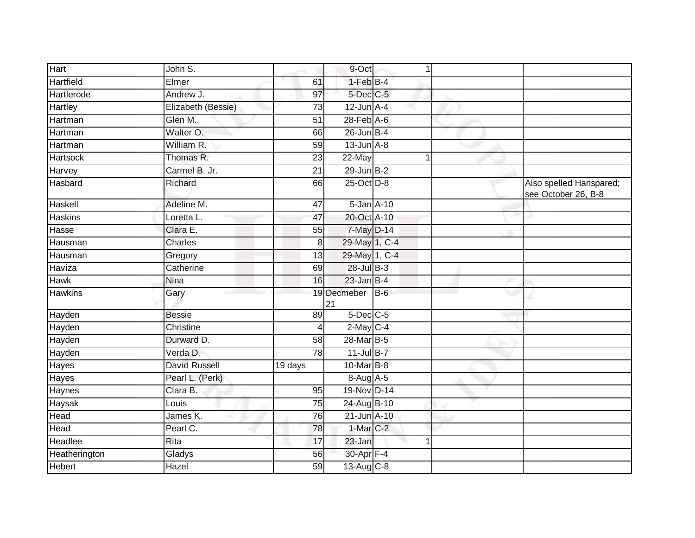| Hart           | John S.              |                 | 9-Oct             | 1     |                                                |
|----------------|----------------------|-----------------|-------------------|-------|------------------------------------------------|
| Hartfield      | Elmer                | 61              | $1-FebB-4$        |       |                                                |
| Hartlerode     | Andrew J.            | $\overline{97}$ | 5-Dec C-5         |       |                                                |
| Hartley        | Elizabeth (Bessie)   | 73              | $12$ -Jun $A-4$   |       |                                                |
| Hartman        | Glen M.              | 51              | $28$ -Feb $A$ -6  |       |                                                |
| Hartman        | Walter O.            | 66              | $26$ -Jun $B-4$   |       |                                                |
| Hartman        | William R.           | 59              | $13$ -Jun $A-8$   |       |                                                |
| Hartsock       | Thomas R.            | 23              | 22-May            |       |                                                |
| Harvey         | Carmel B. Jr.        | 21              | $29$ -Jun $B-2$   |       |                                                |
| Hasbard        | Richard              | 66              | 25-Oct D-8        |       | Also spelled Hanspared;<br>see October 26, B-8 |
| Haskell        | Adeline M.           | 47              | 5-Jan A-10        |       |                                                |
| <b>Haskins</b> | Loretta L.           | 47              | 20-Oct A-10       |       |                                                |
| Hasse          | Clara E.             | $\overline{55}$ | 7-May D-14        |       |                                                |
| Hausman        | Charles              | 8               | 29-May 1, C-4     |       |                                                |
| Hausman        | Gregory              | 13              | 29-May 1, C-4     |       |                                                |
| Haviza         | Catherine            | 69              | $28$ -Jul B-3     |       |                                                |
| Hawk           | <b>Nina</b>          | 16              | $23$ -Jan B-4     |       |                                                |
| <b>Hawkins</b> | Gary                 |                 | 19 Decmeber<br>21 | $B-6$ |                                                |
| Hayden         | <b>Bessie</b>        | 89              | 5-Dec C-5         |       |                                                |
| Hayden         | Christine            | 4               | $2$ -May C-4      |       |                                                |
| Hayden         | Durward D.           | 58              | 28-Mar B-5        |       |                                                |
| Hayden         | Verda D.             | $\overline{78}$ | 11-Jul B-7        |       |                                                |
| Hayes          | <b>David Russell</b> | 19 days         | 10-Mar B-8        |       |                                                |
| Hayes          | Pearl L. (Perk)      |                 | 8-Aug A-5         |       |                                                |
| Haynes         | Clara B.             | 95              | 19-Nov D-14       |       |                                                |
| Haysak         | Louis                | $\overline{75}$ | 24-Aug B-10       |       |                                                |
| Head           | James K.             | 76              | 21-Jun A-10       |       |                                                |
| Head           | Pearl C.             | 78              | $1-Mar$ C-2       |       |                                                |
| Headlee        | Rita                 | 17              | 23-Jan            | 1     |                                                |
| Heatherington  | Gladys               | 56              | 30-Apr F-4        |       |                                                |
| Hebert         | Hazel                | 59              | 13-Aug $C-8$      |       |                                                |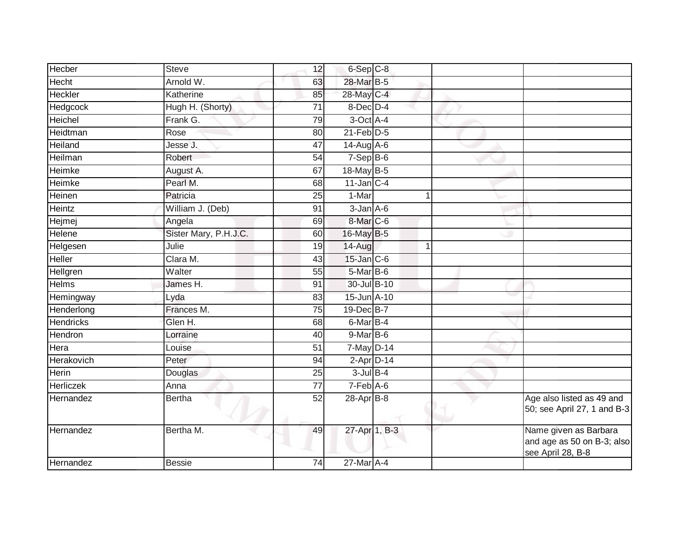| Hecber           | <b>Steve</b>          | 12 | 6-Sep C-8             |   |                                                                          |
|------------------|-----------------------|----|-----------------------|---|--------------------------------------------------------------------------|
| Hecht            | Arnold W.             | 63 | 28-Mar B-5            |   |                                                                          |
| Heckler          | Katherine             | 85 | 28-May C-4            |   |                                                                          |
| Hedgcock         | Hugh H. (Shorty)      | 71 | $8$ -Dec $D-4$        |   |                                                                          |
| Heichel          | Frank G.              | 79 | 3-Oct A-4             |   |                                                                          |
| Heidtman         | Rose                  | 80 | $21$ -Feb $D-5$       |   |                                                                          |
| Heiland          | Jesse J.              | 47 | $14$ -Aug $A$ -6      |   |                                                                          |
| Heilman          | Robert                | 54 | $7-Sep$ B-6           |   |                                                                          |
| Heimke           | August A.             | 67 | 18-May B-5            |   |                                                                          |
| Heimke           | Pearl M.              | 68 | $11$ -Jan $C-4$       |   |                                                                          |
| Heinen           | Patricia              | 25 | 1-Mar                 | 1 |                                                                          |
| Heintz           | William J. (Deb)      | 91 | $3 - Jan A - 6$       |   |                                                                          |
| Hejmej           | Angela                | 69 | 8-Mar <sub>IC-6</sub> |   |                                                                          |
| Helene           | Sister Mary, P.H.J.C. | 60 | 16-May B-5            |   |                                                                          |
| Helgesen         | Julie                 | 19 | 14-Aug                | 1 |                                                                          |
| Heller           | Clara M.              | 43 | $15$ -Jan $C$ -6      |   |                                                                          |
| Hellgren         | Walter                | 55 | 5-Mar B-6             |   |                                                                          |
| Helms            | James H.              | 91 | 30-Jul B-10           |   |                                                                          |
| Hemingway        | Lyda                  | 83 | 15-Jun A-10           |   |                                                                          |
| Henderlong       | Frances M.            | 75 | 19-Dec B-7            |   |                                                                          |
| <b>Hendricks</b> | Glen H.               | 68 | 6-Mar B-4             |   |                                                                          |
| Hendron          | Lorraine              | 40 | 9-Mar B-6             |   |                                                                          |
| Hera             | Louise                | 51 | 7-May D-14            |   |                                                                          |
| Herakovich       | Peter                 | 94 | $2$ -Apr $D-14$       |   |                                                                          |
| Herin            | Douglas               | 25 | $3$ -Jul $B-4$        |   |                                                                          |
| <b>Herliczek</b> | Anna                  | 77 | $7-Feb$ A-6           |   |                                                                          |
| Hernandez        | <b>Bertha</b>         | 52 | $28-Apr$ B-8          |   | Age also listed as 49 and<br>50; see April 27, 1 and B-3                 |
| Hernandez        | Bertha M.             | 49 | 27-Apr 1, B-3         |   | Name given as Barbara<br>and age as 50 on B-3; also<br>see April 28, B-8 |
| Hernandez        | <b>Bessie</b>         | 74 | 27-Mar A-4            |   |                                                                          |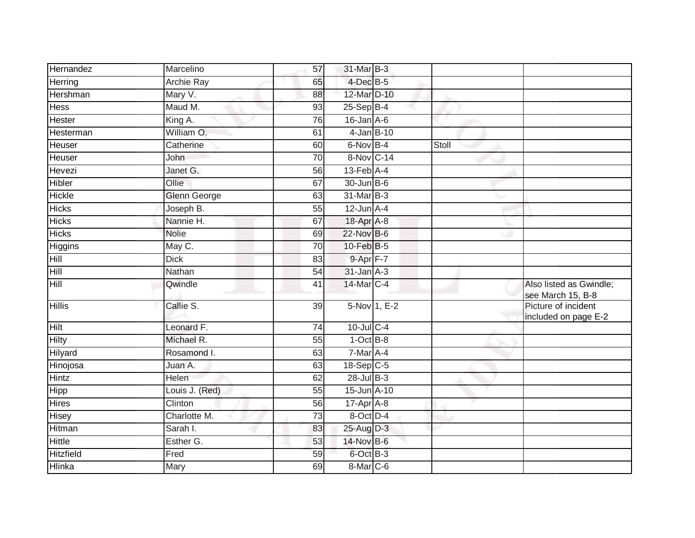| Hernandez        | Marcelino         | 57              | 31-Mar B-3                     |              |       |                                              |
|------------------|-------------------|-----------------|--------------------------------|--------------|-------|----------------------------------------------|
| Herring          | <b>Archie Ray</b> | 65              | $4$ -Dec $B$ -5                |              |       |                                              |
| Hershman         | Mary V.           | 88              | 12-Mar D-10                    |              |       |                                              |
| Hess             | Maud M.           | 93              | $25-Sep$ B-4                   |              |       |                                              |
| Hester           | King A.           | $\overline{76}$ | $16$ -Jan $A-6$                |              |       |                                              |
| Hesterman        | William O.        | 61              | $4$ -Jan $B-10$                |              |       |                                              |
| Heuser           | Catherine         | 60              | $6-Nov$ B-4                    |              | Stoll |                                              |
| Heuser           | John              | 70              | 8-Nov C-14                     |              |       |                                              |
| Hevezi           | Janet G.          | 56              | $13$ -Feb $\overline{A}$ -4    |              |       |                                              |
| <b>Hibler</b>    | Ollie             | 67              | 30-Jun B-6                     |              |       |                                              |
| Hickle           | Glenn George      | 63              | 31-Mar B-3                     |              |       |                                              |
| <b>Hicks</b>     | Joseph B.         | 55              | $12$ -Jun $A-4$                |              |       |                                              |
| <b>Hicks</b>     | Nannie H.         | 67              | 18-Apr A-8                     |              |       |                                              |
| <b>Hicks</b>     | <b>Nolie</b>      | 69              | 22-Nov B-6                     |              |       |                                              |
| <b>Higgins</b>   | May C.            | $\overline{70}$ | 10-Feb B-5                     |              |       |                                              |
| Hill             | <b>Dick</b>       | 83              | 9-Apr F-7                      |              |       |                                              |
| Hill             | Nathan            | 54              | $31$ -Jan $A-3$                |              |       |                                              |
| Hill             | Qwindle           | 41              | 14-Mar C-4                     |              |       | Also listed as Gwindle;<br>see March 15, B-8 |
| <b>Hillis</b>    | Callie S.         | 39              |                                | 5-Nov 1, E-2 |       | Picture of incident<br>included on page E-2  |
| <b>Hilt</b>      | Leonard F.        | $\overline{74}$ | 10-Jul C-4                     |              |       |                                              |
| Hilty            | Michael R.        | 55              | $1-Oct$ B-8                    |              |       |                                              |
| Hilyard          | Rosamond I.       | 63              | $7-MarA-4$                     |              |       |                                              |
| Hinojosa         | Juan A.           | 63              | $18-\overline{\text{Sep }C-5}$ |              |       |                                              |
| Hintz            | <b>Helen</b>      | 62              | $28$ -Jul $B-3$                |              |       |                                              |
| <b>Hipp</b>      | Louis J. (Red)    | $\overline{55}$ | 15-Jun A-10                    |              |       |                                              |
| Hires            | Clinton           | 56              | 17-Apr A-8                     |              |       |                                              |
| Hisey            | Charlotte M.      | 73              | 8-Oct D-4                      |              |       |                                              |
| Hitman           | Sarah I.          | 83              | 25-Aug D-3                     |              |       |                                              |
| <b>Hittle</b>    | Esther G.         | 53              | 14-Nov B-6                     |              |       |                                              |
| <b>Hitzfield</b> | Fred              | 59              | 6-Oct B-3                      |              |       |                                              |
| Hlinka           | Mary              | 69              | 8-Mar C-6                      |              |       |                                              |
|                  |                   |                 |                                |              |       |                                              |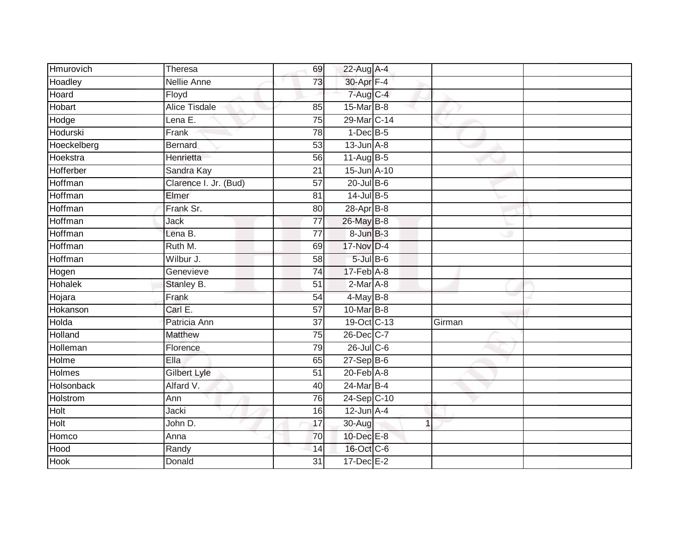| Hmurovich   | Theresa               | 69              | 22-Aug A-4            |        |  |
|-------------|-----------------------|-----------------|-----------------------|--------|--|
| Hoadley     | Nellie Anne           | 73              | 30-Apr F-4            |        |  |
| Hoard       | Floyd                 |                 | 7-Aug C-4             |        |  |
| Hobart      | <b>Alice Tisdale</b>  | 85              | 15-Mar B-8            |        |  |
| Hodge       | Lena E.               | $\overline{75}$ | 29-Mar C-14           |        |  |
| Hodurski    | Frank                 | 78              | $1-Dec$ B-5           |        |  |
| Hoeckelberg | <b>Bernard</b>        | $\overline{53}$ | $13$ -Jun $A-8$       |        |  |
| Hoekstra    | Henrietta             | 56              | 11-Aug B-5            |        |  |
| Hofferber   | Sandra Kay            | 21              | 15-Jun A-10           |        |  |
| Hoffman     | Clarence I. Jr. (Bud) | $\overline{57}$ | $20$ -Jul B-6         |        |  |
| Hoffman     | Elmer                 | 81              | $14$ -Jul B-5         |        |  |
| Hoffman     | Frank Sr.             | 80              | $28-Apr$ B-8          |        |  |
| Hoffman     | Jack                  | 77              | 26-May B-8            |        |  |
| Hoffman     | Lena B.               | 77              | 8-Jun B-3             |        |  |
| Hoffman     | Ruth M.               | 69              | 17-Nov D-4            |        |  |
| Hoffman     | Wilbur J.             | 58              | $5$ -Jul $B$ -6       |        |  |
| Hogen       | Genevieve             | $\overline{74}$ | $17 - \text{Feb}$ A-8 |        |  |
| Hohalek     | Stanley B.            | 51              | $2-Mar A-8$           |        |  |
| Hojara      | Frank                 | 54              | 4-May B-8             |        |  |
| Hokanson    | Carl E.               | $\overline{57}$ | 10-Mar B-8            |        |  |
| Holda       | Patricia Ann          | $\overline{37}$ | 19-Oct C-13           | Girman |  |
| Holland     | Matthew               | 75              | 26-Dec C-7            |        |  |
| Holleman    | Florence              | 79              | $26$ -Jul C-6         |        |  |
| Holme       | Ella                  | 65              | $27-Sep$ B-6          |        |  |
| Holmes      | Gilbert Lyle          | 51              | $20$ -Feb $A-8$       |        |  |
| Holsonback  | Alfard V.             | 40              | 24-Mar B-4            |        |  |
| Holstrom    | Ann                   | 76              | 24-Sep C-10           |        |  |
| Holt        | Jacki                 | 16              | $12$ -Jun $A-4$       |        |  |
| Holt        | John D.               | 17              | 30-Aug                | 1      |  |
| Homco       | Anna                  | 70              | 10-Dec E-8            |        |  |
| Hood        | Randy                 | 14              | 16-Oct C-6            |        |  |
| <b>Hook</b> | Donald                | $\overline{31}$ | 17-Dec E-2            |        |  |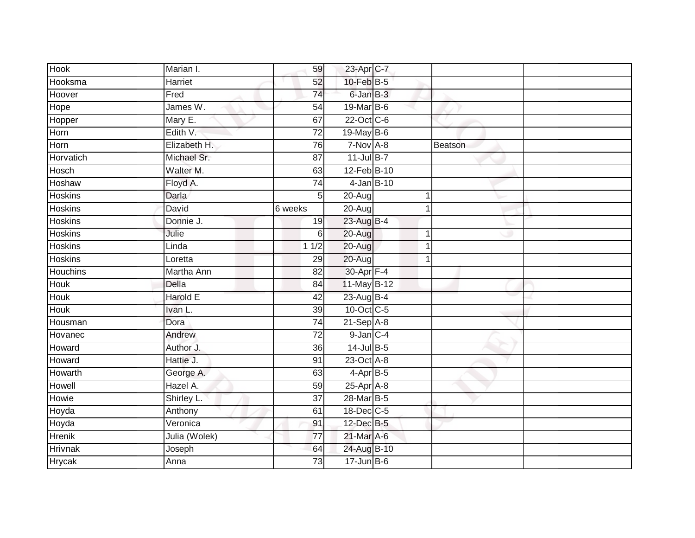| Hook            | Marian I.       | 59              | 23-Apr C-7            |             |
|-----------------|-----------------|-----------------|-----------------------|-------------|
| Hooksma         | Harriet         | 52              | 10-Feb B-5            |             |
| Hoover          | Fred            | $\overline{74}$ | 6-Jan B-3             |             |
| Hope            | James W.        | 54              | 19-Mar B-6            |             |
| Hopper          | Mary E.         | 67              | 22-Oct C-6            |             |
| Horn            | Edith V:        | 72              | 19-May B-6            |             |
| Horn            | Elizabeth H.    | 76              | 7-Nov A-8             | Beatson     |
| Horvatich       | Michael Sr.     | 87              | $11$ -Jul B-7         |             |
| Hosch           | Walter M.       | 63              | 12-Feb B-10           |             |
| Hoshaw          | Floyd A.        | $\overline{74}$ | $4$ -Jan B-10         |             |
| <b>Hoskins</b>  | Darla           | 5               | 20-Aug                | 1           |
| <b>Hoskins</b>  | David           | 6 weeks         | $20 - Aug$            | 1           |
| <b>Hoskins</b>  | Donnie J.       | 19              | 23-Aug B-4            |             |
| <b>Hoskins</b>  | Julie           | 6               | 20-Aug                | 1           |
| <b>Hoskins</b>  | Linda           | 11/2            | 20-Aug                | $\mathbf 1$ |
| Hoskins         | Loretta         | 29              | 20-Aug                | 1           |
| <b>Houchins</b> | Martha Ann      | $\overline{82}$ | 30-Apr <sub>F-4</sub> |             |
| Houk            | <b>Della</b>    | 84              | 11-May B-12           |             |
| <b>Houk</b>     | <b>Harold E</b> | 42              | 23-Aug B-4            |             |
| <b>Houk</b>     | Ivan L.         | 39              | 10-Oct C-5            |             |
| Housman         | Dora            | 74              | $21-Sep$ A-8          |             |
| Hovanec         | Andrew          | $\overline{72}$ | $9$ -Jan $C-4$        |             |
| Howard          | Author J.       | 36              | $14$ -Jul B-5         |             |
| Howard          | Hattie J.       | 91              | 23-Oct A-8            |             |
| Howarth         | George A.       | 63              | $4-AprB-5$            |             |
| Howell          | Hazel A.        | 59              | $25-Apr$ A-8          |             |
| Howie           | Shirley L.      | $\overline{37}$ | 28-Mar B-5            |             |
| Hoyda           | Anthony         | 61              | 18-Dec C-5            |             |
| Hoyda           | Veronica        | 91              | 12-Dec B-5            |             |
| Hrenik          | Julia (Wolek)   | $\overline{77}$ | 21-Mar A-6            |             |
| <b>Hrivnak</b>  | Joseph          | 64              | 24-Aug B-10           |             |
| <b>Hrycak</b>   | Anna            | 73              | $17 - Jun$ B-6        |             |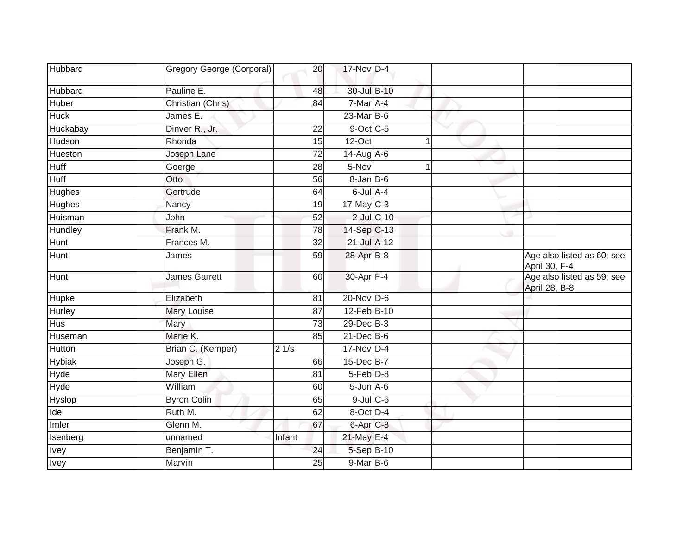| Hubbard       | Gregory George (Corporal) | 20              | 17-Nov D-4           |                  |   |   |                                             |
|---------------|---------------------------|-----------------|----------------------|------------------|---|---|---------------------------------------------|
| Hubbard       | Pauline E.                | 48              | 30-Jul B-10          |                  |   |   |                                             |
| Huber         | Christian (Chris)         | 84              | 7-Mar A-4            |                  |   |   |                                             |
| <b>Huck</b>   | James E.                  |                 | 23-Mar B-6           |                  |   |   |                                             |
| Huckabay      | Dinver R., Jr.            | 22              | 9-Oct C-5            |                  |   | v |                                             |
| Hudson        | Rhonda                    | 15              | 12-Oct               |                  |   |   |                                             |
| Hueston       | Joseph Lane               | 72              | $14$ -Aug $A$ -6     |                  |   |   |                                             |
| Huff          | Goerge                    | 28              | 5-Nov                |                  | 4 |   |                                             |
| Huff          | Otto                      | 56              | 8-Jan B-6            |                  |   |   |                                             |
| <b>Hughes</b> | Gertrude                  | 64              | $6$ -Jul $A$ -4      |                  |   |   |                                             |
| Hughes        | Nancy                     | 19              | $17$ -May C-3        |                  |   |   |                                             |
| Huisman       | John                      | 52              |                      | $2$ -Jul $C$ -10 |   |   |                                             |
| Hundley       | Frank M.                  | 78              | 14-Sep C-13          |                  |   |   |                                             |
| <b>Hunt</b>   | Frances M.                | 32              | 21-Jul A-12          |                  |   |   |                                             |
| <b>Hunt</b>   | James                     | 59              | 28-Apr B-8           |                  |   |   | Age also listed as 60; see<br>April 30, F-4 |
| Hunt          | <b>James Garrett</b>      | 60              | 30-Apr F-4           |                  |   |   | Age also listed as 59; see<br>April 28, B-8 |
| Hupke         | Elizabeth                 | 81              | $20$ -Nov $D-6$      |                  |   |   |                                             |
| <b>Hurley</b> | <b>Mary Louise</b>        | $\overline{87}$ | 12-Feb B-10          |                  |   |   |                                             |
| <b>Hus</b>    | Mary                      | 73              | $29$ -Dec $B-3$      |                  |   |   |                                             |
| Huseman       | Marie K.                  | 85              | $21$ -Dec $B$ -6     |                  |   |   |                                             |
| Hutton        | Brian C. (Kemper)         | 21/s            | 17-Nov D-4           |                  |   |   |                                             |
| <b>Hybiak</b> | Joseph G.                 | 66              | 15-Dec B-7           |                  |   |   |                                             |
| Hyde          | <b>Mary Ellen</b>         | $\overline{81}$ | $5-Feb$ $D-8$        |                  |   |   |                                             |
| Hyde          | William                   | 60              | $5 - Jun$ $A - 6$    |                  |   |   |                                             |
| Hyslop        | <b>Byron Colin</b>        | 65              | $9$ -Jul $C$ -6      |                  |   |   |                                             |
| Ide           | Ruth M.                   | 62              | 8-Oct D-4            |                  |   |   |                                             |
| Imler         | Glenn M.                  | 67              | 6-Apr <sub>C-8</sub> |                  |   |   |                                             |
| Isenberg      | unnamed                   | Infant          | 21-May E-4           |                  |   |   |                                             |
| <b>Ivey</b>   | Benjamin T.               | 24              | 5-Sep B-10           |                  |   |   |                                             |
| <b>Ivey</b>   | Marvin                    | $\overline{25}$ | 9-Mar B-6            |                  |   |   |                                             |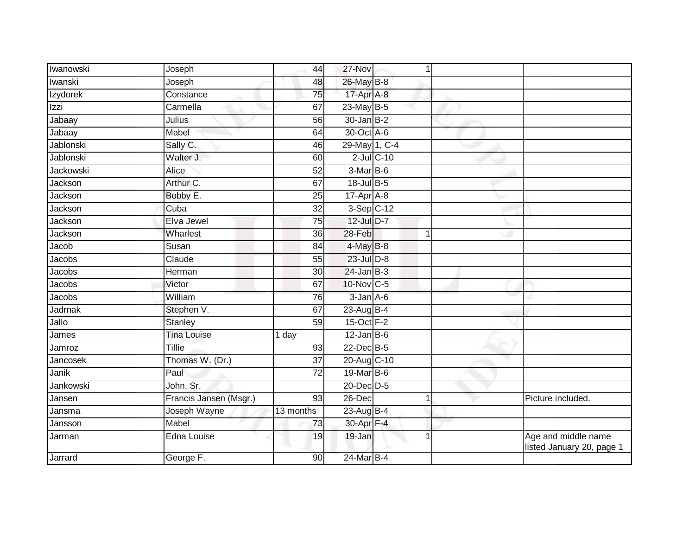| Iwanowski | Joseph                 | 44              | 27-Nov            |                  | 1           |                                                  |
|-----------|------------------------|-----------------|-------------------|------------------|-------------|--------------------------------------------------|
| Iwanski   | Joseph                 | 48              | 26-May B-8        |                  |             |                                                  |
| Izydorek  | Constance              | 75              | 17-Apr A-8        |                  |             |                                                  |
| Izzi      | Carmella               | 67              | 23-May B-5        |                  |             |                                                  |
| Jabaay    | Julius                 | 56              | $30 - Jan$ $B-2$  |                  |             |                                                  |
| Jabaay    | Mabel                  | 64              | 30-Oct A-6        |                  |             |                                                  |
| Jablonski | Sally C.               | 46              | 29-May 1, C-4     |                  |             |                                                  |
| Jablonski | Walter J.              | 60              |                   | $2$ -Jul $C$ -10 |             |                                                  |
| Jackowski | Alice                  | 52              | 3-Mar B-6         |                  |             |                                                  |
| Jackson   | Arthur C.              | 67              | 18-Jul B-5        |                  |             |                                                  |
| Jackson   | Bobby E.               | 25              | $17$ -Apr $A$ -8  |                  |             |                                                  |
| Jackson   | Cuba                   | 32              | $3-Sep C-12$      |                  |             |                                                  |
| Jackson   | Elva Jewel             | 75              | 12-Jul D-7        |                  |             |                                                  |
| Jackson   | Wharlest               | 36              | 28-Feb            |                  | $\mathbf 1$ |                                                  |
| Jacob     | Susan                  | 84              | 4-May B-8         |                  |             |                                                  |
| Jacobs    | Claude                 | 55              | $23$ -Jul $D-8$   |                  |             |                                                  |
| Jacobs    | Herman                 | 30              | $24$ -Jan B-3     |                  |             |                                                  |
| Jacobs    | Victor                 | 67              | $10$ -Nov $ C-5 $ |                  |             |                                                  |
| Jacobs    | William                | 76              | $3$ -Jan $A$ -6   |                  |             |                                                  |
| Jadrnak   | Stephen V.             | 67              | 23-Aug B-4        |                  |             |                                                  |
| Jallo     | <b>Stanley</b>         | 59              | $15$ -Oct $F-2$   |                  |             |                                                  |
| James     | <b>Tina Louise</b>     | 1 day           | $12$ -Jan B-6     |                  |             |                                                  |
| Jamroz    | Tillie                 | 93              | 22-Dec B-5        |                  |             |                                                  |
| Jancosek  | Thomas W. (Dr.)        | $\overline{37}$ | 20-Aug C-10       |                  |             |                                                  |
| Janik     | Paul                   | $\overline{72}$ | 19-Mar B-6        |                  |             |                                                  |
| Jankowski | John, Sr.              |                 | 20-Dec D-5        |                  |             |                                                  |
| Jansen    | Francis Jansen (Msgr.) | 93              | 26-Dec            |                  | 1           | Picture included.                                |
| Jansma    | Joseph Wayne           | 13 months       | 23-Aug B-4        |                  |             |                                                  |
| Jansson   | Mabel                  | 73              | 30-Apr F-4        |                  |             |                                                  |
| Jarman    | Edna Louise            | 19              | 19-Jan            |                  | 1           | Age and middle name<br>listed January 20, page 1 |
| Jarrard   | George F.              | 90              | 24-Mar B-4        |                  |             |                                                  |
|           |                        |                 |                   |                  |             |                                                  |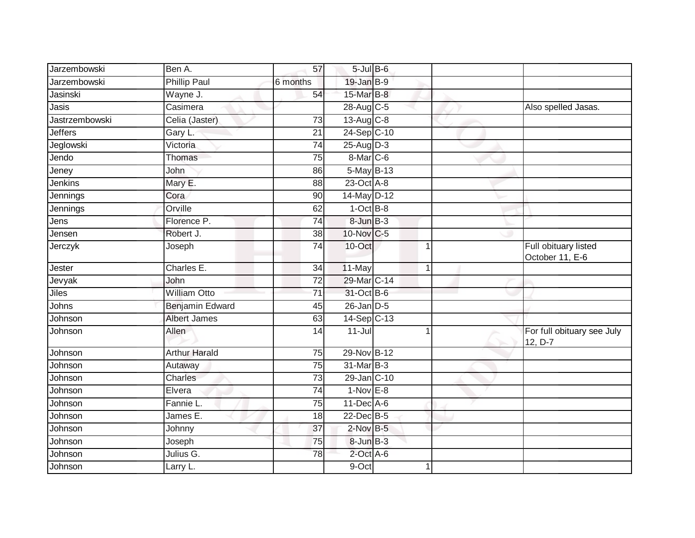| Jarzembowski          | Ben A.               | 57              | $5$ -Jul $B$ -6 |  |                                         |
|-----------------------|----------------------|-----------------|-----------------|--|-----------------------------------------|
| <b>Jarzembowski</b>   | <b>Phillip Paul</b>  | 6 months        | 19-Jan B-9      |  |                                         |
| Jasinski              | Wayne J.             | 54              | 15-Mar B-8      |  |                                         |
| Jasis                 | Casimera             |                 | 28-Aug C-5      |  | Also spelled Jasas.                     |
| <b>Jastrzembowski</b> | Celia (Jaster)       | $\overline{73}$ | 13-Aug C-8      |  |                                         |
| Jeffers               | Gary L.              | $\overline{21}$ | $24-Sep$ C-10   |  |                                         |
| Jeglowski             | Victoria             | 74              | 25-Aug D-3      |  |                                         |
| Jendo                 | Thomas               | $\overline{75}$ | 8-Mar C-6       |  |                                         |
| Jeney                 | John                 | 86              | 5-May B-13      |  |                                         |
| <b>Jenkins</b>        | Mary E.              | 88              | $23$ -Oct $A-8$ |  |                                         |
| Jennings              | Cora                 | 90              | 14-May D-12     |  |                                         |
| Jennings              | Orville              | 62              | $1-Oct$ B-8     |  |                                         |
| Jens                  | Florence P.          | $\overline{74}$ | 8-Jun B-3       |  |                                         |
| Jensen                | Robert J.            | 38              | 10-Nov C-5      |  |                                         |
| Jerczyk               | Joseph               | $\overline{74}$ | 10-Oct          |  | Full obituary listed<br>October 11, E-6 |
| Jester                | Charles E.           | 34              | 11-May          |  |                                         |
| Jevyak                | John                 | $\overline{72}$ | 29-Mar C-14     |  |                                         |
| <b>Jiles</b>          | <b>William Otto</b>  | 71              | 31-Oct B-6      |  |                                         |
| Johns                 | Benjamin Edward      | 45              | $26$ -Jan $D-5$ |  |                                         |
| Johnson               | <b>Albert James</b>  | 63              | 14-Sep C-13     |  |                                         |
| Johnson               | Allen                | 14              | $11 -$ Jul      |  | For full obituary see July<br>12, D-7   |
| Johnson               | <b>Arthur Harald</b> | 75              | 29-Nov B-12     |  |                                         |
| Johnson               | Autaway              | 75              | 31-Mar B-3      |  |                                         |
| Johnson               | <b>Charles</b>       | 73              | 29-Jan C-10     |  |                                         |
| Johnson               | Elvera               | 74              | $1-Nov$ E-8     |  |                                         |
| Johnson               | Fannie L.            | 75              | 11-Dec A-6      |  |                                         |
| Johnson               | James E.             | 18              | 22-Dec B-5      |  |                                         |
| Johnson               | Johnny               | 37              | 2-Nov B-5       |  |                                         |
| Johnson               | Joseph               | 75              | 8-Jun B-3       |  |                                         |
| Johnson               | Julius G.            | 78              | $2$ -Oct $A$ -6 |  |                                         |
| Johnson               | Larry L.             |                 | 9-Oct           |  |                                         |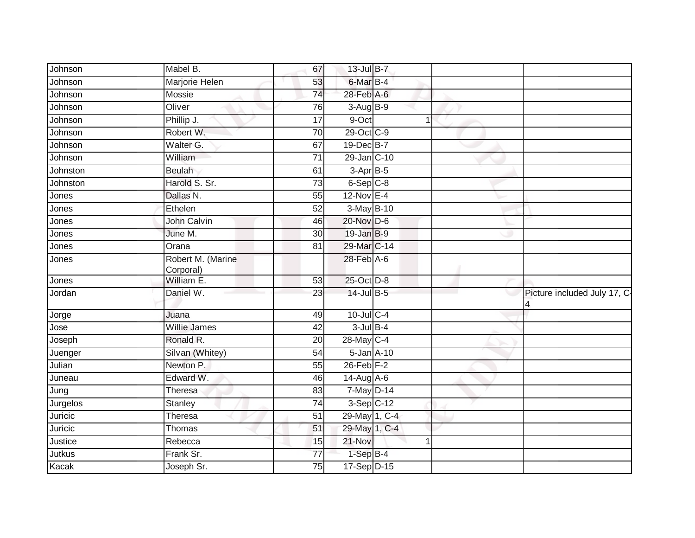| Johnson  | Mabel B.                       | 67              | 13-Jul B-7         |   |                              |
|----------|--------------------------------|-----------------|--------------------|---|------------------------------|
| Johnson  | Marjorie Helen                 | 53              | 6-Mar B-4          |   |                              |
| Johnson  | Mossie                         | $\overline{74}$ | 28-Feb A-6         |   |                              |
| Johnson  | Oliver                         | 76              | 3-Aug B-9          |   |                              |
| Johnson  | Phillip J.                     | $\overline{17}$ | 9-Oct              | 1 |                              |
| Johnson  | Robert W.                      | $\overline{70}$ | 29-Oct C-9         |   |                              |
| Johnson  | Walter G.                      | 67              | 19-Dec B-7         |   |                              |
| Johnson  | William                        | $\overline{71}$ | 29-Jan C-10        |   |                              |
| Johnston | <b>Beulah</b>                  | 61              | $3-AprB-5$         |   |                              |
| Johnston | Harold S. Sr.                  | $\overline{73}$ | $6-Sep$ $C-8$      |   |                              |
| Jones    | Dallas N.                      | $\overline{55}$ | $12-Nov$ E-4       |   |                              |
| Jones    | Ethelen                        | 52              | 3-May B-10         |   |                              |
| Jones    | <b>John Calvin</b>             | 46              | 20-Nov D-6         |   |                              |
| Jones    | June M.                        | 30              | 19-Jan B-9         |   |                              |
| Jones    | Orana                          | 81              | 29-Mar C-14        |   |                              |
| Jones    | Robert M. (Marine<br>Corporal) |                 | 28-Feb A-6         |   |                              |
| Jones    | William E.                     | 53              | 25-Oct D-8         |   |                              |
| Jordan   | Daniel W.                      | 23              | 14-Jul B-5         |   | Picture included July 17, C- |
| Jorge    | Juana                          | 49              | $10$ -Jul $C-4$    |   |                              |
| Jose     | <b>Willie James</b>            | 42              | $3$ -Jul $B-4$     |   |                              |
| Joseph   | Ronald R.                      | 20              | 28-May C-4         |   |                              |
| Juenger  | Silvan (Whitey)                | 54              | $5 - Jan$ $A - 10$ |   |                              |
| Julian   | Newton P.                      | 55              | $26$ -Feb $F-2$    |   |                              |
| Juneau   | Edward W.                      | 46              | $14$ -Aug A-6      |   |                              |
| Jung     | Theresa                        | 83              | 7-May D-14         |   |                              |
| Jurgelos | Stanley                        | 74              | 3-Sep C-12         |   |                              |
| Juricic  | Theresa                        | 51              | 29-May 1, C-4      |   |                              |
| Juricic  | Thomas                         | 51              | 29-May 1, C-4      |   |                              |
| Justice  | Rebecca                        | 15              | 21-Nov             | 1 |                              |
| Jutkus   | Frank Sr.                      | $\overline{77}$ | 1-Sep B-4          |   |                              |
| Kacak    | Joseph Sr.                     | 75              | 17-Sep D-15        |   |                              |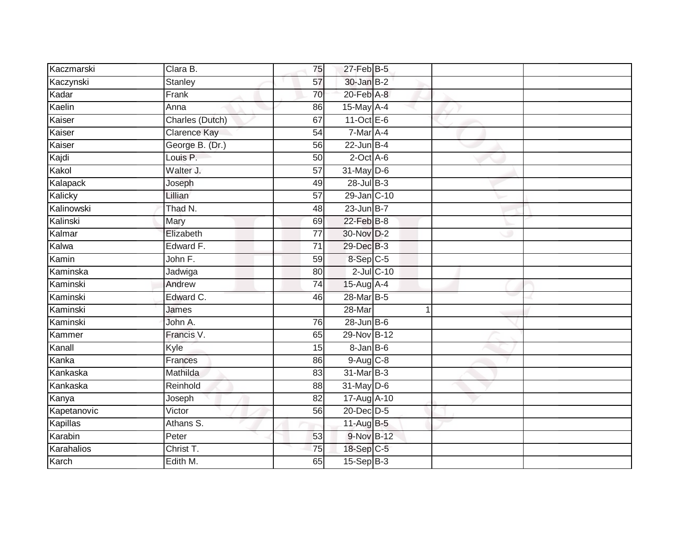| Kaczmarski  | Clara B.            | 75              | 27-Feb B-5      |                  |  |
|-------------|---------------------|-----------------|-----------------|------------------|--|
| Kaczynski   | Stanley             | 57              | 30-Jan B-2      |                  |  |
| Kadar       | Frank               | 70              | 20-Feb A-8      |                  |  |
| Kaelin      | Anna                | 86              | 15-May A-4      |                  |  |
| Kaiser      | Charles (Dutch)     | 67              | 11-Oct $E-6$    |                  |  |
| Kaiser      | <b>Clarence Kay</b> | 54              | 7-Mar A-4       |                  |  |
| Kaiser      | George B. (Dr.)     | 56              | $22$ -Jun B-4   |                  |  |
| Kajdi       | Louis P.            | 50              | $2$ -Oct $A$ -6 |                  |  |
| Kakol       | Walter J.           | 57              | 31-May D-6      |                  |  |
| Kalapack    | Joseph              | 49              | $28$ -Jul $B-3$ |                  |  |
| Kalicky     | Lillian             | 57              | 29-Jan C-10     |                  |  |
| Kalinowski  | Thad N.             | 48              | $23$ -Jun B-7   |                  |  |
| Kalinski    | Mary                | 69              | 22-Feb B-8      |                  |  |
| Kalmar      | Elizabeth           | 77              | 30-Nov D-2      |                  |  |
| Kalwa       | Edward F.           | $\overline{71}$ | 29-Dec B-3      |                  |  |
| Kamin       | John F.             | 59              | $8-Sep C-5$     |                  |  |
| Kaminska    | Jadwiga             | 80              |                 | $2$ -Jul $C$ -10 |  |
| Kaminski    | Andrew              | 74              | 15-Aug A-4      |                  |  |
| Kaminski    | Edward C.           | 46              | 28-Mar B-5      |                  |  |
| Kaminski    | James               |                 | $28 - Mar$      |                  |  |
| Kaminski    | John A.             | 76              | $28$ -Jun $B-6$ |                  |  |
| Kammer      | Francis V.          | 65              | 29-Nov B-12     |                  |  |
| Kanall      | Kyle                | 15              | 8-Jan B-6       |                  |  |
| Kanka       | Frances             | 86              | $9-Aug$ $C-8$   |                  |  |
| Kankaska    | Mathilda            | 83              | 31-Mar B-3      |                  |  |
| Kankaska    | Reinhold            | 88              | $31$ -May D-6   |                  |  |
| Kanya       | Joseph              | 82              | 17-Aug A-10     |                  |  |
| Kapetanovic | Victor              | 56              | $20$ -Dec $D-5$ |                  |  |
| Kapillas    | Athans S.           |                 | 11-Aug $B-5$    |                  |  |
| Karabin     | Peter               | 53              | 9-Nov B-12      |                  |  |
| Karahalios  | Christ T.           | 75              | 18-Sep C-5      |                  |  |
| Karch       | Edith M.            | 65              | $15-Sep$ B-3    |                  |  |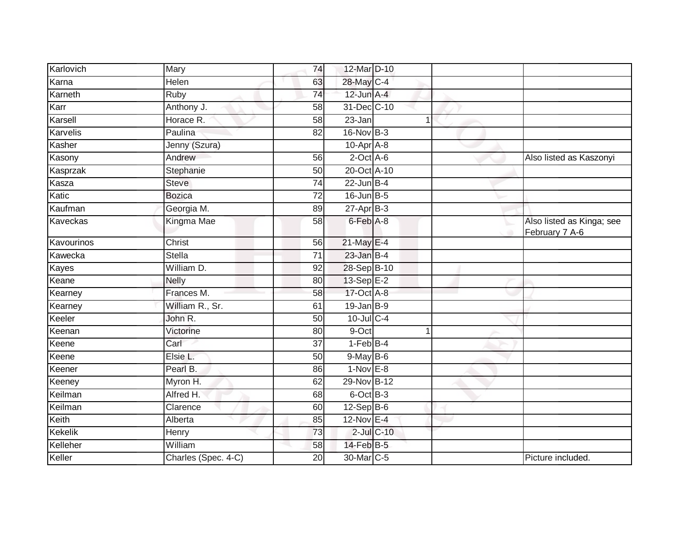| Karlovich  | Mary                | 74              | 12-Mar D-10       |                  |                                             |
|------------|---------------------|-----------------|-------------------|------------------|---------------------------------------------|
| Karna      | Helen               | 63              | 28-May C-4        |                  |                                             |
| Karneth    | <b>Ruby</b>         | 74              | 12-Jun A-4        |                  |                                             |
| Karr       | Anthony J.          | 58              | 31-Dec C-10       |                  |                                             |
| Karsell    | Horace R.           | $\overline{58}$ | $23 - Jan$        | 1                |                                             |
| Karvelis   | Paulina             | 82              | 16-Nov B-3        |                  |                                             |
| Kasher     | Jenny (Szura)       |                 | $10$ -Apr $A$ -8  |                  |                                             |
| Kasony     | Andrew              | 56              | $2$ -Oct $A$ -6   |                  | Also listed as Kaszonyi                     |
| Kasprzak   | Stephanie           | 50              | 20-Oct A-10       |                  |                                             |
| Kasza      | Steve               | $\overline{74}$ | $22$ -Jun B-4     |                  |                                             |
| Katic      | <b>Bozica</b>       | $\overline{72}$ | $16$ -Jun $B - 5$ |                  |                                             |
| Kaufman    | Georgia M.          | 89              | $27$ -Apr $B-3$   |                  |                                             |
| Kaveckas   | Kingma Mae          | 58              | 6-Feb A-8         |                  | Also listed as Kinga; see<br>February 7 A-6 |
| Kavourinos | Christ              | 56              | 21-May E-4        |                  |                                             |
| Kawecka    | <b>Stella</b>       | 71              | $23$ -Jan $B-4$   |                  |                                             |
| Kayes      | William D.          | 92              | 28-Sep B-10       |                  |                                             |
| Keane      | <b>Nelly</b>        | 80              | 13-Sep E-2        |                  |                                             |
| Kearney    | Frances M.          | 58              | $17-Oct$ $A-8$    |                  |                                             |
| Kearney    | William R., Sr.     | 61              | $19$ -Jan $ B-9 $ |                  |                                             |
| Keeler     | John R.             | 50              | 10-Jul C-4        |                  |                                             |
| Keenan     | Victorine           | 80              | 9-Oct             |                  |                                             |
| Keene      | Carl                | 37              | 1-Feb B-4         |                  |                                             |
| Keene      | Elsie L.            | 50              | $9$ -May $B$ -6   |                  |                                             |
| Keener     | Pearl B.            | 86              | $1-Nov$ E-8       |                  |                                             |
| Keeney     | Myron H.            | 62              | 29-Nov B-12       |                  |                                             |
| Keilman    | Alfred H.           | 68              | $6$ -Oct $B$ -3   |                  |                                             |
| Keilman    | Clarence            | 60              | $12-Sep$ B-6      |                  |                                             |
| Keith      | Alberta             | 85              | 12-Nov E-4        |                  |                                             |
| Kekelik    | Henry               | 73              |                   | $2$ -Jul $C$ -10 |                                             |
| Kelleher   | William             | 58              | 14-Feb B-5        |                  |                                             |
| Keller     | Charles (Spec. 4-C) | 20              | 30-Mar C-5        |                  | Picture included.                           |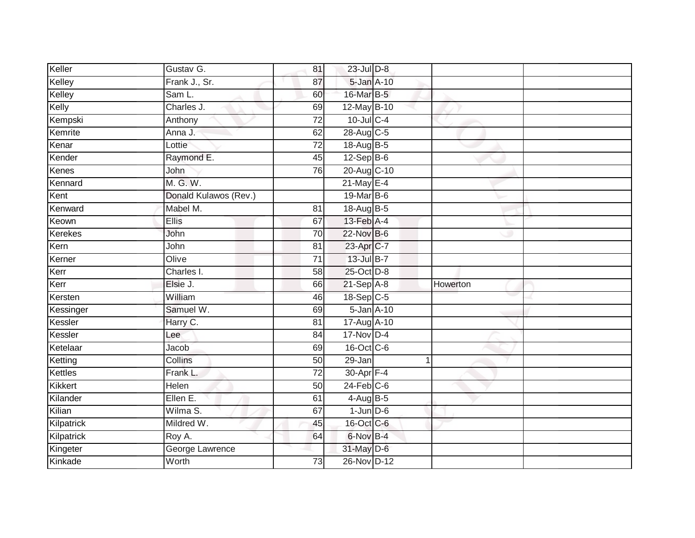| Keller         | Gustav G.             | 81              | 23-Jul D-8       |          |  |
|----------------|-----------------------|-----------------|------------------|----------|--|
| Kelley         | Frank J., Sr.         | 87              | 5-Jan A-10       |          |  |
| Kelley         | Sam L.                | 60              | 16-Mar B-5       |          |  |
| Kelly          | Charles J.            | 69              | 12-May B-10      |          |  |
| Kempski        | Anthony               | $\overline{72}$ | $10$ -Jul $C-4$  |          |  |
| Kemrite        | Anna J.               | 62              | 28-Aug C-5       |          |  |
| Kenar          | Lottie                | $\overline{72}$ | 18-Aug B-5       |          |  |
| Kender         | Raymond E.            | 45              | $12-Sep$ B-6     |          |  |
| <b>Kenes</b>   | John                  | 76              | 20-Aug C-10      |          |  |
| Kennard        | M. G. W.              |                 | $21$ -May E-4    |          |  |
| Kent           | Donald Kulawos (Rev.) |                 | 19-Mar B-6       |          |  |
| Kenward        | Mabel M.              | 81              | 18-Aug B-5       |          |  |
| Keown          | Ellis                 | 67              | $13$ -Feb $A$ -4 |          |  |
| <b>Kerekes</b> | John                  | 70              | 22-Nov B-6       |          |  |
| Kern           | John                  | $\overline{81}$ | 23-Apr C-7       |          |  |
| Kerner         | Olive                 | $\overline{71}$ | 13-Jul B-7       |          |  |
| Kerr           | Charles I.            | 58              | 25-Oct D-8       |          |  |
| Kerr           | Elsie J.              | 66              | $21-SepA-8$      | Howerton |  |
| Kersten        | William               | 46              | 18-Sep C-5       |          |  |
| Kessinger      | Samuel W.             | 69              | 5-Jan A-10       |          |  |
| Kessler        | Harry C.              | 81              | 17-Aug A-10      |          |  |
| Kessler        | Lee                   | $\overline{84}$ | $17-Nov$ D-4     |          |  |
| Ketelaar       | Jacob                 | 69              | 16-Oct C-6       |          |  |
| Ketting        | Collins               | 50              | 29-Jan           |          |  |
| Kettles        | Frank L.              | 72              | 30-Apr F-4       |          |  |
| Kikkert        | Helen                 | 50              | $24$ -Feb $C$ -6 |          |  |
| Kilander       | Ellen E.              | 61              | $4-AugB-5$       |          |  |
| Kilian         | Wilma S.              | 67              | $1$ -Jun $D-6$   |          |  |
| Kilpatrick     | Mildred W.            | 45              | 16-Oct C-6       |          |  |
| Kilpatrick     | Roy A.                | 64              | 6-Nov B-4        |          |  |
| Kingeter       | George Lawrence       |                 | 31-May D-6       |          |  |
| Kinkade        | Worth                 | 73              | 26-Nov D-12      |          |  |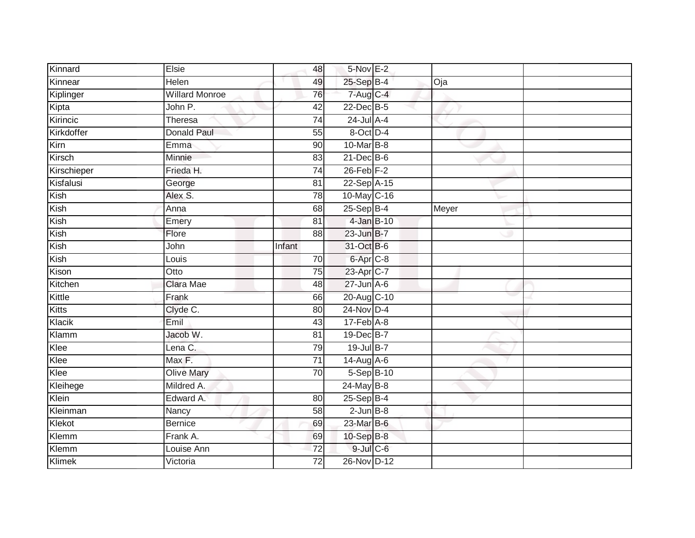| Kinnard     | Elsie                 | 48              | 5-Nov E-2        |       |  |
|-------------|-----------------------|-----------------|------------------|-------|--|
| Kinnear     | <b>Helen</b>          | 49              | 25-Sep B-4       | Oja   |  |
| Kiplinger   | <b>Willard Monroe</b> | 76              | 7-Aug C-4        |       |  |
| Kipta       | John P.               | 42              | 22-Dec B-5       |       |  |
| Kirincic    | Theresa               | $\overline{74}$ | $24$ -Jul $A-4$  |       |  |
| Kirkdoffer  | <b>Donald Paul</b>    | 55              | 8-Oct D-4        |       |  |
| Kirn        | Emma                  | 90              | 10-Mar B-8       |       |  |
| Kirsch      | Minnie                | 83              | $21$ -Dec $B-6$  |       |  |
| Kirschieper | Frieda H.             | 74              | $26$ -Feb $F-2$  |       |  |
| Kisfalusi   | George                | 81              | 22-Sep A-15      |       |  |
| Kish        | Alex S.               | 78              | 10-May C-16      |       |  |
| Kish        | Anna                  | 68              | $25-Sep$ B-4     | Meyer |  |
| Kish        | Emery                 | 81              | 4-Jan B-10       |       |  |
| Kish        | Flore                 | 88              | 23-Jun B-7       |       |  |
| Kish        | John                  | Infant          | 31-Oct B-6       |       |  |
| Kish        | Louis                 | 70              | 6-Apr C-8        |       |  |
| Kison       | Otto                  | $\overline{75}$ | 23-Apr C-7       |       |  |
| Kitchen     | Clara Mae             | 48              | $27$ -Jun $A-6$  |       |  |
| Kittle      | Frank                 | 66              | 20-Aug C-10      |       |  |
| Kitts       | Clyde C.              | $\overline{80}$ | 24-Nov D-4       |       |  |
| Klacik      | Emil                  | 43              | 17-Feb A-8       |       |  |
| Klamm       | Jacob W.              | 81              | 19-Dec B-7       |       |  |
| Klee        | Lena C.               | 79              | 19-Jul B-7       |       |  |
| Klee        | Max F.                | 71              | 14-Aug A-6       |       |  |
| Klee        | <b>Olive Mary</b>     | 70              | 5-Sep B-10       |       |  |
| Kleihege    | Mildred A.            |                 | $24$ -May B-8    |       |  |
| Klein       | Edward A.             | 80              | $25-Sep$ B-4     |       |  |
| Kleinman    | Nancy                 | 58              | $2$ -Jun $B - 8$ |       |  |
| Klekot      | <b>Bernice</b>        | 69              | 23-Mar B-6       |       |  |
| Klemm       | Frank A.              | 69              | 10-Sep B-8       |       |  |
| Klemm       | Louise Ann            | $\overline{72}$ | 9-Jul C-6        |       |  |
| Klimek      | Victoria              | $\overline{72}$ | 26-Nov D-12      |       |  |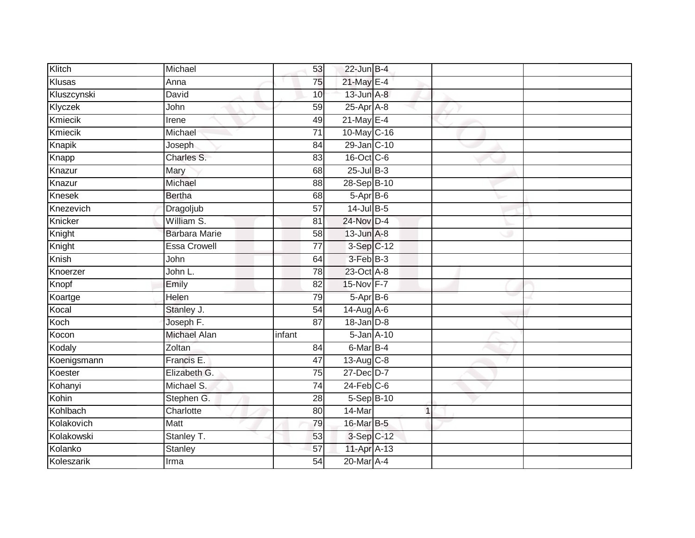| Klitch        | Michael              | 53              | $22$ -Jun B-4    |              |  |
|---------------|----------------------|-----------------|------------------|--------------|--|
| Klusas        | Anna                 | 75              | 21-May E-4       |              |  |
| Kluszcynski   | David                | 10              | 13-Jun A-8       |              |  |
| Klyczek       | John                 | 59              | 25-Apr A-8       |              |  |
| Kmiecik       | Irene                | 49              | $21$ -May E-4    |              |  |
| Kmiecik       | Michael              | $\overline{71}$ | 10-May C-16      |              |  |
| Knapik        | Joseph               | 84              | 29-Jan C-10      |              |  |
| Knapp         | Charles S.           | 83              | 16-Oct C-6       |              |  |
| Knazur        | Mary                 | 68              | $25$ -Jul $B-3$  |              |  |
| Knazur        | Michael              | 88              | 28-Sep B-10      |              |  |
| <b>Knesek</b> | <b>Bertha</b>        | 68              | 5-Apr B-6        |              |  |
| Knezevich     | Dragoljub            | 57              | $14$ -Jul B-5    |              |  |
| Knicker       | William S.           | 81              | 24-Nov D-4       |              |  |
| Knight        | <b>Barbara Marie</b> | 58              | $13$ -Jun $A-8$  |              |  |
| Knight        | <b>Essa Crowell</b>  | $\overline{77}$ | 3-Sep C-12       |              |  |
| Knish         | John                 | 64              | $3-Feb B-3$      |              |  |
| Knoerzer      | John L.              | 78              | 23-Oct A-8       |              |  |
| Knopf         | Emily                | 82              | 15-Nov F-7       |              |  |
| Koartge       | Helen                | 79              | 5-Apr B-6        |              |  |
| Kocal         | Stanley J.           | 54              | 14-Aug A-6       |              |  |
| Koch          | Joseph F.            | 87              | $18$ -Jan $D-8$  |              |  |
| Kocon         | <b>Michael Alan</b>  | infant          | 5-Jan A-10       |              |  |
| Kodaly        | Zoltan               | 84              | 6-Mar B-4        |              |  |
| Koenigsmann   | Francis E.           | 47              | 13-Aug C-8       |              |  |
| Koester       | Elizabeth G.         | 75              | 27-Dec D-7       |              |  |
| Kohanyi       | Michael S.           | 74              | $24$ -Feb $C$ -6 |              |  |
| Kohin         | Stephen G.           | 28              | 5-Sep B-10       |              |  |
| Kohlbach      | Charlotte            | 80              | 14-Mar           | $\mathbf{1}$ |  |
| Kolakovich    | Matt                 | 79              | 16-Mar B-5       |              |  |
| Kolakowski    | Stanley T.           | 53              | 3-Sep C-12       |              |  |
| Kolanko       | <b>Stanley</b>       | 57              | 11-Apr A-13      |              |  |
| Koleszarik    | Irma                 | $\overline{54}$ | 20-Mar A-4       |              |  |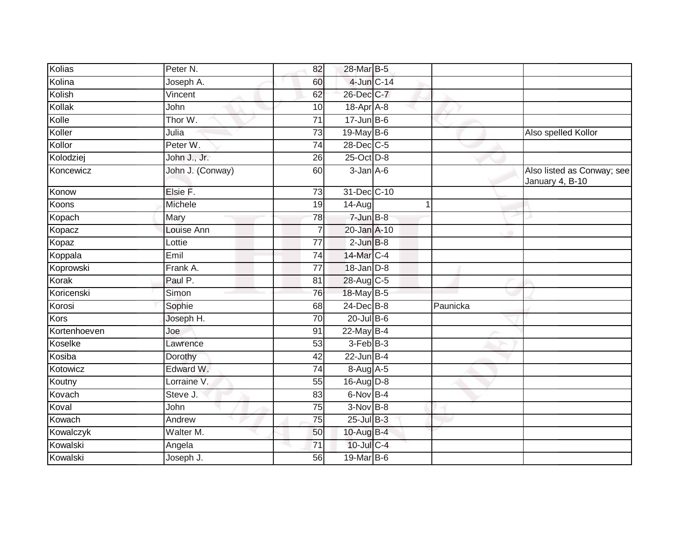| Kolias       | Peter N.         | 82              | 28-Mar B-5      |          |                                               |
|--------------|------------------|-----------------|-----------------|----------|-----------------------------------------------|
| Kolina       | Joseph A.        | 60              | 4-Jun C-14      |          |                                               |
| Kolish       | Vincent          | 62              | 26-Dec C-7      |          |                                               |
| Kollak       | John             | 10              | 18-Apr A-8      |          |                                               |
| Kolle        | Thor W.          | $\overline{71}$ | $17 - Jun$ B-6  |          |                                               |
| Koller       | Julia            | 73              | 19-May B-6      |          | Also spelled Kollor                           |
| Kollor       | Peter W.         | 74              | 28-Dec C-5      |          |                                               |
| Kolodziej    | John J., Jr.     | 26              | 25-Oct D-8      |          |                                               |
| Koncewicz    | John J. (Conway) | 60              | $3$ -Jan $A$ -6 |          | Also listed as Conway; see<br>January 4, B-10 |
| Konow        | Elsie F.         | $\overline{73}$ | 31-Dec C-10     |          |                                               |
| Koons        | Michele          | 19              | 14-Aug          | 1        |                                               |
| Kopach       | Mary             | 78              | $7 - Jun$ B-8   |          |                                               |
| Kopacz       | Louise Ann       | 7               | 20-Jan A-10     |          |                                               |
| Kopaz        | Lottie           | 77              | $2$ -Jun $B-8$  |          |                                               |
| Koppala      | Emil             | 74              | 14-Mar C-4      |          |                                               |
| Koprowski    | Frank A.         | 77              | $18$ -Jan $D-8$ |          |                                               |
| Korak        | Paul P.          | 81              | 28-Aug C-5      |          |                                               |
| Koricenski   | Simon            | 76              | 18-May B-5      |          |                                               |
| Korosi       | Sophie           | 68              | 24-Dec B-8      | Paunicka |                                               |
| Kors         | Joseph H.        | $\overline{70}$ | $20$ -Jul $B-6$ |          |                                               |
| Kortenhoeven | Joe              | 91              | 22-May B-4      |          |                                               |
| Koselke      | Lawrence         | 53              | $3-FebB-3$      |          |                                               |
| Kosiba       | Dorothy          | 42              | $22$ -Jun $B-4$ |          |                                               |
| Kotowicz     | Edward W.        | 74              | 8-Aug A-5       |          |                                               |
| Koutny       | Lorraine V.      | $\overline{55}$ | $16$ -Aug D-8   |          |                                               |
| Kovach       | Steve J.         | 83              | 6-Nov B-4       |          |                                               |
| Koval        | John             | 75              | $3-Nov$ B-8     |          |                                               |
| Kowach       | Andrew           | $\overline{75}$ | $25$ -Jul B-3   |          |                                               |
| Kowalczyk    | Walter M.        | 50              | 10-Aug B-4      |          |                                               |
| Kowalski     | Angela           | 71              | $10$ -Jul C-4   |          |                                               |
| Kowalski     | Joseph J.        | 56              | 19-Mar B-6      |          |                                               |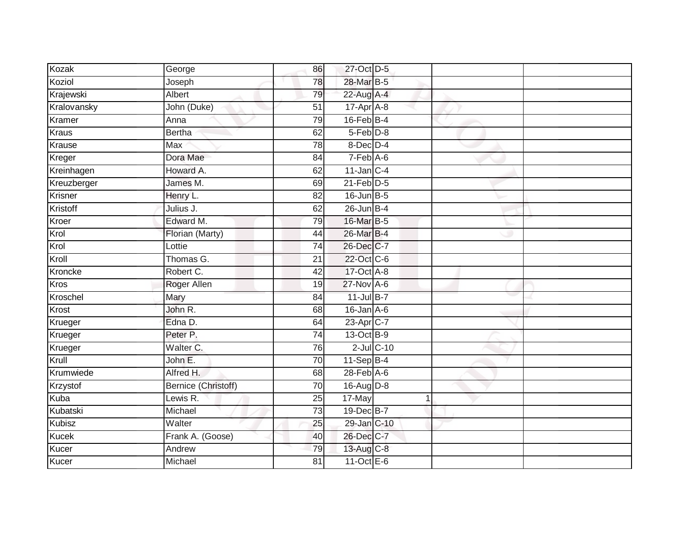| Kozak       | George              | 86              | 27-Oct D-5                  |            |  |
|-------------|---------------------|-----------------|-----------------------------|------------|--|
| Koziol      | Joseph              | 78              | 28-Mar B-5                  |            |  |
| Krajewski   | Albert              | 79              | 22-Aug A-4                  |            |  |
| Kralovansky | John (Duke)         | 51              | 17-Apr A-8                  |            |  |
| Kramer      | Anna                | 79              | $16$ -Feb $B$ -4            |            |  |
| Kraus       | <b>Bertha</b>       | 62              | $5-Feb$ $D-8$               |            |  |
| Krause      | Max                 | 78              | $8$ -Dec $D-4$              |            |  |
| Kreger      | Dora Mae            | 84              | $7-Feb$ A-6                 |            |  |
| Kreinhagen  | Howard A.           | 62              | $11$ -Jan $C-4$             |            |  |
| Kreuzberger | James M.            | 69              | $21$ -Feb $D-5$             |            |  |
| Krisner     | Henry L.            | 82              | $16$ -Jun $B - 5$           |            |  |
| Kristoff    | Julius J.           | 62              | $26$ -Jun $B-4$             |            |  |
| Kroer       | Edward M.           | 79              | 16-Mar B-5                  |            |  |
| Krol        | Florian (Marty)     | 44              | 26-Mar B-4                  |            |  |
| Krol        | Lottie              | $\overline{74}$ | 26-Dec C-7                  |            |  |
| Kroll       | Thomas G.           | 21              | 22-Oct C-6                  |            |  |
| Kroncke     | Robert C.           | 42              | 17-Oct A-8                  |            |  |
| <b>Kros</b> | Roger Allen         | 19              | 27-Nov A-6                  |            |  |
| Kroschel    | Mary                | 84              | 11-Jul B-7                  |            |  |
| Krost       | John R.             | 68              | $16$ -Jan $A-6$             |            |  |
| Krueger     | Edna D.             | 64              | 23-Apr <sub>C-7</sub>       |            |  |
| Krueger     | Peter P.            | $\overline{74}$ | 13-Oct B-9                  |            |  |
| Krueger     | Walter C.           | 76              |                             | 2-Jul C-10 |  |
| Krull       | John E.             | 70              | $11-Sep$ B-4                |            |  |
| Krumwiede   | Alfred H.           | 68              | $28$ -Feb $\overline{A}$ -6 |            |  |
| Krzystof    | Bernice (Christoff) | 70              | 16-Aug D-8                  |            |  |
| Kuba        | Lewis R.            | 25              | 17-May                      |            |  |
| Kubatski    | Michael             | 73              | 19-Dec B-7                  |            |  |
| Kubisz      | Walter              | 25              | 29-Jan C-10                 |            |  |
| Kucek       | Frank A. (Goose)    | 40              | 26-Dec C-7                  |            |  |
| Kucer       | Andrew              | 79              | 13-Aug C-8                  |            |  |
| Kucer       | Michael             | 81              | 11-Oct $E-6$                |            |  |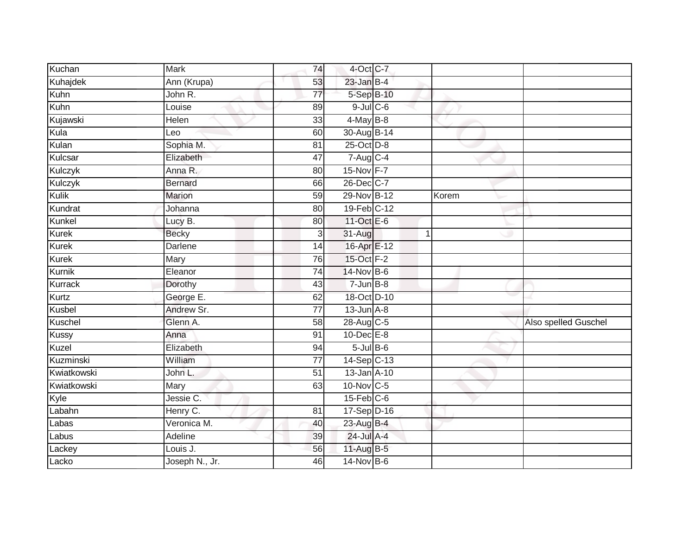| Kuchan       | <b>Mark</b>    | 74              | 4-Oct C-7         |       |                      |
|--------------|----------------|-----------------|-------------------|-------|----------------------|
| Kuhajdek     | Ann (Krupa)    | 53              | $23$ -Jan B-4     |       |                      |
| Kuhn         | John R.        | $\overline{77}$ | 5-Sep B-10        |       |                      |
| Kuhn         | Louise         | 89              | $9$ -Jul $C$ -6   |       |                      |
| Kujawski     | Helen          | 33              | $4$ -May $B-8$    |       |                      |
| Kula         | Leo            | 60              | 30-Aug B-14       |       |                      |
| Kulan        | Sophia M.      | 81              | 25-Oct D-8        |       |                      |
| Kulcsar      | Elizabeth      | 47              | 7-Aug C-4         |       |                      |
| Kulczyk      | Anna R.        | 80              | 15-Nov F-7        |       |                      |
| Kulczyk      | <b>Bernard</b> | 66              | 26-Dec C-7        |       |                      |
| <b>Kulik</b> | Marion         | 59              | 29-Nov B-12       | Korem |                      |
| Kundrat      | Johanna        | 80              | 19-Feb C-12       |       |                      |
| Kunkel       | Lucy B.        | 80              | 11-Oct E-6        |       |                      |
| <b>Kurek</b> | <b>Becky</b>   | $\overline{3}$  | 31-Aug            | 1     |                      |
| <b>Kurek</b> | Darlene        | $\overline{14}$ | 16-Apr E-12       |       |                      |
| Kurek        | Mary           | 76              | 15-Oct F-2        |       |                      |
| Kurnik       | Eleanor        | $\overline{74}$ | 14-Nov B-6        |       |                      |
| Kurrack      | Dorothy        | 43              | $7 - Jun$ B-8     |       |                      |
| Kurtz        | George E.      | 62              | 18-Oct D-10       |       |                      |
| Kusbel       | Andrew Sr.     | $\overline{77}$ | $13$ -Jun $A - 8$ |       |                      |
| Kuschel      | Glenn A.       | 58              | 28-Aug C-5        |       | Also spelled Guschel |
| Kussy        | Anna           | 91              | $10$ -Dec $E-8$   |       |                      |
| Kuzel        | Elizabeth      | 94              | $5$ -Jul $B$ -6   |       |                      |
| Kuzminski    | William        | $\overline{77}$ | 14-Sep C-13       |       |                      |
| Kwiatkowski  | John L.        | 51              | 13-Jan A-10       |       |                      |
| Kwiatkowski  | Mary           | 63              | 10-Nov C-5        |       |                      |
| Kyle         | Jessie C.      |                 | $15$ -Feb $C$ -6  |       |                      |
| Labahn       | Henry C.       | 81              | 17-Sep D-16       |       |                      |
| Labas        | Veronica M.    | 40              | 23-Aug B-4        |       |                      |
| Labus        | Adeline        | 39              | 24-Jul A-4        |       |                      |
| Lackey       | Louis J.       | 56              | 11-Aug B-5        |       |                      |
| Lacko        | Joseph N., Jr. | 46              | 14-Nov B-6        |       |                      |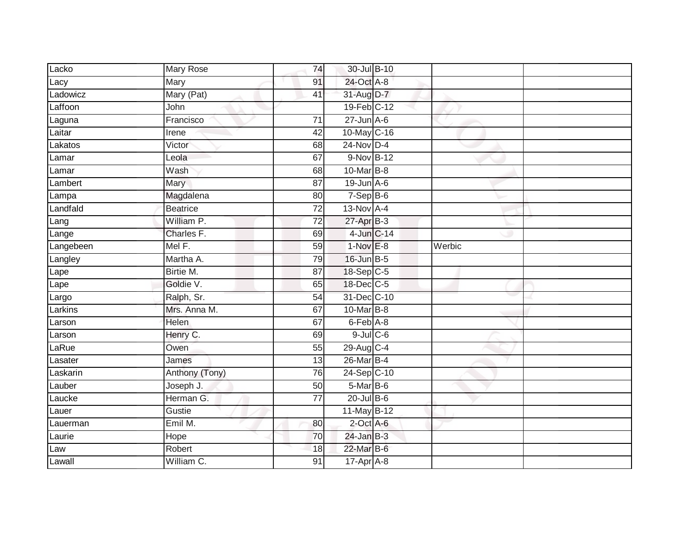| Lacko     | <b>Mary Rose</b> | 74              | 30-Jul B-10      |        |  |
|-----------|------------------|-----------------|------------------|--------|--|
| Lacy      | Mary             | 91              | 24-Oct A-8       |        |  |
| Ladowicz  | Mary (Pat)       | 41              | 31-Aug D-7       |        |  |
| Laffoon   | John             |                 | 19-Feb C-12      |        |  |
| Laguna    | Francisco        | $\overline{71}$ | $27 - Jun A - 6$ |        |  |
| Laitar    | Irene            | 42              | 10-May C-16      |        |  |
| Lakatos   | Victor           | 68              | $24$ -Nov D-4    |        |  |
| Lamar     | Leola            | 67              | 9-Nov B-12       |        |  |
| Lamar     | Wash             | 68              | 10-Mar B-8       |        |  |
| Lambert   | Mary             | 87              | $19$ -Jun $A-6$  |        |  |
| Lampa     | Magdalena        | 80              | $7-Sep$ B-6      |        |  |
| Landfald  | <b>Beatrice</b>  | 72              | 13-Nov A-4       |        |  |
| Lang      | William P.       | 72              | 27-Apr B-3       |        |  |
| Lange     | Charles F.       | 69              | 4-Jun C-14       |        |  |
| Langebeen | Mel F.           | 59              | $1-NovE-8$       | Werbic |  |
| Langley   | Martha A.        | 79              | $16$ -Jun $B-5$  |        |  |
| Lape      | Birtie M.        | $\overline{87}$ | $18-Sep C-5$     |        |  |
| Lape      | Goldie V.        | 65              | 18-Dec C-5       |        |  |
| Largo     | Ralph, Sr.       | 54              | 31-Dec C-10      |        |  |
| Larkins   | Mrs. Anna M.     | 67              | 10-Mar B-8       |        |  |
| Larson    | Helen            | 67              | 6-Feb A-8        |        |  |
| Larson    | Henry C.         | 69              | $9$ -Jul $C$ -6  |        |  |
| LaRue     | Owen             | 55              | 29-Aug C-4       |        |  |
| Lasater   | James            | 13              | 26-Mar B-4       |        |  |
| Laskarin  | Anthony (Tony)   | 76              | 24-Sep C-10      |        |  |
| Lauber    | Joseph J.        | 50              | $5-MarB-6$       |        |  |
| Laucke    | Herman G.        | $\overline{77}$ | $20$ -Jul $B-6$  |        |  |
| Lauer     | Gustie           |                 | 11-May B-12      |        |  |
| Lauerman  | Emil M.          | 80              | 2-Oct A-6        |        |  |
| Laurie    | Hope             | 70              | $24$ -Jan B-3    |        |  |
| Law       | Robert           | 18              | 22-Mar B-6       |        |  |
| Lawall    | William C.       | $\overline{91}$ | $17-Apr$ A-8     |        |  |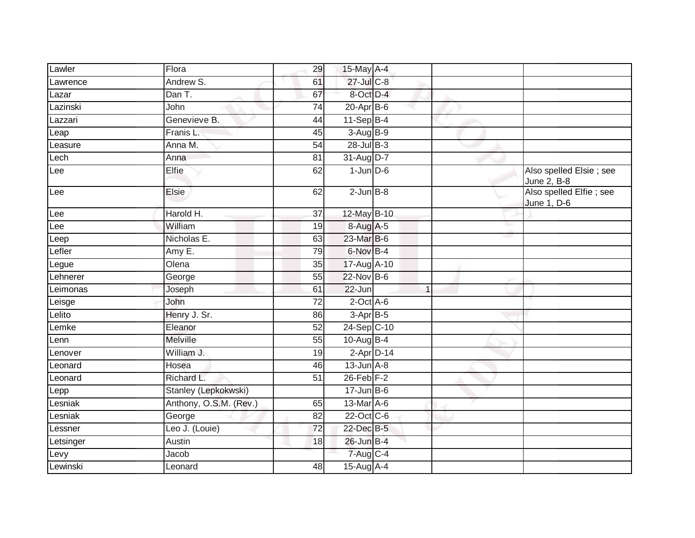| Lawler    | Flora                  | 29              | 15-May A-4       |   |                                        |
|-----------|------------------------|-----------------|------------------|---|----------------------------------------|
| Lawrence  | Andrew S.              | 61              | 27-Jul C-8       |   |                                        |
| Lazar     | Dan T.                 | 67              | 8-Oct D-4        |   |                                        |
| Lazinski  | John                   | 74              | $20$ -Apr $B$ -6 |   |                                        |
| Lazzari   | Genevieve B.           | 44              | $11-SepB-4$      |   |                                        |
| Leap      | Franis L.              | 45              | 3-Aug B-9        |   |                                        |
| Leasure   | Anna M.                | 54              | $28$ -Jul B-3    |   |                                        |
| Lech      | Anna                   | 81              | 31-Aug D-7       |   |                                        |
| Lee       | Elfie                  | 62              | $1$ -Jun $D-6$   |   | Also spelled Elsie; see<br>June 2, B-8 |
| Lee       | Elsie                  | 62              | $2$ -Jun $B-8$   |   | Also spelled Elfie; see<br>June 1, D-6 |
| Lee       | Harold H.              | 37              | 12-May B-10      |   |                                        |
| Lee       | William                | 19              | 8-Aug A-5        |   |                                        |
| Leep      | Nicholas E.            | 63              | 23-Mar B-6       |   |                                        |
| Lefler    | Amy $E$ .              | 79              | 6-Nov B-4        |   |                                        |
| Legue     | Olena                  | 35              | 17-Aug A-10      |   |                                        |
| Lehnerer  | George                 | 55              | 22-Nov B-6       |   |                                        |
| Leimonas  | Joseph                 | 61              | $22 - Jun$       | 1 |                                        |
| Leisge    | John                   | $\overline{72}$ | $2$ -Oct $A$ -6  |   |                                        |
| Lelito    | Henry J. Sr.           | 86              | $3-AprB-5$       |   |                                        |
| Lemke     | Eleanor                | 52              | 24-Sep C-10      |   |                                        |
| Lenn      | <b>Melville</b>        | 55              | 10-Aug B-4       |   |                                        |
| Lenover   | William J.             | 19              | $2$ -Apr $D-14$  |   |                                        |
| Leonard   | Hosea                  | 46              | $13$ -Jun $A-8$  |   |                                        |
| Leonard   | Richard L.             | 51              | $26$ -Feb $F-2$  |   |                                        |
| Lepp      | Stanley (Lepkokwski)   |                 | $17 - Jun$ B-6   |   |                                        |
| Lesniak   | Anthony, O.S.M. (Rev.) | 65              | 13-Mar A-6       |   |                                        |
| Lesniak   | George                 | $\overline{82}$ | 22-Oct C-6       |   |                                        |
| Lessner   | Leo J. (Louie)         | 72              | 22-Dec B-5       |   |                                        |
| Letsinger | Austin                 | 18              | 26-Jun B-4       |   |                                        |
| Levy      | Jacob                  |                 | 7-Aug C-4        |   |                                        |
| Lewinski  | Leonard                | 48              | $15-Aug$ A-4     |   |                                        |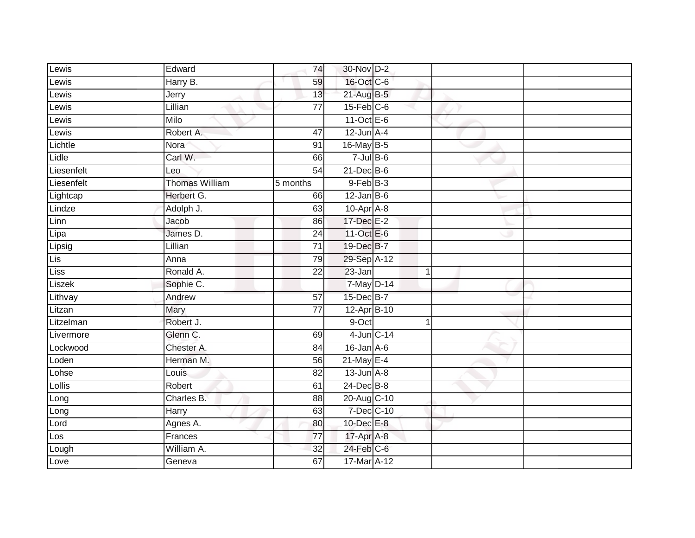| Lewis      | Edward                | 74              | 30-Nov D-2       |            |  |
|------------|-----------------------|-----------------|------------------|------------|--|
| Lewis      | Harry B.              | 59              | 16-Oct C-6       |            |  |
| Lewis      | Jerry                 | 13              | $21$ -Aug B-5    |            |  |
| Lewis      | Lillian               | $\overline{77}$ | $15$ -Feb $C$ -6 |            |  |
| Lewis      | Milo                  |                 | $11-Oct$ E-6     |            |  |
| Lewis      | Robert A.             | 47              | $12$ -Jun $A-4$  |            |  |
| Lichtle    | Nora                  | 91              | 16-May B-5       |            |  |
| Lidle      | Carl W.               | 66              | $7$ -Jul $B$ -6  |            |  |
| Liesenfelt | Leo                   | 54              | $21$ -Dec $B-6$  |            |  |
| Liesenfelt | <b>Thomas William</b> | $5$ months      | $9$ -Feb $B$ -3  |            |  |
| Lightcap   | Herbert G.            | 66              | $12$ -Jan B-6    |            |  |
| Lindze     | Adolph J.             | 63              | 10-Apr A-8       |            |  |
| Linn       | Jacob                 | 86              | 17-Dec E-2       |            |  |
| Lipa       | James D.              | 24              | 11-Oct E-6       |            |  |
| Lipsig     | Lillian               | $\overline{71}$ | 19-Dec B-7       |            |  |
| Lis        | Anna                  | 79              | 29-Sep A-12      |            |  |
| Liss       | Ronald A.             | $\overline{22}$ | $23 - Jan$       | 1          |  |
| Liszek     | Sophie C.             |                 | 7-May D-14       |            |  |
| Lithvay    | Andrew                | 57              | 15-Dec B-7       |            |  |
| Litzan     | Mary                  | $\overline{77}$ | 12-Apr B-10      |            |  |
| Litzelman  | Robert J.             |                 | 9-Oct            |            |  |
| Livermore  | Glenn C.              | 69              |                  | 4-Jun C-14 |  |
| Lockwood   | Chester A.            | 84              | $16$ -Jan $A-6$  |            |  |
| Loden      | Herman M.             | 56              | $21$ -May E-4    |            |  |
| Lohse      | Louis                 | 82              | $13$ -Jun $A-8$  |            |  |
| Lollis     | Robert                | 61              | 24-Dec B-8       |            |  |
| Long       | Charles B.            | 88              | 20-Aug C-10      |            |  |
| Long       | Harry                 | 63              | 7-Dec C-10       |            |  |
| Lord       | Agnes A.              | 80              | 10-Dec E-8       |            |  |
| Los        | Frances               | 77              | 17-Apr A-8       |            |  |
| Lough      | William A.            | 32              | $24$ -Feb $C$ -6 |            |  |
| Love       | Geneva                | 67              | 17-Mar A-12      |            |  |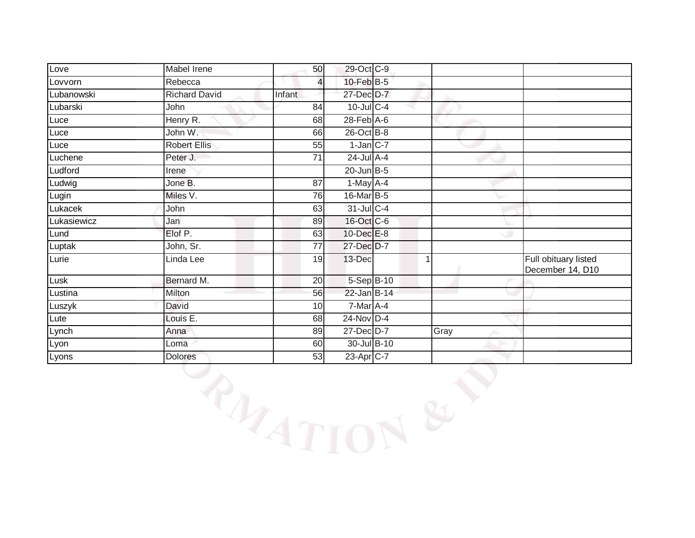| Love        | Mabel Irene          | 50              | 29-Oct C-9       |                |                                          |
|-------------|----------------------|-----------------|------------------|----------------|------------------------------------------|
| Lovvorn     | Rebecca              | $\overline{4}$  | 10-Feb B-5       |                |                                          |
| Lubanowski  | <b>Richard David</b> | Infant          | 27-Dec D-7       |                |                                          |
| Lubarski    | John                 | 84              | $10$ -Jul C-4    |                |                                          |
|             |                      |                 |                  |                |                                          |
| Luce        | Henry R.             | 68              | $28$ -Feb $A$ -6 |                |                                          |
| Luce        | John W.              | 66              | 26-Oct B-8       |                |                                          |
| Luce        | <b>Robert Ellis</b>  | 55              | $1$ -Jan $C-7$   |                |                                          |
| Luchene     | Peter J.             | 71              | $24$ -Jul $A-4$  |                |                                          |
| Ludford     | Irene                |                 | 20-Jun B-5       |                |                                          |
| Ludwig      | Jone B.              | $\overline{87}$ | $1-May$ A-4      |                |                                          |
| Lugin       | Miles V.             | 76              | 16-Mar B-5       |                |                                          |
| Lukacek     | John                 | 63              | 31-Jul C-4       |                |                                          |
| Lukasiewicz | Jan                  | 89              | 16-Oct C-6       |                |                                          |
| Lund        | Elof P.              | 63              | $10$ -Dec $E-8$  |                |                                          |
| Luptak      | John, Sr.            | $\overline{77}$ | 27-Dec D-7       |                |                                          |
| Lurie       | Linda Lee            | 19              | 13-Dec           | $\overline{1}$ | Full obituary listed<br>December 14, D10 |
| Lusk        | Bernard M.           | 20              | 5-Sep B-10       |                |                                          |
| Lustina     | Milton               | 56              | 22-Jan B-14      |                |                                          |
| Luszyk      | David                | 10              | 7-Mar A-4        |                |                                          |
| Lute        | Louis E.             | 68              | $24$ -Nov D-4    |                |                                          |
| Lynch       | Anna                 | 89              | 27-Dec D-7       | Gray           |                                          |
| Lyon        | Loma                 | 60              | 30-Jul B-10      |                |                                          |
| Lyons       | <b>Dolores</b>       | 53              | $23$ -Apr $C-7$  |                |                                          |
|             |                      | RATION          |                  |                |                                          |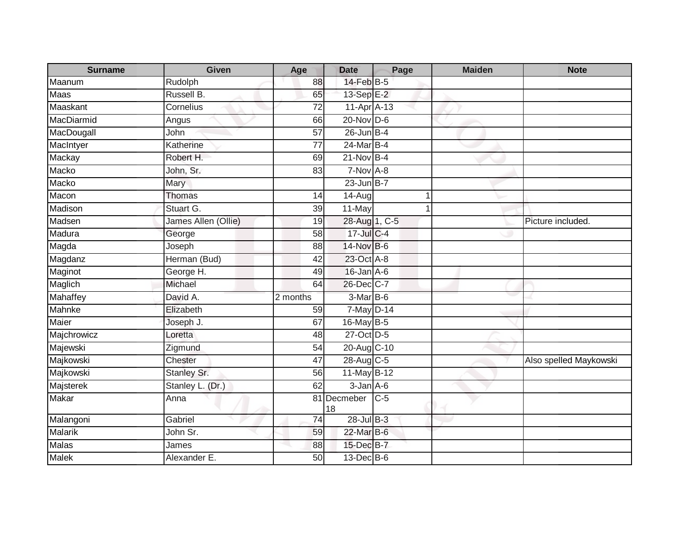| <b>Surname</b> | <b>Given</b>        | Age             | <b>Date</b>       | Page  | <b>Maiden</b> | <b>Note</b>            |
|----------------|---------------------|-----------------|-------------------|-------|---------------|------------------------|
| Maanum         | Rudolph             | 88              | 14-Feb B-5        |       |               |                        |
| Maas           | Russell B.          | 65              | 13-Sep E-2        |       |               |                        |
| Maaskant       | Cornelius           | 72              | $11-Apr$ A-13     |       |               |                        |
| MacDiarmid     | Angus               | 66              | $20$ -Nov $D-6$   |       |               |                        |
| MacDougall     | John                | $\overline{57}$ | $26$ -Jun B-4     |       |               |                        |
| MacIntyer      | Katherine           | 77              | 24-Mar B-4        |       |               |                        |
| Mackay         | Robert H.           | 69              | $21-Nov$ B-4      |       |               |                        |
| Macko          | John, Sr.           | 83              | $7-Nov$ A-8       |       |               |                        |
| Macko          | Mary                |                 | $23$ -Jun $B-7$   |       |               |                        |
| Macon          | <b>Thomas</b>       | 14              | $14-Aug$          | 1     |               |                        |
| Madison        | Stuart G.           | 39              | 11-May            | 1     |               |                        |
| Madsen         | James Allen (Ollie) | 19              | 28-Aug 1, C-5     |       |               | Picture included.      |
| Madura         | George              | 58              | $17 -$ Jul C-4    |       |               |                        |
| Magda          | Joseph              | 88              | 14-Nov B-6        |       |               |                        |
| Magdanz        | Herman (Bud)        | 42              | 23-Oct A-8        |       |               |                        |
| Maginot        | George H.           | 49              | $16$ -Jan $A$ -6  |       |               |                        |
| Maglich        | Michael             | 64              | $26$ -Dec $C$ -7  |       |               |                        |
| Mahaffey       | David A.            | 2 months        | $3-Mar$ B-6       |       |               |                        |
| Mahnke         | Elizabeth           | 59              | 7-May D-14        |       |               |                        |
| Maier          | Joseph J.           | 67              | $16$ -May B-5     |       |               |                        |
| Majchrowicz    | Loretta             | 48              | 27-Oct D-5        |       |               |                        |
| Majewski       | Zigmund             | 54              | 20-Aug C-10       |       |               |                        |
| Majkowski      | Chester             | 47              | $28-Aug$ C-5      |       |               | Also spelled Maykowski |
| Majkowski      | <b>Stanley Sr.</b>  | 56              | 11-May B-12       |       |               |                        |
| Majsterek      | Stanley L. (Dr.)    | 62              | $3 - Jan$ A-6     |       |               |                        |
| Makar          | Anna                |                 | 81 Decmeber<br>18 | $C-5$ |               |                        |
| Malangoni      | Gabriel             | 74              | $28$ -Jul B-3     |       |               |                        |
| <b>Malarik</b> | John Sr.            | 59              | 22-Mar B-6        |       |               |                        |
| Malas          | James               | 88              | 15-Dec B-7        |       |               |                        |
| Malek          | Alexander E.        | 50              | $13$ -Dec $B$ -6  |       |               |                        |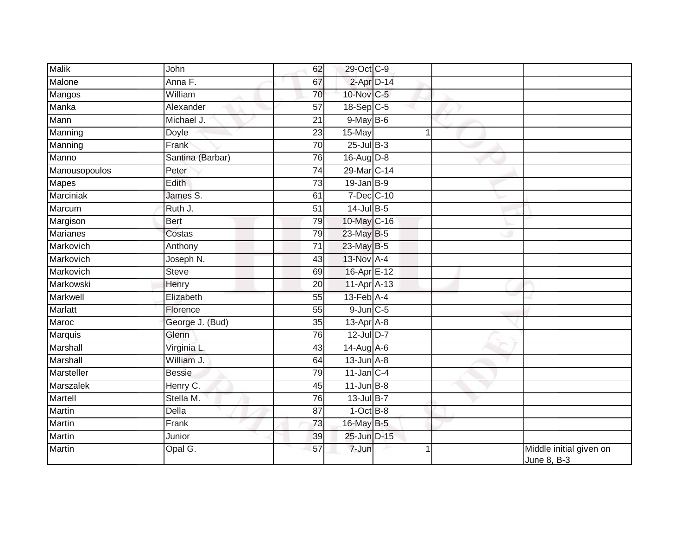| <b>Malik</b>     | John             | 62              | 29-Oct C-9        |   |                                        |
|------------------|------------------|-----------------|-------------------|---|----------------------------------------|
| Malone           | Anna F.          | 67              | $2$ -Apr $D-14$   |   |                                        |
| Mangos           | William          | 70              | 10-Nov C-5        |   |                                        |
| Manka            | Alexander        | 57              | 18-Sep C-5        |   |                                        |
| Mann             | Michael J.       | $\overline{21}$ | $9$ -May $B$ -6   |   |                                        |
| Manning          | Doyle            | 23              | 15-May            | 1 |                                        |
| Manning          | Frank            | 70              | $25$ -Jul $B-3$   |   |                                        |
| Manno            | Santina (Barbar) | 76              | 16-Aug D-8        |   |                                        |
| Manousopoulos    | Peter            | 74              | 29-Mar C-14       |   |                                        |
| <b>Mapes</b>     | Edith            | 73              | $19$ -Jan $B-9$   |   |                                        |
| Marciniak        | James S.         | 61              | 7-Dec C-10        |   |                                        |
| Marcum           | Ruth J.          | $\overline{51}$ | $14$ -Jul B-5     |   |                                        |
| Margison         | Bert             | 79              | 10-May C-16       |   |                                        |
| <b>Marianes</b>  | Costas           | 79              | 23-May B-5        |   |                                        |
| Markovich        | Anthony          | $\overline{71}$ | 23-May B-5        |   |                                        |
| Markovich        | Joseph N.        | $\overline{43}$ | 13-Nov A-4        |   |                                        |
| Markovich        | <b>Steve</b>     | 69              | 16-Apr E-12       |   |                                        |
| Markowski        | Henry            | 20              | 11-Apr A-13       |   |                                        |
| Markwell         | Elizabeth        | 55              | $13$ -Feb $A$ -4  |   |                                        |
| <b>Marlatt</b>   | Florence         | 55              | $9$ -Jun $C$ -5   |   |                                        |
| Maroc            | George J. (Bud)  | $\overline{35}$ | $13$ -Apr $A$ -8  |   |                                        |
| Marquis          | Glenn            | 76              | 12-Jul D-7        |   |                                        |
| Marshall         | Virginia L.      | 43              | 14-Aug A-6        |   |                                        |
| Marshall         | William J.       | 64              | $13$ -Jun $A - 8$ |   |                                        |
| Marsteller       | <b>Bessie</b>    | 79              | $11$ -Jan C-4     |   |                                        |
| <b>Marszalek</b> | Henry C.         | 45              | $11$ -Jun B-8     |   |                                        |
| Martell          | Stella M.        | 76              | $13$ -Jul B-7     |   |                                        |
| Martin           | Della            | 87              | $1-OctB-8$        |   |                                        |
| Martin           | Frank            | 73              | 16-May B-5        |   |                                        |
| <b>Martin</b>    | Junior           | 39              | 25-Jun D-15       |   |                                        |
| Martin           | Opal G.          | 57              | $7 - Jun$         | 1 | Middle initial given on<br>June 8, B-3 |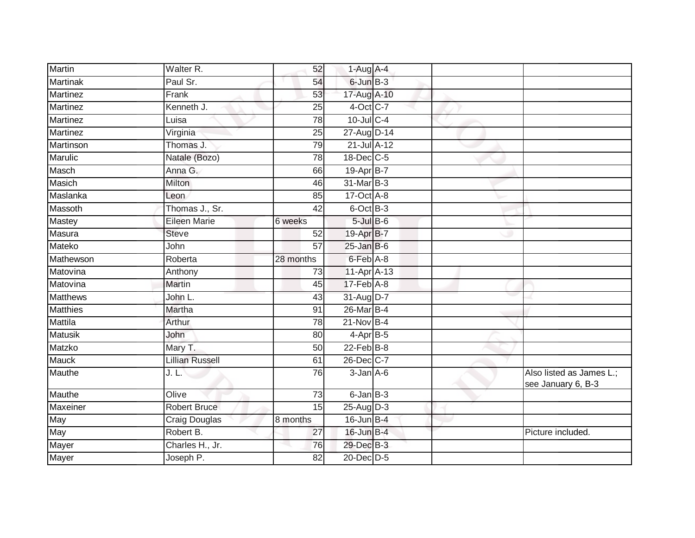| Martin          | Walter R.              | 52              | $1-Aug$ A-4      |  |                                                |
|-----------------|------------------------|-----------------|------------------|--|------------------------------------------------|
| <b>Martinak</b> | Paul Sr.               | 54              | 6-Jun B-3        |  |                                                |
| <b>Martinez</b> | Frank                  | 53              | 17-Aug A-10      |  |                                                |
| Martinez        | Kenneth J.             | 25              | 4-Oct C-7        |  |                                                |
| <b>Martinez</b> | Luisa                  | $\overline{78}$ | $10$ -Jul C-4    |  |                                                |
| Martinez        | Virginia               | 25              | 27-Aug D-14      |  |                                                |
| Martinson       | Thomas J.              | 79              | 21-Jul A-12      |  |                                                |
| Marulic         | Natale (Bozo)          | $\overline{78}$ | 18-Dec C-5       |  |                                                |
| Masch           | Anna G.                | 66              | 19-Apr B-7       |  |                                                |
| Masich          | <b>Milton</b>          | 46              | 31-Mar B-3       |  |                                                |
| Maslanka        | Leon                   | 85              | 17-Oct A-8       |  |                                                |
| Massoth         | Thomas J., Sr.         | 42              | 6-Oct B-3        |  |                                                |
| <b>Mastey</b>   | <b>Eileen Marie</b>    | 6 weeks         | $5$ -Jul $B$ -6  |  |                                                |
| Masura          | <b>Steve</b>           | 52              | 19-Apr B-7       |  |                                                |
| Mateko          | John                   | 57              | $25$ -Jan B-6    |  |                                                |
| Mathewson       | Roberta                | 28 months       | $6$ -Feb $A$ -8  |  |                                                |
| Matovina        | Anthony                | 73              | $11-Apr$ A-13    |  |                                                |
| Matovina        | Martin                 | 45              | $17$ -Feb $A$ -8 |  |                                                |
| <b>Matthews</b> | John L.                | 43              | 31-Aug D-7       |  |                                                |
| <b>Matthies</b> | Martha                 | 91              | 26-Mar B-4       |  |                                                |
| Mattila         | Arthur                 | 78              | 21-Nov B-4       |  |                                                |
| <b>Matusik</b>  | John                   | 80              | 4-Apr B-5        |  |                                                |
| Matzko          | Mary T.                | 50              | $22$ -Feb $B-8$  |  |                                                |
| Mauck           | <b>Lillian Russell</b> | 61              | $26$ -Dec $C$ -7 |  |                                                |
| Mauthe          | J. L.                  | $\overline{76}$ | $3$ -Jan $A$ -6  |  | Also listed as James L.;<br>see January 6, B-3 |
| Mauthe          | Olive                  | 73              | $6$ -Jan $B$ -3  |  |                                                |
| Maxeiner        | <b>Robert Bruce</b>    | 15              | 25-Aug D-3       |  |                                                |
| May             | Craig Douglas          | 8 months        | $16$ -Jun $B-4$  |  |                                                |
| May             | Robert B.              | 27              | $16$ -Jun $B-4$  |  | Picture included.                              |
| Mayer           | Charles H., Jr.        | 76              | 29-Dec B-3       |  |                                                |
| <b>Mayer</b>    | Joseph P.              | 82              | 20-Dec D-5       |  |                                                |
|                 |                        |                 |                  |  |                                                |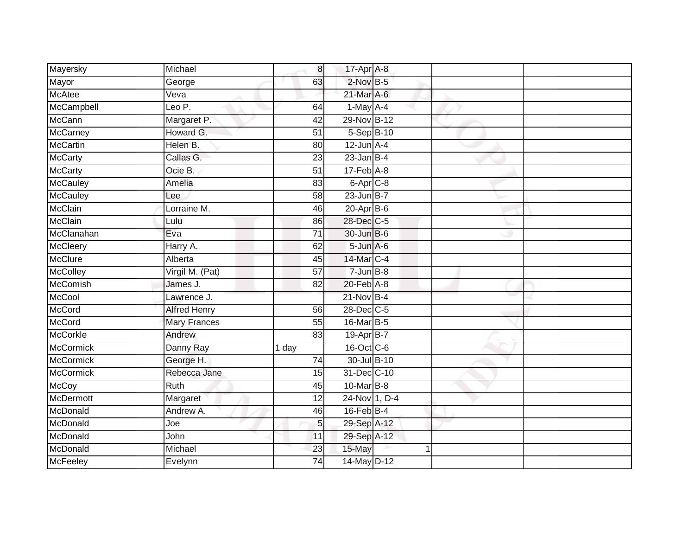| Mayersky         | Michael             | 8               | 17-Apr A-8           |  |  |
|------------------|---------------------|-----------------|----------------------|--|--|
| Mayor            | George              | 63              | $2$ -Nov $B-5$       |  |  |
| <b>McAtee</b>    | Veva                |                 | 21-Mar A-6           |  |  |
| McCampbell       | Leo P.              | 64              | $1-May$ A-4          |  |  |
| McCann           | Margaret P.         | $\overline{42}$ | 29-Nov B-12          |  |  |
| <b>McCarney</b>  | Howard G.           | 51              | 5-Sep B-10           |  |  |
| <b>McCartin</b>  | Helen B.            | 80              | $12$ -Jun $A-4$      |  |  |
| <b>McCarty</b>   | Callas G.           | 23              | $23$ -Jan B-4        |  |  |
| <b>McCarty</b>   | Ocie B.             | $\overline{51}$ | $17$ -Feb $A$ -8     |  |  |
| <b>McCauley</b>  | Amelia              | 83              | 6-Apr <sub>C-8</sub> |  |  |
| McCauley         | Lee                 | 58              | $23$ -Jun $B-7$      |  |  |
| McClain          | Lorraine M.         | 46              | $20$ -Apr $B$ -6     |  |  |
| <b>McClain</b>   | Lulu                | 86              | 28-Dec C-5           |  |  |
| McClanahan       | Eva                 | 71              | 30-Jun B-6           |  |  |
| <b>McCleery</b>  | Harry A.            | 62              | $5 - Jun$ $A - 6$    |  |  |
| <b>McClure</b>   | Alberta             | 45              | 14-Mar C-4           |  |  |
| <b>McColley</b>  | Virgil M. (Pat)     | $\overline{57}$ | $7 - Jun$ B-8        |  |  |
| <b>McComish</b>  | James J.            | 82              | $20$ -Feb $A-8$      |  |  |
| <b>McCool</b>    | Lawrence J.         |                 | 21-Nov B-4           |  |  |
| <b>McCord</b>    | <b>Alfred Henry</b> | $\overline{56}$ | 28-Dec C-5           |  |  |
| <b>McCord</b>    | <b>Mary Frances</b> | 55              | 16-Mar B-5           |  |  |
| <b>McCorkle</b>  | Andrew              | 83              | 19-Apr B-7           |  |  |
| <b>McCormick</b> | Danny Ray           | 1 day           | 16-Oct C-6           |  |  |
| <b>McCormick</b> | George H.           | 74              | 30-Jul B-10          |  |  |
| <b>McCormick</b> | Rebecca Jane        | 15              | 31-Dec C-10          |  |  |
| <b>McCoy</b>     | Ruth                | 45              | 10-Mar B-8           |  |  |
| <b>McDermott</b> | Margaret            | 12              | 24-Nov 1, D-4        |  |  |
| McDonald         | Andrew A.           | 46              | $16$ -Feb $B$ -4     |  |  |
| McDonald         | Joe                 | 5               | 29-Sep A-12          |  |  |
| McDonald         | John                | 11              | 29-Sep A-12          |  |  |
| McDonald         | Michael             | 23              | 15-May               |  |  |
| <b>McFeeley</b>  | Evelynn             | $\overline{74}$ | 14-May D-12          |  |  |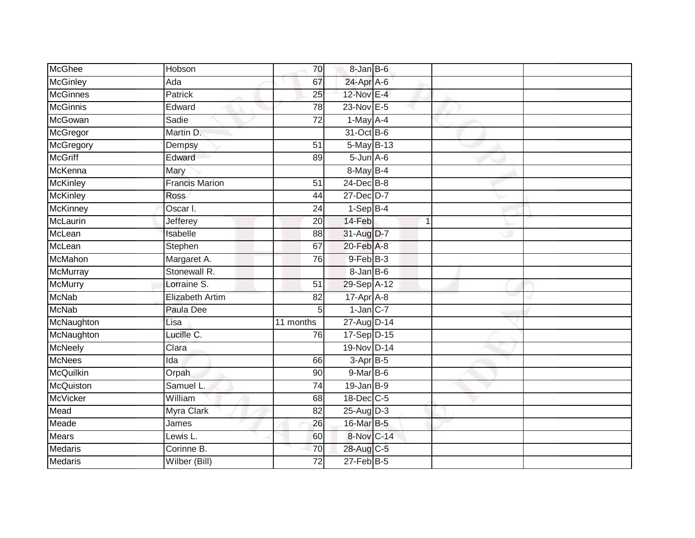| McGhee           | Hobson                | 70              | $8 - Jan$ $B - 6$ |   |  |
|------------------|-----------------------|-----------------|-------------------|---|--|
| <b>McGinley</b>  | Ada                   | 67              | 24-Apr A-6        |   |  |
| <b>McGinnes</b>  | <b>Patrick</b>        | $\overline{25}$ | 12-Nov E-4        |   |  |
| <b>McGinnis</b>  | Edward                | 78              | 23-Nov E-5        |   |  |
| McGowan          | Sadie                 | $\overline{72}$ | 1-May A-4         |   |  |
| McGregor         | Martin D.             |                 | 31-Oct B-6        |   |  |
| McGregory        | Dempsy                | 51              | 5-May B-13        |   |  |
| <b>McGriff</b>   | Edward                | 89              | $5 - Jun$ $A - 6$ |   |  |
| McKenna          | Mary                  |                 | 8-May B-4         |   |  |
| <b>McKinley</b>  | <b>Francis Marion</b> | $\overline{51}$ | 24-Dec B-8        |   |  |
| McKinley         | Ross                  | 44              | 27-Dec D-7        |   |  |
| <b>McKinney</b>  | Oscar I.              | $\overline{24}$ | $1-SepB-4$        |   |  |
| McLaurin         | Jefferey              | 20              | 14-Feb            | 1 |  |
| McLean           | Isabelle              | 88              | 31-Aug D-7        |   |  |
| McLean           | Stephen               | 67              | 20-Feb A-8        |   |  |
| McMahon          | Margaret A.           | 76              | 9-Feb B-3         |   |  |
| McMurray         | Stonewall R.          |                 | $8 - JanB - 6$    |   |  |
| McMurry          | Lorraine S.           | 51              | 29-Sep A-12       |   |  |
| <b>McNab</b>     | Elizabeth Artim       | 82              | 17-Apr A-8        |   |  |
| <b>McNab</b>     | Paula Dee             | $\overline{5}$  | $1$ -Jan $C-7$    |   |  |
| McNaughton       | Lisa                  | 11 months       | 27-Aug D-14       |   |  |
| McNaughton       | Lucille C.            | 76              | 17-Sep D-15       |   |  |
| <b>McNeely</b>   | Clara                 |                 | 19-Nov D-14       |   |  |
| <b>McNees</b>    | Ida                   | 66              | $3-AprB-5$        |   |  |
| <b>McQuilkin</b> | Orpah                 | 90              | $9$ -Mar $B$ -6   |   |  |
| McQuiston        | Samuel L.             | $\overline{74}$ | $19$ -Jan B-9     |   |  |
| <b>McVicker</b>  | William               | 68              | 18-Dec C-5        |   |  |
| Mead             | Myra Clark            | 82              | $25-Aug$ D-3      |   |  |
| Meade            | James                 | 26              | 16-Mar B-5        |   |  |
| Mears            | Lewis L.              | 60              | 8-Nov C-14        |   |  |
| Medaris          | Corinne B.            | 70              | 28-Aug C-5        |   |  |
| <b>Medaris</b>   | Wilber (Bill)         | $\overline{72}$ | $27 - Feb$ B-5    |   |  |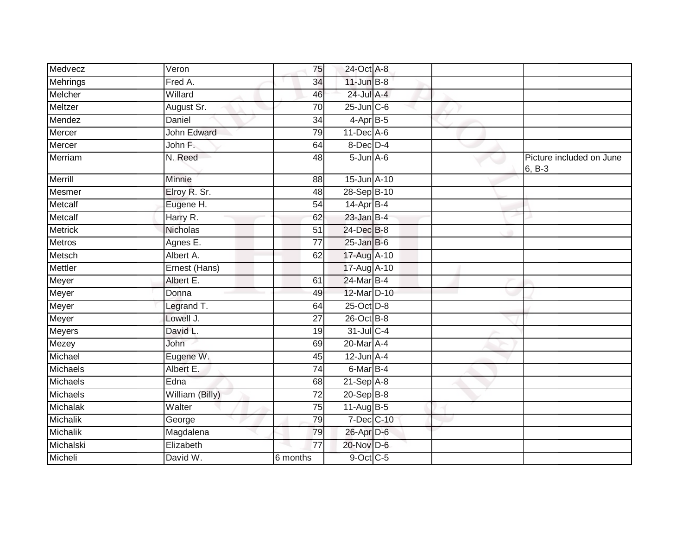| Medvecz         | Veron              | 75              | 24-Oct A-8        |  |                                    |
|-----------------|--------------------|-----------------|-------------------|--|------------------------------------|
| <b>Mehrings</b> | Fred A.            | 34              | $11$ -Jun $B-8$   |  |                                    |
| Melcher         | Willard            | 46              | 24-Jul A-4        |  |                                    |
| Meltzer         | August Sr.         | 70              | $25$ -Jun $C$ -6  |  |                                    |
| Mendez          | <b>Daniel</b>      | 34              | $4-$ Apr $B-5$    |  |                                    |
| Mercer          | <b>John Edward</b> | $\overline{79}$ | $11$ -Dec $A$ -6  |  |                                    |
| Mercer          | John F.            | 64              | 8-Dec D-4         |  |                                    |
| Merriam         | N. Reed            | 48              | $5 - Jun$ $A - 6$ |  | Picture included on June<br>6, B-3 |
| Merrill         | Minnie             | 88              | 15-Jun A-10       |  |                                    |
| Mesmer          | Elroy R. Sr.       | 48              | 28-Sep B-10       |  |                                    |
| Metcalf         | Eugene H.          | 54              | $14$ -Apr $B$ -4  |  |                                    |
| <b>Metcalf</b>  | Harry R.           | 62              | $23$ -Jan B-4     |  |                                    |
| <b>Metrick</b>  | Nicholas           | 51              | 24-Dec B-8        |  |                                    |
| <b>Metros</b>   | Agnes E.           | 77              | $25$ -Jan B-6     |  |                                    |
| Metsch          | Albert A.          | 62              | 17-Aug A-10       |  |                                    |
| Mettler         | Ernest (Hans)      |                 | 17-Aug A-10       |  |                                    |
| Meyer           | Albert E.          | 61              | 24-Mar B-4        |  |                                    |
| Meyer           | Donna              | 49              | 12-Mar D-10       |  |                                    |
| Meyer           | Legrand T.         | 64              | 25-Oct D-8        |  |                                    |
| Meyer           | Lowell J.          | 27              | $26$ -Oct B-8     |  |                                    |
| <b>Meyers</b>   | David L.           | 19              | 31-Jul C-4        |  |                                    |
| Mezey           | John               | 69              | $20$ -Mar $A$ -4  |  |                                    |
| Michael         | Eugene W.          | 45              | $12$ -Jun $A-4$   |  |                                    |
| Michaels        | Albert E.          | 74              | 6-Mar B-4         |  |                                    |
| Michaels        | Edna               | 68              | $21-Sep$ A-8      |  |                                    |
| <b>Michaels</b> | William (Billy)    | $\overline{72}$ | $20 - Sep$ B-8    |  |                                    |
| Michalak        | Walter             | 75              | 11-Aug B-5        |  |                                    |
| Michalik        | George             | 79              | 7-Dec C-10        |  |                                    |
| Michalik        | Magdalena          | 79              | 26-Apr D-6        |  |                                    |
| Michalski       | Elizabeth          | $\overline{77}$ | 20-Nov D-6        |  |                                    |
| Micheli         | David W.           | 6 months        | 9-Oct C-5         |  |                                    |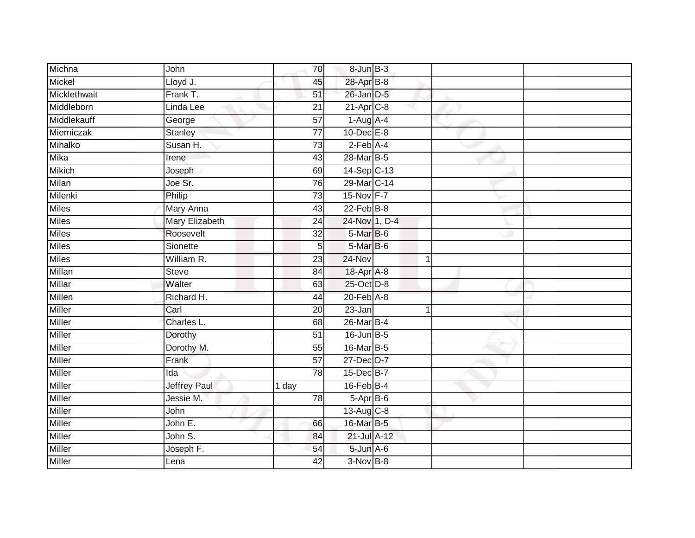| Michna        | John           | 70              | 8-Jun B-3         |             |  |
|---------------|----------------|-----------------|-------------------|-------------|--|
| Mickel        | Lloyd J.       | 45              | 28-Apr B-8        |             |  |
| Micklethwait  | Frank T.       | 51              | 26-Jan D-5        |             |  |
| Middleborn    | Linda Lee      | $\overline{21}$ | $21-Apr$ C-8      |             |  |
| Middlekauff   | George         | 57              | $1-Aug$ A-4       |             |  |
| Mierniczak    | Stanley        | 77              | $10$ -Dec $E-8$   |             |  |
| Mihalko       | Susan H.       | 73              | 2-Feb A-4         |             |  |
| Mika          | Irene          | 43              | 28-Mar B-5        |             |  |
| <b>Mikich</b> | Joseph         | 69              | 14-Sep C-13       |             |  |
| Milan         | Joe Sr.        | 76              | 29-Mar C-14       |             |  |
| Milenki       | Philip         | 73              | 15-Nov F-7        |             |  |
| <b>Miles</b>  | Mary Anna      | 43              | $22$ -Feb $B-8$   |             |  |
| <b>Miles</b>  | Mary Elizabeth | 24              | 24-Nov 1, D-4     |             |  |
| <b>Miles</b>  | Roosevelt      | 32              | 5-Mar B-6         |             |  |
| <b>Miles</b>  | Sionette       | 5               | 5-Mar B-6         |             |  |
| <b>Miles</b>  | William R.     | 23              | 24-Nov            | $\mathbf 1$ |  |
| Millan        | <b>Steve</b>   | 84              | 18-Apr A-8        |             |  |
| <b>Millar</b> | Walter         | 63              | 25-Oct D-8        |             |  |
| Millen        | Richard H.     | 44              | 20-Feb A-8        |             |  |
| <b>Miller</b> | Carl           | 20              | $23 - Jan$        | 1           |  |
| Miller        | Charles L.     | 68              | 26-Mar B-4        |             |  |
| Miller        | Dorothy        | 51              | $16$ -Jun $B - 5$ |             |  |
| Miller        | Dorothy M.     | 55              | 16-Mar B-5        |             |  |
| Miller        | Frank          | $\overline{57}$ | 27-Dec D-7        |             |  |
| Miller        | Ida            | $\overline{78}$ | 15-Dec B-7        |             |  |
| Miller        | Jeffrey Paul   | 1 day           | $16$ -Feb $B$ -4  |             |  |
| <b>Miller</b> | Jessie M.      | $\overline{78}$ | $5-AprB-6$        |             |  |
| Miller        | John           |                 | 13-Aug C-8        |             |  |
| Miller        | John E.        | 66              | 16-Mar B-5        |             |  |
| Miller        | John S.        | 84              | 21-Jul A-12       |             |  |
| Miller        | Joseph F.      | 54              | 5-Jun A-6         |             |  |
| <b>Miller</b> | Lena           | $\overline{42}$ | $3-Nov$ B-8       |             |  |
|               |                |                 |                   |             |  |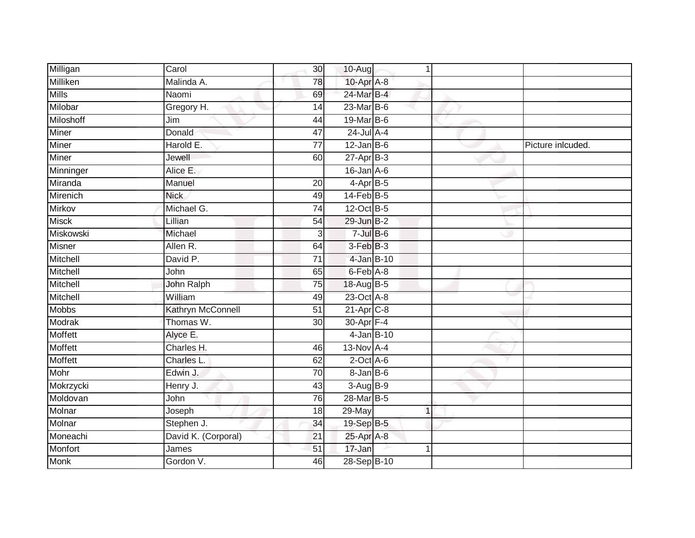| Milligan       | Carol               | 30              | 10-Aug                  | 1           |                   |
|----------------|---------------------|-----------------|-------------------------|-------------|-------------------|
|                |                     |                 |                         |             |                   |
| Milliken       | Malinda A.          | 78              | 10-Apr A-8              |             |                   |
| <b>Mills</b>   | Naomi               | 69              | 24-Mar B-4              |             |                   |
| Milobar        | Gregory H.          | 14              | 23-Mar B-6              |             |                   |
| Miloshoff      | Jim                 | $\overline{44}$ | 19-Mar B-6              |             |                   |
| <b>Miner</b>   | Donald              | 47              | $24$ -Jul A-4           |             |                   |
| Miner          | Harold E.           | 77              | $12$ -Jan B-6           |             | Picture inlcuded. |
| Miner          | Jewell              | 60              | $27$ -Apr $B-3$         |             |                   |
| Minninger      | Alice E.            |                 | $16$ -Jan $A$ -6        |             |                   |
| Miranda        | Manuel              | 20              | $4-AprB-5$              |             |                   |
| Mirenich       | <b>Nick</b>         | 49              | $14$ -Feb $B$ -5        |             |                   |
| Mirkov         | Michael G.          | $\overline{74}$ | 12-Oct B-5              |             |                   |
| <b>Misck</b>   | Lillian             | 54              | $29$ -Jun $B-2$         |             |                   |
| Miskowski      | Michael             | 3               | $7 -$ Jul $B - 6$       |             |                   |
| <b>Misner</b>  | Allen R.            | 64              | 3-Feb B-3               |             |                   |
| Mitchell       | David P.            | $\overline{71}$ | 4-Jan B-10              |             |                   |
| Mitchell       | John                | 65              | $6$ -Feb $A$ -8         |             |                   |
| Mitchell       | John Ralph          | $\overline{75}$ | 18-Aug B-5              |             |                   |
| Mitchell       | William             | 49              | 23-Oct A-8              |             |                   |
| <b>Mobbs</b>   | Kathryn McConnell   | 51              | $21-Apr$ <sub>C-8</sub> |             |                   |
| <b>Modrak</b>  | Thomas W.           | 30              | 30-Apr <sub>F-4</sub>   |             |                   |
| Moffett        | Alyce E.            |                 | $4$ -Jan B-10           |             |                   |
| <b>Moffett</b> | Charles H.          | 46              | 13-Nov A-4              |             |                   |
| <b>Moffett</b> | Charles L.          | 62              | $2$ -Oct $A$ -6         |             |                   |
| Mohr           | Edwin J.            | $\overline{70}$ | $8 - Jan$ $B - 6$       |             |                   |
| Mokrzycki      | Henry J.            | 43              | $3-Aug$ B-9             |             |                   |
| Moldovan       | John                | 76              | 28-Mar B-5              |             |                   |
| Molnar         | Joseph              | 18              | 29-May                  | $\mathbf 1$ |                   |
| Molnar         | Stephen J.          | 34              | 19-Sep B-5              |             |                   |
| Moneachi       | David K. (Corporal) | 21              | 25-Apr A-8              |             |                   |
| Monfort        | James               | 51              | 17-Jan                  | 1           |                   |
| <b>Monk</b>    | Gordon V.           | 46              | 28-Sep B-10             |             |                   |
|                |                     |                 |                         |             |                   |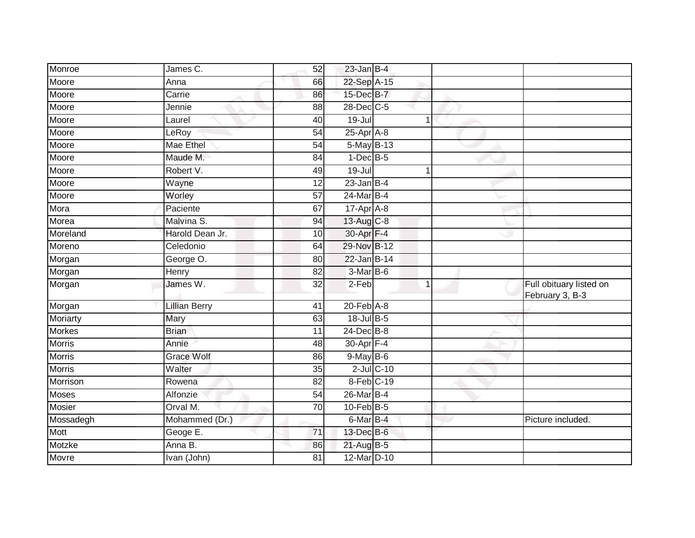| Monroe        | James C.             | 52              | $23$ -Jan B-4    |                  |                                            |
|---------------|----------------------|-----------------|------------------|------------------|--------------------------------------------|
| Moore         | Anna                 | 66              | 22-Sep A-15      |                  |                                            |
| Moore         | Carrie               | 86              | 15-Dec B-7       |                  |                                            |
| Moore         | Jennie               | 88              | 28-Dec C-5       |                  |                                            |
| Moore         | Laurel               | $\overline{40}$ | $19 -$ Jul       | 1                |                                            |
| Moore         | LeRoy                | 54              | $25$ -Apr $A$ -8 |                  |                                            |
| Moore         | Mae Ethel            | 54              | $5$ -May $B-13$  |                  |                                            |
| Moore         | Maude M.             | 84              | $1-Dec$ B-5      |                  |                                            |
| Moore         | Robert V.            | 49              | $19 -$ Jul       |                  |                                            |
| Moore         | Wayne                | $\overline{12}$ | $23$ -Jan B-4    |                  |                                            |
| Moore         | Worley               | 57              | $24$ -Mar $B-4$  |                  |                                            |
| Mora          | Paciente             | 67              | $17$ -Apr $A$ -8 |                  |                                            |
| Morea         | Malvina S.           | 94              | 13-Aug C-8       |                  |                                            |
| Moreland      | Harold Dean Jr.      | 10              | 30-Apr F-4       |                  |                                            |
| Moreno        | Celedonio            | 64              | 29-Nov B-12      |                  |                                            |
| Morgan        | George O.            | 80              | 22-Jan B-14      |                  |                                            |
| Morgan        | Henry                | 82              | 3-Mar B-6        |                  |                                            |
| Morgan        | James W.             | 32              | 2-Feb            | $\overline{1}$   | Full obituary listed on<br>February 3, B-3 |
| Morgan        | <b>Lillian Berry</b> | 41              | 20-Feb A-8       |                  |                                            |
| Moriarty      | Mary                 | 63              | $18$ -Jul B-5    |                  |                                            |
| <b>Morkes</b> | <b>Brian</b>         | 11              | 24-Dec B-8       |                  |                                            |
| <b>Morris</b> | Annie                | 48              | 30-Apr F-4       |                  |                                            |
| <b>Morris</b> | <b>Grace Wolf</b>    | 86              | $9$ -May $B$ -6  |                  |                                            |
| <b>Morris</b> | Walter               | 35              |                  | $2$ -Jul $C$ -10 |                                            |
| Morrison      | Rowena               | 82              | 8-Feb C-19       |                  |                                            |
| <b>Moses</b>  | Alfonzie             | 54              | 26-Mar B-4       |                  |                                            |
| <b>Mosier</b> | Orval M.             | $\overline{70}$ | $10$ -Feb $B-5$  |                  |                                            |
| Mossadegh     | Mohammed (Dr.)       |                 | 6-Mar B-4        |                  | Picture included.                          |
| <b>Mott</b>   | Geoge E.             | $\overline{71}$ | 13-Dec B-6       |                  |                                            |
| Motzke        | Anna B.              | 86              | 21-Aug B-5       |                  |                                            |
| Movre         | Ivan (John)          | 81              | 12-Mar D-10      |                  |                                            |
|               |                      |                 |                  |                  |                                            |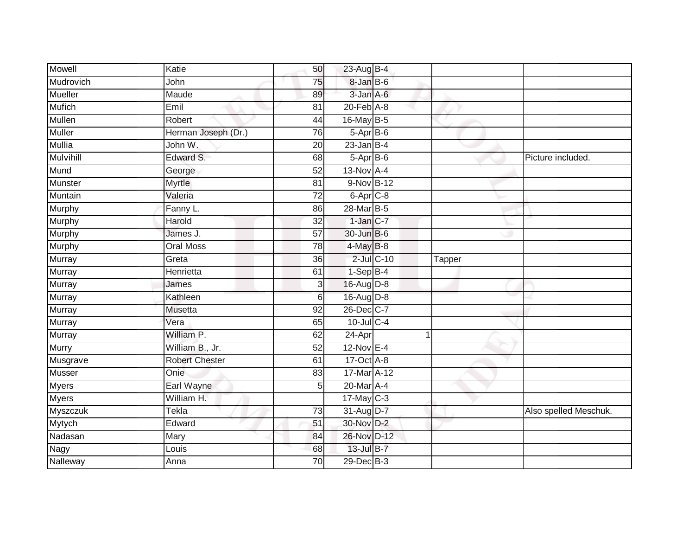| Mowell           | Katie                 | 50              | 23-Aug B-4                   |   |        |                       |
|------------------|-----------------------|-----------------|------------------------------|---|--------|-----------------------|
| Mudrovich        | John                  | 75              | 8-Jan B-6                    |   |        |                       |
| <b>Mueller</b>   | Maude                 | 89              | 3-Jan A-6                    |   |        |                       |
| <b>Mufich</b>    | Emil                  | 81              | $20$ -Feb $A-8$              |   |        |                       |
| <b>Mullen</b>    | Robert                | $\overline{44}$ | 16-May B-5                   |   |        |                       |
| <b>Muller</b>    | Herman Joseph (Dr.)   | 76              | 5-Apr B-6                    |   |        |                       |
| <b>Mullia</b>    | John W.               | 20              | $23$ -Jan B-4                |   |        |                       |
| <b>Mulvihill</b> | Edward S.             | 68              | $5-AprB-6$                   |   |        | Picture included.     |
| Mund             | George                | 52              | 13-Nov A-4                   |   |        |                       |
| Munster          | <b>Myrtle</b>         | 81              | 9-Nov B-12                   |   |        |                       |
| Muntain          | Valeria               | 72              | $6 - \overline{Apr}$ $C - 8$ |   |        |                       |
| Murphy           | Fanny L.              | 86              | 28-Mar B-5                   |   |        |                       |
| Murphy           | Harold                | 32              | $1-Jan$ $C-7$                |   |        |                       |
| Murphy           | James J.              | 57              | 30-Jun B-6                   |   |        |                       |
| <b>Murphy</b>    | <b>Oral Moss</b>      | $\overline{78}$ | $4$ -May $B-8$               |   |        |                       |
| Murray           | Greta                 | 36              | $2$ -Jul $C-10$              |   | Tapper |                       |
| Murray           | Henrietta             | 61              | $1-Sep$ B-4                  |   |        |                       |
| Murray           | James                 | 3               | 16-Aug D-8                   |   |        |                       |
| Murray           | Kathleen              | 6               | 16-Aug D-8                   |   |        |                       |
| Murray           | <b>Musetta</b>        | 92              | 26-Dec C-7                   |   |        |                       |
| Murray           | Vera                  | 65              | 10-Jul C-4                   |   |        |                       |
| Murray           | William P.            | 62              | 24-Apr                       | 1 |        |                       |
| <b>Murry</b>     | William B., Jr.       | $\overline{52}$ | 12-Nov E-4                   |   |        |                       |
| Musgrave         | <b>Robert Chester</b> | 61              | 17-Oct A-8                   |   |        |                       |
| <b>Musser</b>    | Onie                  | 83              | 17-Mar A-12                  |   |        |                       |
| <b>Myers</b>     | Earl Wayne            | 5               | 20-Mar A-4                   |   |        |                       |
| <b>Myers</b>     | William H.            |                 | 17-May C-3                   |   |        |                       |
| Myszczuk         | Tekla                 | 73              | 31-Aug D-7                   |   |        | Also spelled Meschuk. |
| Mytych           | Edward                | 51              | 30-Nov D-2                   |   |        |                       |
| Nadasan          | Mary                  | 84              | 26-Nov D-12                  |   |        |                       |
| Nagy             | Louis                 | 68              | 13-Jul B-7                   |   |        |                       |
| Nalleway         | Anna                  | $\overline{70}$ | 29-Dec B-3                   |   |        |                       |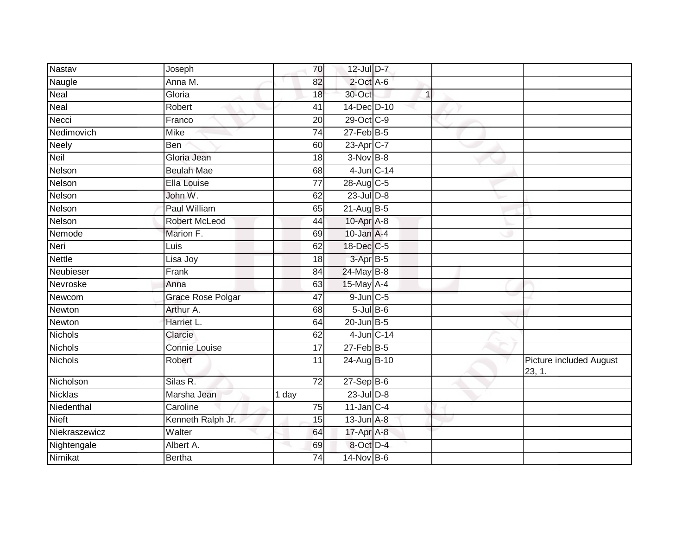| <b>Nastav</b>  | Joseph                   | 70              | 12-Jul D-7                         |              |                                   |
|----------------|--------------------------|-----------------|------------------------------------|--------------|-----------------------------------|
| Naugle         | Anna M.                  | 82              | $2$ -Oct $A$ -6                    |              |                                   |
| Neal           | Gloria                   | 18              | 30-Oct                             | $\mathbf{1}$ |                                   |
| Neal           | Robert                   | 41              | 14-Dec D-10                        |              |                                   |
| Necci          | Franco                   | $\overline{20}$ | 29-Oct C-9                         |              |                                   |
| Nedimovich     | Mike                     | 74              | $27$ -Feb $B$ -5                   |              |                                   |
| Neely          | Ben                      | 60              | 23-Apr C-7                         |              |                                   |
| <b>Neil</b>    | Gloria Jean              | 18              | $3-Nov$ B-8                        |              |                                   |
| Nelson         | <b>Beulah Mae</b>        | 68              | 4-Jun C-14                         |              |                                   |
| Nelson         | <b>Ella Louise</b>       | $\overline{77}$ | 28-Aug C-5                         |              |                                   |
| Nelson         | John W.                  | 62              | $23$ -Jul $D-8$                    |              |                                   |
| Nelson         | Paul William             | 65              | $21 - \text{Aug} \cdot \text{B-5}$ |              |                                   |
| <b>Nelson</b>  | <b>Robert McLeod</b>     | 44              | 10-Apr A-8                         |              |                                   |
| Nemode         | Marion F.                | 69              | $10$ -Jan $A-4$                    |              |                                   |
| Neri           | Luis                     | 62              | 18-Dec C-5                         |              |                                   |
| <b>Nettle</b>  | Lisa Joy                 | 18              | 3-Apr B-5                          |              |                                   |
| Neubieser      | Frank                    | 84              | 24-May B-8                         |              |                                   |
| Nevroske       | Anna                     | 63              | $15$ -May A-4                      |              |                                   |
| Newcom         | <b>Grace Rose Polgar</b> | 47              | $9$ -Jun $C$ -5                    |              |                                   |
| Newton         | Arthur A.                | 68              | $5$ -Jul $B$ -6                    |              |                                   |
| Newton         | Harriet L.               | 64              | $20$ -Jun $B-5$                    |              |                                   |
| <b>Nichols</b> | Clarcie                  | 62              | $4$ -Jun $ C-14 $                  |              |                                   |
| Nichols        | <b>Connie Louise</b>     | 17              | $27$ -Feb $B$ -5                   |              |                                   |
| Nichols        | Robert                   | 11              | 24-Aug B-10                        |              | Picture included August<br>23, 1. |
| Nicholson      | Silas R.                 | $\overline{72}$ | $27-Sep$ B-6                       |              |                                   |
| <b>Nicklas</b> | Marsha Jean              | 1 day           | $23$ -Jul $D-8$                    |              |                                   |
| Niedenthal     | Caroline                 | 75              | $11$ -Jan $C-4$                    |              |                                   |
| <b>Nieft</b>   | Kenneth Ralph Jr.        | 15              | $13$ -Jun $A-8$                    |              |                                   |
| Niekraszewicz  | Walter                   | 64              | 17-Apr A-8                         |              |                                   |
| Nightengale    | Albert A.                | 69              | 8-Oct D-4                          |              |                                   |
| Nimikat        | <b>Bertha</b>            | 74              | 14-Nov B-6                         |              |                                   |
|                |                          |                 |                                    |              |                                   |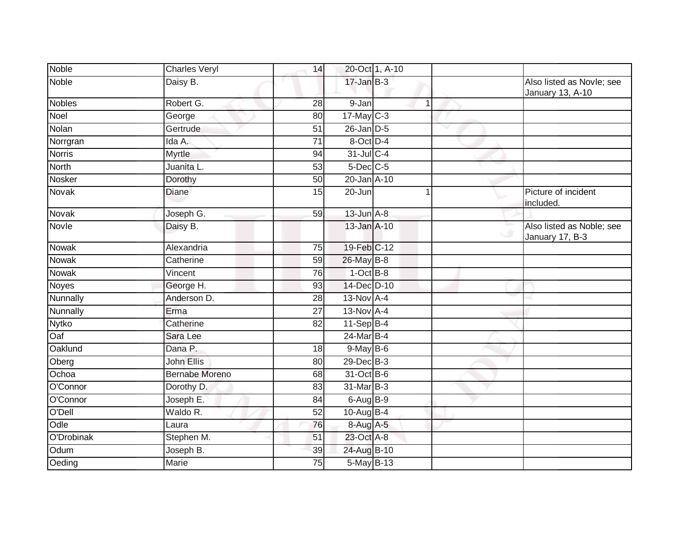| <b>Noble</b>  | <b>Charles Veryl</b>  | 14              |                  | 20-Oct 1, A-10 |                |                                               |
|---------------|-----------------------|-----------------|------------------|----------------|----------------|-----------------------------------------------|
| <b>Noble</b>  | Daisy B.              |                 | $17 - Jan$ $B-3$ |                |                | Also listed as Novle; see<br>January 13, A-10 |
| <b>Nobles</b> | Robert G.             | 28              | 9-Jan            |                | $\overline{1}$ |                                               |
| Noel          | George                | 80              | $17$ -May C-3    |                |                |                                               |
| Nolan         | Gertrude              | 51              | $26$ -Jan $D-5$  |                |                |                                               |
| Norrgran      | Ida A.                | 71              | 8-Oct D-4        |                |                |                                               |
| <b>Norris</b> | Myrtle                | 94              | 31-Jul C-4       |                |                |                                               |
| North         | Juanita L.            | 53              | $5$ -Dec $C$ -5  |                |                |                                               |
| Nosker        | Dorothy               | 50              | 20-Jan A-10      |                |                |                                               |
| Novak         | <b>Diane</b>          | 15              | $20 - Jun$       |                | 1              | Picture of incident<br>included.              |
| Novak         | Joseph G.             | 59              | $13$ -Jun $A-8$  |                |                |                                               |
| Novle         | Daisy B.              |                 | 13-Jan A-10      |                |                | Also listed as Noble; see<br>January 17, B-3  |
| Nowak         | Alexandria            | 75              | 19-Feb C-12      |                |                |                                               |
| Nowak         | Catherine             | 59              | 26-May B-8       |                |                |                                               |
| Nowak         | Vincent               | 76              | $1-OctB-8$       |                |                |                                               |
| <b>Noyes</b>  | George H.             | 93              | 14-Dec D-10      |                |                |                                               |
| Nunnally      | Anderson D.           | 28              | $13-NovA-4$      |                |                |                                               |
| Nunnally      | Erma                  | $\overline{27}$ | 13-Nov A-4       |                |                |                                               |
| <b>Nytko</b>  | Catherine             | 82              | 11-Sep B-4       |                |                |                                               |
| Oaf           | Sara Lee              |                 | 24-Mar B-4       |                |                |                                               |
| Oaklund       | Dana P.               | 18              | $9$ -May $B$ -6  |                |                |                                               |
| Oberg         | John Ellis            | 80              | 29-Dec B-3       |                |                |                                               |
| Ochoa         | <b>Bernabe Moreno</b> | 68              | 31-Oct B-6       |                |                |                                               |
| O'Connor      | Dorothy D.            | 83              | 31-Mar B-3       |                |                |                                               |
| O'Connor      | Joseph E.             | 84              | $6$ -Aug $B-9$   |                |                |                                               |
| O'Dell        | Waldo R.              | 52              | 10-Aug B-4       |                |                |                                               |
| Odle          | Laura                 | 76              | 8-Aug A-5        |                |                |                                               |
| O'Drobinak    | Stephen M.            | 51              | 23-Oct A-8       |                |                |                                               |
| Odum          | Joseph B.             | 39              | 24-Aug B-10      |                |                |                                               |
| Oeding        | <b>Marie</b>          | $\overline{75}$ | 5-May B-13       |                |                |                                               |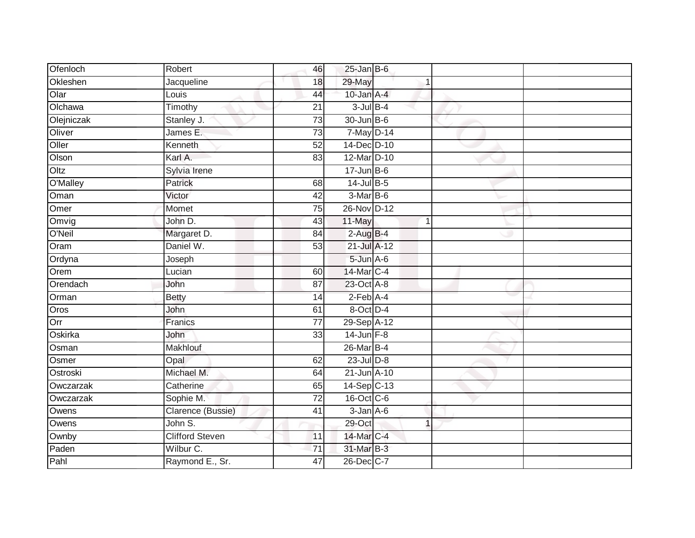| Ofenloch   | Robert                 | 46              | $25$ -Jan B-6   |   |  |
|------------|------------------------|-----------------|-----------------|---|--|
| Okleshen   | Jacqueline             | 18              | 29-May          |   |  |
| Olar       | Louis                  | 44              | 10-Jan $A-4$    |   |  |
| Olchawa    | Timothy                | $\overline{21}$ | $3$ -Jul $B$ -4 |   |  |
| Olejniczak | Stanley J.             | 73              | 30-Jun B-6      |   |  |
| Oliver     | James E.               | 73              | 7-May D-14      |   |  |
| Oller      | Kenneth                | 52              | 14-Dec D-10     |   |  |
| Olson      | Karl A.                | 83              | 12-Mar D-10     |   |  |
| Oltz       | Sylvia Irene           |                 | $17 - Jun$ B-6  |   |  |
| O'Malley   | Patrick                | 68              | $14$ -Jul B-5   |   |  |
| Oman       | Victor                 | 42              | $3-MarB-6$      |   |  |
| Omer       | Momet                  | 75              | 26-Nov D-12     |   |  |
| Omvig      | John D.                | 43              | 11-May          | 1 |  |
| O'Neil     | Margaret D.            | 84              | $2-AugB-4$      |   |  |
| Oram       | Daniel W.              | 53              | 21-Jul A-12     |   |  |
| Ordyna     | Joseph                 |                 | 5-Jun A-6       |   |  |
| Orem       | Lucian                 | 60              | 14-Mar C-4      |   |  |
| Orendach   | John                   | 87              | 23-Oct A-8      |   |  |
| Orman      | <b>Betty</b>           | 14              | $2$ -Feb $A$ -4 |   |  |
| Oros       | <b>John</b>            | 61              | 8-Oct D-4       |   |  |
| Orr        | Franics                | 77              | 29-Sep A-12     |   |  |
| Oskirka    | John                   | 33              | 14-Jun F-8      |   |  |
| Osman      | Makhlouf               |                 | 26-Mar B-4      |   |  |
| Osmer      | Opal                   | 62              | $23$ -Jul $D-8$ |   |  |
| Ostroski   | Michael M.             | 64              | 21-Jun A-10     |   |  |
| Owczarzak  | Catherine              | 65              | 14-Sep C-13     |   |  |
| Owczarzak  | Sophie M.              | $\overline{72}$ | 16-Oct C-6      |   |  |
| Owens      | Clarence (Bussie)      | 41              | $3$ -Jan $A$ -6 |   |  |
| Owens      | John S.                |                 | 29-Oct          | 1 |  |
| Ownby      | <b>Clifford Steven</b> | 11              | 14-Mar C-4      |   |  |
| Paden      | Wilbur C.              | 71              | 31-Mar B-3      |   |  |
| Pahl       | Raymond E., Sr.        | 47              | 26-Dec C-7      |   |  |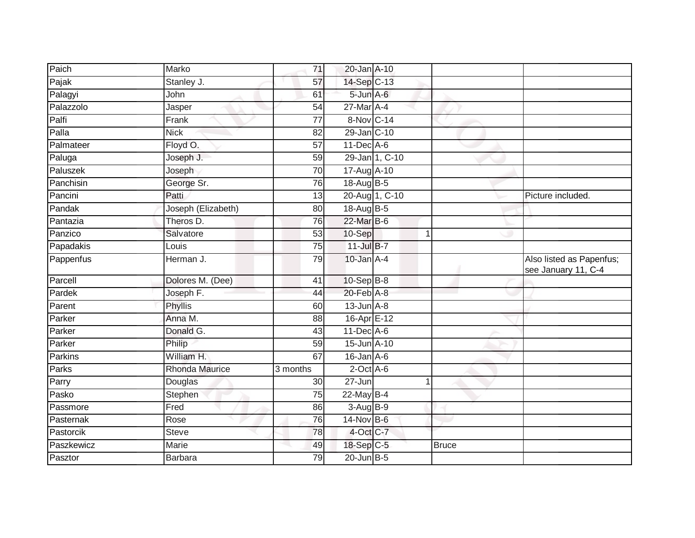| Paich      | Marko                 | 71              | 20-Jan A-10      |                |              |                                                 |
|------------|-----------------------|-----------------|------------------|----------------|--------------|-------------------------------------------------|
| Pajak      | Stanley J.            | 57              | 14-Sep C-13      |                |              |                                                 |
| Palagyi    | John                  | 61              | 5-Jun A-6        |                |              |                                                 |
| Palazzolo  | Jasper                | 54              | 27-Mar A-4       |                |              |                                                 |
| Palfi      | Frank                 | $\overline{77}$ | 8-Nov C-14       |                |              |                                                 |
| Palla      | <b>Nick</b>           | 82              | 29-Jan C-10      |                |              |                                                 |
| Palmateer  | Floyd O.              | 57              | $11$ -Dec $A$ -6 |                |              |                                                 |
| Paluga     | Joseph J.             | 59              |                  | 29-Jan 1, C-10 |              |                                                 |
| Paluszek   | Joseph                | 70              | 17-Aug A-10      |                |              |                                                 |
| Panchisin  | George Sr.            | 76              | 18-Aug B-5       |                |              |                                                 |
| Pancini    | Patti                 | 13              |                  | 20-Aug 1, C-10 |              | Picture included.                               |
| Pandak     | Joseph (Elizabeth)    | 80              | $18$ -AugB-5     |                |              |                                                 |
| Pantazia   | Theros D.             | 76              | 22-Mar B-6       |                |              |                                                 |
| Panzico    | Salvatore             | 53              | 10-Sep           |                | $\mathbf 1$  |                                                 |
| Papadakis  | Louis                 | $\overline{75}$ | 11-Jul B-7       |                |              |                                                 |
| Pappenfus  | Herman J.             | 79              | $10$ -Jan $A-4$  |                |              | Also listed as Papenfus;<br>see January 11, C-4 |
| Parcell    | Dolores M. (Dee)      | 41              | 10-Sep B-8       |                |              |                                                 |
| Pardek     | Joseph F.             | 44              | 20-Feb A-8       |                |              |                                                 |
| Parent     | Phyllis               | 60              | $13$ -Jun $A-8$  |                |              |                                                 |
| Parker     | Anna M.               | 88              | 16-Apr E-12      |                |              |                                                 |
| Parker     | Donald G.             | 43              | $11$ -Dec $A$ -6 |                |              |                                                 |
| Parker     | Philip                | 59              | 15-Jun A-10      |                |              |                                                 |
| Parkins    | William H.            | 67              | $16$ -Jan $A$ -6 |                |              |                                                 |
| Parks      | <b>Rhonda Maurice</b> | 3 months        | $2$ -Oct $A$ -6  |                |              |                                                 |
| Parry      | Douglas               | 30              | $27 - Jun$       |                | 1            |                                                 |
| Pasko      | <b>Stephen</b>        | 75              | 22-May B-4       |                |              |                                                 |
| Passmore   | Fred                  | 86              | $3-Aug$ B-9      |                |              |                                                 |
| Pasternak  | Rose                  | $\overline{76}$ | $14$ -Nov B-6    |                |              |                                                 |
| Pastorcik  | <b>Steve</b>          | 78              | 4-Oct C-7        |                |              |                                                 |
| Paszkewicz | Marie                 | 49              | 18-Sep C-5       |                | <b>Bruce</b> |                                                 |
| Pasztor    | <b>Barbara</b>        | 79              | $20$ -Jun $B-5$  |                |              |                                                 |
|            |                       |                 |                  |                |              |                                                 |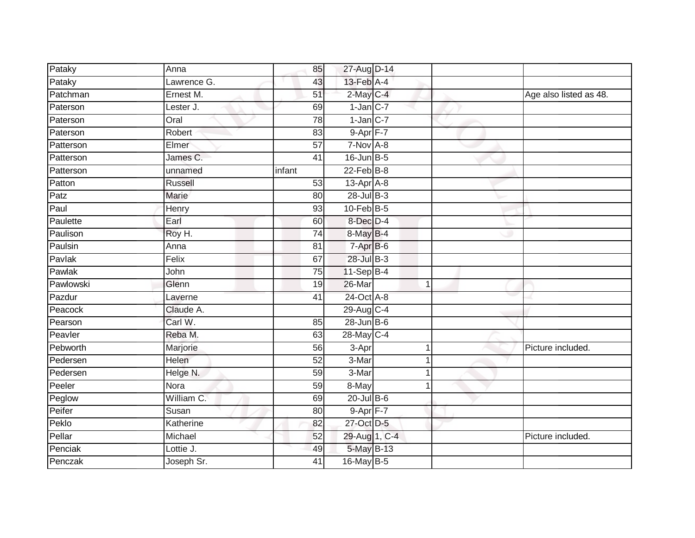| Pataky    | Anna           | 85              | 27-Aug D-14       |                |                        |
|-----------|----------------|-----------------|-------------------|----------------|------------------------|
| Pataky    | Lawrence G.    | 43              | 13-Feb A-4        |                |                        |
| Patchman  | Ernest M.      | 51              | 2-May C-4         |                | Age also listed as 48. |
| Paterson  | Lester J.      | 69              | $1$ -Jan $C$ -7   |                |                        |
| Paterson  | Oral           | $\overline{78}$ | $1$ -Jan $C-7$    |                |                        |
| Paterson  | Robert         | 83              | $9-Apr$ F-7       |                |                        |
| Patterson | Elmer          | 57              | $7-Nov$ A-8       |                |                        |
| Patterson | James C.       | 41              | $16$ -Jun $B - 5$ |                |                        |
| Patterson | unnamed        | infant          | $22$ -Feb $B-8$   |                |                        |
| Patton    | <b>Russell</b> | 53              | $13$ -Apr $A$ -8  |                |                        |
| Patz      | Marie          | 80              | $28$ -Jul B-3     |                |                        |
| Paul      | Henry          | 93              | $10$ -Feb $B-5$   |                |                        |
| Paulette  | Earl           | 60              | 8-Dec D-4         |                |                        |
| Paulison  | Roy H.         | 74              | 8-May B-4         |                |                        |
| Paulsin   | Anna           | 81              | $7 - Apr$ $B-6$   |                |                        |
| Pavlak    | Felix          | 67              | 28-Jul B-3        |                |                        |
| Pawlak    | John           | $\overline{75}$ | $11-Sep$ B-4      |                |                        |
| Pawlowski | Glenn          | 19              | 26-Mar            | $\overline{1}$ |                        |
| Pazdur    | Laverne        | 41              | 24-Oct A-8        |                |                        |
| Peacock   | Claude A.      |                 | 29-Aug C-4        |                |                        |
| Pearson   | Carl W.        | 85              | $28$ -Jun $B$ -6  |                |                        |
| Peavler   | Reba M.        | 63              | 28-May C-4        |                |                        |
| Pebworth  | Marjorie       | 56              | 3-Apr             | 1              | Picture included.      |
| Pedersen  | Helen          | 52              | 3-Mar             | 1              |                        |
| Pedersen  | Helge N.       | 59              | 3-Mar             |                |                        |
| Peeler    | Nora           | 59              | 8-May             |                |                        |
| Peglow    | William C.     | 69              | $20$ -Jul $B-6$   |                |                        |
| Peifer    | Susan          | 80              | $9-Apr$ F-7       |                |                        |
| Peklo     | Katherine      | 82              | 27-Oct D-5        |                |                        |
| Pellar    | Michael        | 52              | 29-Aug 1, C-4     |                | Picture included.      |
| Penciak   | Lottie J.      | 49              | 5-May B-13        |                |                        |
| Penczak   | Joseph Sr.     | 41              | 16-May B-5        |                |                        |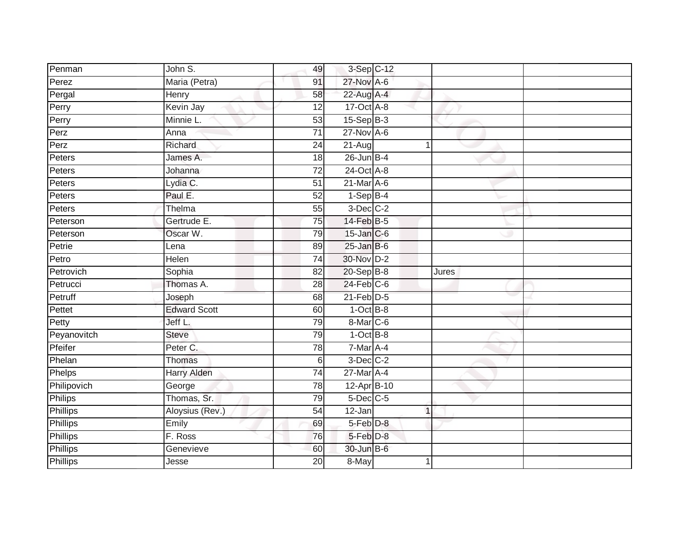| Penman          | John S.             | 49              | $3-Sep$ $C-12$   |       |  |
|-----------------|---------------------|-----------------|------------------|-------|--|
| Perez           | Maria (Petra)       | 91              | 27-Nov A-6       |       |  |
| Pergal          | Henry               | 58              | 22-Aug A-4       |       |  |
| Perry           | Kevin Jay           | 12              | 17-Oct A-8       |       |  |
| Perry           | Minnie L.           | 53              | $15-Sep$ B-3     |       |  |
| Perz            | Anna                | $\overline{71}$ | $27$ -Nov $A-6$  |       |  |
| Perz            | Richard             | 24              | 21-Aug           | 1     |  |
| Peters          | James A.            | 18              | $26$ -Jun $B-4$  |       |  |
| Peters          | Johanna             | $\overline{72}$ | $24$ -Oct $A-8$  |       |  |
| Peters          | Lydia C.            | 51              | $21$ -Mar $A$ -6 |       |  |
| Peters          | Paul E.             | $\overline{52}$ | $1-SepB-4$       |       |  |
| Peters          | Thelma              | 55              | 3-Dec C-2        |       |  |
| Peterson        | Gertrude E.         | 75              | 14-Feb B-5       |       |  |
| Peterson        | Oscar W.            | 79              | 15-Jan C-6       |       |  |
| Petrie          | Lena                | 89              | $25$ -Jan B-6    |       |  |
| Petro           | Helen               | 74              | 30-Nov D-2       |       |  |
| Petrovich       | Sophia              | $\overline{82}$ | 20-Sep B-8       | Jures |  |
| Petrucci        | Thomas A.           | 28              | $24$ -Feb $C$ -6 |       |  |
| Petruff         | Joseph              | 68              | $21$ -Feb $D-5$  |       |  |
| Pettet          | <b>Edward Scott</b> | 60              | $1$ -Oct $B-8$   |       |  |
| Petty           | Jeff L.             | 79              | 8-Mar C-6        |       |  |
| Peyanovitch     | <b>Steve</b>        | 79              | $1-OctB-8$       |       |  |
| Pfeifer         | Peter C.            | 78              | 7-Mar A-4        |       |  |
| Phelan          | Thomas              | 6               | $3$ -Dec $C-2$   |       |  |
| Phelps          | Harry Alden         | 74              | $27$ -Mar $A$ -4 |       |  |
| Philipovich     | George              | 78              | 12-Apr B-10      |       |  |
| Philips         | Thomas, Sr.         | 79              | $5$ -Dec $C$ -5  |       |  |
| <b>Phillips</b> | Aloysius (Rev.)     | 54              | 12-Jan           | 1     |  |
| <b>Phillips</b> | Emily               | 69              | 5-Feb D-8        |       |  |
| Phillips        | F. Ross             | 76              | 5-Feb D-8        |       |  |
| Phillips        | Genevieve           | 60              | 30-Jun B-6       |       |  |
| <b>Phillips</b> | Jesse               | 20              | 8-May            | 1     |  |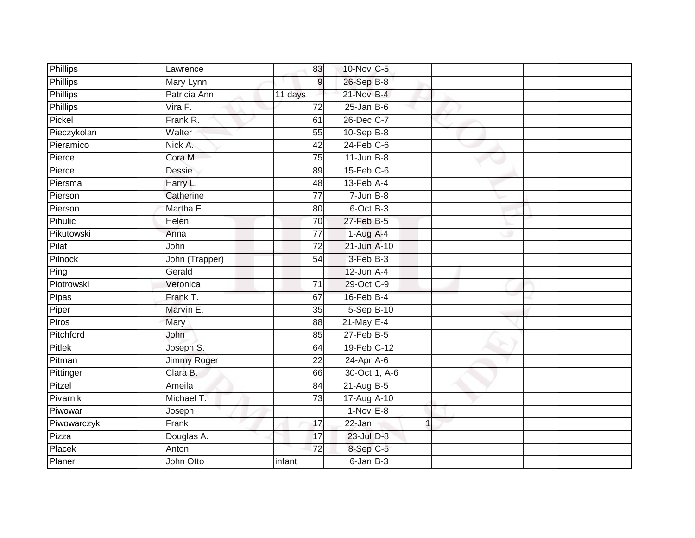| Dessie         | 89                                                                                           |                                                  |             |                                                                                                                                                                                                                                                                                                                                                                                                                                                                                                                                     |  |
|----------------|----------------------------------------------------------------------------------------------|--------------------------------------------------|-------------|-------------------------------------------------------------------------------------------------------------------------------------------------------------------------------------------------------------------------------------------------------------------------------------------------------------------------------------------------------------------------------------------------------------------------------------------------------------------------------------------------------------------------------------|--|
| Harry L.       | 48                                                                                           |                                                  |             |                                                                                                                                                                                                                                                                                                                                                                                                                                                                                                                                     |  |
| Catherine      | 77                                                                                           |                                                  |             |                                                                                                                                                                                                                                                                                                                                                                                                                                                                                                                                     |  |
| Martha E.      | 80                                                                                           |                                                  |             |                                                                                                                                                                                                                                                                                                                                                                                                                                                                                                                                     |  |
| Helen          | 70                                                                                           |                                                  |             |                                                                                                                                                                                                                                                                                                                                                                                                                                                                                                                                     |  |
| Anna           | 77                                                                                           |                                                  |             |                                                                                                                                                                                                                                                                                                                                                                                                                                                                                                                                     |  |
| John           | $\overline{72}$                                                                              |                                                  |             |                                                                                                                                                                                                                                                                                                                                                                                                                                                                                                                                     |  |
| John (Trapper) | 54                                                                                           |                                                  |             |                                                                                                                                                                                                                                                                                                                                                                                                                                                                                                                                     |  |
| Gerald         |                                                                                              |                                                  |             |                                                                                                                                                                                                                                                                                                                                                                                                                                                                                                                                     |  |
| Veronica       | $\overline{71}$                                                                              |                                                  |             |                                                                                                                                                                                                                                                                                                                                                                                                                                                                                                                                     |  |
| Frank T.       | 67                                                                                           |                                                  |             |                                                                                                                                                                                                                                                                                                                                                                                                                                                                                                                                     |  |
| Marvin E.      | 35                                                                                           |                                                  |             |                                                                                                                                                                                                                                                                                                                                                                                                                                                                                                                                     |  |
| Mary           | 88                                                                                           |                                                  |             |                                                                                                                                                                                                                                                                                                                                                                                                                                                                                                                                     |  |
| John           | 85                                                                                           |                                                  |             |                                                                                                                                                                                                                                                                                                                                                                                                                                                                                                                                     |  |
| Joseph S.      | 64                                                                                           |                                                  |             |                                                                                                                                                                                                                                                                                                                                                                                                                                                                                                                                     |  |
| Jimmy Roger    | 22                                                                                           |                                                  |             |                                                                                                                                                                                                                                                                                                                                                                                                                                                                                                                                     |  |
| Clara B.       | 66                                                                                           |                                                  |             |                                                                                                                                                                                                                                                                                                                                                                                                                                                                                                                                     |  |
| Ameila         | 84                                                                                           |                                                  |             |                                                                                                                                                                                                                                                                                                                                                                                                                                                                                                                                     |  |
| Michael T.     | $\overline{73}$                                                                              |                                                  |             |                                                                                                                                                                                                                                                                                                                                                                                                                                                                                                                                     |  |
| Joseph         |                                                                                              |                                                  |             |                                                                                                                                                                                                                                                                                                                                                                                                                                                                                                                                     |  |
| Frank          | 17                                                                                           | 22-Jan                                           | $\mathbf 1$ |                                                                                                                                                                                                                                                                                                                                                                                                                                                                                                                                     |  |
| Douglas A.     | 17                                                                                           |                                                  |             |                                                                                                                                                                                                                                                                                                                                                                                                                                                                                                                                     |  |
| Anton          | $\overline{72}$                                                                              |                                                  |             |                                                                                                                                                                                                                                                                                                                                                                                                                                                                                                                                     |  |
| John Otto      | infant                                                                                       |                                                  |             |                                                                                                                                                                                                                                                                                                                                                                                                                                                                                                                                     |  |
|                | Lawrence<br>Mary Lynn<br>Patricia Ann<br>Vira F.<br>Frank R.<br>Walter<br>Nick A.<br>Cora M. | 83<br>9<br>11 days<br>72<br>61<br>55<br>42<br>75 |             | 10-Nov C-5<br>26-Sep B-8<br>21-Nov B-4<br>$25$ -Jan B-6<br>26-Dec C-7<br>$10-$ Sep $B-8$<br>$24$ -Feb $C$ -6<br>$11$ -Jun $B - 8$<br>$15$ -Feb $C$ -6<br>$13$ -Feb $\overline{A-4}$<br>$7 - Jun$ B-8<br>6-Oct B-3<br>27-Feb B-5<br>$1-Aug$ A-4<br>21-Jun A-10<br>3-Feb B-3<br>$12$ -Jun $A-4$<br>29-Oct C-9<br>$16$ -Feb $B$ -4<br>5-Sep B-10<br>$21$ -May E-4<br>$27$ -Feb $ B-5 $<br>19-Feb C-12<br>$24$ -Apr $A$ -6<br>30-Oct 1, A-6<br>$21-Aug$ B-5<br>17-Aug A-10<br>$1-Nov$ E-8<br>23-Jul D-8<br>8-Sep C-5<br>$6$ -Jan $B$ -3 |  |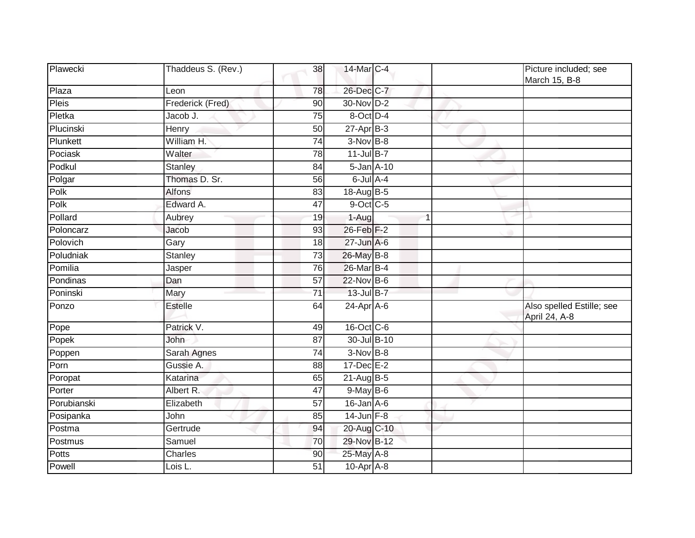| Plawecki     | Thaddeus S. (Rev.)      | 38              | 14-Mar C-4       |  | Picture included; see<br>March 15, B-8     |
|--------------|-------------------------|-----------------|------------------|--|--------------------------------------------|
| Plaza        | Leon                    | 78              | 26-Dec C-7       |  |                                            |
| <b>Pleis</b> | <b>Frederick (Fred)</b> | $\overline{90}$ | 30-Nov D-2       |  |                                            |
| Pletka       | Jacob J.                | 75              | 8-Oct D-4        |  |                                            |
| Plucinski    | Henry                   | 50              | $27$ -Apr $B-3$  |  |                                            |
| Plunkett     | William H.              | 74              | $3-Nov$ B-8      |  |                                            |
| Pociask      | Walter                  | 78              | $11$ -Jul B-7    |  |                                            |
| Podkul       | <b>Stanley</b>          | 84              | 5-Jan A-10       |  |                                            |
| Polgar       | Thomas D. Sr.           | 56              | $6$ -Jul $A-4$   |  |                                            |
| Polk         | Alfons                  | 83              | 18-Aug B-5       |  |                                            |
| Polk         | Edward A.               | 47              | 9-Oct C-5        |  |                                            |
| Pollard      | Aubrey                  | 19              | 1-Aug            |  |                                            |
| Poloncarz    | Jacob                   | 93              | 26-Feb F-2       |  |                                            |
| Polovich     | Gary                    | 18              | $27$ -Jun $A$ -6 |  |                                            |
| Poludniak    | <b>Stanley</b>          | 73              | 26-May B-8       |  |                                            |
| Pomilia      | Jasper                  | 76              | 26-Mar B-4       |  |                                            |
| Pondinas     | Dan                     | 57              | $22$ -Nov $B-6$  |  |                                            |
| Poninski     | Mary                    | $\overline{71}$ | 13-Jul B-7       |  |                                            |
| Ponzo        | <b>Estelle</b>          | 64              | $24$ -Apr $A$ -6 |  | Also spelled Estille; see<br>April 24, A-8 |
| Pope         | Patrick V.              | 49              | 16-Oct C-6       |  |                                            |
| Popek        | John                    | 87              | 30-Jul B-10      |  |                                            |
| Poppen       | Sarah Agnes             | 74              | $3-Nov$ B-8      |  |                                            |
| Porn         | Gussie A.               | 88              | $17 - Dec$ E-2   |  |                                            |
| Poropat      | Katarina                | 65              | 21-Aug B-5       |  |                                            |
| Porter       | Albert R.               | 47              | 9-May B-6        |  |                                            |
| Porubianski  | Elizabeth               | 57              | $16$ -Jan $A$ -6 |  |                                            |
| Posipanka    | John                    | 85              | $14$ -Jun $F-8$  |  |                                            |
| Postma       | Gertrude                | 94              | 20-Aug C-10      |  |                                            |
| Postmus      | Samuel                  | 70              | 29-Nov B-12      |  |                                            |
| Potts        | Charles                 | 90              | 25-May A-8       |  |                                            |
| Powell       | Lois L.                 | 51              | 10-Apr A-8       |  |                                            |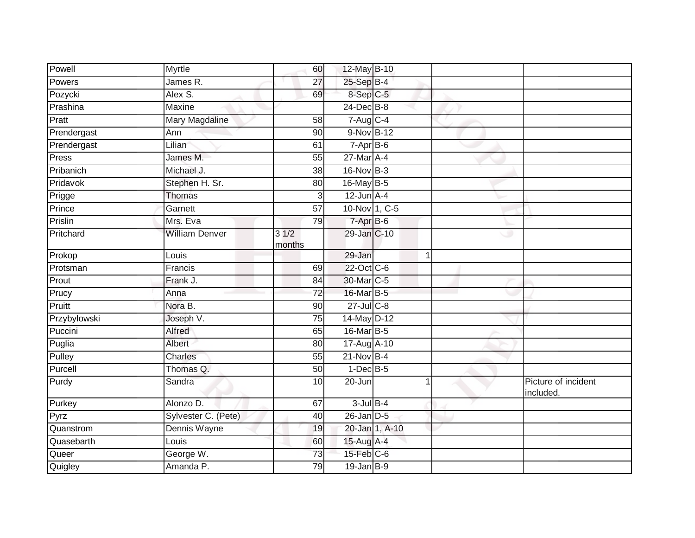| Powell       | Myrtle                | 60              | 12-May B-10            |                |                                 |
|--------------|-----------------------|-----------------|------------------------|----------------|---------------------------------|
| Powers       | James R.              | 27              | 25-Sep B-4             |                |                                 |
| Pozycki      | Alex S.               | 69              | 8-Sep C-5              |                |                                 |
| Prashina     | Maxine                |                 | 24-Dec B-8             |                |                                 |
| Pratt        | <b>Mary Magdaline</b> | $\overline{58}$ | $7-Aug$ <sub>C-4</sub> |                |                                 |
| Prendergast  | Ann                   | 90              | 9-Nov B-12             |                |                                 |
| Prendergast  | Lilian                | 61              | $7-Apr$ B-6            |                |                                 |
| Press        | James M.              | 55              | 27-Mar A-4             |                |                                 |
| Pribanich    | Michael J.            | 38              | 16-Nov B-3             |                |                                 |
| Pridavok     | Stephen H. Sr.        | 80              | 16-May B-5             |                |                                 |
| Prigge       | <b>Thomas</b>         | 3               | $12$ -Jun $A-4$        |                |                                 |
| Prince       | Garnett               | 57              | 10-Nov 1, C-5          |                |                                 |
| Prislin      | Mrs. Eva              | 79              | 7-Apr B-6              |                |                                 |
| Pritchard    | <b>William Denver</b> | 31/2<br>months  | 29-Jan C-10            |                |                                 |
| Prokop       | Louis                 |                 | 29-Jan                 | $\mathbf{1}$   |                                 |
| Protsman     | Francis               | 69              | 22-Oct C-6             |                |                                 |
| Prout        | Frank J.              | 84              | 30-Mar C-5             |                |                                 |
| Prucy        | Anna                  | 72              | 16-Mar B-5             |                |                                 |
| Pruitt       | Nora B.               | 90              | 27-Jul C-8             |                |                                 |
| Przybylowski | Joseph V.             | $\overline{75}$ | 14-May D-12            |                |                                 |
| Puccini      | Alfred                | 65              | 16-Mar <sub>B-5</sub>  |                |                                 |
| Puglia       | Albert                | 80              | 17-Aug A-10            |                |                                 |
| Pulley       | Charles               | 55              | $21-Nov$ B-4           |                |                                 |
| Purcell      | Thomas Q.             | 50              | $1-Dec$ B-5            |                |                                 |
| Purdy        | Sandra                | 10              | 20-Jun                 | 1              | Picture of incident<br>included |
| Purkey       | Alonzo D.             | 67              | $3$ -Jul $B-4$         |                |                                 |
| Pyrz         | Sylvester C. (Pete)   | 40              | $26$ -Jan $D-5$        |                |                                 |
| Quanstrom    | Dennis Wayne          | 19              |                        | 20-Jan 1, A-10 |                                 |
| Quasebarth   | Louis                 | 60              | 15-Aug A-4             |                |                                 |
| Queer        | George W.             | $\overline{73}$ | $15$ -Feb $C$ -6       |                |                                 |
| Quigley      | Amanda P.             | 79              | $19$ -Jan $B-9$        |                |                                 |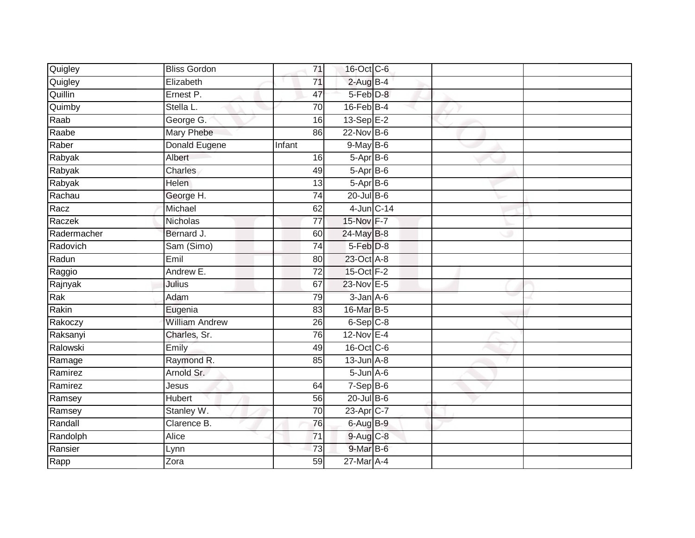| Quigley     | <b>Bliss Gordon</b>   | 71              | 16-Oct C-6            |  |  |
|-------------|-----------------------|-----------------|-----------------------|--|--|
| Quigley     | Elizabeth             | 71              | $2$ -Aug B-4          |  |  |
| Quillin     | Ernest P.             | 47              | 5-Feb D-8             |  |  |
| Quimby      | Stella L.             | 70              | $16$ -Feb $B$ -4      |  |  |
| Raab        | George G.             | $\overline{16}$ | $13-Sep$ $E-2$        |  |  |
| Raabe       | <b>Mary Phebe</b>     | 86              | $22$ -Nov $B-6$       |  |  |
| Raber       | Donald Eugene         | Infant          | $9$ -May B-6          |  |  |
| Rabyak      | Albert                | 16              | $5-AprB-6$            |  |  |
| Rabyak      | <b>Charles</b>        | 49              | 5-Apr B-6             |  |  |
| Rabyak      | <b>Helen</b>          | 13              | $5-Apr$ B-6           |  |  |
| Rachau      | George H.             | 74              | $20$ -Jul B-6         |  |  |
| Racz        | Michael               | 62              | 4-Jun C-14            |  |  |
| Raczek      | Nicholas              | 77              | 15-Nov F-7            |  |  |
| Radermacher | Bernard J.            | 60              | 24-May B-8            |  |  |
| Radovich    | Sam (Simo)            | $\overline{74}$ | 5-Feb <sup>D-8</sup>  |  |  |
| Radun       | Emil                  | 80              | 23-Oct A-8            |  |  |
| Raggio      | Andrew E.             | $\overline{72}$ | 15-Oct F-2            |  |  |
| Rajnyak     | Julius                | 67              | 23-Nov E-5            |  |  |
| Rak         | Adam                  | 79              | $3$ -Jan $A$ -6       |  |  |
| Rakin       | Eugenia               | 83              | 16-Mar B-5            |  |  |
| Rakoczy     | <b>William Andrew</b> | 26              | $6-Sep$ $C-8$         |  |  |
| Raksanyi    | Charles, Sr.          | 76              | 12-Nov E-4            |  |  |
| Ralowski    | Emily                 | 49              | 16-Oct C-6            |  |  |
| Ramage      | Raymond R.            | 85              | $13$ -Jun $A-8$       |  |  |
| Ramirez     | Arnold Sr.            |                 | $5$ -Jun $A$ -6       |  |  |
| Ramirez     | Jesus                 | 64              | $7-Sep$ B-6           |  |  |
| Ramsey      | <b>Hubert</b>         | 56              | $20$ -Jul $B-6$       |  |  |
| Ramsey      | Stanley W.            | 70              | 23-Apr <sub>C-7</sub> |  |  |
| Randall     | Clarence B.           | 76              | 6-Aug B-9             |  |  |
| Randolph    | Alice                 | $\overline{71}$ | $9$ -Aug $C-8$        |  |  |
| Ransier     | Lynn                  | 73              | 9-Mar B-6             |  |  |
| Rapp        | Zora                  | 59              | 27-Mar A-4            |  |  |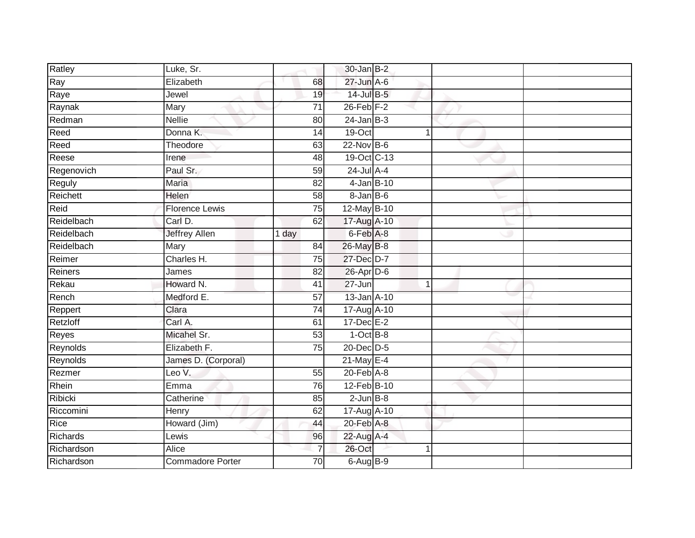| Ratley          | Luke, Sr.               |                 | $30 - Jan$ B-2    |                |  |
|-----------------|-------------------------|-----------------|-------------------|----------------|--|
| Ray             | Elizabeth               | 68              | $27$ -Jun $A-6$   |                |  |
| Raye            | Jewel                   | 19              | 14-Jul B-5        |                |  |
| Raynak          | Mary                    | $\overline{71}$ | $26$ -Feb $F-2$   |                |  |
| Redman          | <b>Nellie</b>           | $\overline{80}$ | $24$ -Jan B-3     |                |  |
| Reed            | Donna K.                | 14              | $19-Cct$          | 1              |  |
| Reed            | Theodore                | 63              | 22-Nov B-6        |                |  |
| Reese           | Irene                   | 48              | 19-Oct C-13       |                |  |
| Regenovich      | Paul Sr.                | 59              | $24$ -Jul A-4     |                |  |
| Reguly          | <b>Maria</b>            | $\overline{82}$ | $4$ -Jan B-10     |                |  |
| Reichett        | Helen                   | 58              | $8 - Jan$ $B - 6$ |                |  |
| Reid            | <b>Florence Lewis</b>   | $\overline{75}$ | 12-May B-10       |                |  |
| Reidelbach      | Carl D.                 | 62              | 17-Aug A-10       |                |  |
| Reidelbach      | <b>Jeffrey Allen</b>    | 1 day           | 6-Feb A-8         |                |  |
| Reidelbach      | <b>Mary</b>             | 84              | 26-May B-8        |                |  |
| Reimer          | Charles H.              | 75              | 27-Dec D-7        |                |  |
| Reiners         | James                   | $\overline{82}$ | 26-Apr D-6        |                |  |
| Rekau           | Howard N.               | 41              | $27 - Jun$        | $\overline{1}$ |  |
| Rench           | Medford E.              | 57              | 13-Jan A-10       |                |  |
| Reppert         | Clara                   | 74              | 17-Aug A-10       |                |  |
| Retzloff        | Carl A.                 | 61              | $17 - Dec$ E-2    |                |  |
| Reyes           | Micahel Sr.             | 53              | $1-Oct$ B-8       |                |  |
| Reynolds        | Elizabeth F.            | 75              | 20-Dec D-5        |                |  |
| Reynolds        | James D. (Corporal)     |                 | $21$ -May E-4     |                |  |
| Rezmer          | Leo V.                  | 55              | $20$ -Feb $A-8$   |                |  |
| Rhein           | Emma                    | 76              | 12-Feb B-10       |                |  |
| Ribicki         | Catherine               | 85              | $2$ -Jun $B-8$    |                |  |
| Riccomini       | Henry                   | 62              | 17-Aug A-10       |                |  |
| Rice            | Howard (Jim)            | 44              | $20$ -Feb $A-8$   |                |  |
| <b>Richards</b> | Lewis                   | 96              | 22-Aug A-4        |                |  |
| Richardson      | Alice                   | 7               | 26-Oct            |                |  |
| Richardson      | <b>Commadore Porter</b> | $\overline{70}$ | $6$ -Aug B-9      |                |  |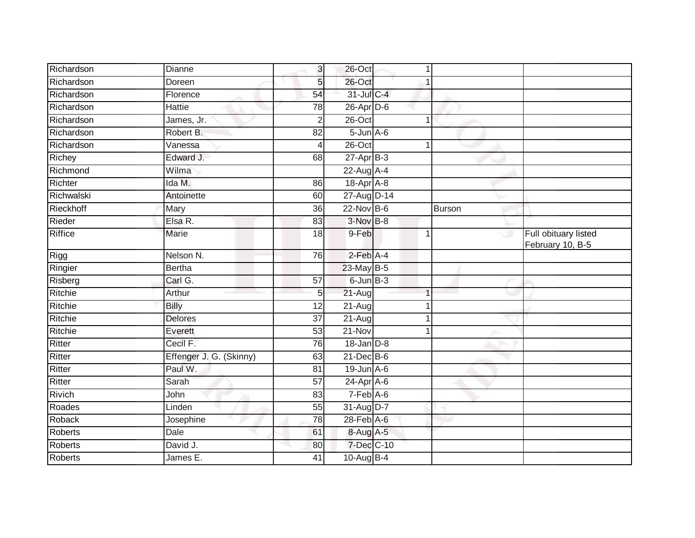| Richardson     | Dianne                  | 3               | 26-Oct           | 1              |                                          |
|----------------|-------------------------|-----------------|------------------|----------------|------------------------------------------|
| Richardson     | Doreen                  | 5               | 26-Oct           |                |                                          |
| Richardson     | Florence                | 54              | 31-Jul C-4       |                |                                          |
| Richardson     | Hattie                  | 78              | $26$ -Apr $D-6$  |                |                                          |
| Richardson     | James, Jr.              | $\overline{2}$  | 26-Oct           | 1              |                                          |
| Richardson     | Robert B.               | 82              | $5 - Jun A - 6$  |                |                                          |
| Richardson     | Vanessa                 | 4               | 26-Oct           |                |                                          |
| Richey         | Edward J.               | 68              | $27 - Apr$ B-3   |                |                                          |
| Richmond       | Wilma                   |                 | 22-Aug A-4       |                |                                          |
| Richter        | Ida M.                  | 86              | 18-Apr A-8       |                |                                          |
| Richwalski     | Antoinette              | 60              | 27-Aug D-14      |                |                                          |
| Rieckhoff      | Mary                    | 36              | $22$ -Nov $B-6$  | Burson         |                                          |
| Rieder         | Elsa R.                 | 83              | $3-Nov$ B-8      |                |                                          |
| <b>Riffice</b> | <b>Marie</b>            | 18              | 9-Feb            | 1<br>ی         | Full obituary listed<br>February 10, B-5 |
| Rigg           | Nelson N.               | 76              | $2$ -Feb $A-4$   |                |                                          |
| Ringier        | <b>Bertha</b>           |                 | 23-May B-5       |                |                                          |
| Risberg        | Carl G.                 | 57              | $6$ -Jun $B-3$   |                |                                          |
| Ritchie        | Arthur                  | 5               | $21 - Aug$       | $\overline{1}$ |                                          |
| Ritchie        | <b>Billy</b>            | 12              | $21-Aug$         |                |                                          |
| Ritchie        | <b>Delores</b>          | 37              | $21-Aug$         |                |                                          |
| Ritchie        | Everett                 | 53              | $21 - Nov$       |                |                                          |
| Ritter         | Cecil F.                | 76              | $18$ -Jan $D-8$  |                |                                          |
| Ritter         | Effenger J. G. (Skinny) | 63              | $21$ -Dec $B$ -6 |                |                                          |
| Ritter         | Paul W.                 | 81              | $19$ -Jun $A-6$  |                |                                          |
| Ritter         | Sarah                   | $\overline{57}$ | $24$ -Apr $A$ -6 |                |                                          |
| Rivich         | John                    | 83              | $7-Feb$ A-6      |                |                                          |
| Roades         | Linden                  | 55              | $31-Aug$ D-7     |                |                                          |
| Roback         | Josephine               | 78              | $28$ -Feb $A$ -6 |                |                                          |
| <b>Roberts</b> | <b>Dale</b>             | 61              | 8-Aug A-5        |                |                                          |
| Roberts        | David J.                | 80              | 7-Dec C-10       |                |                                          |
| <b>Roberts</b> | James E.                | 41              | 10-Aug B-4       |                |                                          |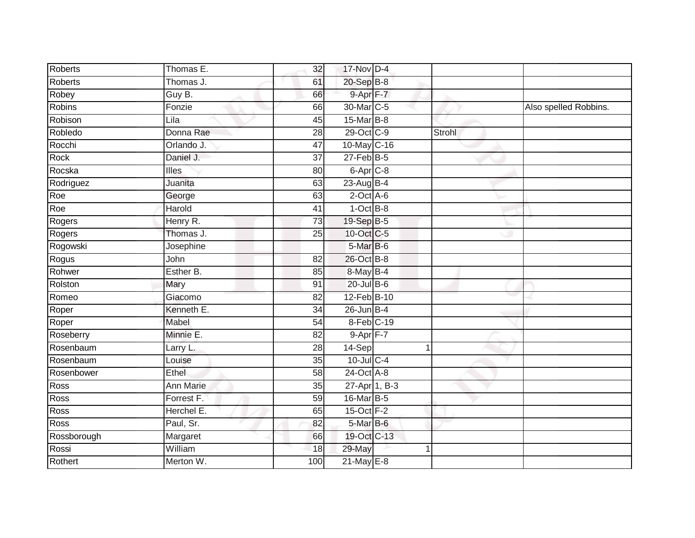| <b>Roberts</b> | Thomas E.        | 32              | 17-Nov D-4           |        |                       |
|----------------|------------------|-----------------|----------------------|--------|-----------------------|
| Roberts        | Thomas J.        | 61              | 20-Sep B-8           |        |                       |
| Robey          | Guy B.           | 66              | 9-Apr <sub>F-7</sub> |        |                       |
| Robins         | Fonzie           | 66              | 30-Mar C-5           |        | Also spelled Robbins. |
| Robison        | Lila             | 45              | 15-Mar B-8           |        |                       |
| Robledo        | Donna Rae        | 28              | 29-Oct C-9           | Strohl |                       |
| Rocchi         | Orlando J.       | 47              | 10-May C-16          |        |                       |
| Rock           | Daniel J.        | 37              | $27$ -Feb $B$ -5     |        |                       |
| Rocska         | Illes            | 80              | $6 -$ Apr $C - 8$    |        |                       |
| Rodriguez      | Juanita          | 63              | 23-Aug B-4           |        |                       |
| Roe            | George           | 63              | $2$ -Oct $A$ -6      |        |                       |
| Roe            | Harold           | 41              | $1-Oct$ B-8          |        |                       |
| Rogers         | Henry R.         | 73              | 19-Sep B-5           |        |                       |
| Rogers         | Thomas J.        | 25              | 10-Oct C-5           |        |                       |
| Rogowski       | Josephine        |                 | 5-Mar B-6            |        |                       |
| Rogus          | John             | 82              | 26-Oct B-8           |        |                       |
| Rohwer         | Esther B.        | 85              | 8-May B-4            |        |                       |
| Rolston        | Mary             | 91              | $20$ -Jul B-6        |        |                       |
| Romeo          | Giacomo          | 82              | 12-Feb B-10          |        |                       |
| Roper          | Kenneth E.       | $\overline{34}$ | $26$ -Jun B-4        |        |                       |
| Roper          | Mabel            | 54              | 8-Feb C-19           |        |                       |
| Roseberry      | Minnie E.        | $\overline{82}$ | $9-$ Apr $F - 7$     |        |                       |
| Rosenbaum      | Larry L.         | 28              | 14-Sep               | 1      |                       |
| Rosenbaum      | Louise           | 35              | 10-Jul C-4           |        |                       |
| Rosenbower     | Ethel            | 58              | 24-Oct A-8           |        |                       |
| Ross           | <b>Ann Marie</b> | 35              | 27-Apr 1, B-3        |        |                       |
| Ross           | Forrest F.       | 59              | 16-Mar B-5           |        |                       |
| <b>Ross</b>    | Herchel E.       | 65              | $15$ -Oct $F-2$      |        |                       |
| <b>Ross</b>    | Paul, Sr.        | 82              | 5-Mar B-6            |        |                       |
| Rossborough    | Margaret         | 66              | 19-Oct C-13          |        |                       |
| Rossi          | William          | 18              | 29-May               | 4      |                       |
| Rothert        | Merton W.        | 100             | $21$ -May E-8        |        |                       |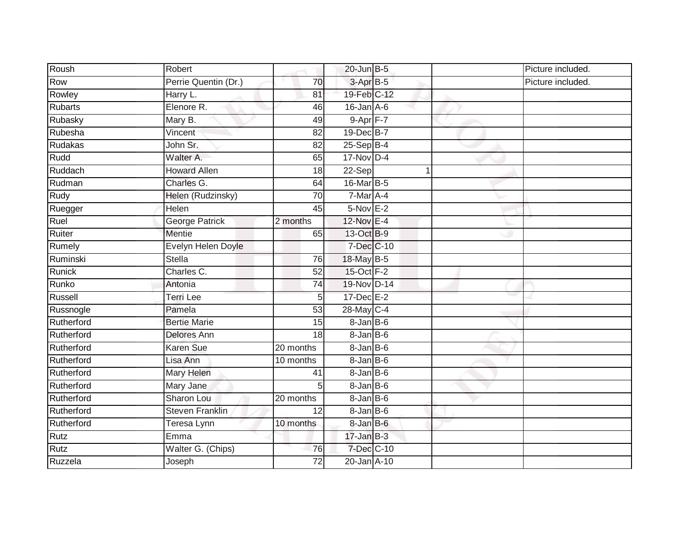| Roush         | Robert                 |                 | $20$ -Jun $B - 5$ |  | Picture included. |
|---------------|------------------------|-----------------|-------------------|--|-------------------|
| Row           | Perrie Quentin (Dr.)   | 70              | 3-Apr B-5         |  | Picture included. |
| Rowley        | Harry L.               | 81              | 19-Feb C-12       |  |                   |
| Rubarts       | Elenore R.             | 46              | $16$ -Jan $A$ -6  |  |                   |
| Rubasky       | Mary B.                | 49              | 9-Apr F-7         |  |                   |
| Rubesha       | Vincent                | 82              | 19-Dec B-7        |  |                   |
| Rudakas       | John Sr.               | 82              | $25 - Sep$ B-4    |  |                   |
| Rudd          | Walter A.              | 65              | $17-Nov$ D-4      |  |                   |
| Ruddach       | <b>Howard Allen</b>    | 18              | 22-Sep            |  |                   |
| Rudman        | Charles G.             | 64              | 16-Mar B-5        |  |                   |
| Rudy          | Helen (Rudzinsky)      | 70              | 7-Mar A-4         |  |                   |
| Ruegger       | Helen                  | 45              | 5-Nov E-2         |  |                   |
| Ruel          | <b>George Patrick</b>  | 2 months        | 12-Nov E-4        |  |                   |
| Ruiter        | Mentie                 | 65              | 13-Oct B-9        |  |                   |
| Rumely        | Evelyn Helen Doyle     |                 | 7-Dec C-10        |  |                   |
| Ruminski      | Stella                 | 76              | 18-May B-5        |  |                   |
| <b>Runick</b> | Charles C.             | $\overline{52}$ | 15-Oct F-2        |  |                   |
| Runko         | Antonia                | 74              | 19-Nov D-14       |  |                   |
| Russell       | <b>Terri Lee</b>       | 5 <sub>l</sub>  | 17-Dec E-2        |  |                   |
| Russnogle     | Pamela                 | 53              | 28-May C-4        |  |                   |
| Rutherford    | <b>Bertie Marie</b>    | 15              | $8$ -Jan B-6      |  |                   |
| Rutherford    | <b>Delores Ann</b>     | $\overline{18}$ | $8 - Jan$ $B - 6$ |  |                   |
| Rutherford    | <b>Karen Sue</b>       | 20 months       | $8 - Jan$ $B - 6$ |  |                   |
| Rutherford    | Lisa Ann               | 10 months       | $8 - JanB - 6$    |  |                   |
| Rutherford    | Mary Helen             | 41              | $8 - Jan$ $B - 6$ |  |                   |
| Rutherford    | Mary Jane              | 5               | $8 - Jan$ $B - 6$ |  |                   |
| Rutherford    | Sharon Lou             | 20 months       | $8 - Jan$ $B - 6$ |  |                   |
| Rutherford    | <b>Steven Franklin</b> | 12              | $8 - Jan$ $B - 6$ |  |                   |
| Rutherford    | <b>Teresa Lynn</b>     | 10 months       | 8-Jan B-6         |  |                   |
| Rutz          | Emma                   |                 | $17 - Jan$ $B-3$  |  |                   |
| Rutz          | Walter G. (Chips)      | 76              | 7-Dec C-10        |  |                   |
| Ruzzela       | Joseph                 | $\overline{72}$ | 20-Jan A-10       |  |                   |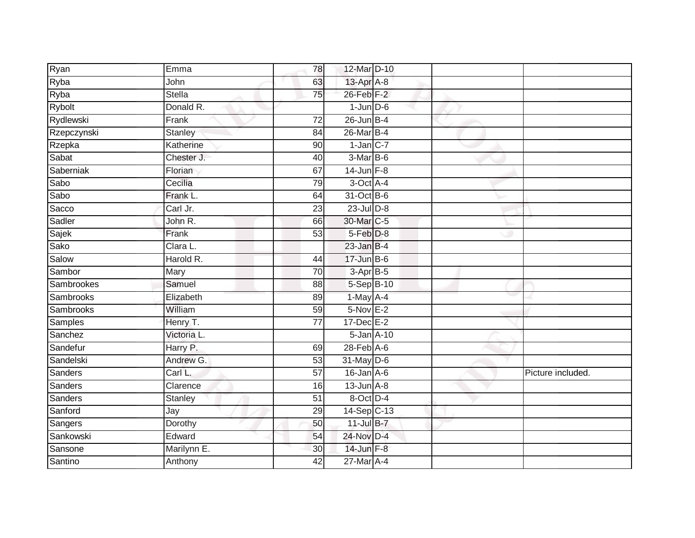| Ryan        | Emma          | 78              | 12-Mar D-10        |  |                   |
|-------------|---------------|-----------------|--------------------|--|-------------------|
| Ryba        | John          | 63              | 13-Apr A-8         |  |                   |
| Ryba        | <b>Stella</b> | 75              | 26-Feb F-2         |  |                   |
| Rybolt      | Donald R.     |                 | $1$ -Jun $D-6$     |  |                   |
| Rydlewski   | Frank         | $\overline{72}$ | $26$ -Jun B-4      |  |                   |
| Rzepczynski | Stanley       | 84              | 26-Mar B-4         |  |                   |
| Rzepka      | Katherine     | 90              | $1-Jan$ C-7        |  |                   |
| Sabat       | Chester J.    | 40              | 3-Mar B-6          |  |                   |
| Saberniak   | Florian       | 67              | $14$ -Jun $F-8$    |  |                   |
| Sabo        | Cecilia       | 79              | 3-Oct A-4          |  |                   |
| Sabo        | Frank L.      | 64              | 31-Oct B-6         |  |                   |
| Sacco       | Carl Jr.      | $\overline{23}$ | $23$ -Jul $D-8$    |  |                   |
| Sadler      | John R.       | 66              | 30-Mar C-5         |  |                   |
| Sajek       | Frank         | 53              | $5-Feb$ $D-8$      |  |                   |
| Sako        | Clara L.      |                 | $23$ -Jan B-4      |  |                   |
| Salow       | Harold R.     | 44              | $17 - Jun$ B-6     |  |                   |
| Sambor      | Mary          | $\overline{70}$ | $3-AprB-5$         |  |                   |
| Sambrookes  | Samuel        | 88              | 5-Sep B-10         |  |                   |
| Sambrooks   | Elizabeth     | 89              | 1-May A-4          |  |                   |
| Sambrooks   | William       | 59              | $5-Nov$ E-2        |  |                   |
| Samples     | Henry T.      | 77              | $17 - Dec$ $E - 2$ |  |                   |
| Sanchez     | Victoria L.   |                 | 5-Jan A-10         |  |                   |
| Sandefur    | Harry P.      | 69              | $28$ -Feb $A$ -6   |  |                   |
| Sandelski   | Andrew G.     | 53              | $31$ -May D-6      |  |                   |
| Sanders     | Carl L.       | $\overline{57}$ | $16$ -Jan $A$ -6   |  | Picture included. |
| Sanders     | Clarence      | 16              | $13$ -Jun $A-8$    |  |                   |
| Sanders     | Stanley       | 51              | 8-Oct D-4          |  |                   |
| Sanford     | Jay           | 29              | 14-Sep C-13        |  |                   |
| Sangers     | Dorothy       | 50              | 11-Jul B-7         |  |                   |
| Sankowski   | Edward        | 54              | 24-Nov D-4         |  |                   |
| Sansone     | Marilynn E.   | 30              | 14-Jun F-8         |  |                   |
| Santino     | Anthony       | 42              | 27-Mar A-4         |  |                   |
|             |               |                 |                    |  |                   |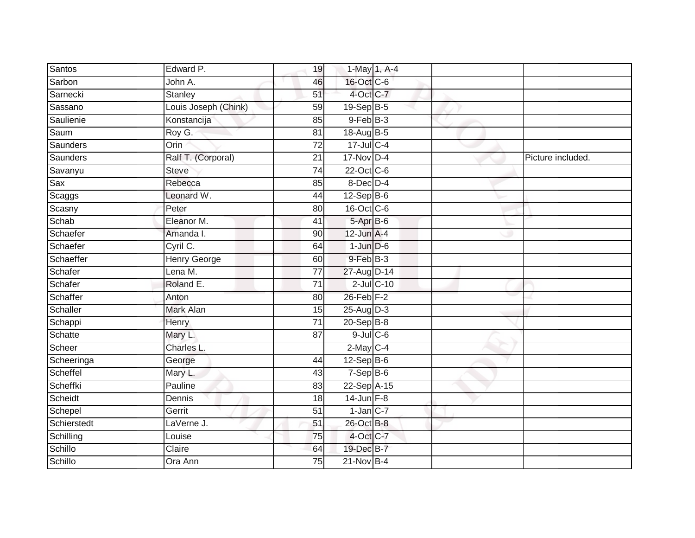| Santos          | Edward P.            | 19              | 1-May 1, A-4     |  |                   |
|-----------------|----------------------|-----------------|------------------|--|-------------------|
| Sarbon          | John A.              | 46              | 16-Oct C-6       |  |                   |
| Sarnecki        | <b>Stanley</b>       | 51              | 4-Oct C-7        |  |                   |
| Sassano         | Louis Joseph (Chink) | 59              | 19-Sep B-5       |  |                   |
| Saulienie       | Konstancija          | 85              | $9$ -Feb $B$ -3  |  |                   |
| Saum            | Roy G.               | 81              | 18-Aug B-5       |  |                   |
| <b>Saunders</b> | Orin                 | $\overline{72}$ | 17-Jul C-4       |  |                   |
| Saunders        | Ralf T. (Corporal)   | 21              | $17-Nov$ D-4     |  | Picture included. |
| Savanyu         | <b>Steve</b>         | 74              | 22-Oct C-6       |  |                   |
| Sax             | Rebecca              | 85              | 8-Dec D-4        |  |                   |
| Scaggs          | Leonard W.           | 44              | $12-Sep$ B-6     |  |                   |
| Scasny          | Peter                | 80              | 16-Oct C-6       |  |                   |
| Schab           | Eleanor M.           | 41              | 5-Apr B-6        |  |                   |
| Schaefer        | Amanda I.            | 90              | 12-Jun A-4       |  |                   |
| Schaefer        | Cyril C.             | 64              | $1$ -Jun $D-6$   |  |                   |
| Schaeffer       | Henry George         | 60              | $9$ -Feb $B-3$   |  |                   |
| Schafer         | Lena M.              | 77              | 27-Aug D-14      |  |                   |
| Schafer         | Roland E.            | 71              | $2$ -Jul $C$ -10 |  |                   |
| Schaffer        | Anton                | 80              | 26-Feb F-2       |  |                   |
| Schaller        | Mark Alan            | 15              | $25-Aug$ D-3     |  |                   |
| Schappi         | Henry                | $\overline{71}$ | $20-Sep$ B-8     |  |                   |
| Schatte         | Mary L.              | 87              | $9$ -Jul $C$ -6  |  |                   |
| Scheer          | Charles L.           |                 | $2$ -May C-4     |  |                   |
| Scheeringa      | George               | 44              | $12-Sep$ B-6     |  |                   |
| Scheffel        | Mary L.              | 43              | $7-Sep$ B-6      |  |                   |
| Scheffki        | Pauline              | 83              | 22-Sep A-15      |  |                   |
| Scheidt         | Dennis               | 18              | $14$ -Jun $F-8$  |  |                   |
| Schepel         | Gerrit               | 51              | $1-Jan$ C-7      |  |                   |
| Schierstedt     | LaVerne J.           | 51              | 26-Oct B-8       |  |                   |
| Schilling       | Louise               | 75              | 4-Oct C-7        |  |                   |
| Schillo         | Claire               | 64              | 19-Dec B-7       |  |                   |
| Schillo         | Ora Ann              | $\overline{75}$ | $21-Nov$ B-4     |  |                   |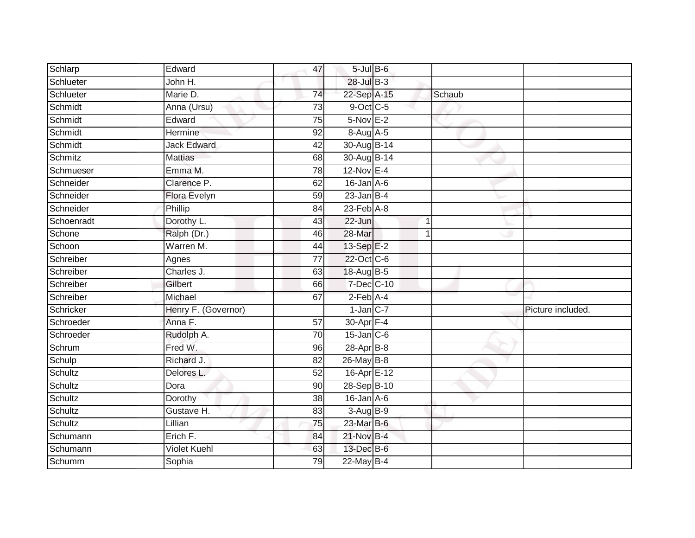| Schlarp    | Edward              | 47              | $5$ -Jul $B$ -6   |   |        |                   |
|------------|---------------------|-----------------|-------------------|---|--------|-------------------|
| Schlueter  | John H.             |                 | $28$ -Jul B-3     |   |        |                   |
| Schlueter  | Marie D.            | $\overline{74}$ | 22-Sep A-15       |   | Schaub |                   |
| Schmidt    | Anna (Ursu)         | 73              | 9-Oct C-5         |   |        |                   |
| Schmidt    | Edward              | $\overline{75}$ | 5-Nov E-2         |   |        |                   |
| Schmidt    | Hermine             | 92              | 8-Aug A-5         |   |        |                   |
| Schmidt    | <b>Jack Edward</b>  | 42              | 30-Aug B-14       |   |        |                   |
| Schmitz    | <b>Mattias</b>      | 68              | 30-Aug B-14       |   |        |                   |
| Schmueser  | Emma M.             | 78              | $12-Nov$ E-4      |   |        |                   |
| Schneider  | Clarence P.         | 62              | $16$ -Jan $A$ -6  |   |        |                   |
| Schneider  | Flora Evelyn        | 59              | $23$ -Jan B-4     |   |        |                   |
| Schneider  | Phillip             | 84              | $23$ -Feb $A-8$   |   |        |                   |
| Schoenradt | Dorothy L.          | 43              | 22-Jun            | 1 |        |                   |
| Schone     | Ralph (Dr.)         | 46              | 28-Mar            | 1 |        |                   |
| Schoon     | Warren M.           | 44              | 13-Sep E-2        |   |        |                   |
| Schreiber  | Agnes               | 77              | 22-Oct C-6        |   |        |                   |
| Schreiber  | Charles J.          | 63              | 18-Aug B-5        |   |        |                   |
| Schreiber  | Gilbert             | 66              | 7-Dec C-10        |   |        |                   |
| Schreiber  | Michael             | 67              | 2-Feb A-4         |   |        |                   |
| Schricker  | Henry F. (Governor) |                 | $1$ -Jan $C$ -7   |   |        | Picture included. |
| Schroeder  | Anna F.             | $\overline{57}$ | 30-Apr F-4        |   |        |                   |
| Schroeder  | Rudolph A.          | $\overline{70}$ | $15$ -Jan $ C$ -6 |   |        |                   |
| Schrum     | Fred W.             | 96              | $28-Apr$ B-8      |   |        |                   |
| Schulp     | Richard J.          | 82              | 26-May B-8        |   |        |                   |
| Schultz    | Delores L.          | 52              | 16-Apr E-12       |   |        |                   |
| Schultz    | Dora                | 90              | 28-Sep B-10       |   |        |                   |
| Schultz    | Dorothy             | $\overline{38}$ | $16$ -Jan $A-6$   |   |        |                   |
| Schultz    | Gustave H.          | 83              | $3-Aug$ B-9       |   |        |                   |
| Schultz    | Lillian             | 75              | $23$ -Mar $B$ -6  |   |        |                   |
| Schumann   | Erich F.            | 84              | 21-Nov B-4        |   |        |                   |
| Schumann   | <b>Violet Kuehl</b> | 63              | 13-Dec B-6        |   |        |                   |
| Schumm     | Sophia              | $\overline{79}$ | 22-May B-4        |   |        |                   |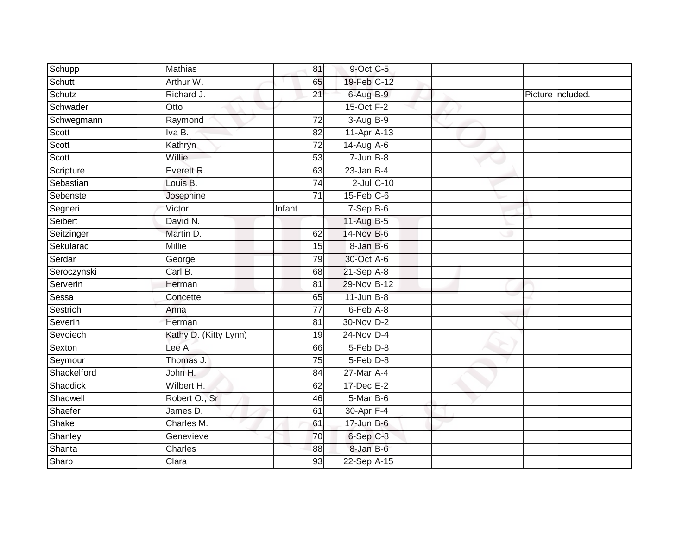| Schupp      | <b>Mathias</b>        | 81              | 9-Oct C-5             |                  |                   |
|-------------|-----------------------|-----------------|-----------------------|------------------|-------------------|
| Schutt      | Arthur W.             |                 | 19-Feb C-12<br>65     |                  |                   |
| Schutz      | Richard J.            | $\overline{21}$ | 6-Aug B-9             |                  | Picture included. |
| Schwader    | Otto                  |                 | $15$ -Oct $F-2$       |                  |                   |
| Schwegmann  | Raymond               | 72              | 3-Aug B-9             |                  |                   |
| Scott       | Iva B.                |                 | $11-AprA-13$<br>82    |                  |                   |
| Scott       | Kathryn               |                 | $14-Aug$ A-6<br>72    |                  |                   |
| Scott       | Willie                |                 | $7 - Jun$ B-8<br>53   |                  |                   |
| Scripture   | Everett R.            |                 | $23$ -Jan B-4<br>63   |                  |                   |
| Sebastian   | Louis B.              |                 | $\overline{74}$       | $2$ -Jul $C$ -10 |                   |
| Sebenste    | Josephine             | $\overline{71}$ | $15$ -Feb $C$ -6      |                  |                   |
| Segneri     | Victor                | Infant          | $7-SepB-6$            |                  |                   |
| Seibert     | David N.              |                 | 11-Aug B-5            |                  |                   |
| Seitzinger  | Martin D.             | 62              | 14-Nov B-6            |                  |                   |
| Sekularac   | <b>Millie</b>         |                 | 8-Jan B-6<br>15       |                  |                   |
| Serdar      | George                |                 | 30-Oct A-6<br>79      |                  |                   |
| Seroczynski | Carl B.               |                 | $21-Sep$ A-8<br>68    |                  |                   |
| Serverin    | Herman                | 81              | 29-Nov B-12           |                  |                   |
| Sessa       | Concette              |                 | $11$ -Jun $B-8$<br>65 |                  |                   |
| Sestrich    | Anna                  | $\overline{77}$ | 6-Feb A-8             |                  |                   |
| Severin     | Herman                | 81              | 30-Nov D-2            |                  |                   |
| Sevoiech    | Kathy D. (Kitty Lynn) |                 | 24-Nov D-4<br>19      |                  |                   |
| Sexton      | Lee A.                |                 | $5-Feb$ $D-8$<br>66   |                  |                   |
| Seymour     | Thomas J.             |                 | $5-Feb$ $D-8$<br>75   |                  |                   |
| Shackelford | John H.               |                 | 27-Mar A-4<br>84      |                  |                   |
| Shaddick    | Wilbert H.            |                 | $17 - Dec$ E-2<br>62  |                  |                   |
| Shadwell    | Robert O., Sr         |                 | $5-MarB-6$<br>46      |                  |                   |
| Shaefer     | James D.              | 61              | 30-Apr F-4            |                  |                   |
| Shake       | Charles M.            | 61              | $17 - Jun$ B-6        |                  |                   |
| Shanley     | Genevieve             |                 | 6-Sep C-8<br>70       |                  |                   |
| Shanta      | Charles               |                 | 8-Jan B-6<br>88       |                  |                   |
| Sharp       | Clara                 |                 | 22-Sep A-15<br>93     |                  |                   |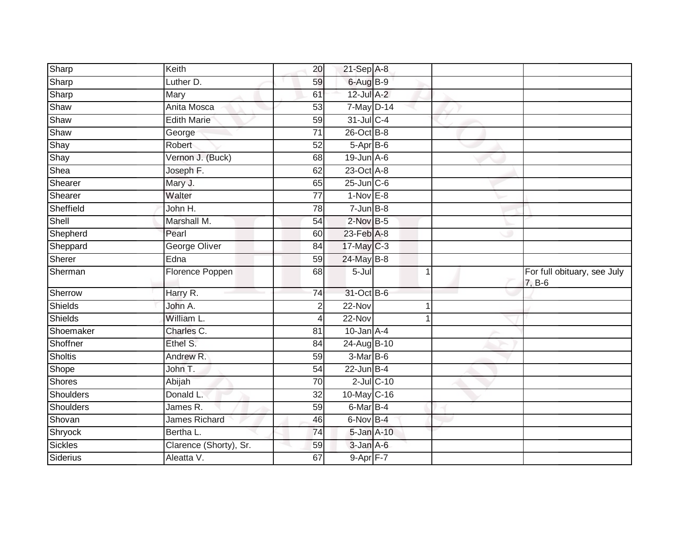| Sharp          | Keith                  | 20              | 21-Sep A-8                        |              |                             |
|----------------|------------------------|-----------------|-----------------------------------|--------------|-----------------------------|
| Sharp          | Luther D.              | 59              | 6-Aug B-9                         |              |                             |
| Sharp          | Mary                   | 61              | 12-Jul A-2                        |              |                             |
| Shaw           | Anita Mosca            | 53              | 7-May D-14                        |              |                             |
| Shaw           | <b>Edith Marie</b>     | $\overline{59}$ | 31-Jul C-4                        |              |                             |
| Shaw           | George                 | 71              | $26$ -Oct B-8                     |              |                             |
| Shay           | Robert                 | 52              | 5-Apr B-6                         |              |                             |
| Shay           | Vernon J. (Buck)       | 68              | $19$ -Jun $A$ -6                  |              |                             |
| Shea           | Joseph F.              | 62              | $23$ -Oct $A-8$                   |              |                             |
| Shearer        | Mary J.                | 65              | $25$ -Jun $C$ -6                  |              |                             |
| Shearer        | Walter                 | 77              | $1-Nov$ E-8                       |              |                             |
| Sheffield      | John H.                | 78              | $7 - Jun$ B-8                     |              |                             |
| Shell          | Marshall M.            | 54              | $2$ -Nov $B-5$                    |              |                             |
| Shepherd       | Pearl                  | 60              | 23-Feb A-8                        |              |                             |
| Sheppard       | George Oliver          | 84              | 17-May C-3                        |              |                             |
| Sherer         | Edna                   | 59              | 24-May B-8                        |              |                             |
|                |                        |                 |                                   |              |                             |
| Sherman        | Florence Poppen        | 68              | $5 -$ Jul                         | $\mathbf{1}$ | For full obituary, see July |
| Sherrow        | Harry R.               | 74              | 31-Oct B-6                        |              | $7, B-6$                    |
| Shields        | John A.                | $\overline{2}$  | 22-Nov                            |              |                             |
| <b>Shields</b> | William L.             | 4               | $22-Nov$                          |              |                             |
| Shoemaker      | Charles C.             | 81              | $10$ -Jan $A-4$                   |              |                             |
| Shoffner       | Ethel S.               | 84              | 24-Aug B-10                       |              |                             |
| Sholtis        | Andrew R.              | 59              | $3-MarB-6$                        |              |                             |
| Shope          | John T.                | 54              | $22$ -Jun $B-4$                   |              |                             |
| <b>Shores</b>  | Abijah                 | $\overline{70}$ | $2$ -Jul $C$ -10                  |              |                             |
| Shoulders      | Donald L.              | 32              | 10-May C-16                       |              |                             |
| Shoulders      | James R.               | 59              | 6-Mar B-4                         |              |                             |
| Shovan         | <b>James Richard</b>   | 46              | 6-Nov B-4                         |              |                             |
| Shryock        | Bertha L.              | 74              | 5-Jan A-10                        |              |                             |
| Sickles        | Clarence (Shorty), Sr. | 59              | 3-Jan A-6<br>$9 - \text{Apr}$ F-7 |              |                             |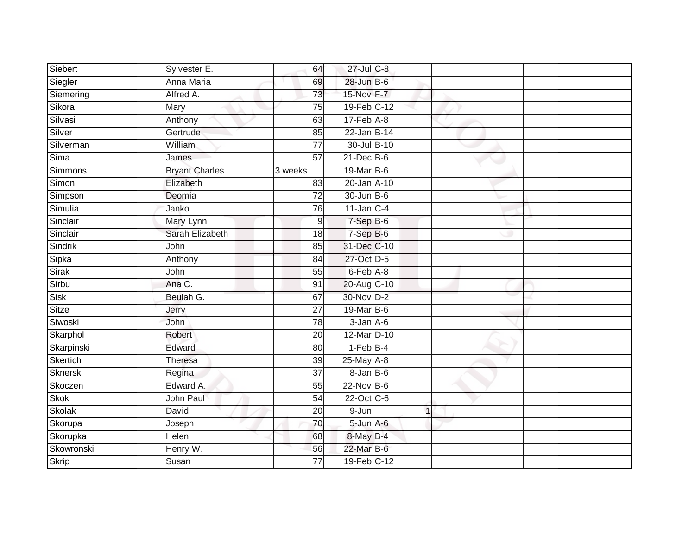| Siebert      | Sylvester E.          | 64              | 27-Jul C-8        |             |  |
|--------------|-----------------------|-----------------|-------------------|-------------|--|
| Siegler      | Anna Maria            | 69              | 28-Jun B-6        |             |  |
| Siemering    | Alfred A.             | 73              | 15-Nov F-7        |             |  |
| Sikora       | Mary                  | 75              | 19-Feb C-12       |             |  |
| Silvasi      | Anthony               | 63              | $17-FebA-8$       |             |  |
| Silver       | Gertrude              | 85              | $22$ -Jan B-14    |             |  |
| Silverman    | William               | $\overline{77}$ | 30-Jul B-10       |             |  |
| Sima         | James                 | 57              | $21$ -Dec $B-6$   |             |  |
| Simmons      | <b>Bryant Charles</b> | 3 weeks         | 19-Mar B-6        |             |  |
| Simon        | Elizabeth             | 83              | 20-Jan A-10       |             |  |
| Simpson      | Deomia                | 72              | $30 - Jun$ B-6    |             |  |
| Simulia      | Janko                 | 76              | $11$ -Jan $C-4$   |             |  |
| Sinclair     | Mary Lynn             | 9               | $7-SepB-6$        |             |  |
| Sinclair     | Sarah Elizabeth       | 18              | $7-SepB-6$        |             |  |
| Sindrik      | John                  | 85              | 31-Dec C-10       |             |  |
| Sipka        | Anthony               | 84              | 27-Oct D-5        |             |  |
| Sirak        | John                  | 55              | $6$ -Feb $A$ -8   |             |  |
| Sirbu        | Ana C.                | 91              | 20-Aug C-10       |             |  |
| Sisk         | Beulah G.             | 67              | 30-Nov D-2        |             |  |
| <b>Sitze</b> | Jerry                 | $\overline{27}$ | 19-Mar B-6        |             |  |
| Siwoski      | John                  | 78              | $3 - Jan A - 6$   |             |  |
| Skarphol     | Robert                | $\overline{20}$ | 12-Mar D-10       |             |  |
| Skarpinski   | Edward                | 80              | $1-FebB-4$        |             |  |
| Skertich     | <b>Theresa</b>        | 39              | 25-May A-8        |             |  |
| Sknerski     | Regina                | 37              | $8 - Jan$ $B - 6$ |             |  |
| Skoczen      | Edward A.             | 55              | $22$ -Nov $B-6$   |             |  |
| <b>Skok</b>  | John Paul             | $\overline{54}$ | 22-Oct C-6        |             |  |
| Skolak       | David                 | 20              | 9-Jun             | $\mathbf 1$ |  |
| Skorupa      | Joseph                | 70              | $5 - Jun$ $A - 6$ |             |  |
| Skorupka     | Helen                 | 68              | 8-May B-4         |             |  |
| Skowronski   | Henry W.              | 56              | 22-Mar B-6        |             |  |
| <b>Skrip</b> | Susan                 | $\overline{77}$ | 19-Feb C-12       |             |  |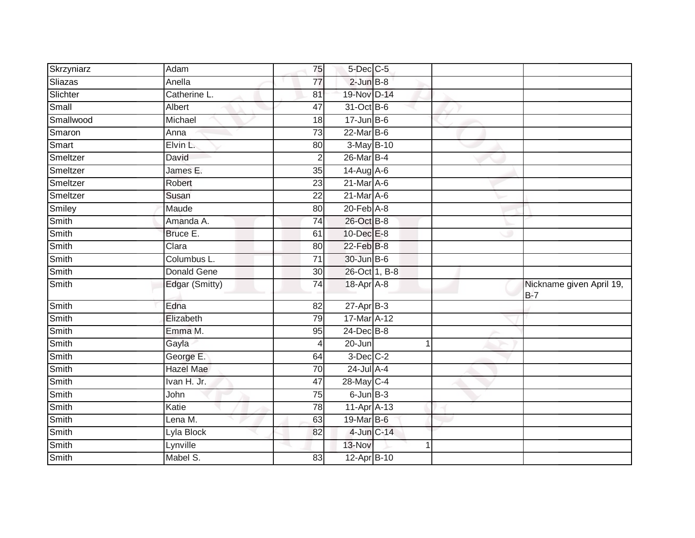| Skrzyniarz   | Adam               | 75              | 5-Dec C-5                   |   |                                   |
|--------------|--------------------|-----------------|-----------------------------|---|-----------------------------------|
| Sliazas      | Anella             | $\overline{77}$ | $2$ -Jun $B-8$              |   |                                   |
| Slichter     | Catherine L.       | 81              | 19-Nov D-14                 |   |                                   |
| Small        | Albert             | 47              | 31-Oct B-6                  |   |                                   |
| Smallwood    | Michael            | 18              | $17 - Jun$ B-6              |   |                                   |
| Smaron       | Anna               | 73              | $22$ -Mar $B-6$             |   |                                   |
| Smart        | Elvin L.           | 80              | 3-May B-10                  |   |                                   |
| Smeltzer     | David              | $\overline{2}$  | 26-Mar B-4                  |   |                                   |
| Smeltzer     | James E.           | $\overline{35}$ | $14$ -Aug $A$ -6            |   |                                   |
| Smeltzer     | Robert             | $\overline{23}$ | $21$ -Mar $A$ -6            |   |                                   |
| Smeltzer     | Susan              | $\overline{22}$ | $21$ -Mar $\overline{A}$ -6 |   |                                   |
| Smiley       | Maude              | 80              | 20-Feb A-8                  |   |                                   |
| Smith        | Amanda A.          | 74              | 26-Oct B-8                  |   |                                   |
| Smith        | Bruce E.           | 61              | 10-Dec E-8                  |   |                                   |
| <b>Smith</b> | Clara              | 80              | 22-Feb B-8                  |   |                                   |
| Smith        | Columbus L.        | $\overline{71}$ | 30-Jun B-6                  |   |                                   |
| Smith        | <b>Donald Gene</b> | $\overline{30}$ | 26-Oct 1, B-8               |   |                                   |
| Smith        | Edgar (Smitty)     | 74              | 18-Apr A-8                  |   | Nickname given April 19,<br>$B-7$ |
| Smith        | Edna               | 82              | $27$ -Apr $B-3$             |   |                                   |
| Smith        | Elizabeth          | 79              | 17-Mar A-12                 |   |                                   |
| Smith        | Emma M.            | 95              | 24-Dec B-8                  |   |                                   |
| Smith        | Gayla              | 4               | 20-Jun                      | 1 |                                   |
| Smith        | George E.          | 64              | $3$ -Dec $C-2$              |   |                                   |
| Smith        | <b>Hazel Mae</b>   | 70              | $24$ -Jul A-4               |   |                                   |
| Smith        | Ivan H. Jr.        | 47              | 28-May C-4                  |   |                                   |
| Smith        | John               | 75              | $6$ -Jun $B-3$              |   |                                   |
| Smith        | Katie              | 78              | 11-Apr A-13                 |   |                                   |
| Smith        | Lena M.            | 63              | 19-Mar B-6                  |   |                                   |
| Smith        | Lyla Block         | 82              | 4-Jun C-14                  |   |                                   |
| Smith        | Lynville           |                 | 13-Nov                      |   |                                   |
| Smith        | Mabel S.           | 83              | 12-Apr B-10                 |   |                                   |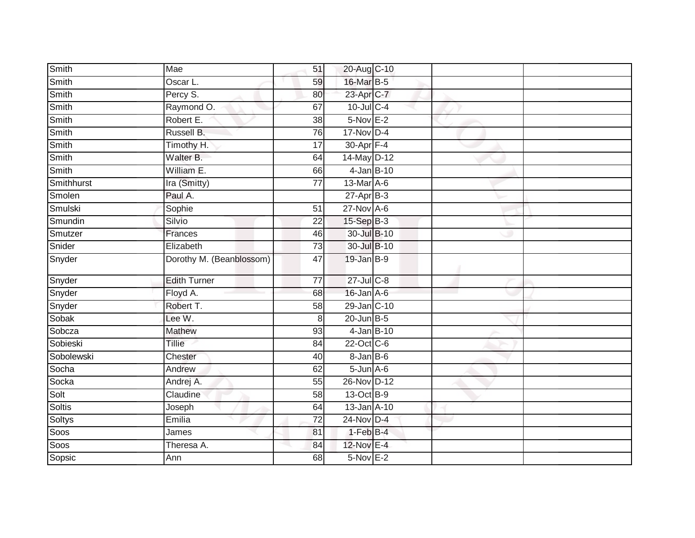| Smith         | Mae                      | 51              | 20-Aug C-10       |  |  |
|---------------|--------------------------|-----------------|-------------------|--|--|
| Smith         | Oscar L.                 | 59              | 16-Mar B-5        |  |  |
| Smith         | Percy S.                 | 80              | 23-Apr C-7        |  |  |
| Smith         | Raymond O.               | 67              | $10$ -Jul $C-4$   |  |  |
| Smith         | Robert E.                | $\overline{38}$ | $5-Nov$ E-2       |  |  |
| Smith         | Russell B.               | 76              | 17-Nov D-4        |  |  |
| Smith         | Timothy H.               | 17              | 30-Apr F-4        |  |  |
| Smith         | Walter B.                | 64              | 14-May D-12       |  |  |
| Smith         | William E.               | 66              | $4$ -Jan $B$ -10  |  |  |
| Smithhurst    | Ira (Smitty)             | $\overline{77}$ | 13-Mar A-6        |  |  |
| Smolen        | Paul A.                  |                 | $27$ -Apr $B-3$   |  |  |
| Smulski       | Sophie                   | 51              | $27$ -Nov $A-6$   |  |  |
| Smundin       | Silvio                   | 22              | 15-Sep B-3        |  |  |
| Smutzer       | Frances                  | 46              | 30-Jul B-10       |  |  |
| Snider        | Elizabeth                | $\overline{73}$ | 30-Jul B-10       |  |  |
| Snyder        | Dorothy M. (Beanblossom) | 47              | $19$ -Jan $B-9$   |  |  |
| Snyder        | <b>Edith Turner</b>      | 77              | 27-Jul C-8        |  |  |
| Snyder        | Floyd A.                 | 68              | 16-Jan A-6        |  |  |
| Snyder        | Robert T.                | 58              | 29-Jan C-10       |  |  |
| Sobak         | Lee W.                   | 8               | $20$ -Jun $B-5$   |  |  |
| Sobcza        | Mathew                   | 93              | $4$ -Jan $B-10$   |  |  |
| Sobieski      | Tillie                   | 84              | 22-Oct C-6        |  |  |
| Sobolewski    | Chester                  | 40              | $8 - Jan$ $B - 6$ |  |  |
| Socha         | Andrew                   | 62              | $5 - Jun$ $A - 6$ |  |  |
| Socka         | Andrej A.                | 55              | 26-Nov D-12       |  |  |
| Solt          | Claudine                 | 58              | 13-Oct B-9        |  |  |
| Soltis        | Joseph                   | 64              | 13-Jan A-10       |  |  |
| <b>Soltys</b> | Emilia                   | $\overline{72}$ | 24-Nov D-4        |  |  |
| Soos          | James                    | 81              | $1-FebB-4$        |  |  |
| Soos          | Theresa A.               | 84              | 12-Nov E-4        |  |  |
| Sopsic        | Ann                      | 68              | $5-Nov$ E-2       |  |  |
|               |                          |                 |                   |  |  |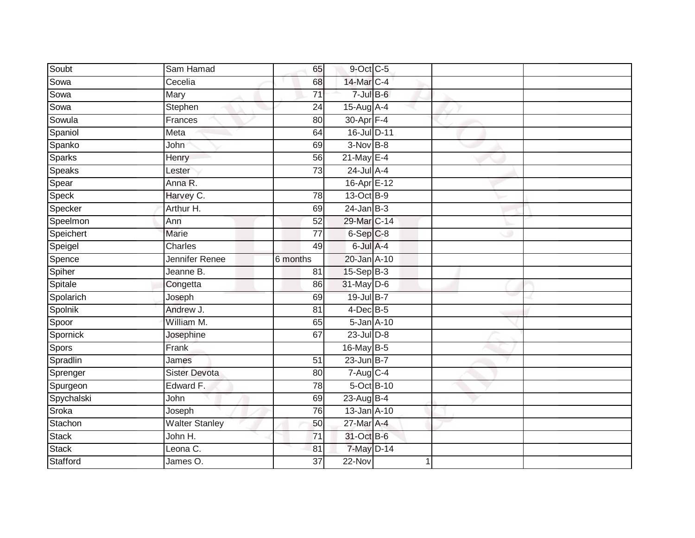| Soubt        | Sam Hamad             | 65              | 9-Oct C-5                |  |  |
|--------------|-----------------------|-----------------|--------------------------|--|--|
| Sowa         | Cecelia               | 68              | 14-Mar C-4               |  |  |
| Sowa         | Mary                  | $\overline{71}$ | $7$ -Jul B-6             |  |  |
| Sowa         | Stephen               | 24              | $15$ -Aug $A$ -4         |  |  |
| Sowula       | Frances               | $\overline{80}$ | 30-Apr <sub>F-4</sub>    |  |  |
| Spaniol      | Meta                  | 64              | 16-Jul D-11              |  |  |
| Spanko       | John                  | 69              | $3-Nov$ B-8              |  |  |
| Sparks       | Henry                 | 56              | 21-May E-4               |  |  |
| Speaks       | Lester                | $\overline{73}$ | $24$ -Jul $A-4$          |  |  |
| Spear        | Anna R.               |                 | 16-Apr E-12              |  |  |
| Speck        | Harvey C.             | 78              | 13-Oct B-9               |  |  |
| Specker      | Arthur H.             | 69              | $24$ -Jan B-3            |  |  |
| Speelmon     | Ann                   | 52              | 29-Mar C-14              |  |  |
| Speichert    | <b>Marie</b>          | 77              | 6-Sep C-8                |  |  |
| Speigel      | Charles               | 49              | 6-Jul A-4                |  |  |
| Spence       | Jennifer Renee        | 6 months        | 20-Jan A-10              |  |  |
| Spiher       | Jeanne B.             | 81              | 15-Sep B-3               |  |  |
| Spitale      | Congetta              | 86              | $31$ -May $D-6$          |  |  |
| Spolarich    | Joseph                | 69              | 19-Jul B-7               |  |  |
| Spolnik      | Andrew J.             | $\overline{81}$ | $4$ -Dec B-5             |  |  |
| Spoor        | William M.            | 65              | 5-Jan A-10               |  |  |
| Spornick     | Josephine             | 67              | $23$ -Jul $D-8$          |  |  |
| Spors        | Frank                 |                 | 16-May B-5               |  |  |
| Spradlin     | James                 | 51              | 23-Jun B-7               |  |  |
| Sprenger     | <b>Sister Devota</b>  | 80              | $7 - Aug$ <sub>C-4</sub> |  |  |
| Spurgeon     | Edward F.             | 78              | 5-Oct B-10               |  |  |
| Spychalski   | John                  | 69              | 23-Aug B-4               |  |  |
| Sroka        | Joseph                | 76              | 13-Jan A-10              |  |  |
| Stachon      | <b>Walter Stanley</b> | 50              | 27-Mar A-4               |  |  |
| <b>Stack</b> | John H.               | $\overline{71}$ | 31-Oct B-6               |  |  |
| Stack        | Leona C.              | 81              | 7-May D-14               |  |  |
| Stafford     | James O.              | $\overline{37}$ | $22-Nov$                 |  |  |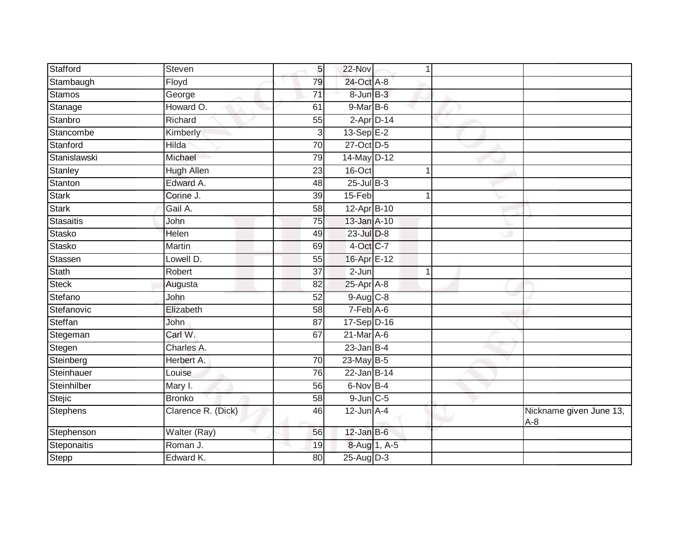| Steven             | 5 <sup>1</sup>  | 22-Nov  | 1            |                                                                                                                                                                                                                                                                                                                                                                                                                                      |                                  |
|--------------------|-----------------|---------|--------------|--------------------------------------------------------------------------------------------------------------------------------------------------------------------------------------------------------------------------------------------------------------------------------------------------------------------------------------------------------------------------------------------------------------------------------------|----------------------------------|
| Floyd              | 79              |         |              |                                                                                                                                                                                                                                                                                                                                                                                                                                      |                                  |
| George             | 71              |         |              |                                                                                                                                                                                                                                                                                                                                                                                                                                      |                                  |
| Howard O.          | 61              |         |              |                                                                                                                                                                                                                                                                                                                                                                                                                                      |                                  |
| Richard            | $\overline{55}$ |         |              |                                                                                                                                                                                                                                                                                                                                                                                                                                      |                                  |
| Kimberly           | 3               |         |              |                                                                                                                                                                                                                                                                                                                                                                                                                                      |                                  |
| Hilda              | 70              |         |              |                                                                                                                                                                                                                                                                                                                                                                                                                                      |                                  |
| Michael            | 79              |         |              |                                                                                                                                                                                                                                                                                                                                                                                                                                      |                                  |
| Hugh Allen         | 23              | 16-Oct  |              |                                                                                                                                                                                                                                                                                                                                                                                                                                      |                                  |
| Edward A.          | 48              |         |              |                                                                                                                                                                                                                                                                                                                                                                                                                                      |                                  |
| Corine J.          | 39              | 15-Feb  | 1            |                                                                                                                                                                                                                                                                                                                                                                                                                                      |                                  |
| Gail A.            | 58              |         |              |                                                                                                                                                                                                                                                                                                                                                                                                                                      |                                  |
| John               | 75              |         |              |                                                                                                                                                                                                                                                                                                                                                                                                                                      |                                  |
| Helen              | 49              |         |              |                                                                                                                                                                                                                                                                                                                                                                                                                                      |                                  |
| <b>Martin</b>      | 69              |         |              |                                                                                                                                                                                                                                                                                                                                                                                                                                      |                                  |
| Lowell D.          | 55              |         |              |                                                                                                                                                                                                                                                                                                                                                                                                                                      |                                  |
| Robert             | $\overline{37}$ | $2-Jun$ | $\mathbf{1}$ |                                                                                                                                                                                                                                                                                                                                                                                                                                      |                                  |
| Augusta            | 82              |         |              |                                                                                                                                                                                                                                                                                                                                                                                                                                      |                                  |
| John               | 52              |         |              |                                                                                                                                                                                                                                                                                                                                                                                                                                      |                                  |
| Elizabeth          | 58              |         |              |                                                                                                                                                                                                                                                                                                                                                                                                                                      |                                  |
| John               | 87              |         |              |                                                                                                                                                                                                                                                                                                                                                                                                                                      |                                  |
| Carl W.            | 67              |         |              |                                                                                                                                                                                                                                                                                                                                                                                                                                      |                                  |
| Charles A.         |                 |         |              |                                                                                                                                                                                                                                                                                                                                                                                                                                      |                                  |
| Herbert A.         | 70              |         |              |                                                                                                                                                                                                                                                                                                                                                                                                                                      |                                  |
| Louise             | 76              |         |              |                                                                                                                                                                                                                                                                                                                                                                                                                                      |                                  |
| Mary I.            | 56              |         |              |                                                                                                                                                                                                                                                                                                                                                                                                                                      |                                  |
| <b>Bronko</b>      | 58              |         |              |                                                                                                                                                                                                                                                                                                                                                                                                                                      |                                  |
| Clarence R. (Dick) | 46              |         |              |                                                                                                                                                                                                                                                                                                                                                                                                                                      | Nickname given June 13,<br>$A-8$ |
| Walter (Ray)       | 56              |         |              |                                                                                                                                                                                                                                                                                                                                                                                                                                      |                                  |
| Roman J.           | 19              |         |              |                                                                                                                                                                                                                                                                                                                                                                                                                                      |                                  |
| Edward K.          | 80              |         |              |                                                                                                                                                                                                                                                                                                                                                                                                                                      |                                  |
|                    |                 |         |              | 24-Oct A-8<br>8-Jun B-3<br>9-Mar B-6<br>$2$ -Apr $D-14$<br>$13-SepE-2$<br>27-Oct D-5<br>14-May D-12<br>$25$ -Jul B-3<br>12-Apr B-10<br>13-Jan A-10<br>23-Jul D-8<br>4-Oct C-7<br>16-Apr E-12<br>$25$ -Apr $A$ -8<br>9-Aug C-8<br>$7-Feb$ A-6<br>17-Sep D-16<br>$21$ -Mar $A$ -6<br>$23$ -Jan B-4<br>$23$ -May B-5<br>22-Jan B-14<br>6-Nov B-4<br>$9$ -Jun $C$ -5<br>$12$ -Jun $A-4$<br>$12$ -Jan $B-6$<br>8-Aug 1, A-5<br>25-Aug D-3 |                                  |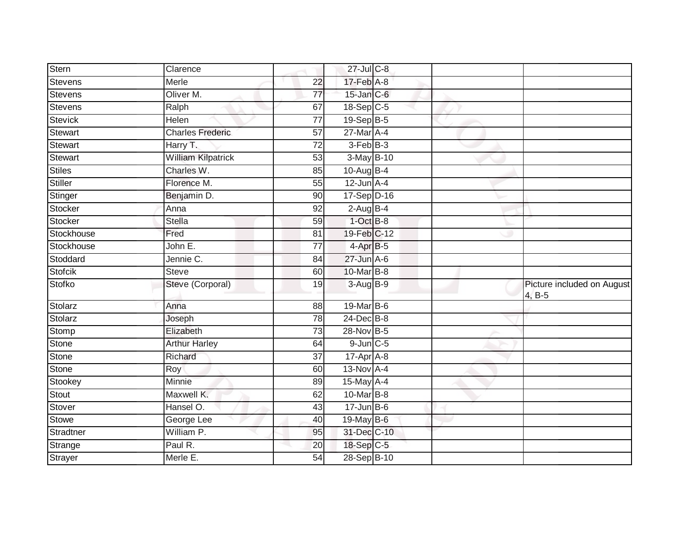| Stern          | Clarence                  |                 | 27-Jul C-8       |                                      |
|----------------|---------------------------|-----------------|------------------|--------------------------------------|
| <b>Stevens</b> | Merle                     | $\overline{22}$ | 17-Feb A-8       |                                      |
| Stevens        | Oliver M.                 | 77              | $15$ -Jan $C$ -6 |                                      |
| Stevens        | Ralph                     | 67              | 18-Sep C-5       |                                      |
| <b>Stevick</b> | Helen                     | $\overline{77}$ | 19-Sep B-5       |                                      |
| Stewart        | <b>Charles Frederic</b>   | 57              | 27-Mar A-4       |                                      |
| Stewart        | Harry T.                  | 72              | $3-FebB-3$       |                                      |
| <b>Stewart</b> | <b>William Kilpatrick</b> | 53              | 3-May B-10       |                                      |
| <b>Stiles</b>  | Charles W.                | 85              | $10-Auq$ B-4     |                                      |
| <b>Stiller</b> | Florence M.               | 55              | $12$ -Jun $A-4$  |                                      |
| Stinger        | Benjamin D.               | 90              | 17-Sep D-16      |                                      |
| Stocker        | Anna                      | 92              | $2-AugB-4$       |                                      |
| Stocker        | <b>Stella</b>             | 59              | $1$ -Oct $B-8$   |                                      |
| Stockhouse     | Fred                      | 81              | 19-Feb C-12      |                                      |
| Stockhouse     | John E.                   | $\overline{77}$ | 4-Apr B-5        |                                      |
| Stoddard       | Jennie C.                 | 84              | $27$ -Jun $A-6$  |                                      |
| <b>Stofcik</b> | <b>Steve</b>              | 60              | 10-Mar B-8       |                                      |
| Stofko         | Steve (Corporal)          | 19              | 3-Aug B-9        | Picture included on August<br>4, B-5 |
| Stolarz        | Anna                      | 88              | 19-Mar B-6       |                                      |
| Stolarz        | Joseph                    | 78              | 24-Dec B-8       |                                      |
| Stomp          | Elizabeth                 | 73              | 28-Nov B-5       |                                      |
| Stone          | <b>Arthur Harley</b>      | 64              | $9$ -Jun $C$ -5  |                                      |
| Stone          | Richard                   | $\overline{37}$ | 17-Apr A-8       |                                      |
| Stone          | Roy                       | 60              | 13-Nov A-4       |                                      |
| Stookey        | Minnie                    | 89              | 15-May A-4       |                                      |
| Stout          | Maxwell K.                | 62              | 10-Mar B-8       |                                      |
| Stover         | Hansel O.                 | 43              | $17 - Jun$ B-6   |                                      |
| <b>Stowe</b>   | George Lee                | 40              | 19-May B-6       |                                      |
| Stradtner      | William P.                | 95              | 31-Dec C-10      |                                      |
| Strange        | Paul R.                   | 20              | 18-Sep C-5       |                                      |
| Strayer        | Merle E.                  | 54              | 28-Sep B-10      |                                      |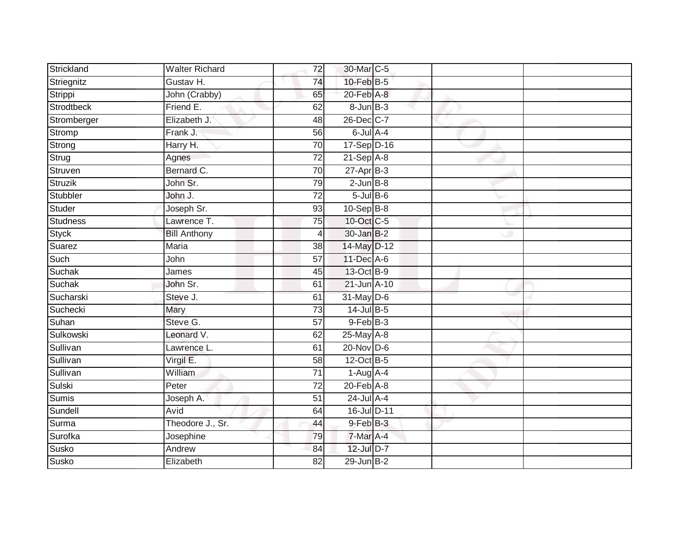| Strickland   | <b>Walter Richard</b> | 72              | 30-Mar C-5        |  |  |
|--------------|-----------------------|-----------------|-------------------|--|--|
| Striegnitz   | Gustav H.             | 74              | $10$ -Feb $B-5$   |  |  |
| Strippi      | John (Crabby)         | 65              | 20-Feb A-8        |  |  |
| Strodtbeck   | Friend E.             | 62              | $8 - Jun$ $B - 3$ |  |  |
| Stromberger  | Elizabeth J.          | 48              | 26-Dec C-7        |  |  |
| Stromp       | Frank J.              | 56              | $6$ -Jul $A$ -4   |  |  |
| Strong       | Harry H.              | $\overline{70}$ | 17-Sep D-16       |  |  |
| Strug        | Agnes                 | 72              | $21-Sep$ A-8      |  |  |
| Struven      | Bernard C.            | 70              | $27 - Apr$ B-3    |  |  |
| Struzik      | John Sr.              | 79              | $2$ -Jun $B-8$    |  |  |
| Stubbler     | John J.               | 72              | $5$ -Jul $B$ -6   |  |  |
| Studer       | Joseph Sr.            | 93              | 10-Sep B-8        |  |  |
| Studness     | Lawrence T.           | 75              | $10$ -Oct $C$ -5  |  |  |
| Styck        | <b>Bill Anthony</b>   | 4               | 30-Jan B-2        |  |  |
| Suarez       | <b>Maria</b>          | $\overline{38}$ | 14-May D-12       |  |  |
| Such         | John                  | 57              | 11-Dec A-6        |  |  |
| Suchak       | James                 | 45              | 13-Oct B-9        |  |  |
| Suchak       | John Sr.              | 61              | 21-Jun A-10       |  |  |
| Sucharski    | Steve J.              | 61              | $31$ -May $D-6$   |  |  |
| Suchecki     | <b>Mary</b>           | $\overline{73}$ | 14-Jul B-5        |  |  |
| Suhan        | Steve G.              | $\overline{57}$ | $9$ -Feb $B$ -3   |  |  |
| Sulkowski    | Leonard V.            | 62              | 25-May A-8        |  |  |
| Sullivan     | Lawrence L.           | 61              | $20$ -Nov D-6     |  |  |
| Sullivan     | Virgil E.             | 58              | 12-Oct B-5        |  |  |
| Sullivan     | William               | 71              | $1-Aug$ A-4       |  |  |
| Sulski       | Peter                 | 72              | $20$ -Feb $A-8$   |  |  |
| <b>Sumis</b> | Joseph A.             | $\overline{51}$ | $24$ -Jul $A-4$   |  |  |
| Sundell      | Avid                  | 64              | 16-Jul D-11       |  |  |
| Surma        | Theodore J., Sr.      | 44              | 9-Feb B-3         |  |  |
| Surofka      | Josephine             | 79              | 7-Mar A-4         |  |  |
| Susko        | Andrew                | 84              | 12-Jul D-7        |  |  |
| Susko        | Elizabeth             | $\overline{82}$ | $29$ -Jun $B-2$   |  |  |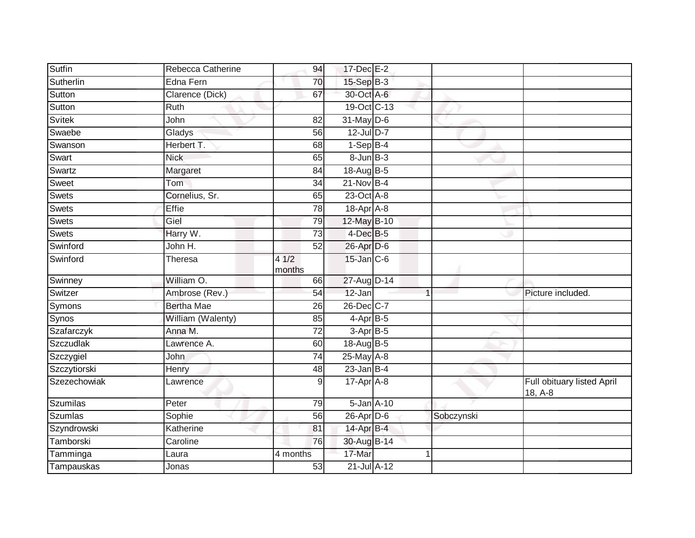| <b>Sutfin</b> | Rebecca Catherine | 94              | 17-Dec E-2       |                |            |                                       |
|---------------|-------------------|-----------------|------------------|----------------|------------|---------------------------------------|
| Sutherlin     | Edna Fern         | 70              | 15-Sep B-3       |                |            |                                       |
| Sutton        | Clarence (Dick)   | 67              | 30-Oct A-6       |                |            |                                       |
| Sutton        | Ruth              |                 | 19-Oct C-13      |                |            |                                       |
| Svitek        | John              | $\overline{82}$ | 31-May D-6       |                |            |                                       |
| Swaebe        | Gladys            | 56              | $12$ -Jul D-7    |                |            |                                       |
| Swanson       | Herbert T.        | 68              | $1-SepB-4$       |                |            |                                       |
| Swart         | <b>Nick</b>       | 65              | $8 - Jun$ $B-3$  |                |            |                                       |
| Swartz        | Margaret          | 84              | 18-Aug B-5       |                |            |                                       |
| Sweet         | Tom               | $\overline{34}$ | $21$ -Nov $B-4$  |                |            |                                       |
| <b>Swets</b>  | Cornelius, Sr.    | 65              | 23-Oct A-8       |                |            |                                       |
| <b>Swets</b>  | Effie             | 78              | 18-Apr A-8       |                |            |                                       |
| Swets         | Giel              | 79              | 12-May B-10      |                |            |                                       |
| Swets         | Harry W.          | 73              | 4-Dec B-5        |                |            |                                       |
| Swinford      | John H.           | $\overline{52}$ | 26-Apr D-6       |                |            |                                       |
| Swinford      | Theresa           | 41/2<br>months  | $15$ -Jan $C$ -6 |                |            |                                       |
| Swinney       | William O.        | 66              | 27-Aug D-14      |                |            |                                       |
| Switzer       | Ambrose (Rev.)    | 54              | 12-Jan           | $\overline{1}$ |            | Picture included.                     |
| Symons        | <b>Bertha Mae</b> | 26              | 26-Dec C-7       |                |            |                                       |
| Synos         | William (Walenty) | 85              | 4-Apr B-5        |                |            |                                       |
| Szafarczyk    | Anna M.           | $\overline{72}$ | $3-AprB-5$       |                |            |                                       |
| Szczudlak     | Lawrence A.       | 60              | 18-Aug B-5       |                |            |                                       |
| Szczygiel     | John              | $\overline{74}$ | 25-May A-8       |                |            |                                       |
| Szczytiorski  | Henry             | 48              | $23$ -Jan B-4    |                |            |                                       |
| Szezechowiak  | Lawrence          | 9               | $17-Apr$ A-8     |                |            | Full obituary listed April<br>18, A-8 |
| Szumilas      | Peter             | 79              | $5 - Jan A - 10$ |                |            |                                       |
| Szumlas       | Sophie            | 56              | 26-Apr D-6       |                | Sobczynski |                                       |
| Szyndrowski   | Katherine         | 81              | 14-Apr B-4       |                |            |                                       |
| Tamborski     | Caroline          | 76              | 30-Aug B-14      |                |            |                                       |
| Tamminga      | Laura             | 4 months        | 17-Mar           | 1              |            |                                       |
| Tampauskas    | Jonas             | 53              | 21-Jul A-12      |                |            |                                       |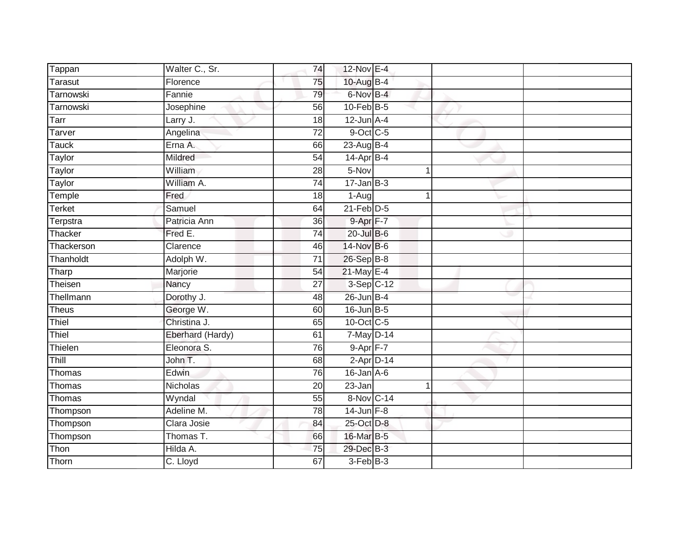| Tappan           | Walter C., Sr.   | 74              | 12-Nov E-4             |   |  |
|------------------|------------------|-----------------|------------------------|---|--|
| Tarasut          | Florence         | 75              | 10-Aug B-4             |   |  |
| <b>Tarnowski</b> | Fannie           | 79              | 6-Nov B-4              |   |  |
| Tarnowski        | Josephine        | 56              | $10$ -Feb $B$ -5       |   |  |
| Tarr             | Larry J.         | $\overline{18}$ | $12$ -Jun $A-4$        |   |  |
| Tarver           | Angelina         | $\overline{72}$ | 9-Oct C-5              |   |  |
| Tauck            | Erna A.          | 66              | 23-Aug B-4             |   |  |
| Taylor           | Mildred          | 54              | 14-Apr B-4             |   |  |
| Taylor           | William          | 28              | 5-Nov                  | 1 |  |
| Taylor           | William A.       | 74              | $17 - Jan$ $B-3$       |   |  |
| Temple           | Fred             | 18              | 1-Aug                  | 1 |  |
| Terket           | Samuel           | 64              | $21$ -Feb $D-5$        |   |  |
| Terpstra         | Patricia Ann     | 36              | $9-Apr$ $F-7$          |   |  |
| Thacker          | Fred E.          | 74              | $20$ -Jul B-6          |   |  |
| Thackerson       | Clarence         | 46              | 14-Nov B-6             |   |  |
| Thanholdt        | Adolph W.        | 71              | $26-Sep$ B-8           |   |  |
| Tharp            | Marjorie         | 54              | $21$ -May E-4          |   |  |
| Theisen          | Nancy            | 27              | $3-Sep$ $C-12$         |   |  |
| Thellmann        | Dorothy J.       | 48              | $26$ -Jun $B-4$        |   |  |
| <b>Theus</b>     | George W.        | 60              | $16$ -Jun $B - 5$      |   |  |
| Thiel            | Christina J.     | 65              | 10-Oct C-5             |   |  |
| Thiel            | Eberhard (Hardy) | 61              | 7-May D-14             |   |  |
| Thielen          | Eleonora S.      | 76              | 9-Apr F-7              |   |  |
| Thill            | John T.          | 68              | $2-Apr\overline{D-14}$ |   |  |
| Thomas           | Edwin            | 76              | $16$ -Jan $A$ -6       |   |  |
| Thomas           | <b>Nicholas</b>  | 20              | $23 - Jan$             | 1 |  |
| Thomas           | Wyndal           | 55              | 8-Nov C-14             |   |  |
| Thompson         | Adeline M.       | $\overline{78}$ | $14$ -Jun $F-8$        |   |  |
| Thompson         | Clara Josie      | 84              | 25-Oct D-8             |   |  |
| Thompson         | Thomas T.        | 66              | 16-Mar B-5             |   |  |
| Thon             | Hilda A.         | 75              | 29-Dec B-3             |   |  |
| Thorn            | C. Lloyd         | 67              | $3-FebB-3$             |   |  |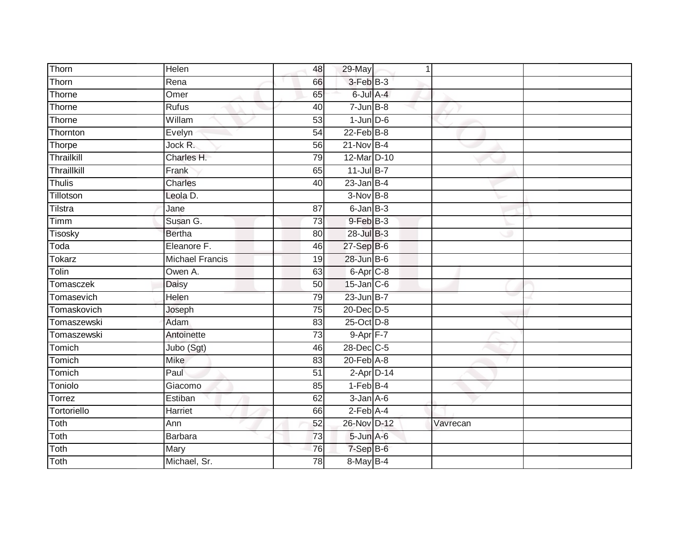| Thorn       | Helen                  | 48              | 29-May                       | 1 |          |  |
|-------------|------------------------|-----------------|------------------------------|---|----------|--|
| Thorn       | Rena                   | 66              | 3-Feb B-3                    |   |          |  |
| Thorne      | Omer                   | 65              | 6-Jul A-4                    |   |          |  |
| Thorne      | Rufus                  | 40              | $7 - Jun$ B-8                |   |          |  |
| Thorne      | Willam                 | $\overline{53}$ | $1$ -Jun $D-6$               |   |          |  |
| Thornton    | Evelyn                 | 54              | $22$ -Feb $B$ -8             |   |          |  |
| Thorpe      | Jock R.                | 56              | $21-Nov$ B-4                 |   |          |  |
| Thrailkill  | Charles H.             | 79              | 12-Mar D-10                  |   |          |  |
| Thraillkill | Frank                  | 65              | $11$ -Jul $B-7$              |   |          |  |
| Thulis      | Charles                | 40              | $23$ -Jan B-4                |   |          |  |
| Tillotson   | Leola D.               |                 | $3-Nov$ B-8                  |   |          |  |
| Tilstra     | Jane                   | 87              | 6-Jan B-3                    |   |          |  |
| Timm        | Susan G.               | 73              | 9-Feb B-3                    |   |          |  |
| Tisosky     | <b>Bertha</b>          | 80              | 28-Jul B-3                   |   |          |  |
| Toda        | Eleanore F.            | $\overline{46}$ | 27-Sep B-6                   |   |          |  |
| Tokarz      | <b>Michael Francis</b> | 19              | $28$ -Jun $B$ -6             |   |          |  |
| Tolin       | Owen A.                | 63              | $6 - \overline{Apr}$ $C - 8$ |   |          |  |
| Tomasczek   | Daisy                  | 50              | $15$ -Jan $C$ -6             |   |          |  |
| Tomasevich  | Helen                  | 79              | 23-Jun B-7                   |   |          |  |
| Tomaskovich | Joseph                 | 75              | 20-Dec D-5                   |   |          |  |
| Tomaszewski | Adam                   | 83              | 25-Oct D-8                   |   |          |  |
| Tomaszewski | Antoinette             | 73              | 9-Apr F-7                    |   |          |  |
| Tomich      | Jubo (Sgt)             | 46              | 28-Dec C-5                   |   |          |  |
| Tomich      | <b>Mike</b>            | 83              | $20$ -Feb $A-8$              |   |          |  |
| Tomich      | Paul                   | 51              | $2-Apr1D-14$                 |   |          |  |
| Toniolo     | Giacomo                | 85              | $1-FebB-4$                   |   |          |  |
| Torrez      | Estiban                | 62              | $3 - Jan A - 6$              |   |          |  |
| Tortoriello | Harriet                | 66              | $2$ -Feb $A$ -4              |   |          |  |
| Toth        | Ann                    | 52              | 26-Nov D-12                  |   | Vavrecan |  |
| Toth        | <b>Barbara</b>         | 73              | 5-Jun A-6                    |   |          |  |
| Toth        | Mary                   | 76              | 7-Sep B-6                    |   |          |  |
| Toth        | Michael, Sr.           | 78              | 8-May B-4                    |   |          |  |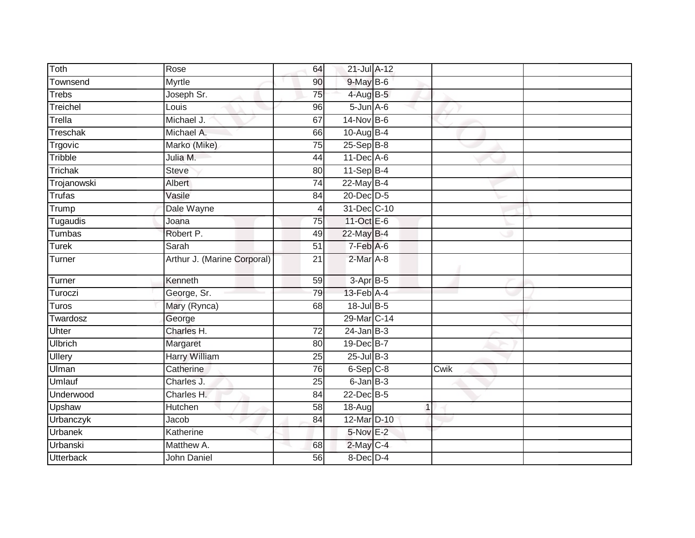| Toth             | Rose                        | 64              | 21-Jul A-12       |              |      |  |
|------------------|-----------------------------|-----------------|-------------------|--------------|------|--|
| Townsend         | Myrtle                      | 90              | 9-May B-6         |              |      |  |
| <b>Trebs</b>     | Joseph Sr.                  | 75              | 4-Aug B-5         |              |      |  |
| Treichel         | Louis                       | 96              | $5 - Jun$ $A - 6$ |              |      |  |
| Trella           | Michael J.                  | 67              | 14-Nov B-6        |              |      |  |
| Treschak         | Michael A.                  | 66              | $10$ -Aug B-4     |              |      |  |
| Trgovic          | Marko (Mike)                | 75              | 25-Sep B-8        |              |      |  |
| Tribble          | Julia M.                    | 44              | 11-Dec A-6        |              |      |  |
| Trichak          | <b>Steve</b>                | 80              | 11-Sep B-4        |              |      |  |
| Trojanowski      | Albert                      | 74              | $22$ -May B-4     |              |      |  |
| <b>Trufas</b>    | Vasile                      | 84              | 20-Dec D-5        |              |      |  |
| Trump            | Dale Wayne                  | 4               | 31-Dec C-10       |              |      |  |
| Tugaudis         | Joana                       | 75              | 11-Oct $E-6$      |              |      |  |
| Tumbas           | Robert P.                   | 49              | 22-May B-4        |              |      |  |
| Turek            | Sarah                       | 51              | 7-Feb A-6         |              |      |  |
| Turner           | Arthur J. (Marine Corporal) | $\overline{21}$ | 2-Mar A-8         |              |      |  |
| Turner           | Kenneth                     | 59              | 3-Apr B-5         |              |      |  |
| Turoczi          | George, Sr.                 | 79              | 13-Feb A-4        |              |      |  |
| Turos            | Mary (Rynca)                | 68              | 18-Jul B-5        |              |      |  |
| Twardosz         | George                      |                 | 29-Mar C-14       |              |      |  |
| Uhter            | Charles H.                  | 72              | $24$ -Jan B-3     |              |      |  |
| <b>Ulbrich</b>   | Margaret                    | 80              | $19$ -Dec $B$ -7  |              |      |  |
| Ullery           | <b>Harry William</b>        | 25              | $25$ -Jul B-3     |              |      |  |
| Ulman            | Catherine                   | 76              | 6-Sep C-8         |              | Cwik |  |
| Umlauf           | Charles J.                  | 25              | $6$ -Jan $B$ -3   |              |      |  |
| Underwood        | Charles H.                  | 84              | 22-Dec B-5        |              |      |  |
| Upshaw           | <b>Hutchen</b>              | 58              | $18-Aug$          | $\mathbf{1}$ |      |  |
| Urbanczyk        | Jacob                       | 84              | 12-Mar D-10       |              |      |  |
| Urbanek          | Katherine                   |                 | 5-Nov E-2         |              |      |  |
| Urbanski         | Matthew A.                  | 68              | $2$ -May $C-4$    |              |      |  |
| <b>Utterback</b> | John Daniel                 | 56              | 8-Dec D-4         |              |      |  |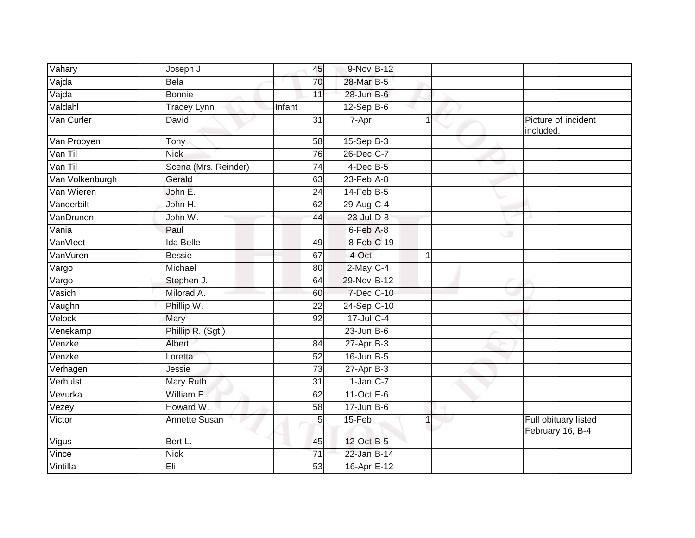| Vahary                       | Joseph J.            | 45              | 9-Nov B-12        |   |                                          |
|------------------------------|----------------------|-----------------|-------------------|---|------------------------------------------|
| Vajda                        | Bela                 | 70              | 28-Mar B-5        |   |                                          |
| Vajda                        | <b>Bonnie</b>        | 11              | 28-Jun B-6        |   |                                          |
| Valdahl                      | <b>Tracey Lynn</b>   | Infant          | $12-Sep$ B-6      |   |                                          |
| Van Curler                   | David                | 31              | 7-Apr             |   | Picture of incident<br>included.         |
| Van Prooyen                  | Tony                 | 58              | $15-Sep B-3$      |   |                                          |
| Van Til                      | <b>Nick</b>          | 76              | 26-Dec C-7        |   |                                          |
| Van Til                      | Scena (Mrs. Reinder) | 74              | $4$ -Dec $B$ -5   |   |                                          |
| Van Volkenburgh              | Gerald               | 63              | $23$ -Feb $A-8$   |   |                                          |
| Van Wieren                   | John E.              | 24              | $14$ -Feb $B$ -5  |   |                                          |
| Vanderbilt                   | John H.              | 62              | 29-Aug C-4        |   |                                          |
| VanDrunen                    | John W.              | 44              | 23-Jul D-8        |   |                                          |
| Vania                        | Paul                 |                 | 6-Feb A-8         |   |                                          |
| VanVleet                     | Ida Belle            | 49              | 8-Feb C-19        |   |                                          |
| VanVuren                     | <b>Bessie</b>        | 67              | 4-Oct             | 1 |                                          |
| $\overline{\mathsf{V}}$ argo | Michael              | 80              | 2-May C-4         |   |                                          |
| Vargo                        | Stephen J.           | 64              | 29-Nov B-12       |   |                                          |
| Vasich                       | Milorad A.           | 60              | 7-Dec C-10        |   |                                          |
| Vaughn                       | Phillip W.           | 22              | 24-Sep C-10       |   |                                          |
| Velock                       | Mary                 | $\overline{92}$ | 17-Jul C-4        |   |                                          |
| Venekamp                     | Phillip R. (Sgt.)    |                 | $23$ -Jun B-6     |   |                                          |
| Venzke                       | Albert               | 84              | $27$ -Apr $B-3$   |   |                                          |
| Venzke                       | Loretta              | 52              | $16$ -Jun $B - 5$ |   |                                          |
| Verhagen                     | Jessie               | 73              | $27$ -Apr $B-3$   |   |                                          |
| Verhulst                     | Mary Ruth            | 31              | $1$ -Jan $C-7$    |   |                                          |
| Vevurka                      | William E.           | 62              | 11-Oct E-6        |   |                                          |
| Vezey                        | Howard W.            | 58              | $17 - Jun$ B-6    |   |                                          |
| Victor                       | Annette Susan        | 5               | 15-Feb            |   | Full obituary listed<br>February 16, B-4 |
| Vigus                        | Bert L.              | 45              | 12-Oct B-5        |   |                                          |
| Vince                        | <b>Nick</b>          | $\overline{71}$ | 22-Jan B-14       |   |                                          |
| Vintilla                     | Eli                  | 53              | 16-Apr E-12       |   |                                          |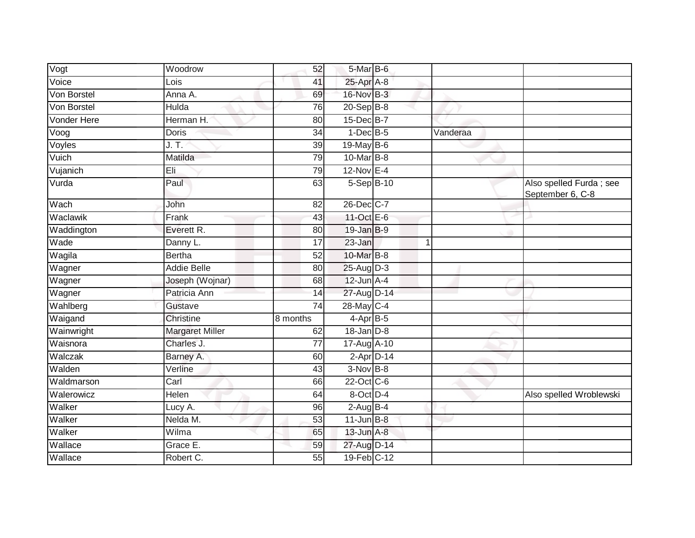| Vogt        | Woodrow                | 52       | 5-Mar B-6       |   |          |                                             |
|-------------|------------------------|----------|-----------------|---|----------|---------------------------------------------|
| Voice       | Lois                   | 41       | 25-Apr A-8      |   |          |                                             |
| Von Borstel | Anna A.                | 69       | 16-Nov B-3      |   |          |                                             |
| Von Borstel | Hulda                  | 76       | 20-Sep B-8      |   |          |                                             |
| Vonder Here | Herman H.              | 80       | 15-Dec B-7      |   |          |                                             |
| Voog        | Doris                  | 34       | $1-Dec$ B-5     |   | Vanderaa |                                             |
| Voyles      | J. T.                  | 39       | 19-May B-6      |   |          |                                             |
| Vuich       | Matilda                | 79       | 10-Mar B-8      |   |          |                                             |
| Vujanich    | Eli                    | 79       | 12-Nov E-4      |   |          |                                             |
| Vurda       | Paul                   | 63       | 5-Sep B-10      |   |          | Also spelled Furda; see<br>September 6, C-8 |
| Wach        | John                   | 82       | 26-Dec C-7      |   |          |                                             |
| Waclawik    | Frank                  | 43       | 11-Oct $E-6$    |   |          | ж                                           |
| Waddington  | Everett R.             | 80       | 19-Jan B-9      |   |          |                                             |
| Wade        | Danny L.               | 17       | 23-Jan          | 1 |          |                                             |
| Wagila      | <b>Bertha</b>          | 52       | 10-Mar B-8      |   |          |                                             |
| Wagner      | Addie Belle            | 80       | $25$ -Aug D-3   |   |          |                                             |
| Wagner      | Joseph (Wojnar)        | 68       | $12$ -Jun $A-4$ |   |          |                                             |
| Wagner      | Patricia Ann           | 14       | 27-Aug D-14     |   |          |                                             |
| Wahlberg    | Gustave                | 74       | 28-May C-4      |   |          |                                             |
| Waigand     | Christine              | 8 months | $4-AprB-5$      |   |          |                                             |
| Wainwright  | <b>Margaret Miller</b> | 62       | $18$ -Jan $D-8$ |   |          |                                             |
| Waisnora    | Charles J.             | 77       | 17-Aug A-10     |   |          |                                             |
| Walczak     | Barney A.              | 60       | $2$ -Apr $D-14$ |   |          |                                             |
| Walden      | Verline                | 43       | $3-Nov$ B-8     |   |          |                                             |
| Waldmarson  | Carl                   | 66       | 22-Oct C-6      |   |          |                                             |
| Walerowicz  | Helen                  | 64       | 8-Oct D-4       |   |          | Also spelled Wroblewski                     |
| Walker      | Lucy A.                | 96       | $2-Aug$ B-4     |   |          |                                             |
| Walker      | Nelda M.               | 53       | $11$ -Jun B-8   |   |          |                                             |
| Walker      | Wilma                  | 65       | $13$ -Jun $A-8$ |   |          |                                             |
| Wallace     | Grace E.               | 59       | 27-Aug D-14     |   |          |                                             |
| Wallace     | Robert C.              | 55       | 19-Feb C-12     |   |          |                                             |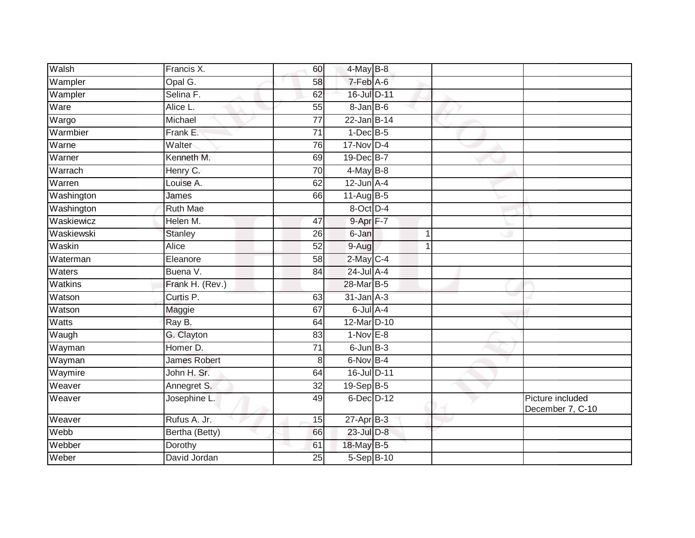| Walsh        | Francis X.          | 60              | 4-May B-8              |             |                                      |
|--------------|---------------------|-----------------|------------------------|-------------|--------------------------------------|
| Wampler      | Opal G.             | 58              | 7-Feb A-6              |             |                                      |
| Wampler      | Selina F.           | 62              | 16-Jul D-11            |             |                                      |
| Ware         | Alice L.            | 55              | $8$ -Jan B-6           |             |                                      |
| Wargo        | Michael             | $\overline{77}$ | $22$ -Jan B-14         |             |                                      |
| Warmbier     | Frank E.            | 71              | $1-Dec$ B-5            |             |                                      |
| Warne        | Walter              | 76              | 17-Nov D-4             |             |                                      |
| Warner       | Kenneth M.          | 69              | 19-Dec B-7             |             |                                      |
| Warrach      | Henry C.            | 70              | $4$ -May B-8           |             |                                      |
| Warren       | Louise A.           | 62              | $12$ -Jun $A-4$        |             |                                      |
| Washington   | James               | 66              | 11-Aug B-5             |             |                                      |
| Washington   | <b>Ruth Mae</b>     |                 | 8-Oct D-4              |             |                                      |
| Waskiewicz   | Helen M.            | 47              | 9-Apr F-7              |             |                                      |
| Waskiewski   | <b>Stanley</b>      | 26              | 6-Jan                  | $\mathbf 1$ |                                      |
| Waskin       | <b>Alice</b>        | 52              | $9-Aug$                |             |                                      |
| Waterman     | Eleanore            | 58              | $2$ -May $C-4$         |             |                                      |
| Waters       | Buena V.            | 84              | $24$ -Jul $A-4$        |             |                                      |
| Watkins      | Frank H. (Rev.)     |                 | 28-Mar B-5             |             |                                      |
| Watson       | Curtis P.           | 63              | $31$ -Jan $A-3$        |             |                                      |
| Watson       | Maggie              | 67              | $6$ -Jul $A-4$         |             |                                      |
| <b>Watts</b> | Ray B.              | 64              | 12-Mar <sub>D-10</sub> |             |                                      |
| Waugh        | G. Clayton          | $\overline{83}$ | $1-Nov$ E-8            |             |                                      |
| Wayman       | Homer D.            | 71              | $6$ -Jun $B$ -3        |             |                                      |
| Wayman       | <b>James Robert</b> | 8               | 6-Nov B-4              |             |                                      |
| Waymire      | John H. Sr.         | 64              | 16-Jul D-11            |             |                                      |
| Weaver       | Annegret S.         | $\overline{32}$ | $19-Sep$ B-5           |             |                                      |
| Weaver       | Josephine L.        | 49              | 6-Dec D-12             |             | Picture included<br>December 7, C-10 |
| Weaver       | Rufus A. Jr.        | 15              | $27$ -Apr $B-3$        |             |                                      |
| Webb         | Bertha (Betty)      | 66              | 23-Jul D-8             |             |                                      |
| Webber       | Dorothy             | 61              | 18-May B-5             |             |                                      |
| Weber        | David Jordan        | 25              | 5-Sep B-10             |             |                                      |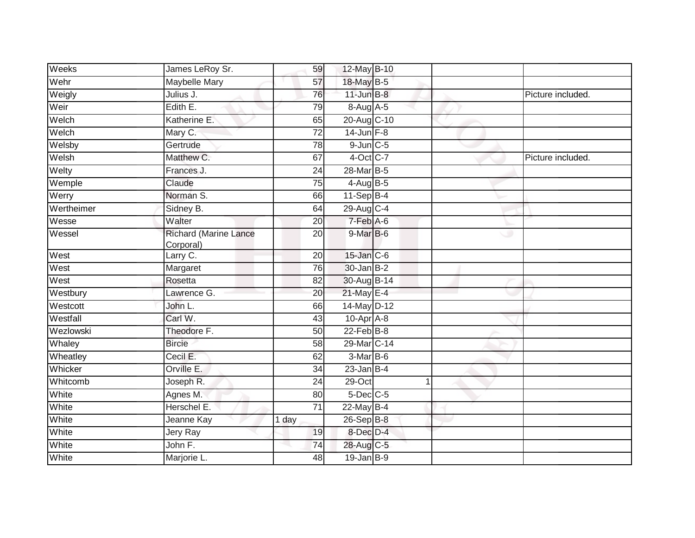| Weeks      | James LeRoy Sr.                           | 59              | 12-May B-10      |   |                   |
|------------|-------------------------------------------|-----------------|------------------|---|-------------------|
| Wehr       | <b>Maybelle Mary</b>                      | 57              | 18-May B-5       |   |                   |
| Weigly     | Julius J.                                 | 76              | $11$ -Jun $B-8$  |   | Picture included. |
| Weir       | Edith E.                                  | 79              | $8-Aug$ A-5      |   |                   |
| Welch      | Katherine E.                              | 65              | 20-Aug C-10      |   |                   |
| Welch      | Mary C.                                   | 72              | $14$ -Jun $F-8$  |   |                   |
| Welsby     | Gertrude                                  | 78              | $9$ -Jun $C$ -5  |   |                   |
| Welsh      | Matthew C.                                | 67              | 4-Oct C-7        |   | Picture included. |
| Welty      | Frances J.                                | 24              | 28-Mar B-5       |   |                   |
| Wemple     | Claude                                    | $\overline{75}$ | 4-Aug B-5        |   |                   |
| Werry      | Norman S.                                 | 66              | $11-Sep$ B-4     |   |                   |
| Wertheimer | Sidney B.                                 | 64              | 29-Aug C-4       |   |                   |
| Wesse      | Walter                                    | 20              | 7-Feb A-6        |   |                   |
| Wessel     | <b>Richard (Marine Lance</b><br>Corporal) | 20              | $9$ -Mar $B$ -6  | ی |                   |
| West       | Larry C.                                  | $\overline{20}$ | 15-Jan C-6       |   |                   |
| West       | Margaret                                  | 76              | $30 - Jan$ $B-2$ |   |                   |
| West       | Rosetta                                   | 82              | 30-Aug B-14      |   |                   |
| Westbury   | Lawrence G.                               | 20              | 21-May E-4       |   |                   |
| Westcott   | John L.                                   | 66              | 14-May D-12      |   |                   |
| Westfall   | Carl W.                                   | 43              | $10-Apr$ A-8     |   |                   |
| Wezlowski  | Theodore F.                               | 50              | $22$ -Feb $B$ -8 |   |                   |
| Whaley     | <b>Bircie</b>                             | $\overline{58}$ | 29-Mar C-14      |   |                   |
| Wheatley   | Cecil E.                                  | 62              | 3-Mar B-6        |   |                   |
| Whicker    | Orville E.                                | 34              | $23$ -Jan B-4    |   |                   |
| Whitcomb   | Joseph R.                                 | 24              | $29$ -Oct        |   |                   |
| White      | Agnes M.                                  | 80              | $5$ -Dec $C$ -5  |   |                   |
| White      | Herschel E.                               | $\overline{71}$ | 22-May B-4       |   |                   |
| White      | Jeanne Kay                                | 1 day           | 26-Sep B-8       |   |                   |
| White      | Jery Ray                                  | 19              | 8-Dec D-4        |   |                   |
| White      | John $\overline{\mathsf{F.}}$             | 74              | 28-Aug C-5       |   |                   |
| White      | Marjorie L.                               | 48              | $19$ -Jan B-9    |   |                   |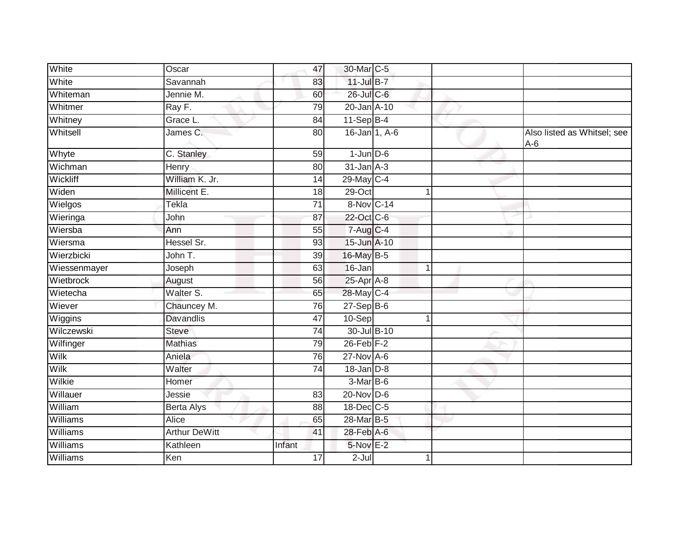| White        | Oscar                | 47              | 30-Mar C-5       |                         |                                      |
|--------------|----------------------|-----------------|------------------|-------------------------|--------------------------------------|
| White        | Savannah             | 83              | $11$ -Jul B-7    |                         |                                      |
| Whiteman     | Jennie M.            | 60              | 26-Jul C-6       |                         |                                      |
| Whitmer      | Ray F.               | 79              | 20-Jan A-10      |                         |                                      |
| Whitney      | Grace L.             | 84              | $11-Sep$ B-4     |                         |                                      |
| Whitsell     | James C.             | 80              | 16-Jan 1, A-6    |                         | Also listed as Whitsel; see<br>$A-6$ |
| Whyte        | C. Stanley           | 59              | $1$ -Jun $D-6$   |                         |                                      |
| Wichman      | Henry                | 80              | $31$ -Jan $A-3$  |                         |                                      |
| Wickliff     | William K. Jr.       | 14              | 29-May C-4       |                         |                                      |
| Widen        | Millicent E.         | 18              | 29-Oct           | 1                       |                                      |
| Wielgos      | Tekla                | 71              | 8-Nov C-14       |                         |                                      |
| Wieringa     | John                 | 87              | 22-Oct C-6       |                         |                                      |
| Wiersba      | Ann                  | $\overline{55}$ | 7-Aug C-4        |                         |                                      |
| Wiersma      | Hessel Sr.           | 93              | 15-Jun A-10      |                         |                                      |
| Wierzbicki   | John T.              | 39              | 16-May B-5       |                         |                                      |
| Wiessenmayer | Joseph               | 63              | 16-Jan           | $\overline{\mathbf{1}}$ |                                      |
| Wietbrock    | August               | 56              | 25-Apr A-8       |                         |                                      |
| Wietecha     | Walter S.            | 65              | 28-May C-4       |                         |                                      |
| Wiever       | Chauncey M.          | 76              | $27-Sep$ B-6     |                         |                                      |
| Wiggins      | <b>Davandlis</b>     | 47              | $10-$ Sep        | 1                       |                                      |
| Wilczewski   | <b>Steve</b>         | 74              | 30-Jul B-10      |                         |                                      |
| Wilfinger    | <b>Mathias</b>       | 79              | $26$ -Feb $F-2$  |                         |                                      |
| Wilk         | Aniela               | 76              | $27$ -Nov A-6    |                         |                                      |
| Wilk         | Walter               | 74              | $18$ -Jan $D-8$  |                         |                                      |
| Wilkie       | Homer                |                 | $3-MarB-6$       |                         |                                      |
| Willauer     | Jessie               | 83              | $20$ -Nov $D-6$  |                         |                                      |
| William      | <b>Berta Alys</b>    | $\overline{88}$ | 18-Dec C-5       |                         |                                      |
| Williams     | Alice                | 65              | 28-Mar B-5       |                         |                                      |
| Williams     | <b>Arthur DeWitt</b> | 41              | $28$ -Feb $A$ -6 |                         |                                      |
| Williams     | Kathleen             | Infant          | $5-Nov$ E-2      |                         |                                      |
| Williams     | Ken                  | 17              | $2$ -Jul         | 1                       |                                      |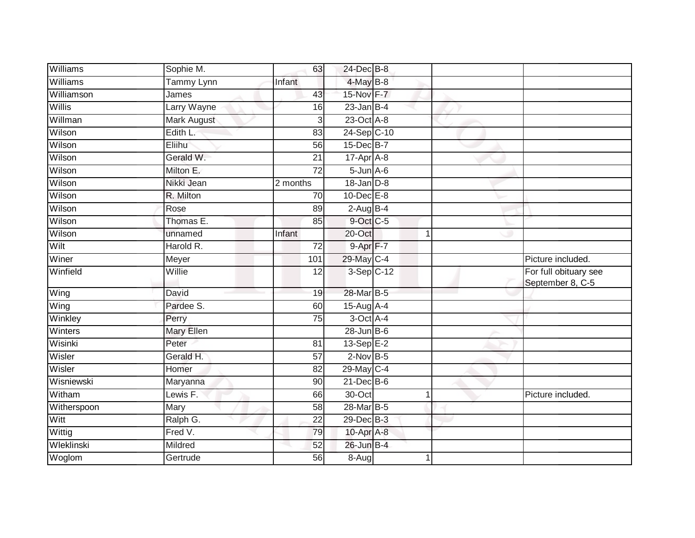| Williams    | Sophie M.          | 63              | 24-Dec B-8        |   |                                           |
|-------------|--------------------|-----------------|-------------------|---|-------------------------------------------|
| Williams    | Tammy Lynn         | Infant          | $4$ -May $B-8$    |   |                                           |
| Williamson  | James              | 43              | 15-Nov F-7        |   |                                           |
| Willis      | Larry Wayne        | 16              | $23$ -Jan $B-4$   |   |                                           |
| Willman     | <b>Mark August</b> | 3               | 23-Oct A-8        |   |                                           |
| Wilson      | Edith L.           | 83              | $24-Sep$ C-10     |   |                                           |
| Wilson      | Eliihu             | 56              | $15$ -Dec $B$ -7  |   |                                           |
| Wilson      | Gerald W.          | 21              | 17-Apr A-8        |   |                                           |
| Wilson      | Milton E.          | 72              | $5 - Jun$ $A - 6$ |   |                                           |
| Wilson      | Nikki Jean         | 2 months        | $18$ -Jan $D-8$   |   |                                           |
| Wilson      | R. Milton          | 70              | $10$ -Dec $E-8$   |   |                                           |
| Wilson      | Rose               | 89              | $2$ -Aug B-4      |   |                                           |
| Wilson      | Thomas E.          | 85              | 9-Oct C-5         |   |                                           |
| Wilson      | unnamed            | Infant          | 20-Oct            | 1 |                                           |
| Wilt        | Harold R.          | $\overline{72}$ | 9-Apr F-7         |   |                                           |
| Winer       | Meyer              | 101             | 29-May C-4        |   | Picture included.                         |
| Winfield    | Willie             | 12              | $3-Sep C-12$      |   | For full obituary see<br>September 8, C-5 |
| Wing        | David              | 19              | 28-Mar B-5        |   |                                           |
| Wing        | Pardee S.          | 60              | 15-Aug A-4        |   |                                           |
| Winkley     | Perry              | 75              | 3-Oct A-4         |   |                                           |
| Winters     | Mary Ellen         |                 | $28$ -Jun $B$ -6  |   |                                           |
| Wisinki     | Peter              | 81              | 13-Sep $E-2$      |   |                                           |
| Wisler      | Gerald H.          | $\overline{57}$ | $2$ -Nov $B-5$    |   |                                           |
| Wisler      | Homer              | 82              | 29-May C-4        |   |                                           |
| Wisniewski  | Maryanna           | 90              | $21$ -Dec $B$ -6  |   |                                           |
| Witham      | Lewis F.           | 66              | 30-Oct            |   | Picture included.                         |
| Witherspoon | Mary               | 58              | 28-Mar B-5        |   |                                           |
| Witt        | Ralph G.           | $\overline{22}$ | 29-Dec B-3        |   |                                           |
| Wittig      | Fred V.            | 79              | 10-Apr A-8        |   |                                           |
| Wleklinski  | Mildred            | 52              | 26-Jun B-4        |   |                                           |
| Woglom      | Gertrude           | 56              | 8-Aug             |   |                                           |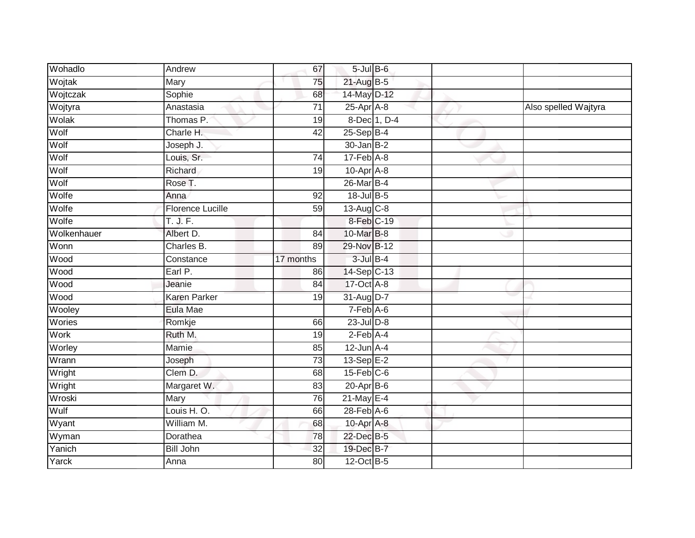| Wohadlo       | Andrew                  | 67              | $5$ -Jul $B$ -6       |  |                      |
|---------------|-------------------------|-----------------|-----------------------|--|----------------------|
| Wojtak        | Mary                    | 75              | 21-Aug B-5            |  |                      |
| Wojtczak      | Sophie                  | 68              | 14-May D-12           |  |                      |
| Wojtyra       | Anastasia               | $\overline{71}$ | $25-AprA-8$           |  | Also spelled Wajtyra |
| Wolak         | Thomas P.               | $\overline{19}$ | 8-Dec 1, D-4          |  |                      |
| Wolf          | Charle H.               | 42              | $25-Sep$ B-4          |  |                      |
| Wolf          | Joseph J.               |                 | $30 - Jan$ $B-2$      |  |                      |
| Wolf          | Louis, Sr.              | 74              | $17 - \text{Feb}$ A-8 |  |                      |
| Wolf          | Richard                 | 19              | $10$ -Apr $A$ -8      |  |                      |
| Wolf          | Rose T.                 |                 | 26-Mar B-4            |  |                      |
| Wolfe         | Anna                    | 92              | 18-Jul B-5            |  |                      |
| Wolfe         | <b>Florence Lucille</b> | 59              | 13-Aug C-8            |  |                      |
| Wolfe         | T. J. F.                |                 | 8-Feb C-19            |  |                      |
| Wolkenhauer   | Albert D.               | 84              | 10-Mar B-8            |  |                      |
| Wonn          | Charles B.              | 89              | 29-Nov B-12           |  |                      |
| <b>Wood</b>   | Constance               | 17 months       | $3$ -Jul $B-4$        |  |                      |
| Wood          | Earl P.                 | 86              | 14-Sep C-13           |  |                      |
| Wood          | Jeanie                  | 84              | 17-Oct A-8            |  |                      |
| Wood          | Karen Parker            | 19              | 31-Aug D-7            |  |                      |
| Wooley        | Eula Mae                |                 | $7-Feb$ A-6           |  |                      |
| <b>Wories</b> | Romkje                  | 66              | $23$ -Jul $D-8$       |  |                      |
| Work          | Ruth M.                 | 19              | $2-Feb$ A-4           |  |                      |
| Worley        | Mamie                   | 85              | $12$ -Jun $A-4$       |  |                      |
| Wrann         | Joseph                  | $\overline{73}$ | $13-Sep$ $E-2$        |  |                      |
| Wright        | Clem D.                 | 68              | $15$ -Feb $C$ -6      |  |                      |
| Wright        | Margaret W.             | 83              | $20$ -Apr $B$ -6      |  |                      |
| Wroski        | Mary                    | 76              | $21$ -May E-4         |  |                      |
| Wulf          | Louis H. O.             | 66              | 28-Feb A-6            |  |                      |
| Wyant         | William M.              | 68              | 10-Apr A-8            |  |                      |
| Wyman         | Dorathea                | 78              | 22-Dec B-5            |  |                      |
| Yanich        | <b>Bill John</b>        | 32              | 19-Dec B-7            |  |                      |
| Yarck         | Anna                    | 80              | 12-Oct B-5            |  |                      |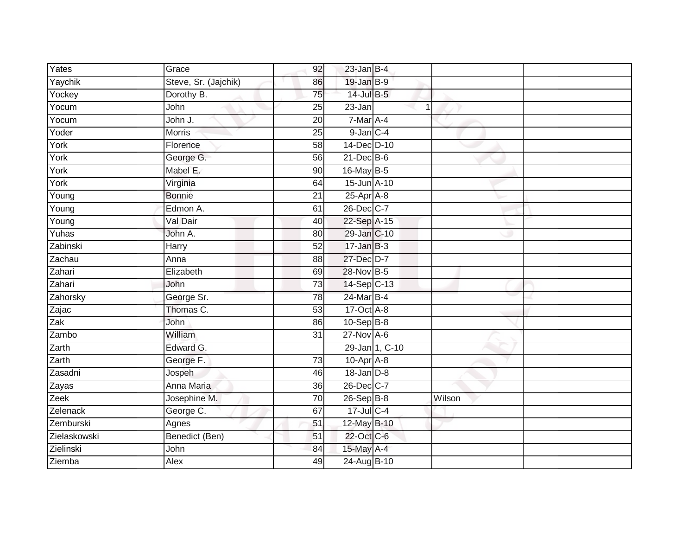| Yates        | Grace                | 92              | $23$ -Jan B-4    |   |        |  |
|--------------|----------------------|-----------------|------------------|---|--------|--|
| Yaychik      | Steve, Sr. (Jajchik) | 86              | $19$ -Jan B-9    |   |        |  |
| Yockey       | Dorothy B.           | 75              | 14-Jul B-5       |   |        |  |
| Yocum        | John                 | 25              | 23-Jan           | 1 |        |  |
| Yocum        | John J.              | $\overline{20}$ | 7-Mar A-4        |   |        |  |
| Yoder        | <b>Morris</b>        | 25              | $9$ -Jan $C-4$   |   |        |  |
| York         | Florence             | $\overline{58}$ | 14-Dec D-10      |   |        |  |
| York         | George G.            | 56              | $21$ -Dec $B-6$  |   |        |  |
| York         | Mabel E.             | 90              | 16-May B-5       |   |        |  |
| York         | Virginia             | 64              | 15-Jun A-10      |   |        |  |
| Young        | <b>Bonnie</b>        | 21              | $25$ -Apr $A$ -8 |   |        |  |
| Young        | Edmon A.             | 61              | 26-Dec C-7       |   |        |  |
| Young        | Val Dair             | 40              | 22-Sep A-15      |   |        |  |
| Yuhas        | John A.              | 80              | 29-Jan C-10      |   |        |  |
| Zabinski     | Harry                | 52              | $17 - Jan$ $B-3$ |   |        |  |
| Zachau       | Anna                 | 88              | 27-Dec D-7       |   |        |  |
| Zahari       | Elizabeth            | 69              | 28-Nov B-5       |   |        |  |
| Zahari       | John                 | 73              | 14-Sep C-13      |   |        |  |
| Zahorsky     | George Sr.           | 78              | 24-Mar B-4       |   |        |  |
| Zajac        | Thomas C.            | $\overline{53}$ | 17-Oct A-8       |   |        |  |
| Zak          | John                 | 86              | $10-Sep$ B-8     |   |        |  |
| Zambo        | William              | 31              | $27$ -Nov $A-6$  |   |        |  |
| Zarth        | Edward G.            |                 | 29-Jan 1, C-10   |   |        |  |
| Zarth        | George F.            | 73              | 10-Apr A-8       |   |        |  |
| Zasadni      | Jospeh               | 46              | $18$ -Jan $D-8$  |   |        |  |
| Zayas        | Anna Maria           | 36              | 26-Dec C-7       |   |        |  |
| Zeek         | Josephine M.         | 70              | $26 - Sep$ B-8   |   | Wilson |  |
| Zelenack     | George C.            | 67              | $17$ -Jul $C-4$  |   |        |  |
| Zemburski    | Agnes                | 51              | 12-May B-10      |   |        |  |
| Zielaskowski | Benedict (Ben)       | 51              | 22-Oct C-6       |   |        |  |
| Zielinski    | John                 | 84              | 15-May A-4       |   |        |  |
| Ziemba       | <b>Alex</b>          | 49              | 24-Aug B-10      |   |        |  |